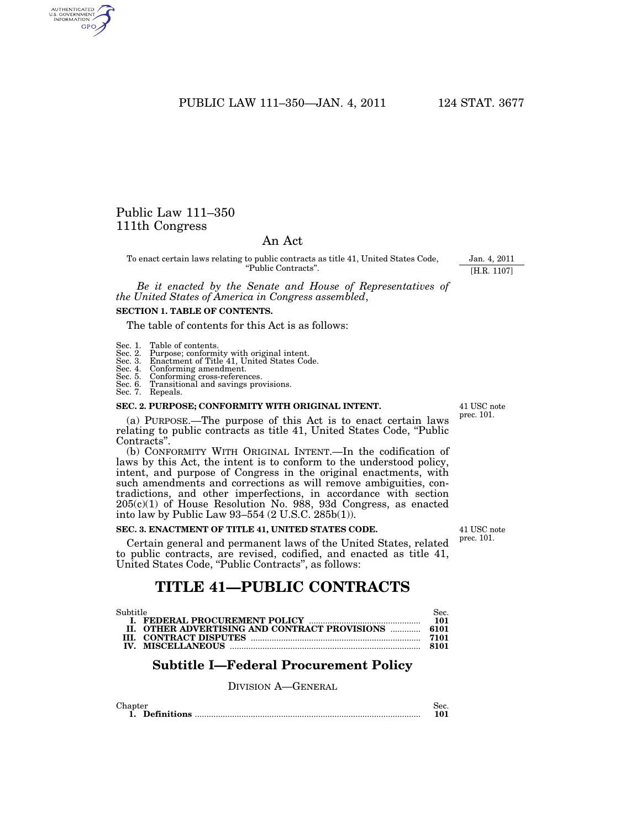PUBLIC LAW 111-350-JAN. 4, 2011 124 STAT. 3677

# Public Law 111–350 111th Congress

AUTHENTICATED<br>U.S. GOVERNMENT<br>INFORMATION **GPO** 

### An Act

To enact certain laws relating to public contracts as title 41, United States Code, ''Public Contracts''.

*Be it enacted by the Senate and House of Representatives of the United States of America in Congress assembled*,

### **SECTION 1. TABLE OF CONTENTS.**

The table of contents for this Act is as follows:

Sec. 1. Table of contents.

Sec. 2. Purpose; conformity with original intent. Sec. 3. Enactment of Title 41, United States Code.

- Sec. 4. Conforming amendment.
- Sec. 5. Conforming cross-references. Sec. 6. Transitional and savings provisions.
- Sec. 6. Transitic<br>Sec. 7. Repeals.

#### **SEC. 2. PURPOSE; CONFORMITY WITH ORIGINAL INTENT.**

(a) PURPOSE.—The purpose of this Act is to enact certain laws relating to public contracts as title 41, United States Code, ''Public Contracts''.

(b) CONFORMITY WITH ORIGINAL INTENT.—In the codification of laws by this Act, the intent is to conform to the understood policy, intent, and purpose of Congress in the original enactments, with such amendments and corrections as will remove ambiguities, contradictions, and other imperfections, in accordance with section 205(c)(1) of House Resolution No. 988, 93d Congress, as enacted into law by Public Law 93–554 (2 U.S.C. 285b(1)).

### **SEC. 3. ENACTMENT OF TITLE 41, UNITED STATES CODE.**

Certain general and permanent laws of the United States, related to public contracts, are revised, codified, and enacted as title 41, United States Code, ''Public Contracts'', as follows:

# **TITLE 41—PUBLIC CONTRACTS**

#### Subtitle Sec. **I. FEDERAL PROCUREMENT POLICY** ................................................ **101 II. OTHER ADVERTISING AND CONTRACT PROVISIONS** ............. **6101 III. CONTRACT DISPUTES** ......................................................................... **7101 IV. MISCELLANEOUS** .................................................................................. **8101**

### **Subtitle I—Federal Procurement Policy**

DIVISION A—GENERAL

| Chapter            | sec. |
|--------------------|------|
| <b>Definitions</b> |      |

41 USC note prec. 101.

Jan. 4, 2011 [H.R. 1107]

41 USC note prec. 101.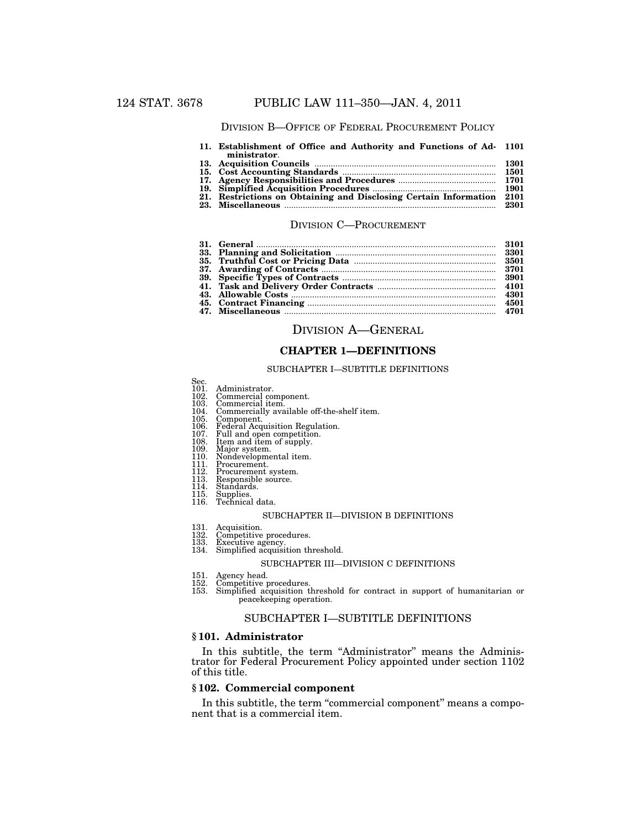### DIVISION B—OFFICE OF FEDERAL PROCUREMENT POLICY

| 11. Establishment of Office and Authority and Functions of Ad- 1101 |  |
|---------------------------------------------------------------------|--|
| ministrator.                                                        |  |
|                                                                     |  |
|                                                                     |  |
|                                                                     |  |

- **19. Simplified Acquisition Procedures** ..................................................... **1901**
- **21. Restrictions on Obtaining and Disclosing Certain Information 2101 23. Miscellaneous** ........................................................................................... **2301**

### DIVISION C—PROCUREMENT

|  | 4301 |
|--|------|
|  | 4501 |
|  |      |

# DIVISION A—GENERAL

### **CHAPTER 1—DEFINITIONS**

### SUBCHAPTER I—SUBTITLE DEFINITIONS

- Sec.
	-
- 101. Administrator.<br>102. Commercial contracts and the 103. Commercial ite 102. Commercial component. 103. Commercial item.
- 104. Commercially available off-the-shelf item. 105. Component. 106. Federal Acquisition Regulation. 107. Full and open competition. 108. Item and item of supply.
- -
- 
- 
- 109. Major system. 110. Nondevelopmental item.
- 111. Procurement.
- 
- 112. Procurement system. 113. Responsible source. 114. Standards. 115. Supplies. 116. Technical data.
- 
- 

#### SUBCHAPTER II—DIVISION B DEFINITIONS

- 
- 
- 
- 131. Acquisition. 132. Competitive procedures. 133. Executive agency. 134. Simplified acquisition threshold.

#### SUBCHAPTER III—DIVISION C DEFINITIONS

- 
- 151. Agency head. 152. Competitive procedures. 153. Simplified acquisition threshold for contract in support of humanitarian or
	- peacekeeping operation.

### SUBCHAPTER I—SUBTITLE DEFINITIONS

### **§ 101. Administrator**

In this subtitle, the term "Administrator" means the Administrator for Federal Procurement Policy appointed under section 1102 of this title.

#### **§ 102. Commercial component**

In this subtitle, the term "commercial component" means a component that is a commercial item.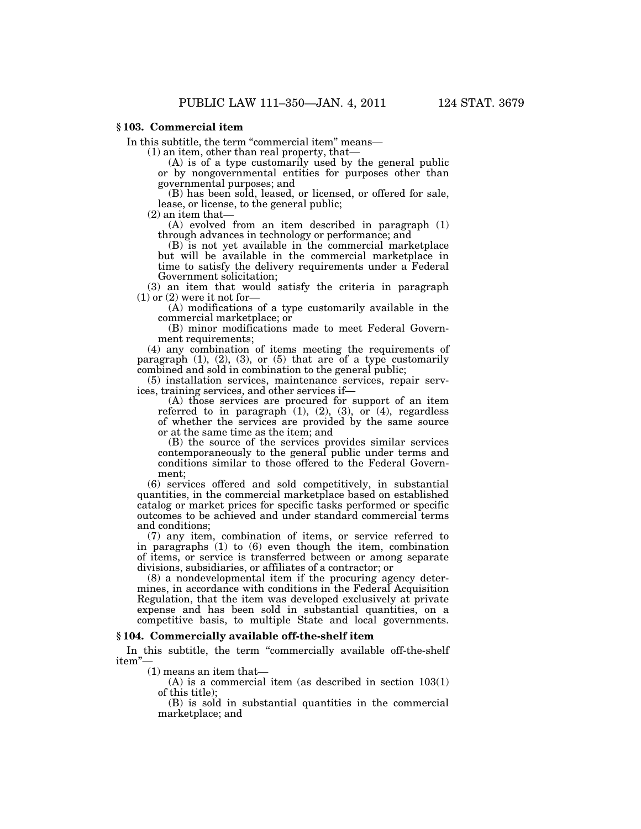### **§ 103. Commercial item**

In this subtitle, the term "commercial item" means—

(1) an item, other than real property, that—

(A) is of a type customarily used by the general public or by nongovernmental entities for purposes other than governmental purposes; and

(B) has been sold, leased, or licensed, or offered for sale, lease, or license, to the general public;

(2) an item that—

(A) evolved from an item described in paragraph (1) through advances in technology or performance; and

(B) is not yet available in the commercial marketplace but will be available in the commercial marketplace in time to satisfy the delivery requirements under a Federal Government solicitation;

(3) an item that would satisfy the criteria in paragraph  $(1)$  or  $(2)$  were it not for-

(A) modifications of a type customarily available in the commercial marketplace; or

(B) minor modifications made to meet Federal Government requirements;

(4) any combination of items meeting the requirements of paragraph  $(1)$ ,  $(2)$ ,  $(3)$ , or  $(5)$  that are of a type customarily combined and sold in combination to the general public;

(5) installation services, maintenance services, repair services, training services, and other services if—

(A) those services are procured for support of an item referred to in paragraph  $(1)$ ,  $(2)$ ,  $(3)$ , or  $(4)$ , regardless of whether the services are provided by the same source or at the same time as the item; and

(B) the source of the services provides similar services contemporaneously to the general public under terms and conditions similar to those offered to the Federal Government;

(6) services offered and sold competitively, in substantial quantities, in the commercial marketplace based on established catalog or market prices for specific tasks performed or specific outcomes to be achieved and under standard commercial terms and conditions;

(7) any item, combination of items, or service referred to in paragraphs (1) to (6) even though the item, combination of items, or service is transferred between or among separate divisions, subsidiaries, or affiliates of a contractor; or

(8) a nondevelopmental item if the procuring agency determines, in accordance with conditions in the Federal Acquisition Regulation, that the item was developed exclusively at private expense and has been sold in substantial quantities, on a competitive basis, to multiple State and local governments.

### **§ 104. Commercially available off-the-shelf item**

In this subtitle, the term ''commercially available off-the-shelf item''—

(1) means an item that—

(A) is a commercial item (as described in section 103(1) of this title);

(B) is sold in substantial quantities in the commercial marketplace; and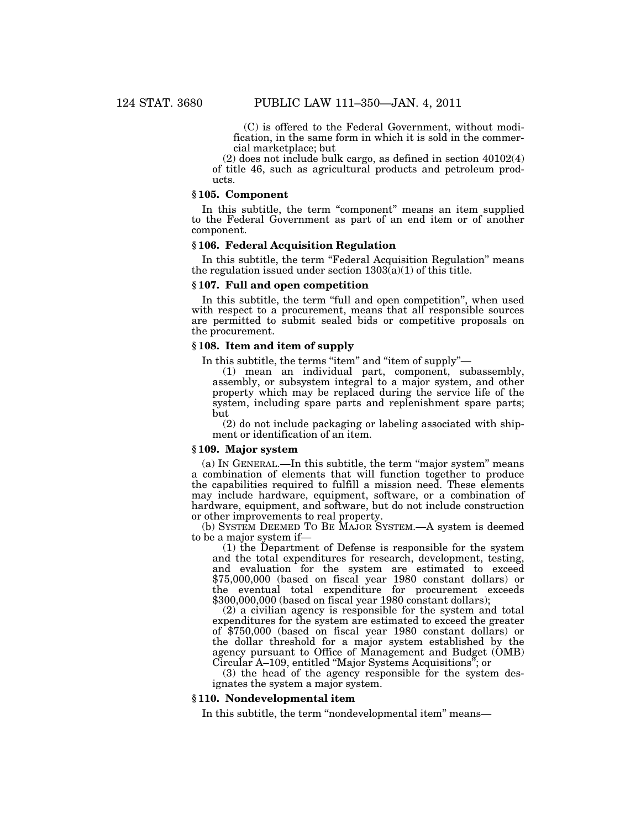(C) is offered to the Federal Government, without modification, in the same form in which it is sold in the commercial marketplace; but

(2) does not include bulk cargo, as defined in section 40102(4) of title 46, such as agricultural products and petroleum products.

### **§ 105. Component**

In this subtitle, the term "component" means an item supplied to the Federal Government as part of an end item or of another component.

#### **§ 106. Federal Acquisition Regulation**

In this subtitle, the term "Federal Acquisition Regulation" means the regulation issued under section  $1303(a)(1)$  of this title.

## **§ 107. Full and open competition**

In this subtitle, the term "full and open competition", when used with respect to a procurement, means that all responsible sources are permitted to submit sealed bids or competitive proposals on the procurement.

### **§ 108. Item and item of supply**

In this subtitle, the terms "item" and "item of supply"—

(1) mean an individual part, component, subassembly, assembly, or subsystem integral to a major system, and other property which may be replaced during the service life of the system, including spare parts and replenishment spare parts; but

(2) do not include packaging or labeling associated with shipment or identification of an item.

### **§ 109. Major system**

(a) IN GENERAL.—In this subtitle, the term ''major system'' means a combination of elements that will function together to produce the capabilities required to fulfill a mission need. These elements may include hardware, equipment, software, or a combination of hardware, equipment, and software, but do not include construction or other improvements to real property.

(b) SYSTEM DEEMED TO BE MAJOR SYSTEM.—A system is deemed to be a major system if—

(1) the Department of Defense is responsible for the system and the total expenditures for research, development, testing, and evaluation for the system are estimated to exceed \$75,000,000 (based on fiscal year 1980 constant dollars) or the eventual total expenditure for procurement exceeds \$300,000,000 (based on fiscal year 1980 constant dollars);

(2) a civilian agency is responsible for the system and total expenditures for the system are estimated to exceed the greater of \$750,000 (based on fiscal year 1980 constant dollars) or the dollar threshold for a major system established by the agency pursuant to Office of Management and Budget (OMB) Circular A–109, entitled ''Major Systems Acquisitions''; or

(3) the head of the agency responsible for the system designates the system a major system.

### **§ 110. Nondevelopmental item**

In this subtitle, the term "nondevelopmental item" means-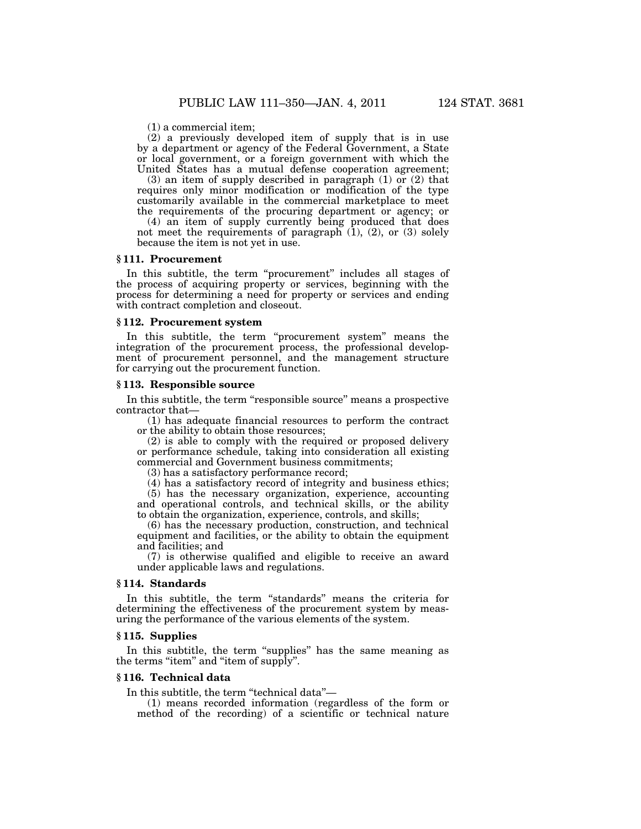(1) a commercial item;

(2) a previously developed item of supply that is in use by a department or agency of the Federal Government, a State or local government, or a foreign government with which the United States has a mutual defense cooperation agreement;

(3) an item of supply described in paragraph (1) or (2) that requires only minor modification or modification of the type customarily available in the commercial marketplace to meet the requirements of the procuring department or agency; or

(4) an item of supply currently being produced that does not meet the requirements of paragraph (1), (2), or (3) solely because the item is not yet in use.

#### **§ 111. Procurement**

In this subtitle, the term "procurement" includes all stages of the process of acquiring property or services, beginning with the process for determining a need for property or services and ending with contract completion and closeout.

#### **§ 112. Procurement system**

In this subtitle, the term "procurement system" means the integration of the procurement process, the professional development of procurement personnel, and the management structure for carrying out the procurement function.

### **§ 113. Responsible source**

In this subtitle, the term "responsible source" means a prospective contractor that—

(1) has adequate financial resources to perform the contract or the ability to obtain those resources;

(2) is able to comply with the required or proposed delivery or performance schedule, taking into consideration all existing commercial and Government business commitments;

(3) has a satisfactory performance record;

(4) has a satisfactory record of integrity and business ethics;

(5) has the necessary organization, experience, accounting and operational controls, and technical skills, or the ability to obtain the organization, experience, controls, and skills;

(6) has the necessary production, construction, and technical equipment and facilities, or the ability to obtain the equipment and facilities; and

(7) is otherwise qualified and eligible to receive an award under applicable laws and regulations.

#### **§ 114. Standards**

In this subtitle, the term ''standards'' means the criteria for determining the effectiveness of the procurement system by measuring the performance of the various elements of the system.

#### **§ 115. Supplies**

In this subtitle, the term ''supplies'' has the same meaning as the terms "item" and "item of supply".

#### **§ 116. Technical data**

In this subtitle, the term ''technical data''—

(1) means recorded information (regardless of the form or method of the recording) of a scientific or technical nature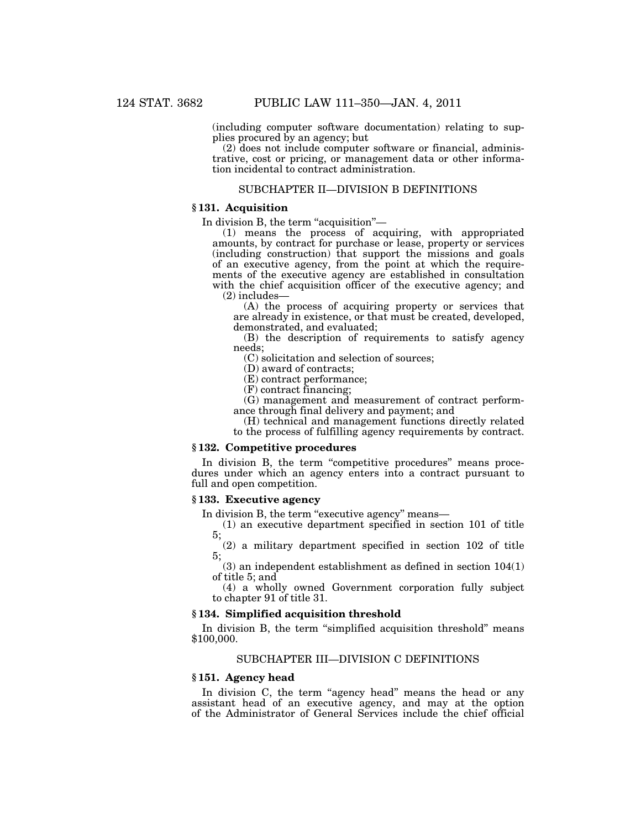(including computer software documentation) relating to supplies procured by an agency; but

(2) does not include computer software or financial, administrative, cost or pricing, or management data or other information incidental to contract administration.

### SUBCHAPTER II—DIVISION B DEFINITIONS

# **§ 131. Acquisition**

In division B, the term "acquisition"—

(1) means the process of acquiring, with appropriated amounts, by contract for purchase or lease, property or services (including construction) that support the missions and goals of an executive agency, from the point at which the requirements of the executive agency are established in consultation with the chief acquisition officer of the executive agency; and (2) includes—

(A) the process of acquiring property or services that are already in existence, or that must be created, developed, demonstrated, and evaluated;

(B) the description of requirements to satisfy agency needs;

(C) solicitation and selection of sources;

(D) award of contracts;

(E) contract performance;

(F) contract financing;

(G) management and measurement of contract performance through final delivery and payment; and

(H) technical and management functions directly related to the process of fulfilling agency requirements by contract.

### **§ 132. Competitive procedures**

In division B, the term "competitive procedures" means procedures under which an agency enters into a contract pursuant to full and open competition.

### **§ 133. Executive agency**

In division B, the term "executive agency" means—

(1) an executive department specified in section 101 of title 5;

(2) a military department specified in section 102 of title 5;

(3) an independent establishment as defined in section 104(1) of title 5; and

(4) a wholly owned Government corporation fully subject to chapter 91 of title 31.

### **§ 134. Simplified acquisition threshold**

In division B, the term "simplified acquisition threshold" means \$100,000.

### SUBCHAPTER III—DIVISION C DEFINITIONS

### **§ 151. Agency head**

In division C, the term "agency head" means the head or any assistant head of an executive agency, and may at the option of the Administrator of General Services include the chief official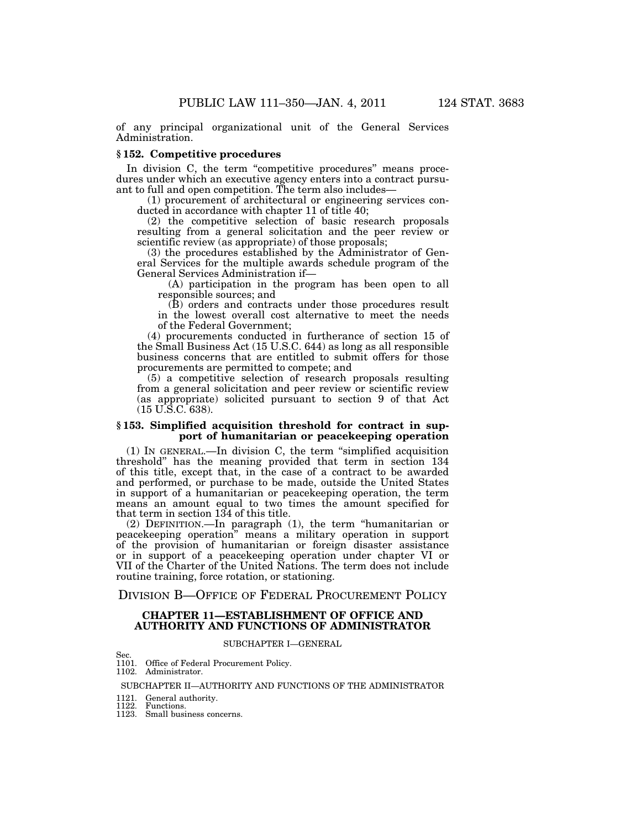of any principal organizational unit of the General Services Administration.

### **§ 152. Competitive procedures**

In division C, the term "competitive procedures" means procedures under which an executive agency enters into a contract pursuant to full and open competition. The term also includes—

(1) procurement of architectural or engineering services conducted in accordance with chapter 11 of title 40;

(2) the competitive selection of basic research proposals resulting from a general solicitation and the peer review or scientific review (as appropriate) of those proposals;

(3) the procedures established by the Administrator of General Services for the multiple awards schedule program of the General Services Administration if—

(A) participation in the program has been open to all responsible sources; and

(B) orders and contracts under those procedures result in the lowest overall cost alternative to meet the needs of the Federal Government;

(4) procurements conducted in furtherance of section 15 of the Small Business Act (15 U.S.C. 644) as long as all responsible business concerns that are entitled to submit offers for those procurements are permitted to compete; and

(5) a competitive selection of research proposals resulting from a general solicitation and peer review or scientific review (as appropriate) solicited pursuant to section 9 of that Act  $(15 \text{ U.S.C. } 638)$ .

#### **§ 153. Simplified acquisition threshold for contract in support of humanitarian or peacekeeping operation**

(1) IN GENERAL.—In division C, the term ''simplified acquisition threshold'' has the meaning provided that term in section 134 of this title, except that, in the case of a contract to be awarded and performed, or purchase to be made, outside the United States in support of a humanitarian or peacekeeping operation, the term means an amount equal to two times the amount specified for that term in section 134 of this title.

(2) DEFINITION.—In paragraph (1), the term ''humanitarian or peacekeeping operation'' means a military operation in support of the provision of humanitarian or foreign disaster assistance or in support of a peacekeeping operation under chapter VI or VII of the Charter of the United Nations. The term does not include routine training, force rotation, or stationing.

### DIVISION B—OFFICE OF FEDERAL PROCUREMENT POLICY

### **CHAPTER 11—ESTABLISHMENT OF OFFICE AND AUTHORITY AND FUNCTIONS OF ADMINISTRATOR**

SUBCHAPTER I—GENERAL

Sec.

1101. Office of Federal Procurement Policy. 1102. Administrator.

SUBCHAPTER II—AUTHORITY AND FUNCTIONS OF THE ADMINISTRATOR

1121. General authority.<br>1122. Functions. Functions.

1123. Small business concerns.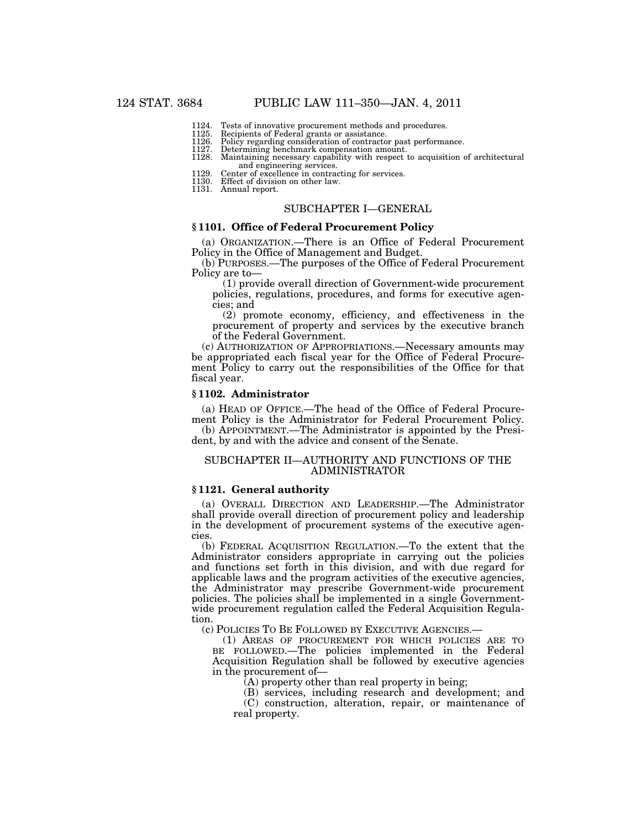- 1124. Tests of innovative procurement methods and procedures.<br>1125. Recipients of Federal grants or assistance.
- 1125. Recipients of Federal grants or assistance. 1126. Policy regarding consideration of contractor past performance.
- 1126. Policy regarding consideration of contractor pas<br>1127. Determining benchmark compensation amount.
- 1128. Maintaining necessary capability with respect to acquisition of architectural
- 1129. Center of excellence in contracting for services.<br>1130. Effect of division on other law.
- Effect of division on other law.
- 1131. Annual report.

### SUBCHAPTER I—GENERAL

### **§ 1101. Office of Federal Procurement Policy**

(a) ORGANIZATION.—There is an Office of Federal Procurement Policy in the Office of Management and Budget.

(b) PURPOSES.—The purposes of the Office of Federal Procurement Policy are to—

(1) provide overall direction of Government-wide procurement policies, regulations, procedures, and forms for executive agencies; and

(2) promote economy, efficiency, and effectiveness in the procurement of property and services by the executive branch of the Federal Government.

(c) AUTHORIZATION OF APPROPRIATIONS.—Necessary amounts may be appropriated each fiscal year for the Office of Federal Procurement Policy to carry out the responsibilities of the Office for that fiscal year.

#### **§ 1102. Administrator**

(a) HEAD OF OFFICE.—The head of the Office of Federal Procurement Policy is the Administrator for Federal Procurement Policy.

(b) APPOINTMENT.—The Administrator is appointed by the President, by and with the advice and consent of the Senate.

### SUBCHAPTER II—AUTHORITY AND FUNCTIONS OF THE ADMINISTRATOR

### **§ 1121. General authority**

(a) OVERALL DIRECTION AND LEADERSHIP.—The Administrator shall provide overall direction of procurement policy and leadership in the development of procurement systems of the executive agencies.

(b) FEDERAL ACQUISITION REGULATION.—To the extent that the Administrator considers appropriate in carrying out the policies and functions set forth in this division, and with due regard for applicable laws and the program activities of the executive agencies, the Administrator may prescribe Government-wide procurement policies. The policies shall be implemented in a single Governmentwide procurement regulation called the Federal Acquisition Regulation.

(c) POLICIES TO BE FOLLOWED BY EXECUTIVE AGENCIES.—

(1) AREAS OF PROCUREMENT FOR WHICH POLICIES ARE TO BE FOLLOWED.—The policies implemented in the Federal Acquisition Regulation shall be followed by executive agencies in the procurement of—

(A) property other than real property in being;

(B) services, including research and development; and

(C) construction, alteration, repair, or maintenance of real property.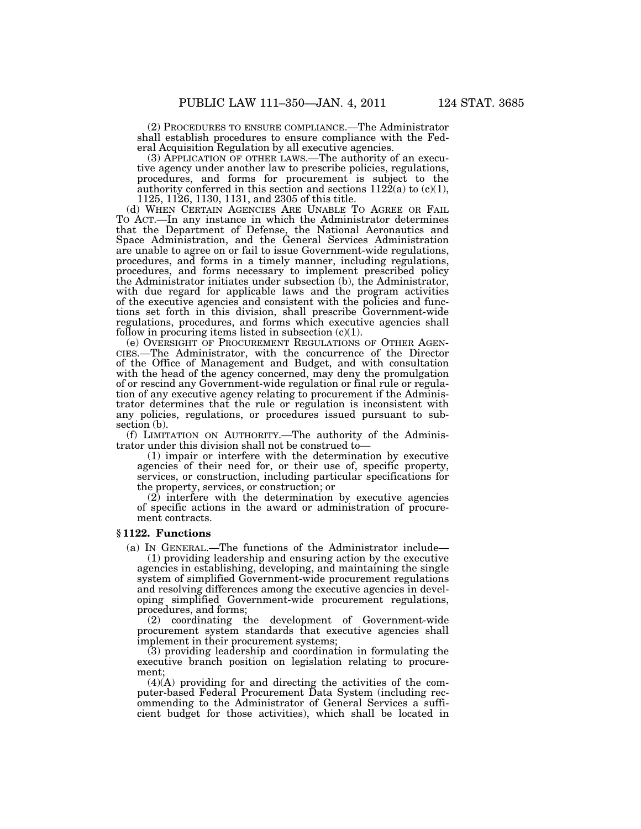(2) PROCEDURES TO ENSURE COMPLIANCE.—The Administrator shall establish procedures to ensure compliance with the Federal Acquisition Regulation by all executive agencies.

(3) APPLICATION OF OTHER LAWS.—The authority of an executive agency under another law to prescribe policies, regulations, procedures, and forms for procurement is subject to the authority conferred in this section and sections  $112\tilde{2}$ (a) to (c)(1), 1125, 1126, 1130, 1131, and 2305 of this title.

(d) WHEN CERTAIN AGENCIES ARE UNABLE TO AGREE OR FAIL TO ACT.—In any instance in which the Administrator determines that the Department of Defense, the National Aeronautics and Space Administration, and the General Services Administration are unable to agree on or fail to issue Government-wide regulations, procedures, and forms in a timely manner, including regulations, procedures, and forms necessary to implement prescribed policy the Administrator initiates under subsection (b), the Administrator, with due regard for applicable laws and the program activities of the executive agencies and consistent with the policies and functions set forth in this division, shall prescribe Government-wide regulations, procedures, and forms which executive agencies shall follow in procuring items listed in subsection  $(c)(1)$ .<br>(e) OVERSIGHT OF PROCUREMENT REGULATIONS OF OTHER AGEN-

(e) OVERSIGHT OF PROCUREMENT REGULATIONS OF OTHER AGEN- CIES.—The Administrator, with the concurrence of the Director of the Office of Management and Budget, and with consultation with the head of the agency concerned, may deny the promulgation of or rescind any Government-wide regulation or final rule or regulation of any executive agency relating to procurement if the Administrator determines that the rule or regulation is inconsistent with any policies, regulations, or procedures issued pursuant to subsection (b).

(f) LIMITATION ON AUTHORITY.—The authority of the Administrator under this division shall not be construed to—

(1) impair or interfere with the determination by executive agencies of their need for, or their use of, specific property, services, or construction, including particular specifications for the property, services, or construction; or

(2) interfere with the determination by executive agencies of specific actions in the award or administration of procurement contracts.

### **§ 1122. Functions**

(a) IN GENERAL.—The functions of the Administrator include—

(1) providing leadership and ensuring action by the executive agencies in establishing, developing, and maintaining the single system of simplified Government-wide procurement regulations and resolving differences among the executive agencies in developing simplified Government-wide procurement regulations, procedures, and forms;

(2) coordinating the development of Government-wide procurement system standards that executive agencies shall implement in their procurement systems;

(3) providing leadership and coordination in formulating the executive branch position on legislation relating to procurement;

(4)(A) providing for and directing the activities of the computer-based Federal Procurement Data System (including recommending to the Administrator of General Services a sufficient budget for those activities), which shall be located in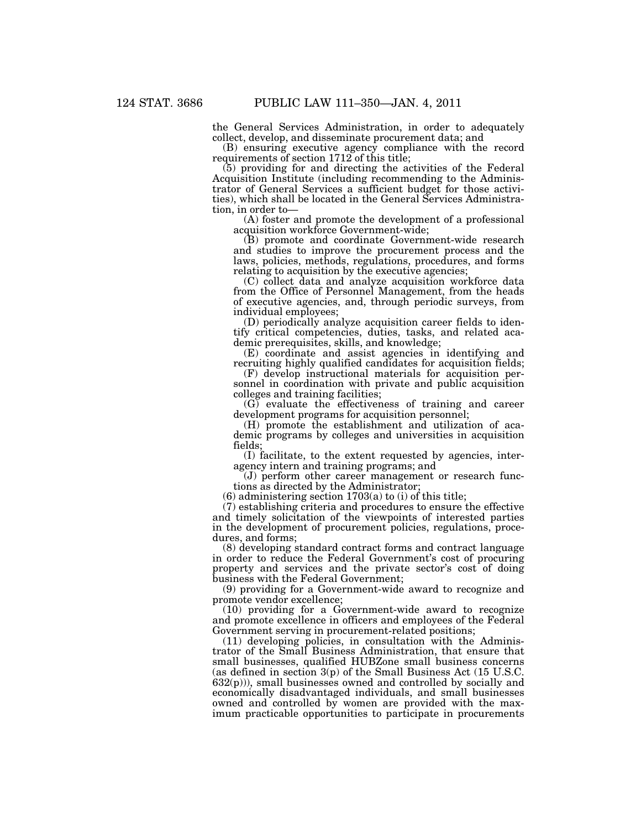the General Services Administration, in order to adequately collect, develop, and disseminate procurement data; and

(B) ensuring executive agency compliance with the record requirements of section 1712 of this title;

(5) providing for and directing the activities of the Federal Acquisition Institute (including recommending to the Administrator of General Services a sufficient budget for those activities), which shall be located in the General Services Administration, in order to—

(A) foster and promote the development of a professional acquisition workforce Government-wide;

(B) promote and coordinate Government-wide research and studies to improve the procurement process and the laws, policies, methods, regulations, procedures, and forms relating to acquisition by the executive agencies;

(C) collect data and analyze acquisition workforce data from the Office of Personnel Management, from the heads of executive agencies, and, through periodic surveys, from individual employees;

(D) periodically analyze acquisition career fields to identify critical competencies, duties, tasks, and related academic prerequisites, skills, and knowledge;

(E) coordinate and assist agencies in identifying and recruiting highly qualified candidates for acquisition fields;

(F) develop instructional materials for acquisition personnel in coordination with private and public acquisition colleges and training facilities;

(G) evaluate the effectiveness of training and career development programs for acquisition personnel;

(H) promote the establishment and utilization of academic programs by colleges and universities in acquisition fields;

(I) facilitate, to the extent requested by agencies, interagency intern and training programs; and

(J) perform other career management or research functions as directed by the Administrator;

 $(6)$  administering section 1703 $(a)$  to  $(i)$  of this title;

(7) establishing criteria and procedures to ensure the effective and timely solicitation of the viewpoints of interested parties in the development of procurement policies, regulations, procedures, and forms;

(8) developing standard contract forms and contract language in order to reduce the Federal Government's cost of procuring property and services and the private sector's cost of doing business with the Federal Government;

(9) providing for a Government-wide award to recognize and promote vendor excellence;

(10) providing for a Government-wide award to recognize and promote excellence in officers and employees of the Federal Government serving in procurement-related positions;

(11) developing policies, in consultation with the Administrator of the Small Business Administration, that ensure that small businesses, qualified HUBZone small business concerns (as defined in section 3(p) of the Small Business Act (15 U.S.C.  $632(p)$ ), small businesses owned and controlled by socially and economically disadvantaged individuals, and small businesses owned and controlled by women are provided with the maximum practicable opportunities to participate in procurements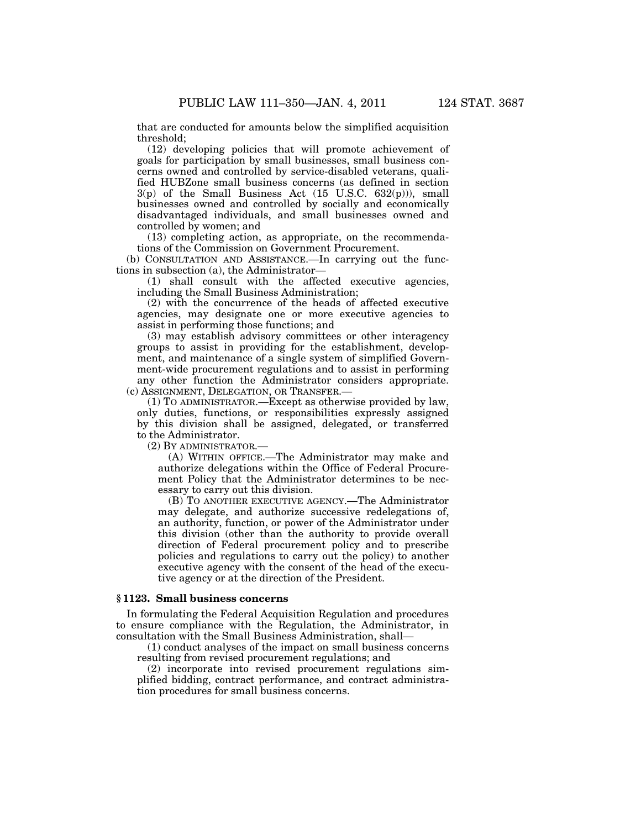that are conducted for amounts below the simplified acquisition threshold;

(12) developing policies that will promote achievement of goals for participation by small businesses, small business concerns owned and controlled by service-disabled veterans, qualified HUBZone small business concerns (as defined in section  $3(p)$  of the Small Business Act  $(15 \text{ U.S.C. } 632(p))$ , small businesses owned and controlled by socially and economically disadvantaged individuals, and small businesses owned and controlled by women; and

(13) completing action, as appropriate, on the recommendations of the Commission on Government Procurement.

(b) CONSULTATION AND ASSISTANCE.—In carrying out the functions in subsection (a), the Administrator—

(1) shall consult with the affected executive agencies, including the Small Business Administration;

(2) with the concurrence of the heads of affected executive agencies, may designate one or more executive agencies to assist in performing those functions; and

(3) may establish advisory committees or other interagency groups to assist in providing for the establishment, development, and maintenance of a single system of simplified Government-wide procurement regulations and to assist in performing any other function the Administrator considers appropriate. (c) ASSIGNMENT, DELEGATION, OR TRANSFER.—

(1) TO ADMINISTRATOR.—Except as otherwise provided by law, only duties, functions, or responsibilities expressly assigned

by this division shall be assigned, delegated, or transferred to the Administrator.

(2) BY ADMINISTRATOR.—

(A) WITHIN OFFICE.—The Administrator may make and authorize delegations within the Office of Federal Procurement Policy that the Administrator determines to be necessary to carry out this division.

(B) TO ANOTHER EXECUTIVE AGENCY.—The Administrator may delegate, and authorize successive redelegations of, an authority, function, or power of the Administrator under this division (other than the authority to provide overall direction of Federal procurement policy and to prescribe policies and regulations to carry out the policy) to another executive agency with the consent of the head of the executive agency or at the direction of the President.

### **§ 1123. Small business concerns**

In formulating the Federal Acquisition Regulation and procedures to ensure compliance with the Regulation, the Administrator, in consultation with the Small Business Administration, shall—

(1) conduct analyses of the impact on small business concerns resulting from revised procurement regulations; and

(2) incorporate into revised procurement regulations simplified bidding, contract performance, and contract administration procedures for small business concerns.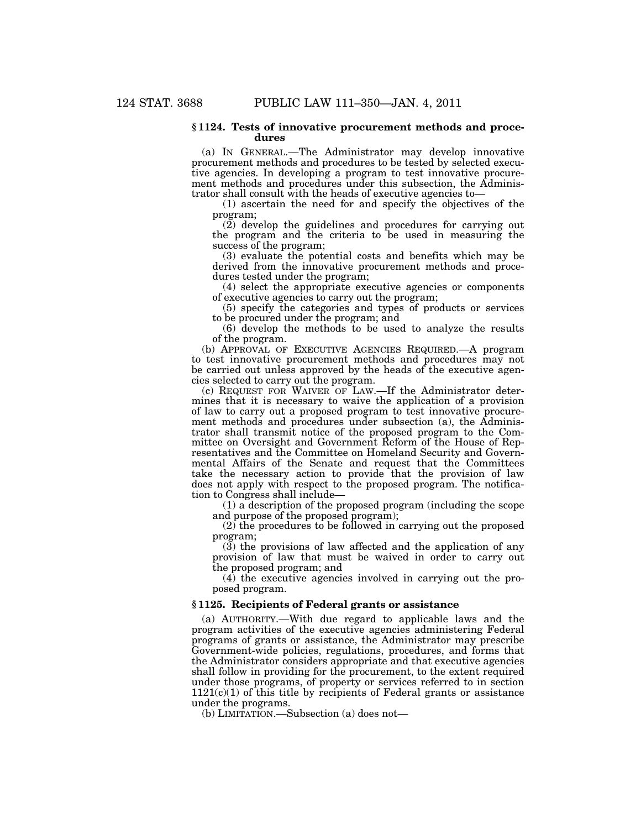#### **§ 1124. Tests of innovative procurement methods and procedures**

(a) IN GENERAL.—The Administrator may develop innovative procurement methods and procedures to be tested by selected executive agencies. In developing a program to test innovative procurement methods and procedures under this subsection, the Administrator shall consult with the heads of executive agencies to—

(1) ascertain the need for and specify the objectives of the program;

(2) develop the guidelines and procedures for carrying out the program and the criteria to be used in measuring the success of the program;

(3) evaluate the potential costs and benefits which may be derived from the innovative procurement methods and procedures tested under the program;

(4) select the appropriate executive agencies or components of executive agencies to carry out the program;

(5) specify the categories and types of products or services to be procured under the program; and

(6) develop the methods to be used to analyze the results of the program.

(b) APPROVAL OF EXECUTIVE AGENCIES REQUIRED.—A program to test innovative procurement methods and procedures may not be carried out unless approved by the heads of the executive agencies selected to carry out the program.

(c) REQUEST FOR WAIVER OF LAW.—If the Administrator determines that it is necessary to waive the application of a provision of law to carry out a proposed program to test innovative procurement methods and procedures under subsection (a), the Administrator shall transmit notice of the proposed program to the Committee on Oversight and Government Reform of the House of Representatives and the Committee on Homeland Security and Governmental Affairs of the Senate and request that the Committees take the necessary action to provide that the provision of law does not apply with respect to the proposed program. The notification to Congress shall include—

(1) a description of the proposed program (including the scope and purpose of the proposed program);

(2) the procedures to be followed in carrying out the proposed program;

 $(3)$  the provisions of law affected and the application of any provision of law that must be waived in order to carry out the proposed program; and

(4) the executive agencies involved in carrying out the proposed program.

### **§ 1125. Recipients of Federal grants or assistance**

(a) AUTHORITY.—With due regard to applicable laws and the program activities of the executive agencies administering Federal programs of grants or assistance, the Administrator may prescribe Government-wide policies, regulations, procedures, and forms that the Administrator considers appropriate and that executive agencies shall follow in providing for the procurement, to the extent required under those programs, of property or services referred to in section  $1121(c)(1)$  of this title by recipients of Federal grants or assistance under the programs.

(b) LIMITATION.—Subsection (a) does not—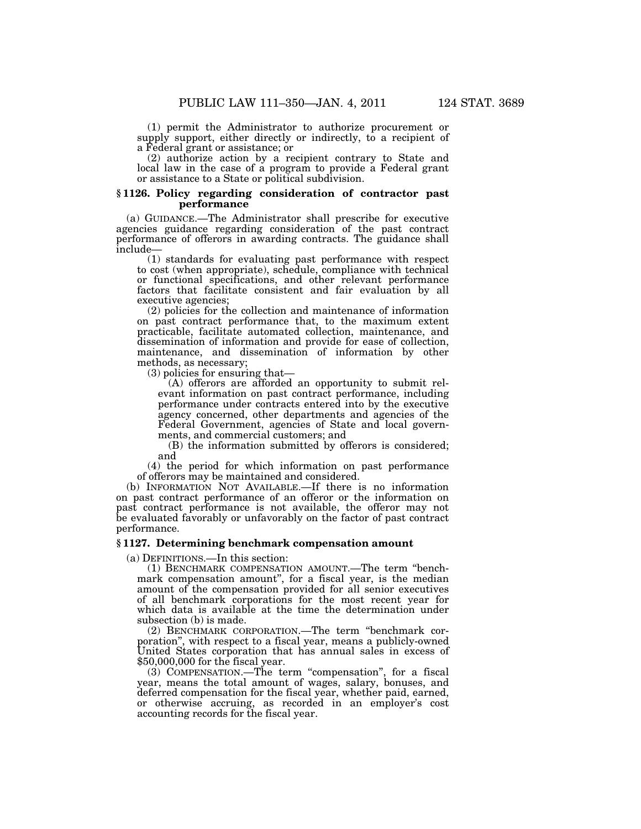(1) permit the Administrator to authorize procurement or supply support, either directly or indirectly, to a recipient of a Federal grant or assistance; or

(2) authorize action by a recipient contrary to State and local law in the case of a program to provide a Federal grant or assistance to a State or political subdivision.

#### **§ 1126. Policy regarding consideration of contractor past performance**

(a) GUIDANCE.—The Administrator shall prescribe for executive agencies guidance regarding consideration of the past contract performance of offerors in awarding contracts. The guidance shall include—

(1) standards for evaluating past performance with respect to cost (when appropriate), schedule, compliance with technical or functional specifications, and other relevant performance factors that facilitate consistent and fair evaluation by all executive agencies;

(2) policies for the collection and maintenance of information on past contract performance that, to the maximum extent practicable, facilitate automated collection, maintenance, and dissemination of information and provide for ease of collection, maintenance, and dissemination of information by other methods, as necessary;

(3) policies for ensuring that—

(A) offerors are afforded an opportunity to submit relevant information on past contract performance, including performance under contracts entered into by the executive agency concerned, other departments and agencies of the Federal Government, agencies of State and local governments, and commercial customers; and

(B) the information submitted by offerors is considered; and

(4) the period for which information on past performance of offerors may be maintained and considered.

(b) INFORMATION NOT AVAILABLE.—If there is no information on past contract performance of an offeror or the information on past contract performance is not available, the offeror may not be evaluated favorably or unfavorably on the factor of past contract performance.

#### **§ 1127. Determining benchmark compensation amount**

(a) DEFINITIONS.—In this section:

(1) BENCHMARK COMPENSATION AMOUNT.—The term ''benchmark compensation amount'', for a fiscal year, is the median amount of the compensation provided for all senior executives of all benchmark corporations for the most recent year for which data is available at the time the determination under subsection (b) is made.

(2) BENCHMARK CORPORATION.—The term ''benchmark corporation'', with respect to a fiscal year, means a publicly-owned United States corporation that has annual sales in excess of \$50,000,000 for the fiscal year.

(3) COMPENSATION.—The term ''compensation'', for a fiscal year, means the total amount of wages, salary, bonuses, and deferred compensation for the fiscal year, whether paid, earned, or otherwise accruing, as recorded in an employer's cost accounting records for the fiscal year.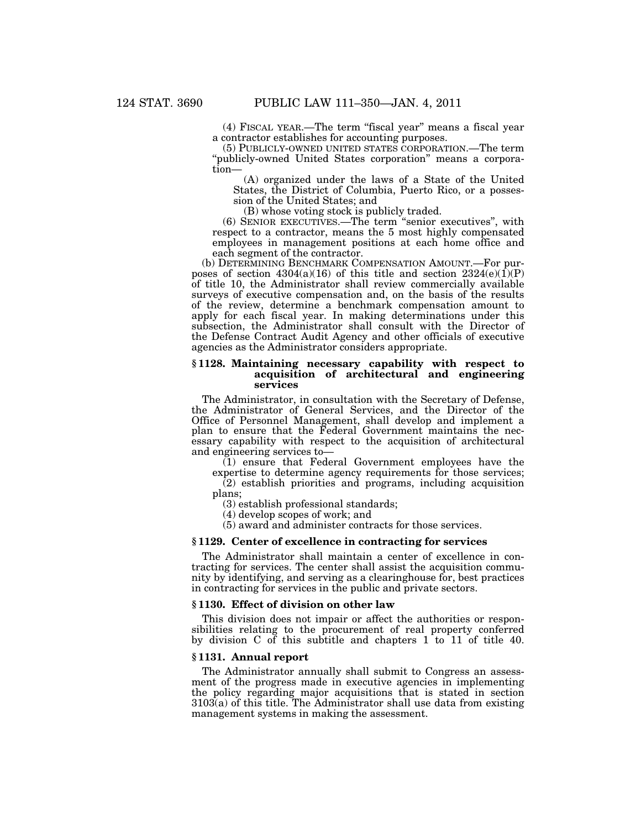(4) FISCAL YEAR.—The term ''fiscal year'' means a fiscal year a contractor establishes for accounting purposes.

(5) PUBLICLY-OWNED UNITED STATES CORPORATION.—The term "publicly-owned United States corporation" means a corporation—

(A) organized under the laws of a State of the United States, the District of Columbia, Puerto Rico, or a possession of the United States; and

(B) whose voting stock is publicly traded.

(6) SENIOR EXECUTIVES.—The term ''senior executives'', with respect to a contractor, means the 5 most highly compensated employees in management positions at each home office and each segment of the contractor.

(b) DETERMINING BENCHMARK COMPENSATION AMOUNT.—For purposes of section  $4304(a)(16)$  of this title and section  $2324(e)(1)(P)$ of title 10, the Administrator shall review commercially available surveys of executive compensation and, on the basis of the results of the review, determine a benchmark compensation amount to apply for each fiscal year. In making determinations under this subsection, the Administrator shall consult with the Director of the Defense Contract Audit Agency and other officials of executive agencies as the Administrator considers appropriate.

#### **§ 1128. Maintaining necessary capability with respect to acquisition of architectural and engineering services**

The Administrator, in consultation with the Secretary of Defense, the Administrator of General Services, and the Director of the Office of Personnel Management, shall develop and implement a plan to ensure that the Federal Government maintains the necessary capability with respect to the acquisition of architectural and engineering services to—

(1) ensure that Federal Government employees have the expertise to determine agency requirements for those services;

 $(2)$  establish priorities and programs, including acquisition plans;

- (3) establish professional standards;
- (4) develop scopes of work; and

(5) award and administer contracts for those services.

### **§ 1129. Center of excellence in contracting for services**

The Administrator shall maintain a center of excellence in contracting for services. The center shall assist the acquisition community by identifying, and serving as a clearinghouse for, best practices in contracting for services in the public and private sectors.

#### **§ 1130. Effect of division on other law**

This division does not impair or affect the authorities or responsibilities relating to the procurement of real property conferred by division C of this subtitle and chapters 1 to 11 of title 40.

### **§ 1131. Annual report**

The Administrator annually shall submit to Congress an assessment of the progress made in executive agencies in implementing the policy regarding major acquisitions that is stated in section 3103(a) of this title. The Administrator shall use data from existing management systems in making the assessment.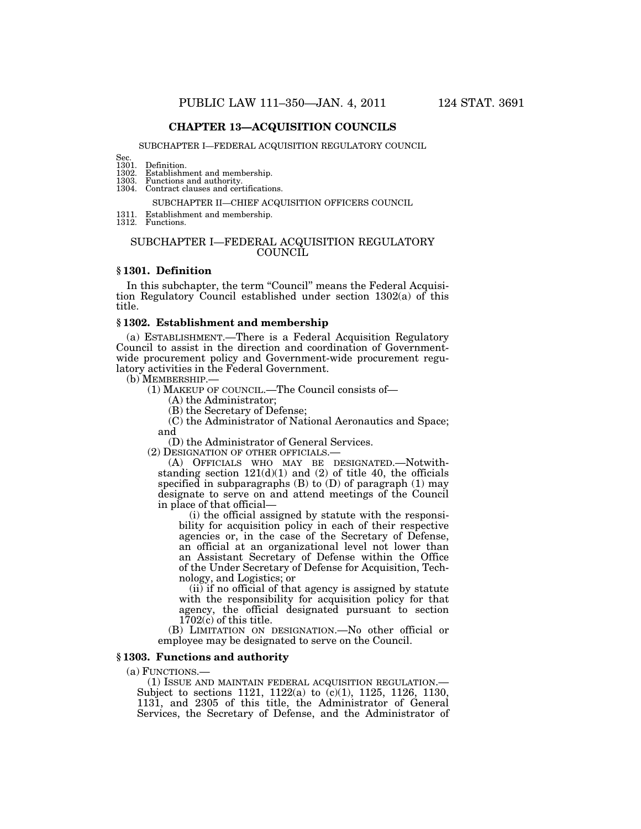# **CHAPTER 13—ACQUISITION COUNCILS**

#### SUBCHAPTER I—FEDERAL ACQUISITION REGULATORY COUNCIL

Sec.<br>1301.

Definition.

- 
- 1302. Establishment and membership. 1303. Functions and authority. 1304. Contract clauses and certifications.

#### SUBCHAPTER II—CHIEF ACQUISITION OFFICERS COUNCIL

1311. Establishment and membership.

1312. Functions.

#### SUBCHAPTER I—FEDERAL ACQUISITION REGULATORY **COUNCIL**

### **§ 1301. Definition**

In this subchapter, the term "Council" means the Federal Acquisition Regulatory Council established under section 1302(a) of this title.

#### **§ 1302. Establishment and membership**

(a) ESTABLISHMENT.—There is a Federal Acquisition Regulatory Council to assist in the direction and coordination of Governmentwide procurement policy and Government-wide procurement regulatory activities in the Federal Government.

(b) MEMBERSHIP.—

(1) MAKEUP OF COUNCIL.—The Council consists of—

(A) the Administrator;

(B) the Secretary of Defense;

(C) the Administrator of National Aeronautics and Space; and

(D) the Administrator of General Services.

(2) DESIGNATION OF OTHER OFFICIALS.—

(A) OFFICIALS WHO MAY BE DESIGNATED.—Notwithstanding section  $121(d)(1)$  and  $(2)$  of title 40, the officials specified in subparagraphs (B) to (D) of paragraph (1) may designate to serve on and attend meetings of the Council in place of that official—

(i) the official assigned by statute with the responsibility for acquisition policy in each of their respective agencies or, in the case of the Secretary of Defense, an official at an organizational level not lower than an Assistant Secretary of Defense within the Office of the Under Secretary of Defense for Acquisition, Technology, and Logistics; or

(ii) if no official of that agency is assigned by statute with the responsibility for acquisition policy for that agency, the official designated pursuant to section 1702(c) of this title.

(B) LIMITATION ON DESIGNATION.—No other official or employee may be designated to serve on the Council.

### **§ 1303. Functions and authority**

(a) FUNCTIONS.—

(1) ISSUE AND MAINTAIN FEDERAL ACQUISITION REGULATION.— Subject to sections 1121, 1122(a) to (c)(1), 1125, 1126, 1130, 1131, and 2305 of this title, the Administrator of General Services, the Secretary of Defense, and the Administrator of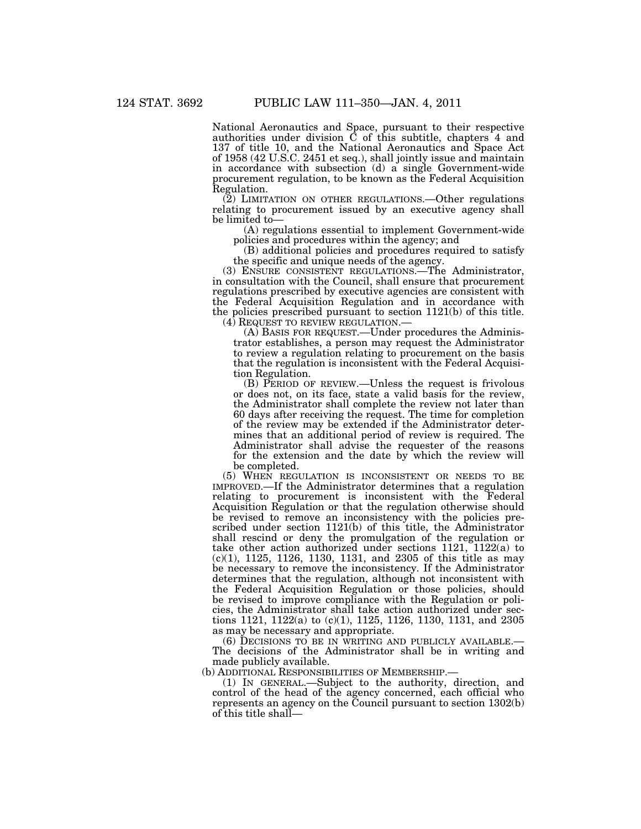National Aeronautics and Space, pursuant to their respective authorities under division C of this subtitle, chapters 4 and 137 of title 10, and the National Aeronautics and Space Act of 1958 (42 U.S.C. 2451 et seq.), shall jointly issue and maintain in accordance with subsection (d) a single Government-wide procurement regulation, to be known as the Federal Acquisition Regulation.

(2) LIMITATION ON OTHER REGULATIONS.—Other regulations relating to procurement issued by an executive agency shall be limited to—

(A) regulations essential to implement Government-wide policies and procedures within the agency; and

(B) additional policies and procedures required to satisfy the specific and unique needs of the agency.

(3) ENSURE CONSISTENT REGULATIONS.—The Administrator, in consultation with the Council, shall ensure that procurement regulations prescribed by executive agencies are consistent with the Federal Acquisition Regulation and in accordance with the policies prescribed pursuant to section 1121(b) of this title.

(4) REQUEST TO REVIEW REGULATION.— (A) BASIS FOR REQUEST.—Under procedures the Administrator establishes, a person may request the Administrator to review a regulation relating to procurement on the basis that the regulation is inconsistent with the Federal Acquisition Regulation.

(B) PERIOD OF REVIEW.—Unless the request is frivolous or does not, on its face, state a valid basis for the review, the Administrator shall complete the review not later than 60 days after receiving the request. The time for completion of the review may be extended if the Administrator determines that an additional period of review is required. The Administrator shall advise the requester of the reasons for the extension and the date by which the review will be completed.

(5) WHEN REGULATION IS INCONSISTENT OR NEEDS TO BE IMPROVED.—If the Administrator determines that a regulation relating to procurement is inconsistent with the Federal Acquisition Regulation or that the regulation otherwise should be revised to remove an inconsistency with the policies prescribed under section 1121(b) of this title, the Administrator shall rescind or deny the promulgation of the regulation or take other action authorized under sections 1121, 1122(a) to (c)(1), 1125, 1126, 1130, 1131, and 2305 of this title as may be necessary to remove the inconsistency. If the Administrator determines that the regulation, although not inconsistent with the Federal Acquisition Regulation or those policies, should be revised to improve compliance with the Regulation or policies, the Administrator shall take action authorized under sections 1121, 1122(a) to (c)(1), 1125, 1126, 1130, 1131, and 2305 as may be necessary and appropriate.

(6) DECISIONS TO BE IN WRITING AND PUBLICLY AVAILABLE.— The decisions of the Administrator shall be in writing and made publicly available.<br>(b) ADDITIONAL RESPONSIBILITIES OF MEMBERSHIP.—

 $(1)$  In GENERAL.—Subject to the authority, direction, and control of the head of the agency concerned, each official who represents an agency on the Council pursuant to section 1302(b) of this title shall—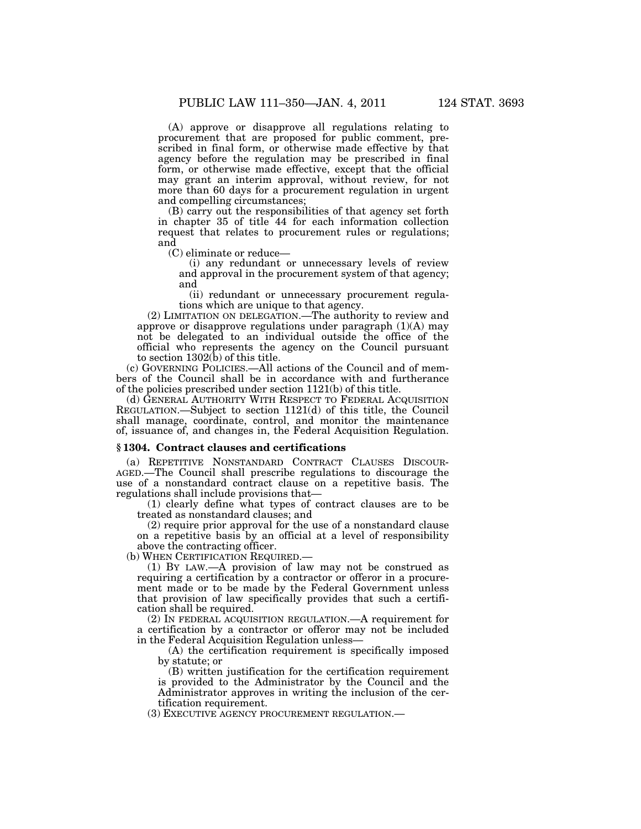(A) approve or disapprove all regulations relating to procurement that are proposed for public comment, prescribed in final form, or otherwise made effective by that agency before the regulation may be prescribed in final form, or otherwise made effective, except that the official may grant an interim approval, without review, for not more than 60 days for a procurement regulation in urgent and compelling circumstances;

(B) carry out the responsibilities of that agency set forth in chapter 35 of title 44 for each information collection request that relates to procurement rules or regulations; and

(C) eliminate or reduce—

(i) any redundant or unnecessary levels of review and approval in the procurement system of that agency; and

(ii) redundant or unnecessary procurement regulations which are unique to that agency.

(2) LIMITATION ON DELEGATION.—The authority to review and approve or disapprove regulations under paragraph (1)(A) may not be delegated to an individual outside the office of the official who represents the agency on the Council pursuant to section 1302(b) of this title.

(c) GOVERNING POLICIES.—All actions of the Council and of members of the Council shall be in accordance with and furtherance of the policies prescribed under section 1121(b) of this title.

(d) GENERAL AUTHORITY WITH RESPECT TO FEDERAL ACQUISITION REGULATION.—Subject to section 1121(d) of this title, the Council shall manage, coordinate, control, and monitor the maintenance of, issuance of, and changes in, the Federal Acquisition Regulation.

#### **§ 1304. Contract clauses and certifications**

(a) REPETITIVE NONSTANDARD CONTRACT CLAUSES DISCOUR-AGED.—The Council shall prescribe regulations to discourage the use of a nonstandard contract clause on a repetitive basis. The regulations shall include provisions that—

(1) clearly define what types of contract clauses are to be treated as nonstandard clauses; and

(2) require prior approval for the use of a nonstandard clause on a repetitive basis by an official at a level of responsibility above the contracting officer.

(b) WHEN CERTIFICATION REQUIRED.—

(1) BY LAW.—A provision of law may not be construed as requiring a certification by a contractor or offeror in a procurement made or to be made by the Federal Government unless that provision of law specifically provides that such a certification shall be required.

(2) IN FEDERAL ACQUISITION REGULATION.—A requirement for a certification by a contractor or offeror may not be included in the Federal Acquisition Regulation unless—

(A) the certification requirement is specifically imposed by statute; or

(B) written justification for the certification requirement is provided to the Administrator by the Council and the Administrator approves in writing the inclusion of the certification requirement.

(3) EXECUTIVE AGENCY PROCUREMENT REGULATION.—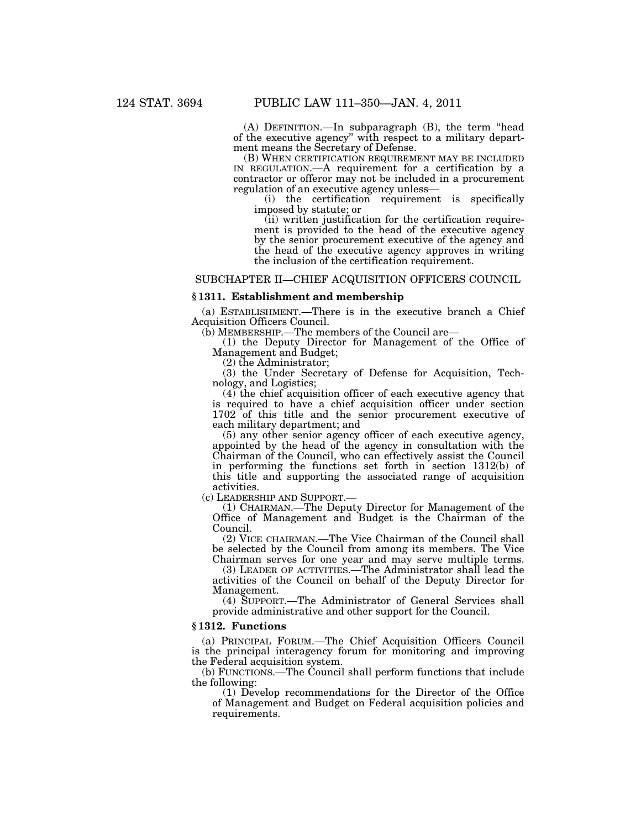(A) DEFINITION.—In subparagraph (B), the term ''head of the executive agency'' with respect to a military department means the Secretary of Defense.

(B) WHEN CERTIFICATION REQUIREMENT MAY BE INCLUDED IN REGULATION.—A requirement for a certification by a contractor or offeror may not be included in a procurement regulation of an executive agency unless—

(i) the certification requirement is specifically imposed by statute; or

(ii) written justification for the certification requirement is provided to the head of the executive agency by the senior procurement executive of the agency and the head of the executive agency approves in writing the inclusion of the certification requirement.

### SUBCHAPTER II—CHIEF ACQUISITION OFFICERS COUNCIL

#### **§ 1311. Establishment and membership**

(a) ESTABLISHMENT.—There is in the executive branch a Chief Acquisition Officers Council.

(b) MEMBERSHIP.—The members of the Council are—

(1) the Deputy Director for Management of the Office of Management and Budget;

(2) the Administrator;

(3) the Under Secretary of Defense for Acquisition, Technology, and Logistics;

(4) the chief acquisition officer of each executive agency that is required to have a chief acquisition officer under section 1702 of this title and the senior procurement executive of each military department; and

(5) any other senior agency officer of each executive agency, appointed by the head of the agency in consultation with the Chairman of the Council, who can effectively assist the Council in performing the functions set forth in section 1312(b) of this title and supporting the associated range of acquisition

activities.<br>(c) LEADERSHIP AND SUPPORT.

(1) CHAIRMAN.—The Deputy Director for Management of the Office of Management and Budget is the Chairman of the Council.

(2) VICE CHAIRMAN.—The Vice Chairman of the Council shall be selected by the Council from among its members. The Vice Chairman serves for one year and may serve multiple terms.

(3) LEADER OF ACTIVITIES.—The Administrator shall lead the activities of the Council on behalf of the Deputy Director for Management.

(4) SUPPORT.—The Administrator of General Services shall provide administrative and other support for the Council.

### **§ 1312. Functions**

(a) PRINCIPAL FORUM.—The Chief Acquisition Officers Council is the principal interagency forum for monitoring and improving the Federal acquisition system.

(b) FUNCTIONS.—The Council shall perform functions that include the following:

(1) Develop recommendations for the Director of the Office of Management and Budget on Federal acquisition policies and requirements.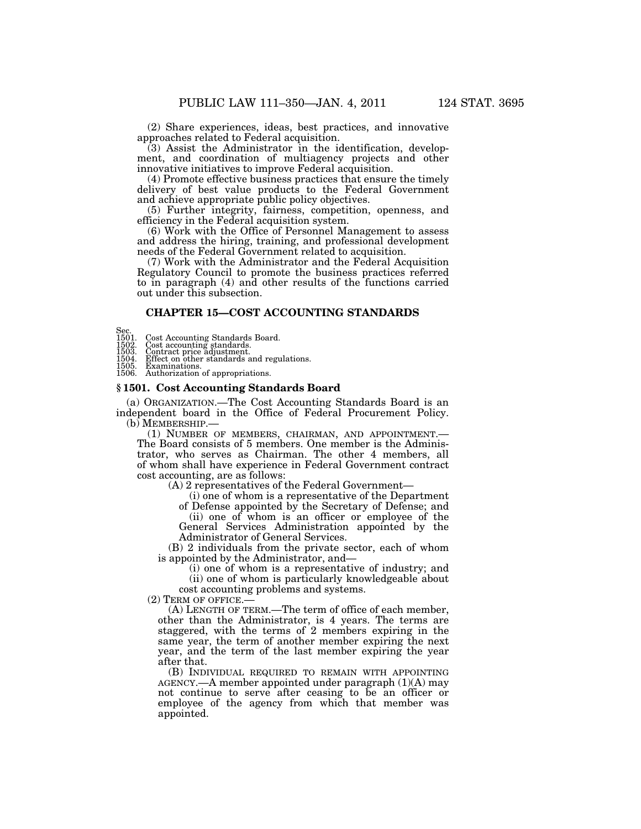(2) Share experiences, ideas, best practices, and innovative approaches related to Federal acquisition.

(3) Assist the Administrator in the identification, development, and coordination of multiagency projects and other innovative initiatives to improve Federal acquisition.

(4) Promote effective business practices that ensure the timely delivery of best value products to the Federal Government and achieve appropriate public policy objectives.

(5) Further integrity, fairness, competition, openness, and efficiency in the Federal acquisition system.

(6) Work with the Office of Personnel Management to assess and address the hiring, training, and professional development needs of the Federal Government related to acquisition.

(7) Work with the Administrator and the Federal Acquisition Regulatory Council to promote the business practices referred to in paragraph (4) and other results of the functions carried out under this subsection.

### **CHAPTER 15—COST ACCOUNTING STANDARDS**

 $\begin{array}{c} 1501. \\ 1502. \\ 1503. \end{array}$ 

1501. Cost Accounting Standards Board. 1502. Cost accounting standards. 1503. Contract price adjustment. 1504. Effect on other standards and regulations.

1505. Examinations. 1506. Authorization of appropriations.

#### **§ 1501. Cost Accounting Standards Board**

(a) ORGANIZATION.—The Cost Accounting Standards Board is an independent board in the Office of Federal Procurement Policy.

(b) MEMBERSHIP.—<br>
(1) NUMBER OF MEMBERS, CHAIRMAN, AND APPOINTMENT.—<br>
The Board consists of 5 members. One member is the Administrator, who serves as Chairman. The other 4 members, all of whom shall have experience in Federal Government contract cost accounting, are as follows:

(A) 2 representatives of the Federal Government—

(i) one of whom is a representative of the Department of Defense appointed by the Secretary of Defense; and

(ii) one of whom is an officer or employee of the General Services Administration appointed by the

Administrator of General Services.

(B) 2 individuals from the private sector, each of whom is appointed by the Administrator, and—

(i) one of whom is a representative of industry; and

(ii) one of whom is particularly knowledgeable about

cost accounting problems and systems.<br>(2) TERM OF OFFICE.—

 $(A)$  LENGTH OF TERM.—The term of office of each member, other than the Administrator, is 4 years. The terms are staggered, with the terms of 2 members expiring in the same year, the term of another member expiring the next year, and the term of the last member expiring the year after that.

(B) INDIVIDUAL REQUIRED TO REMAIN WITH APPOINTING AGENCY.—A member appointed under paragraph (1)(A) may not continue to serve after ceasing to be an officer or employee of the agency from which that member was appointed.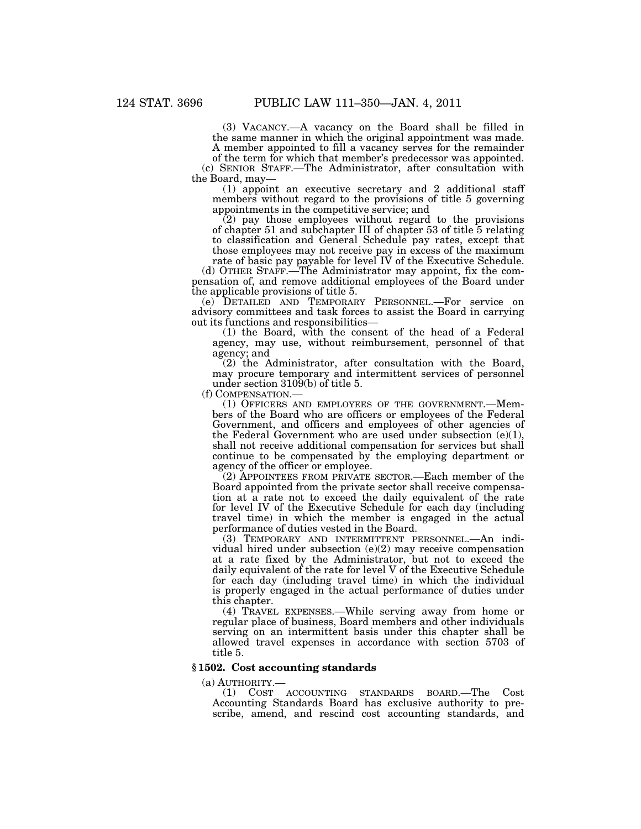(3) VACANCY.—A vacancy on the Board shall be filled in the same manner in which the original appointment was made. A member appointed to fill a vacancy serves for the remainder of the term for which that member's predecessor was appointed.

(c) SENIOR STAFF.—The Administrator, after consultation with the Board, may—

(1) appoint an executive secretary and 2 additional staff members without regard to the provisions of title 5 governing appointments in the competitive service; and

(2) pay those employees without regard to the provisions of chapter 51 and subchapter III of chapter 53 of title 5 relating to classification and General Schedule pay rates, except that those employees may not receive pay in excess of the maximum

rate of basic pay payable for level IV of the Executive Schedule. (d) OTHER STAFF.—The Administrator may appoint, fix the compensation of, and remove additional employees of the Board under the applicable provisions of title 5.

(e) DETAILED AND TEMPORARY PERSONNEL.—For service on advisory committees and task forces to assist the Board in carrying out its functions and responsibilities—

(1) the Board, with the consent of the head of a Federal agency, may use, without reimbursement, personnel of that agency; and

(2) the Administrator, after consultation with the Board, may procure temporary and intermittent services of personnel under section 3109(b) of title 5.<br>(f) COMPENSATION.—

(1) OFFICERS AND EMPLOYEES OF THE GOVERNMENT.—Members of the Board who are officers or employees of the Federal Government, and officers and employees of other agencies of the Federal Government who are used under subsection (e)(1), shall not receive additional compensation for services but shall continue to be compensated by the employing department or agency of the officer or employee.

(2) APPOINTEES FROM PRIVATE SECTOR.—Each member of the Board appointed from the private sector shall receive compensation at a rate not to exceed the daily equivalent of the rate for level IV of the Executive Schedule for each day (including travel time) in which the member is engaged in the actual performance of duties vested in the Board.

(3) TEMPORARY AND INTERMITTENT PERSONNEL.—An individual hired under subsection (e)(2) may receive compensation at a rate fixed by the Administrator, but not to exceed the daily equivalent of the rate for level V of the Executive Schedule for each day (including travel time) in which the individual is properly engaged in the actual performance of duties under this chapter.

(4) TRAVEL EXPENSES.—While serving away from home or regular place of business, Board members and other individuals serving on an intermittent basis under this chapter shall be allowed travel expenses in accordance with section 5703 of title 5.

### **§ 1502. Cost accounting standards**

(a) AUTHORITY.— (1) COST ACCOUNTING STANDARDS BOARD.—The Cost Accounting Standards Board has exclusive authority to prescribe, amend, and rescind cost accounting standards, and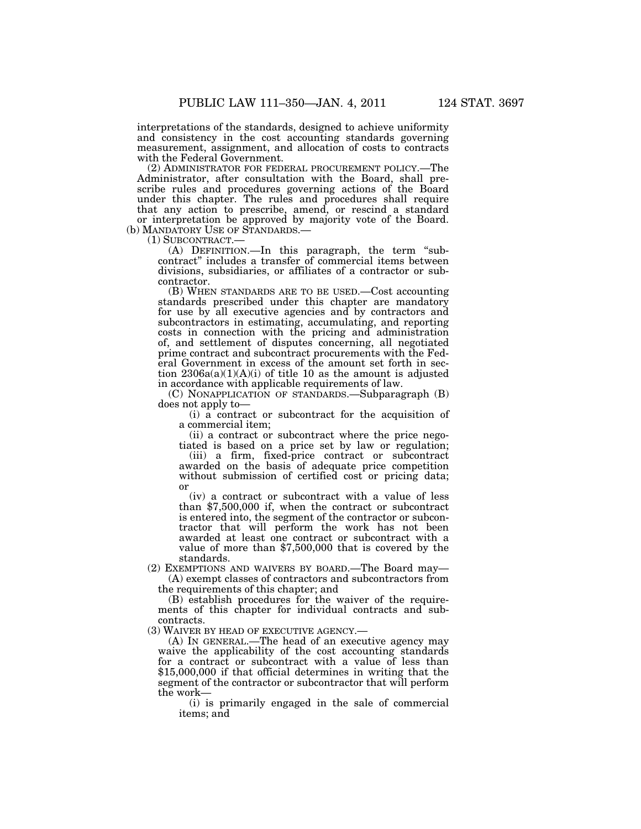interpretations of the standards, designed to achieve uniformity and consistency in the cost accounting standards governing measurement, assignment, and allocation of costs to contracts with the Federal Government.

(2) ADMINISTRATOR FOR FEDERAL PROCUREMENT POLICY.—The Administrator, after consultation with the Board, shall prescribe rules and procedures governing actions of the Board under this chapter. The rules and procedures shall require that any action to prescribe, amend, or rescind a standard or interpretation be approved by majority vote of the Board. (b) MANDATORY USE OF STANDARDS.—<br>
(1) SUBCONTRACT.—<br>
(A) DEFINITION.—In this paragraph, the term "sub-

contract'' includes a transfer of commercial items between divisions, subsidiaries, or affiliates of a contractor or subcontractor.

(B) WHEN STANDARDS ARE TO BE USED.—Cost accounting standards prescribed under this chapter are mandatory for use by all executive agencies and by contractors and subcontractors in estimating, accumulating, and reporting costs in connection with the pricing and administration of, and settlement of disputes concerning, all negotiated prime contract and subcontract procurements with the Federal Government in excess of the amount set forth in section  $2306a(a)(1)(A)(i)$  of title 10 as the amount is adjusted in accordance with applicable requirements of law.

(C) NONAPPLICATION OF STANDARDS.—Subparagraph (B) does not apply to—

(i) a contract or subcontract for the acquisition of a commercial item;

(ii) a contract or subcontract where the price negotiated is based on a price set by law or regulation;

(iii) a firm, fixed-price contract or subcontract awarded on the basis of adequate price competition without submission of certified cost or pricing data; or

(iv) a contract or subcontract with a value of less than \$7,500,000 if, when the contract or subcontract is entered into, the segment of the contractor or subcontractor that will perform the work has not been awarded at least one contract or subcontract with a value of more than \$7,500,000 that is covered by the standards.

(2) EXEMPTIONS AND WAIVERS BY BOARD.—The Board may— (A) exempt classes of contractors and subcontractors from the requirements of this chapter; and

(B) establish procedures for the waiver of the requirements of this chapter for individual contracts and sub-

contracts.<br>(3) WAIVER BY HEAD OF EXECUTIVE AGENCY.—

 $(A)$  In GENERAL.—The head of an executive agency may waive the applicability of the cost accounting standards for a contract or subcontract with a value of less than \$15,000,000 if that official determines in writing that the segment of the contractor or subcontractor that will perform the work—

(i) is primarily engaged in the sale of commercial items; and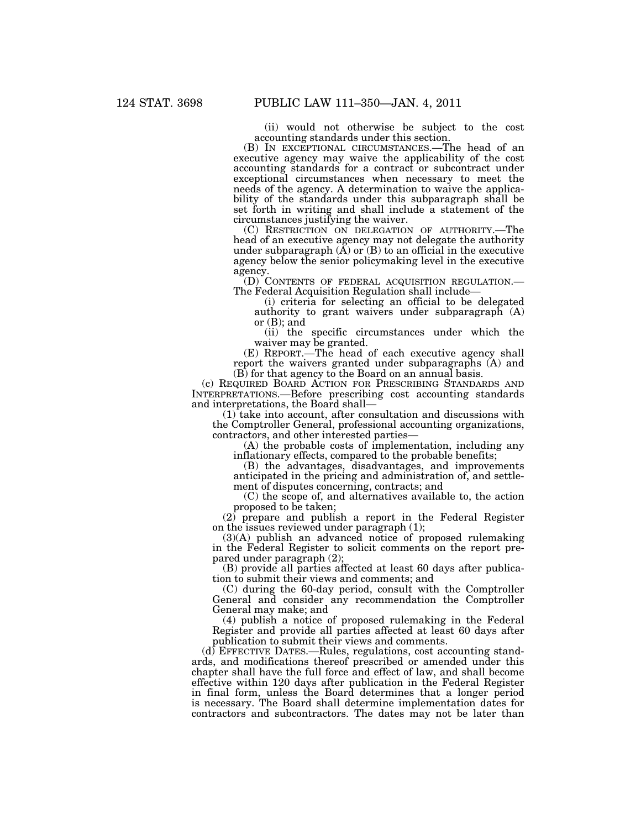(ii) would not otherwise be subject to the cost accounting standards under this section.

(B) IN EXCEPTIONAL CIRCUMSTANCES.—The head of an executive agency may waive the applicability of the cost accounting standards for a contract or subcontract under exceptional circumstances when necessary to meet the needs of the agency. A determination to waive the applicability of the standards under this subparagraph shall be set forth in writing and shall include a statement of the circumstances justifying the waiver.

(C) RESTRICTION ON DELEGATION OF AUTHORITY.—The head of an executive agency may not delegate the authority under subparagraph  $(\overline{A})$  or  $(\overline{B})$  to an official in the executive agency below the senior policymaking level in the executive agency.

(D) CONTENTS OF FEDERAL ACQUISITION REGULATION.— The Federal Acquisition Regulation shall include—

(i) criteria for selecting an official to be delegated authority to grant waivers under subparagraph (A) or (B); and

(ii) the specific circumstances under which the waiver may be granted.

(E) REPORT.—The head of each executive agency shall report the waivers granted under subparagraphs (A) and (B) for that agency to the Board on an annual basis.

(c) REQUIRED BOARD ACTION FOR PRESCRIBING STANDARDS AND INTERPRETATIONS.—Before prescribing cost accounting standards and interpretations, the Board shall—

(1) take into account, after consultation and discussions with the Comptroller General, professional accounting organizations, contractors, and other interested parties—

(A) the probable costs of implementation, including any inflationary effects, compared to the probable benefits;

(B) the advantages, disadvantages, and improvements anticipated in the pricing and administration of, and settlement of disputes concerning, contracts; and

(C) the scope of, and alternatives available to, the action proposed to be taken;

(2) prepare and publish a report in the Federal Register on the issues reviewed under paragraph (1);

(3)(A) publish an advanced notice of proposed rulemaking in the Federal Register to solicit comments on the report prepared under paragraph (2);

(B) provide all parties affected at least 60 days after publication to submit their views and comments; and

(C) during the 60-day period, consult with the Comptroller General and consider any recommendation the Comptroller General may make; and

(4) publish a notice of proposed rulemaking in the Federal Register and provide all parties affected at least 60 days after publication to submit their views and comments.

(d) EFFECTIVE DATES.—Rules, regulations, cost accounting standards, and modifications thereof prescribed or amended under this chapter shall have the full force and effect of law, and shall become effective within 120 days after publication in the Federal Register in final form, unless the Board determines that a longer period is necessary. The Board shall determine implementation dates for contractors and subcontractors. The dates may not be later than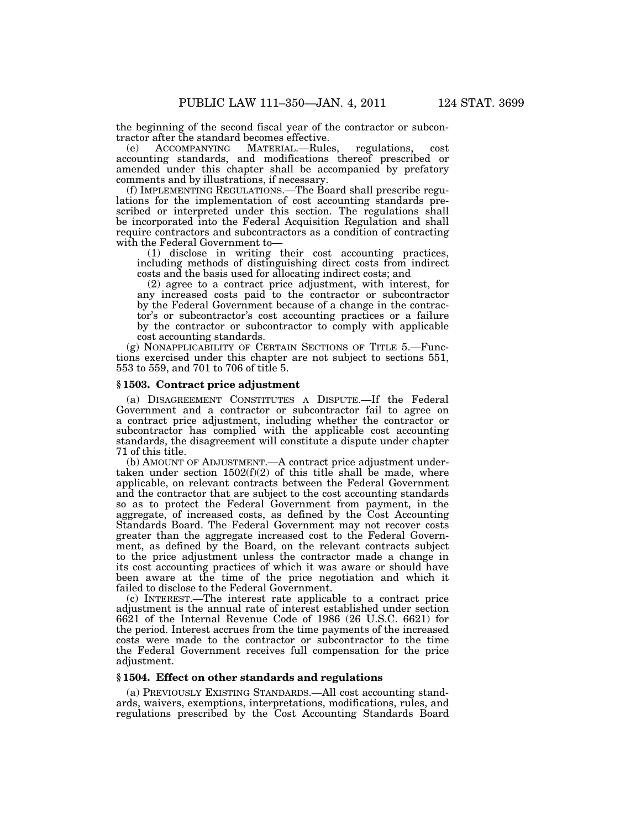the beginning of the second fiscal year of the contractor or subcontractor after the standard becomes effective.

(e) ACCOMPANYING MATERIAL.-Rules, regulations, accounting standards, and modifications thereof prescribed or amended under this chapter shall be accompanied by prefatory comments and by illustrations, if necessary.

(f) IMPLEMENTING REGULATIONS.—The Board shall prescribe regulations for the implementation of cost accounting standards prescribed or interpreted under this section. The regulations shall be incorporated into the Federal Acquisition Regulation and shall require contractors and subcontractors as a condition of contracting with the Federal Government to—

(1) disclose in writing their cost accounting practices, including methods of distinguishing direct costs from indirect costs and the basis used for allocating indirect costs; and

(2) agree to a contract price adjustment, with interest, for any increased costs paid to the contractor or subcontractor by the Federal Government because of a change in the contractor's or subcontractor's cost accounting practices or a failure by the contractor or subcontractor to comply with applicable cost accounting standards.

(g) NONAPPLICABILITY OF CERTAIN SECTIONS OF TITLE 5.—Functions exercised under this chapter are not subject to sections 551, 553 to 559, and 701 to 706 of title 5.

### **§ 1503. Contract price adjustment**

(a) DISAGREEMENT CONSTITUTES A DISPUTE.—If the Federal Government and a contractor or subcontractor fail to agree on a contract price adjustment, including whether the contractor or subcontractor has complied with the applicable cost accounting standards, the disagreement will constitute a dispute under chapter 71 of this title.

(b) AMOUNT OF ADJUSTMENT.—A contract price adjustment undertaken under section  $1502(f)(2)$  of this title shall be made, where applicable, on relevant contracts between the Federal Government and the contractor that are subject to the cost accounting standards so as to protect the Federal Government from payment, in the aggregate, of increased costs, as defined by the Cost Accounting Standards Board. The Federal Government may not recover costs greater than the aggregate increased cost to the Federal Government, as defined by the Board, on the relevant contracts subject to the price adjustment unless the contractor made a change in its cost accounting practices of which it was aware or should have been aware at the time of the price negotiation and which it failed to disclose to the Federal Government.

(c) INTEREST.—The interest rate applicable to a contract price adjustment is the annual rate of interest established under section 6621 of the Internal Revenue Code of 1986 (26 U.S.C. 6621) for the period. Interest accrues from the time payments of the increased costs were made to the contractor or subcontractor to the time the Federal Government receives full compensation for the price adjustment.

#### **§ 1504. Effect on other standards and regulations**

(a) PREVIOUSLY EXISTING STANDARDS.—All cost accounting standards, waivers, exemptions, interpretations, modifications, rules, and regulations prescribed by the Cost Accounting Standards Board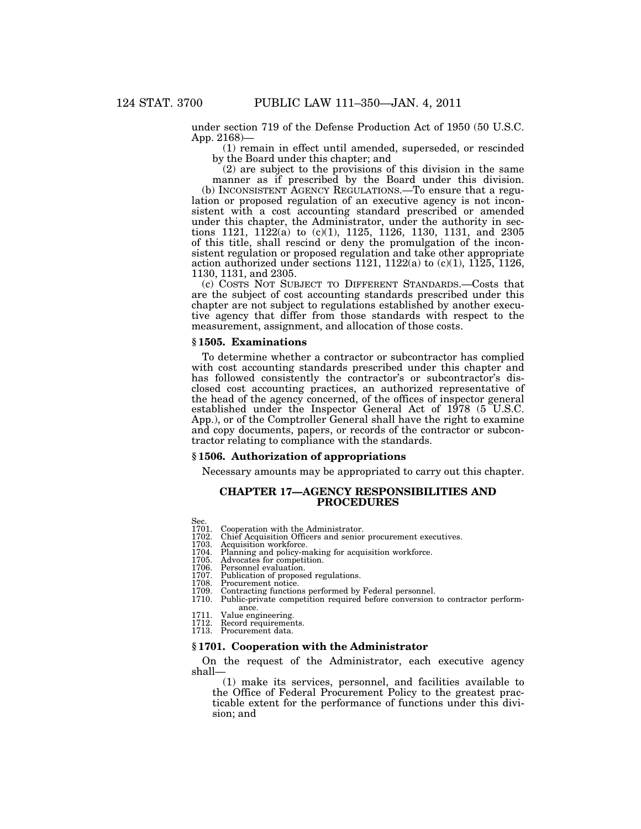under section 719 of the Defense Production Act of 1950 (50 U.S.C. App. 2168)—

(1) remain in effect until amended, superseded, or rescinded by the Board under this chapter; and

(2) are subject to the provisions of this division in the same manner as if prescribed by the Board under this division.

(b) INCONSISTENT AGENCY REGULATIONS.—To ensure that a regulation or proposed regulation of an executive agency is not inconsistent with a cost accounting standard prescribed or amended under this chapter, the Administrator, under the authority in sections 1121, 1122(a) to (c)(1), 1125, 1126, 1130, 1131, and 2305 of this title, shall rescind or deny the promulgation of the inconsistent regulation or proposed regulation and take other appropriate action authorized under sections 1121, 1122(a) to  $(c)(1)$ , 1125, 1126, 1130, 1131, and 2305.

(c) COSTS NOT SUBJECT TO DIFFERENT STANDARDS.—Costs that are the subject of cost accounting standards prescribed under this chapter are not subject to regulations established by another executive agency that differ from those standards with respect to the measurement, assignment, and allocation of those costs.

### **§ 1505. Examinations**

To determine whether a contractor or subcontractor has complied with cost accounting standards prescribed under this chapter and has followed consistently the contractor's or subcontractor's disclosed cost accounting practices, an authorized representative of the head of the agency concerned, of the offices of inspector general established under the Inspector General Act of 1978 (5 U.S.C. App.), or of the Comptroller General shall have the right to examine and copy documents, papers, or records of the contractor or subcontractor relating to compliance with the standards.

# **§ 1506. Authorization of appropriations**

Necessary amounts may be appropriated to carry out this chapter.

### **CHAPTER 17—AGENCY RESPONSIBILITIES AND PROCEDURES**

- Sec.<br>1701.<br>1702. Cooperation with the Administrator.
- 1702. Chief Acquisition Officers and senior procurement executives.<br>1702. Chief Acquisition Officers and senior procurement executives.

1703. Acquisition workforce.<br>1704. Planning and policy-m

- 1704. Planning and policy-making for acquisition workforce.<br>1705. Advocates for competition.
- 1705. Advocates for competition.<br>1706. Personnel evaluation.
- Personnel evaluation. Publication of proposed regulations.
- 1707. Publication of propos<br>1708. Procurement notice.<br>1709. Contracting function
- Contracting functions performed by Federal personnel.
- 1710. Public-private competition required before conversion to contractor perform-
- 
- ance.<br>1711. Value engineering.<br>1712. Record requirements.
- 1712. Record requirements. 1713. Procurement data.

#### **§ 1701. Cooperation with the Administrator**

On the request of the Administrator, each executive agency shall—

(1) make its services, personnel, and facilities available to the Office of Federal Procurement Policy to the greatest practicable extent for the performance of functions under this division; and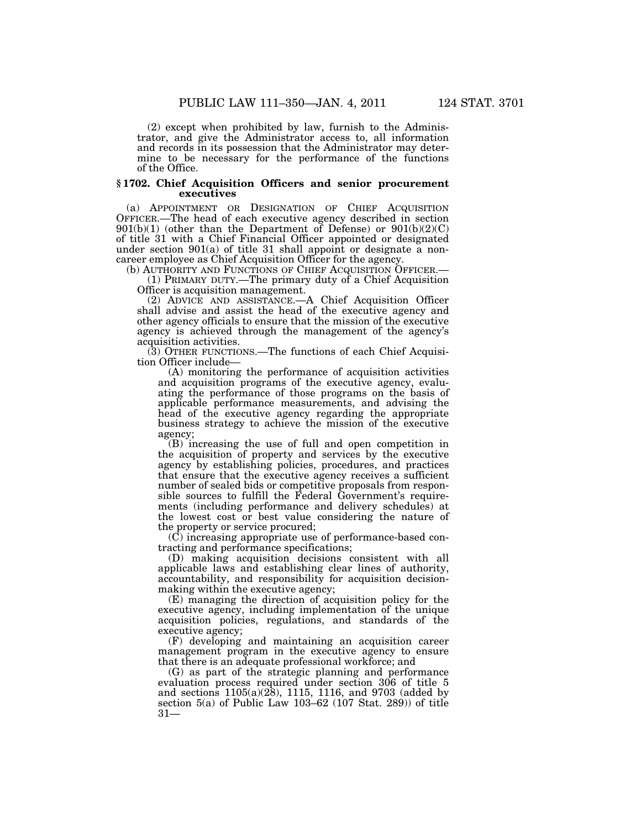(2) except when prohibited by law, furnish to the Administrator, and give the Administrator access to, all information and records in its possession that the Administrator may determine to be necessary for the performance of the functions of the Office.

#### **§ 1702. Chief Acquisition Officers and senior procurement executives**

(a) APPOINTMENT OR DESIGNATION OF CHIEF ACQUISITION OFFICER.—The head of each executive agency described in section  $901(b)(1)$  (other than the Department of Defense) or  $901(b)(2)(C)$ of title 31 with a Chief Financial Officer appointed or designated under section 901(a) of title 31 shall appoint or designate a noncareer employee as Chief Acquisition Officer for the agency.<br>(b) AUTHORITY AND FUNCTIONS OF CHIEF ACQUISITION OFFICER.—

(1) PRIMARY DUTY.— The primary duty of a Chief Acquisition Officer is acquisition management.

(2) ADVICE AND ASSISTANCE.—A Chief Acquisition Officer shall advise and assist the head of the executive agency and other agency officials to ensure that the mission of the executive agency is achieved through the management of the agency's acquisition activities.

(3) OTHER FUNCTIONS.—The functions of each Chief Acquisition Officer include—

(A) monitoring the performance of acquisition activities and acquisition programs of the executive agency, evaluating the performance of those programs on the basis of applicable performance measurements, and advising the head of the executive agency regarding the appropriate business strategy to achieve the mission of the executive agency;

(B) increasing the use of full and open competition in the acquisition of property and services by the executive agency by establishing policies, procedures, and practices that ensure that the executive agency receives a sufficient number of sealed bids or competitive proposals from responsible sources to fulfill the Federal Government's requirements (including performance and delivery schedules) at the lowest cost or best value considering the nature of the property or service procured;

(C) increasing appropriate use of performance-based contracting and performance specifications;

(D) making acquisition decisions consistent with all applicable laws and establishing clear lines of authority, accountability, and responsibility for acquisition decisionmaking within the executive agency;

(E) managing the direction of acquisition policy for the executive agency, including implementation of the unique acquisition policies, regulations, and standards of the executive agency;

(F) developing and maintaining an acquisition career management program in the executive agency to ensure that there is an adequate professional workforce; and

(G) as part of the strategic planning and performance evaluation process required under section 306 of title 5 and sections 1105(a)(28), 1115, 1116, and 9703 (added by section 5(a) of Public Law 103–62 (107 Stat. 289)) of title 31—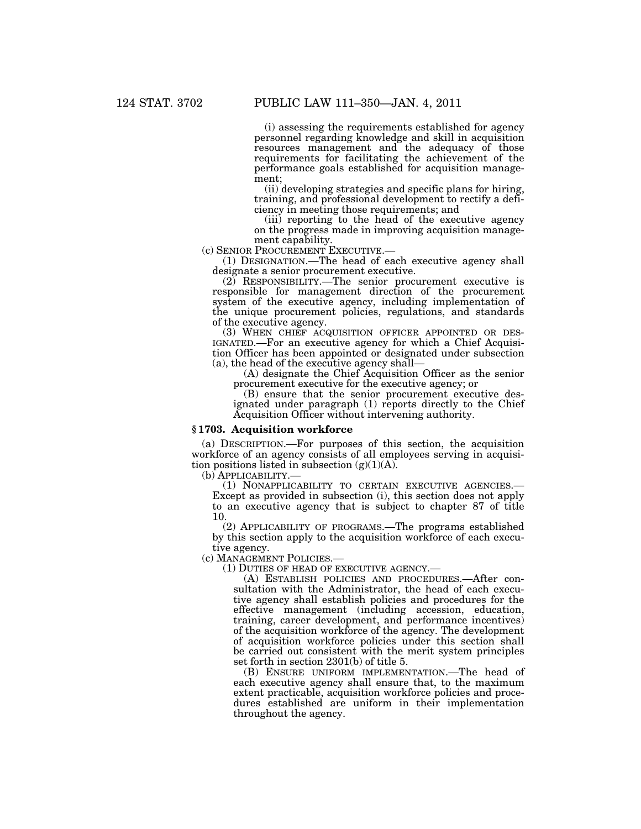(i) assessing the requirements established for agency personnel regarding knowledge and skill in acquisition resources management and the adequacy of those requirements for facilitating the achievement of the performance goals established for acquisition management;

(ii) developing strategies and specific plans for hiring, training, and professional development to rectify a deficiency in meeting those requirements; and

(iii) reporting to the head of the executive agency on the progress made in improving acquisition manage-

ment capability.<br>
(c) SENIOR PROCUREMENT EXECUTIVE.—

 $(1)$  DESIGNATION.—The head of each executive agency shall designate a senior procurement executive.

(2) RESPONSIBILITY.—The senior procurement executive is responsible for management direction of the procurement system of the executive agency, including implementation of the unique procurement policies, regulations, and standards of the executive agency.<br>
(3) WHEN CHIEF ACQUISITION OFFICER APPOINTED OR DES-

IGNATED.—For an executive agency for which a Chief Acquisition Officer has been appointed or designated under subsection (a), the head of the executive agency shall—

(A) designate the Chief Acquisition Officer as the senior procurement executive for the executive agency; or

(B) ensure that the senior procurement executive designated under paragraph (1) reports directly to the Chief Acquisition Officer without intervening authority.

### **§ 1703. Acquisition workforce**

(a) DESCRIPTION.—For purposes of this section, the acquisition workforce of an agency consists of all employees serving in acquisition positions listed in subsection  $(g)(1)(A)$ .<br>(b) APPLICABILITY.—

 $(1)$  NONAPPLICABILITY TO CERTAIN EXECUTIVE AGENCIES.—<br>Except as provided in subsection (i), this section does not apply to an executive agency that is subject to chapter 87 of title 10.

(2) APPLICABILITY OF PROGRAMS.—The programs established by this section apply to the acquisition workforce of each executive agency.<br>(c) MANAGEMENT POLICIES.

(1) DUTIES OF HEAD OF EXECUTIVE AGENCY.—<br>(A) ESTABLISH POLICIES AND PROCEDURES.—After consultation with the Administrator, the head of each executive agency shall establish policies and procedures for the effective management (including accession, education, training, career development, and performance incentives) of the acquisition workforce of the agency. The development of acquisition workforce policies under this section shall be carried out consistent with the merit system principles set forth in section 2301(b) of title 5.

(B) ENSURE UNIFORM IMPLEMENTATION.—The head of each executive agency shall ensure that, to the maximum extent practicable, acquisition workforce policies and procedures established are uniform in their implementation throughout the agency.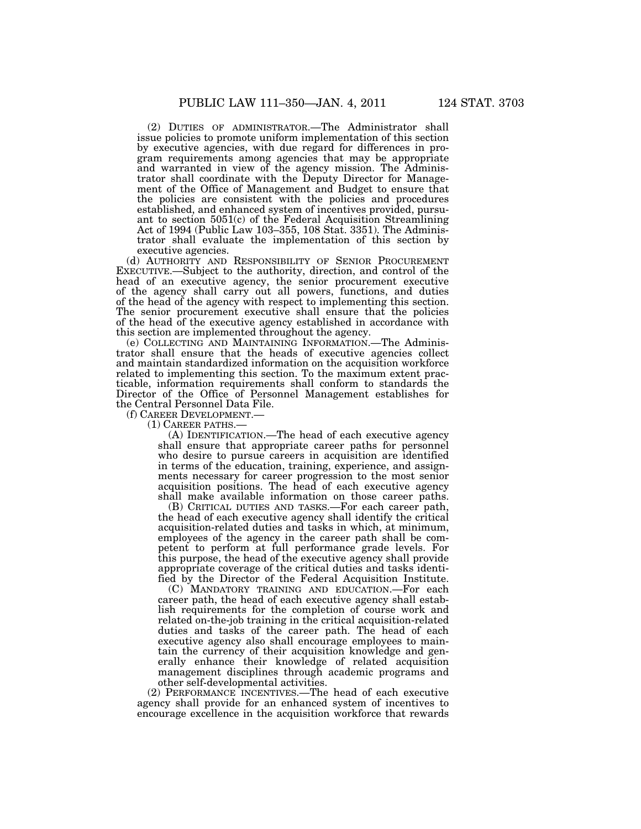(2) DUTIES OF ADMINISTRATOR.—The Administrator shall issue policies to promote uniform implementation of this section by executive agencies, with due regard for differences in program requirements among agencies that may be appropriate and warranted in view of the agency mission. The Administrator shall coordinate with the Deputy Director for Management of the Office of Management and Budget to ensure that the policies are consistent with the policies and procedures established, and enhanced system of incentives provided, pursuant to section 5051(c) of the Federal Acquisition Streamlining Act of 1994 (Public Law 103–355, 108 Stat. 3351). The Administrator shall evaluate the implementation of this section by executive agencies.

(d) AUTHORITY AND RESPONSIBILITY OF SENIOR PROCUREMENT EXECUTIVE.—Subject to the authority, direction, and control of the head of an executive agency, the senior procurement executive of the agency shall carry out all powers, functions, and duties of the head of the agency with respect to implementing this section. The senior procurement executive shall ensure that the policies of the head of the executive agency established in accordance with this section are implemented throughout the agency.

(e) COLLECTING AND MAINTAINING INFORMATION.—The Administrator shall ensure that the heads of executive agencies collect and maintain standardized information on the acquisition workforce related to implementing this section. To the maximum extent practicable, information requirements shall conform to standards the Director of the Office of Personnel Management establishes for the Central Personnel Data File.<br>(f) CAREER DEVELOPMENT.—

(1) CAREER PATHS.—<br>(A) IDENTIFICATION.—The head of each executive agency shall ensure that appropriate career paths for personnel who desire to pursue careers in acquisition are identified in terms of the education, training, experience, and assignments necessary for career progression to the most senior acquisition positions. The head of each executive agency shall make available information on those career paths.

(B) CRITICAL DUTIES AND TASKS.—For each career path, the head of each executive agency shall identify the critical acquisition-related duties and tasks in which, at minimum, employees of the agency in the career path shall be competent to perform at full performance grade levels. For this purpose, the head of the executive agency shall provide appropriate coverage of the critical duties and tasks identified by the Director of the Federal Acquisition Institute.

(C) MANDATORY TRAINING AND EDUCATION.—For each career path, the head of each executive agency shall establish requirements for the completion of course work and related on-the-job training in the critical acquisition-related duties and tasks of the career path. The head of each executive agency also shall encourage employees to maintain the currency of their acquisition knowledge and generally enhance their knowledge of related acquisition management disciplines through academic programs and other self-developmental activities.

(2) PERFORMANCE INCENTIVES.—The head of each executive agency shall provide for an enhanced system of incentives to encourage excellence in the acquisition workforce that rewards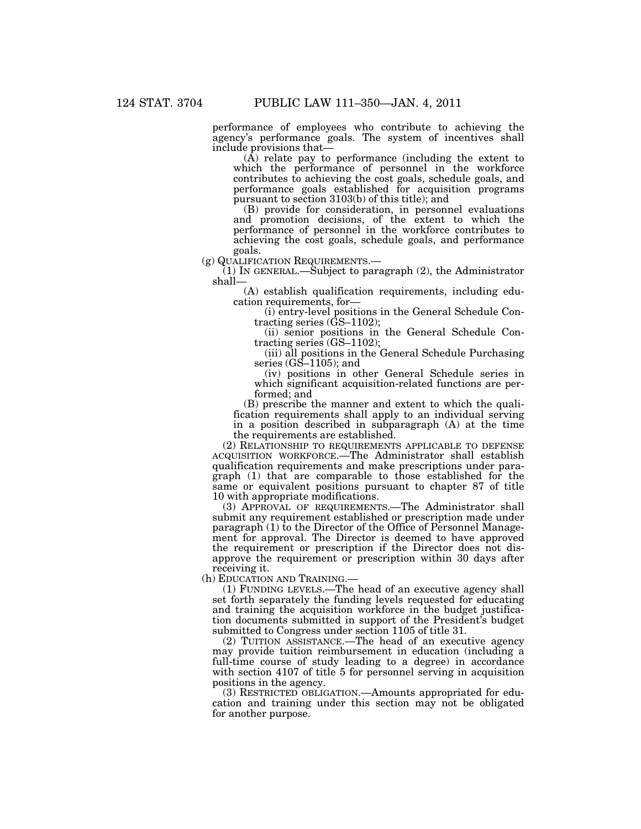performance of employees who contribute to achieving the agency's performance goals. The system of incentives shall include provisions that—

(A) relate pay to performance (including the extent to which the performance of personnel in the workforce contributes to achieving the cost goals, schedule goals, and performance goals established for acquisition programs pursuant to section 3103(b) of this title); and

(B) provide for consideration, in personnel evaluations and promotion decisions, of the extent to which the performance of personnel in the workforce contributes to achieving the cost goals, schedule goals, and performance

goals.<br>(g) QUALIFICATION REQUIREMENTS.—

(1) IN GENERAL.—Subject to paragraph  $(2)$ , the Administrator shall—

(A) establish qualification requirements, including education requirements, for—

(i) entry-level positions in the General Schedule Contracting series (GS–1102);

(ii) senior positions in the General Schedule Contracting series (GS–1102);

(iii) all positions in the General Schedule Purchasing series (GS–1105); and

(iv) positions in other General Schedule series in which significant acquisition-related functions are performed; and

(B) prescribe the manner and extent to which the qualification requirements shall apply to an individual serving in a position described in subparagraph (A) at the time the requirements are established.

(2) RELATIONSHIP TO REQUIREMENTS APPLICABLE TO DEFENSE ACQUISITION WORKFORCE.—The Administrator shall establish qualification requirements and make prescriptions under paragraph (1) that are comparable to those established for the same or equivalent positions pursuant to chapter 87 of title 10 with appropriate modifications.

(3) APPROVAL OF REQUIREMENTS.—The Administrator shall submit any requirement established or prescription made under paragraph (1) to the Director of the Office of Personnel Management for approval. The Director is deemed to have approved the requirement or prescription if the Director does not disapprove the requirement or prescription within 30 days after receiving it.<br>(h) EDUCATION AND TRAINING.

(1) FUNDING LEVELS.—The head of an executive agency shall set forth separately the funding levels requested for educating and training the acquisition workforce in the budget justification documents submitted in support of the President's budget submitted to Congress under section 1105 of title 31.

(2) TUITION ASSISTANCE.—The head of an executive agency may provide tuition reimbursement in education (including a full-time course of study leading to a degree) in accordance with section 4107 of title 5 for personnel serving in acquisition positions in the agency.

(3) RESTRICTED OBLIGATION.—Amounts appropriated for education and training under this section may not be obligated for another purpose.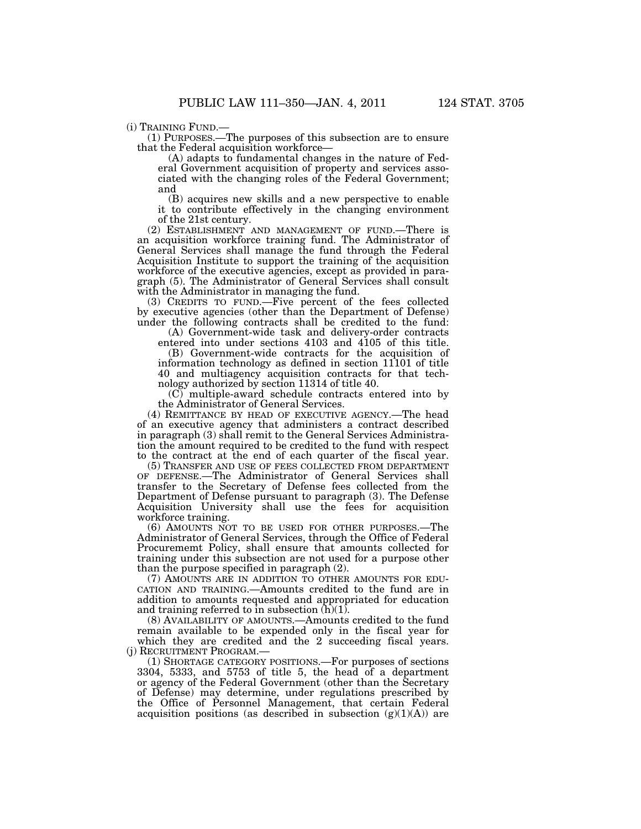(i) TRAINING FUND.— (1) PURPOSES.—The purposes of this subsection are to ensure that the Federal acquisition workforce—

(A) adapts to fundamental changes in the nature of Federal Government acquisition of property and services associated with the changing roles of the Federal Government; and

(B) acquires new skills and a new perspective to enable it to contribute effectively in the changing environment of the 21st century.

(2) ESTABLISHMENT AND MANAGEMENT OF FUND.—There is an acquisition workforce training fund. The Administrator of General Services shall manage the fund through the Federal Acquisition Institute to support the training of the acquisition workforce of the executive agencies, except as provided in paragraph (5). The Administrator of General Services shall consult with the Administrator in managing the fund.

(3) CREDITS TO FUND.—Five percent of the fees collected by executive agencies (other than the Department of Defense) under the following contracts shall be credited to the fund:

(A) Government-wide task and delivery-order contracts entered into under sections 4103 and 4105 of this title.

(B) Government-wide contracts for the acquisition of information technology as defined in section 11101 of title 40 and multiagency acquisition contracts for that technology authorized by section 11314 of title 40.

 $(C)$  multiple-award schedule contracts entered into by the Administrator of General Services.

(4) REMITTANCE BY HEAD OF EXECUTIVE AGENCY.—The head of an executive agency that administers a contract described in paragraph (3) shall remit to the General Services Administration the amount required to be credited to the fund with respect to the contract at the end of each quarter of the fiscal year.

(5) TRANSFER AND USE OF FEES COLLECTED FROM DEPARTMENT OF DEFENSE.—The Administrator of General Services shall transfer to the Secretary of Defense fees collected from the Department of Defense pursuant to paragraph (3). The Defense Acquisition University shall use the fees for acquisition workforce training.

(6) AMOUNTS NOT TO BE USED FOR OTHER PURPOSES.—The Administrator of General Services, through the Office of Federal Procurememt Policy, shall ensure that amounts collected for training under this subsection are not used for a purpose other than the purpose specified in paragraph (2).

(7) AMOUNTS ARE IN ADDITION TO OTHER AMOUNTS FOR EDU- CATION AND TRAINING.—Amounts credited to the fund are in addition to amounts requested and appropriated for education and training referred to in subsection (h)(1).

(8) AVAILABILITY OF AMOUNTS.—Amounts credited to the fund remain available to be expended only in the fiscal year for which they are credited and the 2 succeeding fiscal years.

(j) RECRUITMENT PROGRAM.— (1) SHORTAGE CATEGORY POSITIONS.—For purposes of sections 3304, 5333, and 5753 of title 5, the head of a department or agency of the Federal Government (other than the Secretary of Defense) may determine, under regulations prescribed by the Office of Personnel Management, that certain Federal acquisition positions (as described in subsection  $(g)(1)(A)$ ) are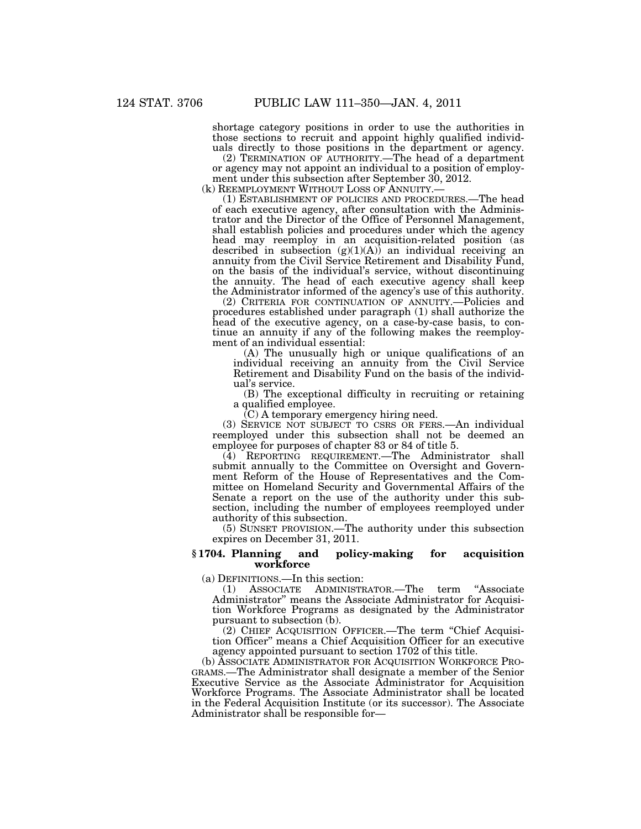shortage category positions in order to use the authorities in those sections to recruit and appoint highly qualified individuals directly to those positions in the department or agency.

(2) TERMINATION OF AUTHORITY.—The head of a department or agency may not appoint an individual to a position of employment under this subsection after September 30, 2012.<br>(k) REEMPLOYMENT WITHOUT LOSS OF ANNUITY.—

(1) ESTABLISHMENT OF POLICIES AND PROCEDURES.—The head of each executive agency, after consultation with the Administrator and the Director of the Office of Personnel Management, shall establish policies and procedures under which the agency head may reemploy in an acquisition-related position (as described in subsection (g)(1)(A)) an individual receiving an annuity from the Civil Service Retirement and Disability Fund, on the basis of the individual's service, without discontinuing the annuity. The head of each executive agency shall keep the Administrator informed of the agency's use of this authority.

(2) CRITERIA FOR CONTINUATION OF ANNUITY.—Policies and procedures established under paragraph (1) shall authorize the head of the executive agency, on a case-by-case basis, to continue an annuity if any of the following makes the reemployment of an individual essential:

(A) The unusually high or unique qualifications of an individual receiving an annuity from the Civil Service Retirement and Disability Fund on the basis of the individual's service.

(B) The exceptional difficulty in recruiting or retaining a qualified employee.

(C) A temporary emergency hiring need.

(3) SERVICE NOT SUBJECT TO CSRS OR FERS.—An individual reemployed under this subsection shall not be deemed an employee for purposes of chapter 83 or 84 of title 5.

(4) REPORTING REQUIREMENT.—The Administrator shall submit annually to the Committee on Oversight and Government Reform of the House of Representatives and the Committee on Homeland Security and Governmental Affairs of the Senate a report on the use of the authority under this subsection, including the number of employees reemployed under authority of this subsection.

(5) SUNSET PROVISION.—The authority under this subsection expires on December 31, 2011.

#### **§ 1704. Planning and policy-making for acquisition workforce**

(a) DEFINITIONS.—In this section:

(1) ASSOCIATE ADMINISTRATOR.—The term ''Associate Administrator'' means the Associate Administrator for Acquisition Workforce Programs as designated by the Administrator pursuant to subsection (b).

(2) CHIEF ACQUISITION OFFICER.—The term ''Chief Acquisition Officer'' means a Chief Acquisition Officer for an executive

agency appointed pursuant to section 1702 of this title.<br>(b) ASSOCIATE ADMINISTRATOR FOR ACQUISITION WORKFORCE PRO-GRAMS.—The Administrator shall designate a member of the Senior Executive Service as the Associate Administrator for Acquisition Workforce Programs. The Associate Administrator shall be located in the Federal Acquisition Institute (or its successor). The Associate Administrator shall be responsible for—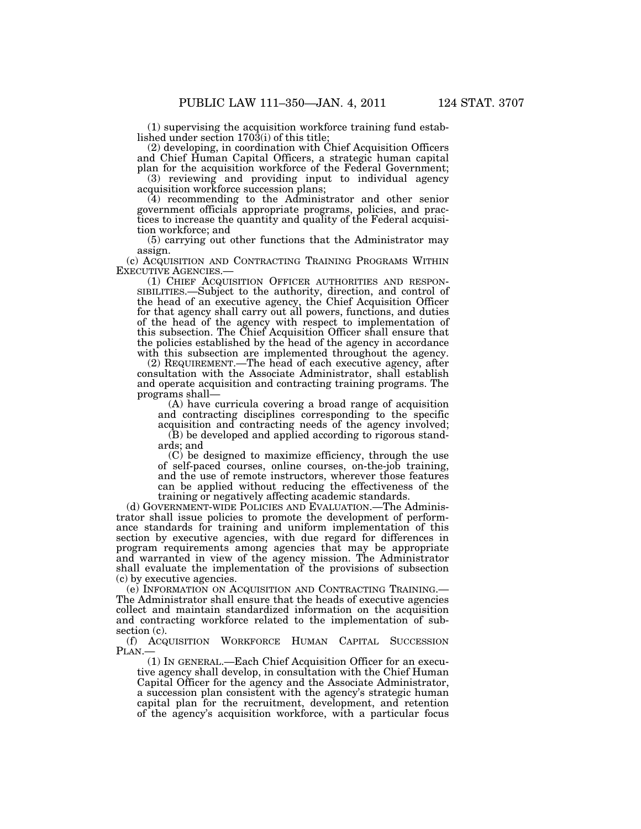(1) supervising the acquisition workforce training fund established under section 1703(i) of this title;

(2) developing, in coordination with Chief Acquisition Officers and Chief Human Capital Officers, a strategic human capital plan for the acquisition workforce of the Federal Government;

(3) reviewing and providing input to individual agency acquisition workforce succession plans;

(4) recommending to the Administrator and other senior government officials appropriate programs, policies, and practices to increase the quantity and quality of the Federal acquisition workforce; and

(5) carrying out other functions that the Administrator may assign.

(c) ACQUISITION AND CONTRACTING TRAINING PROGRAMS WITHIN

EXECUTIVE AGENCIES.— (1) CHIEF ACQUISITION OFFICER AUTHORITIES AND RESPON- SIBILITIES.—Subject to the authority, direction, and control of the head of an executive agency, the Chief Acquisition Officer for that agency shall carry out all powers, functions, and duties of the head of the agency with respect to implementation of this subsection. The Chief Acquisition Officer shall ensure that the policies established by the head of the agency in accordance with this subsection are implemented throughout the agency.

(2) REQUIREMENT.—The head of each executive agency, after consultation with the Associate Administrator, shall establish and operate acquisition and contracting training programs. The programs shall—

(A) have curricula covering a broad range of acquisition and contracting disciplines corresponding to the specific acquisition and contracting needs of the agency involved;

(B) be developed and applied according to rigorous standards; and

(C) be designed to maximize efficiency, through the use of self-paced courses, online courses, on-the-job training, and the use of remote instructors, wherever those features can be applied without reducing the effectiveness of the training or negatively affecting academic standards.

(d) GOVERNMENT-WIDE POLICIES AND EVALUATION.—The Administrator shall issue policies to promote the development of performance standards for training and uniform implementation of this section by executive agencies, with due regard for differences in program requirements among agencies that may be appropriate and warranted in view of the agency mission. The Administrator shall evaluate the implementation of the provisions of subsection (c) by executive agencies.

(e) INFORMATION ON ACQUISITION AND CONTRACTING TRAINING.— The Administrator shall ensure that the heads of executive agencies collect and maintain standardized information on the acquisition and contracting workforce related to the implementation of subsection (c).

(f) ACQUISITION WORKFORCE HUMAN CAPITAL SUCCESSION PLAN.—

(1) IN GENERAL.—Each Chief Acquisition Officer for an executive agency shall develop, in consultation with the Chief Human Capital Officer for the agency and the Associate Administrator, a succession plan consistent with the agency's strategic human capital plan for the recruitment, development, and retention of the agency's acquisition workforce, with a particular focus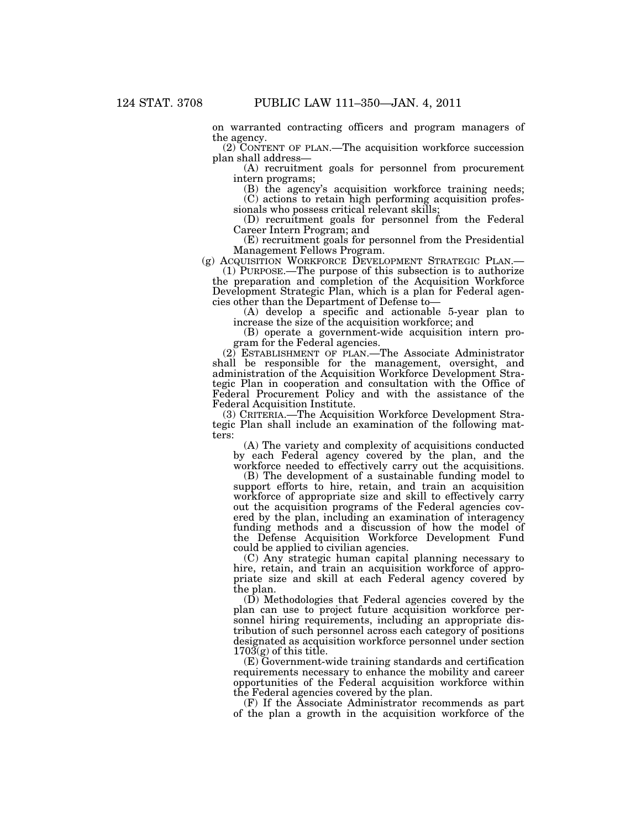on warranted contracting officers and program managers of the agency.

(2) CONTENT OF PLAN.—The acquisition workforce succession plan shall address—

(A) recruitment goals for personnel from procurement intern programs;

(B) the agency's acquisition workforce training needs; (C) actions to retain high performing acquisition professionals who possess critical relevant skills;

(D) recruitment goals for personnel from the Federal Career Intern Program; and

(E) recruitment goals for personnel from the Presidential

Management Fellows Program.<br>(g) ACQUISITION WORKFORCE DEVELOPMENT STRATEGIC PLAN.—

(1) PURPOSE.—The purpose of this subsection is to authorize the preparation and completion of the Acquisition Workforce Development Strategic Plan, which is a plan for Federal agencies other than the Department of Defense to—

(A) develop a specific and actionable 5-year plan to increase the size of the acquisition workforce; and

(B) operate a government-wide acquisition intern program for the Federal agencies.

(2) ESTABLISHMENT OF PLAN.—The Associate Administrator shall be responsible for the management, oversight, and administration of the Acquisition Workforce Development Strategic Plan in cooperation and consultation with the Office of Federal Procurement Policy and with the assistance of the Federal Acquisition Institute.

(3) CRITERIA.—The Acquisition Workforce Development Strategic Plan shall include an examination of the following matters:

(A) The variety and complexity of acquisitions conducted by each Federal agency covered by the plan, and the workforce needed to effectively carry out the acquisitions.

(B) The development of a sustainable funding model to support efforts to hire, retain, and train an acquisition workforce of appropriate size and skill to effectively carry out the acquisition programs of the Federal agencies covered by the plan, including an examination of interagency funding methods and a discussion of how the model of the Defense Acquisition Workforce Development Fund could be applied to civilian agencies.

(C) Any strategic human capital planning necessary to hire, retain, and train an acquisition workforce of appropriate size and skill at each Federal agency covered by the plan.

(D) Methodologies that Federal agencies covered by the plan can use to project future acquisition workforce personnel hiring requirements, including an appropriate distribution of such personnel across each category of positions designated as acquisition workforce personnel under section 1703(g) of this title.

(E) Government-wide training standards and certification requirements necessary to enhance the mobility and career opportunities of the Federal acquisition workforce within the Federal agencies covered by the plan.

(F) If the Associate Administrator recommends as part of the plan a growth in the acquisition workforce of the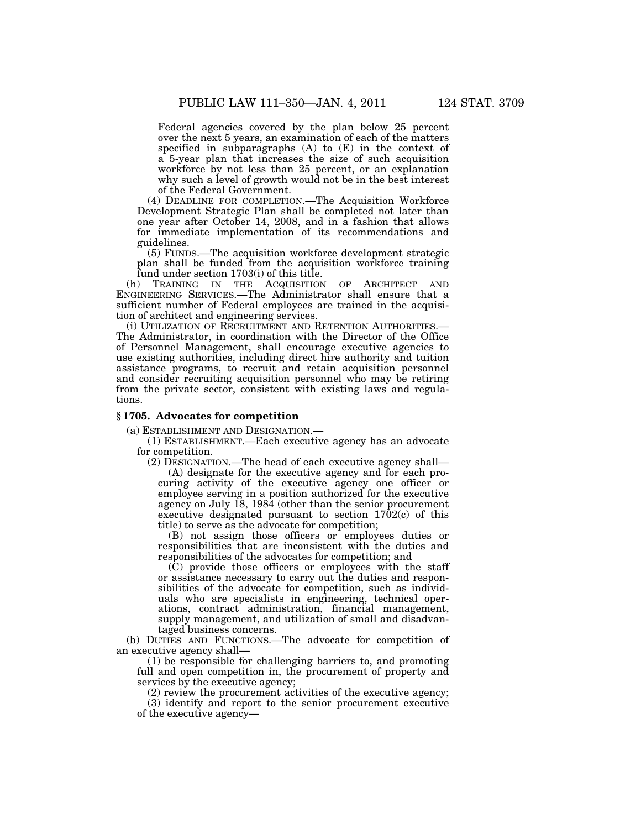Federal agencies covered by the plan below 25 percent over the next 5 years, an examination of each of the matters specified in subparagraphs (A) to (E) in the context of a 5-year plan that increases the size of such acquisition workforce by not less than 25 percent, or an explanation why such a level of growth would not be in the best interest of the Federal Government.

(4) DEADLINE FOR COMPLETION.—The Acquisition Workforce Development Strategic Plan shall be completed not later than one year after October 14, 2008, and in a fashion that allows for immediate implementation of its recommendations and guidelines.

(5) FUNDS.—The acquisition workforce development strategic plan shall be funded from the acquisition workforce training fund under section 1703(i) of this title.

(h) TRAINING IN THE ACQUISITION OF ARCHITECT AND ENGINEERING SERVICES.—The Administrator shall ensure that a sufficient number of Federal employees are trained in the acquisition of architect and engineering services.

(i) UTILIZATION OF RECRUITMENT AND RETENTION AUTHORITIES.— The Administrator, in coordination with the Director of the Office of Personnel Management, shall encourage executive agencies to use existing authorities, including direct hire authority and tuition assistance programs, to recruit and retain acquisition personnel and consider recruiting acquisition personnel who may be retiring from the private sector, consistent with existing laws and regulations.

#### **§ 1705. Advocates for competition**

(a) ESTABLISHMENT AND DESIGNATION.—

(1) ESTABLISHMENT.—Each executive agency has an advocate for competition.

(2) DESIGNATION.—The head of each executive agency shall— (A) designate for the executive agency and for each procuring activity of the executive agency one officer or employee serving in a position authorized for the executive agency on July 18, 1984 (other than the senior procurement executive designated pursuant to section 1702(c) of this title) to serve as the advocate for competition;

(B) not assign those officers or employees duties or responsibilities that are inconsistent with the duties and responsibilities of the advocates for competition; and

(C) provide those officers or employees with the staff or assistance necessary to carry out the duties and responsibilities of the advocate for competition, such as individuals who are specialists in engineering, technical operations, contract administration, financial management, supply management, and utilization of small and disadvantaged business concerns.

(b) DUTIES AND FUNCTIONS.—The advocate for competition of an executive agency shall—

(1) be responsible for challenging barriers to, and promoting full and open competition in, the procurement of property and services by the executive agency;

(2) review the procurement activities of the executive agency;

(3) identify and report to the senior procurement executive of the executive agency—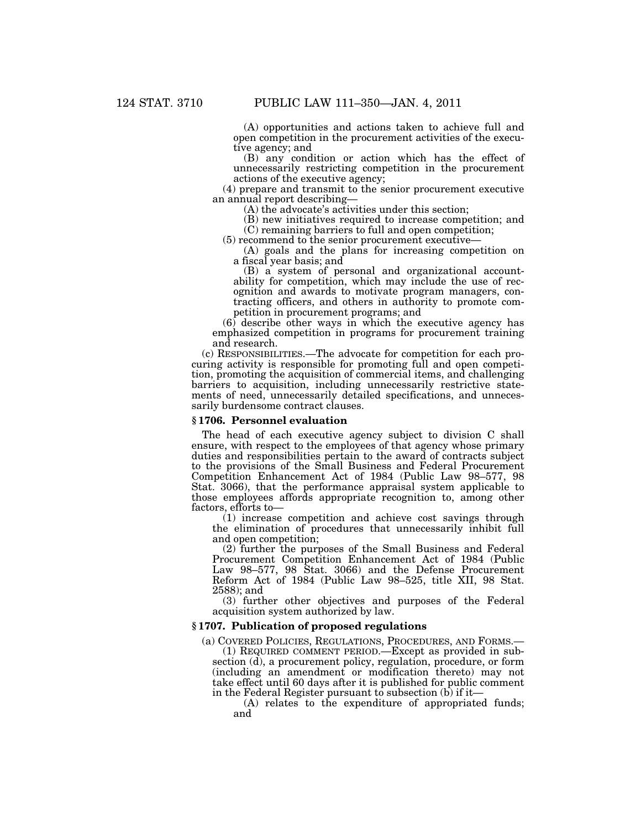(A) opportunities and actions taken to achieve full and open competition in the procurement activities of the executive agency; and

(B) any condition or action which has the effect of unnecessarily restricting competition in the procurement actions of the executive agency;

(4) prepare and transmit to the senior procurement executive an annual report describing—

(A) the advocate's activities under this section;

(B) new initiatives required to increase competition; and (C) remaining barriers to full and open competition;

(5) recommend to the senior procurement executive—

(A) goals and the plans for increasing competition on a fiscal year basis; and

(B) a system of personal and organizational accountability for competition, which may include the use of recognition and awards to motivate program managers, contracting officers, and others in authority to promote competition in procurement programs; and

 $(6)$  describe other ways in which the executive agency has emphasized competition in programs for procurement training and research.

(c) RESPONSIBILITIES.—The advocate for competition for each procuring activity is responsible for promoting full and open competition, promoting the acquisition of commercial items, and challenging barriers to acquisition, including unnecessarily restrictive statements of need, unnecessarily detailed specifications, and unnecessarily burdensome contract clauses.

### **§ 1706. Personnel evaluation**

The head of each executive agency subject to division C shall ensure, with respect to the employees of that agency whose primary duties and responsibilities pertain to the award of contracts subject to the provisions of the Small Business and Federal Procurement Competition Enhancement Act of 1984 (Public Law 98–577, 98 Stat. 3066), that the performance appraisal system applicable to those employees affords appropriate recognition to, among other factors, efforts to—

(1) increase competition and achieve cost savings through the elimination of procedures that unnecessarily inhibit full and open competition;

(2) further the purposes of the Small Business and Federal Procurement Competition Enhancement Act of 1984 (Public Law 98–577, 98 Stat. 3066) and the Defense Procurement Reform Act of 1984 (Public Law 98–525, title XII, 98 Stat. 2588); and

(3) further other objectives and purposes of the Federal acquisition system authorized by law.

### **§ 1707. Publication of proposed regulations**

(a) COVERED POLICIES, REGULATIONS, PROCEDURES, AND FORMS.— (1) REQUIRED COMMENT PERIOD.—Except as provided in subsection (d), a procurement policy, regulation, procedure, or form (including an amendment or modification thereto) may not take effect until 60 days after it is published for public comment in the Federal Register pursuant to subsection (b) if it—

(A) relates to the expenditure of appropriated funds; and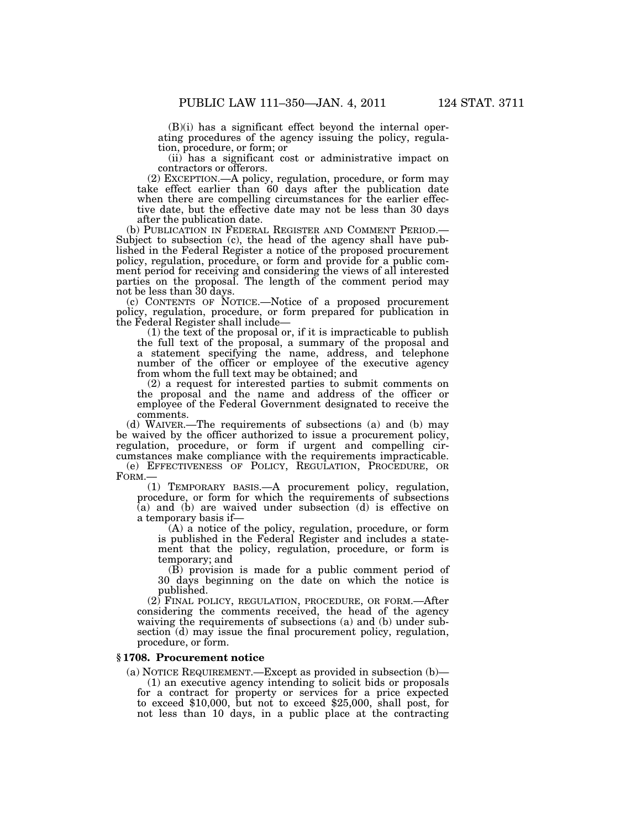(B)(i) has a significant effect beyond the internal operating procedures of the agency issuing the policy, regulation, procedure, or form; or

(ii) has a significant cost or administrative impact on contractors or offerors.

(2) EXCEPTION.—A policy, regulation, procedure, or form may take effect earlier than 60 days after the publication date when there are compelling circumstances for the earlier effective date, but the effective date may not be less than 30 days

after the publication date.<br>(b) PUBLICATION IN FEDERAL REGISTER AND COMMENT PERIOD.— Subject to subsection (c), the head of the agency shall have published in the Federal Register a notice of the proposed procurement policy, regulation, procedure, or form and provide for a public comment period for receiving and considering the views of all interested parties on the proposal. The length of the comment period may not be less than 30 days.

(c) CONTENTS OF NOTICE.—Notice of a proposed procurement policy, regulation, procedure, or form prepared for publication in the Federal Register shall include—

 $(1)$  the text of the proposal or, if it is impracticable to publish the full text of the proposal, a summary of the proposal and a statement specifying the name, address, and telephone number of the officer or employee of the executive agency from whom the full text may be obtained; and

(2) a request for interested parties to submit comments on the proposal and the name and address of the officer or employee of the Federal Government designated to receive the comments.

(d) WAIVER.—The requirements of subsections (a) and (b) may be waived by the officer authorized to issue a procurement policy, regulation, procedure, or form if urgent and compelling circumstances make compliance with the requirements impracticable. (e) EFFECTIVENESS OF POLICY, REGULATION, PROCEDURE, OR

FORM.—

(1) TEMPORARY BASIS.—A procurement policy, regulation, procedure, or form for which the requirements of subsections (a) and (b) are waived under subsection (d) is effective on a temporary basis if—

(A) a notice of the policy, regulation, procedure, or form is published in the Federal Register and includes a statement that the policy, regulation, procedure, or form is temporary; and

(B) provision is made for a public comment period of 30 days beginning on the date on which the notice is published.

(2) FINAL POLICY, REGULATION, PROCEDURE, OR FORM.—After considering the comments received, the head of the agency waiving the requirements of subsections (a) and (b) under subsection (d) may issue the final procurement policy, regulation, procedure, or form.

### **§ 1708. Procurement notice**

(a) NOTICE REQUIREMENT.—Except as provided in subsection (b)— (1) an executive agency intending to solicit bids or proposals for a contract for property or services for a price expected to exceed \$10,000, but not to exceed \$25,000, shall post, for not less than 10 days, in a public place at the contracting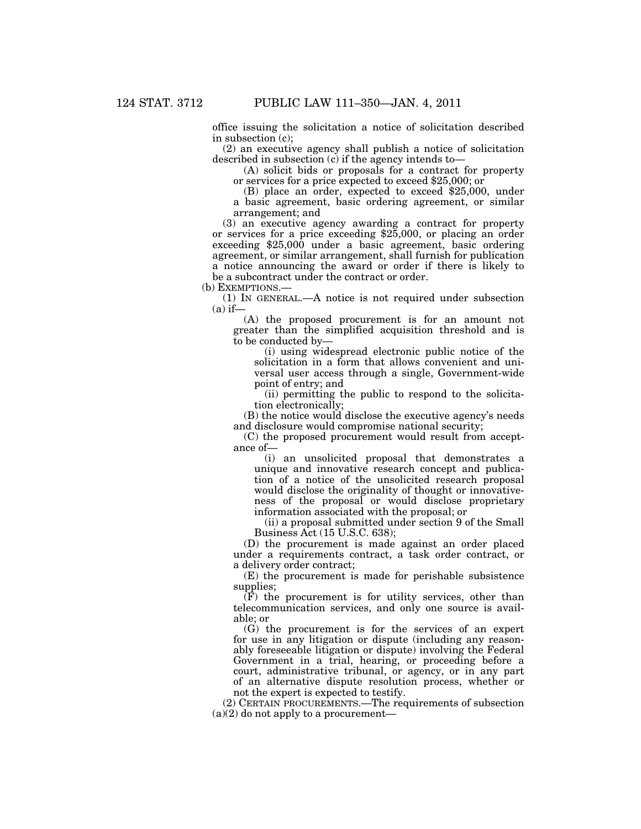office issuing the solicitation a notice of solicitation described in subsection (c);

(2) an executive agency shall publish a notice of solicitation described in subsection (c) if the agency intends to—

(A) solicit bids or proposals for a contract for property or services for a price expected to exceed \$25,000; or

(B) place an order, expected to exceed \$25,000, under a basic agreement, basic ordering agreement, or similar arrangement; and

(3) an executive agency awarding a contract for property or services for a price exceeding \$25,000, or placing an order exceeding \$25,000 under a basic agreement, basic ordering agreement, or similar arrangement, shall furnish for publication a notice announcing the award or order if there is likely to be a subcontract under the contract or order.

(b) EXEMPTIONS.—

(1) IN GENERAL.—A notice is not required under subsection  $(a)$  if-

(A) the proposed procurement is for an amount not greater than the simplified acquisition threshold and is to be conducted by—

(i) using widespread electronic public notice of the solicitation in a form that allows convenient and universal user access through a single, Government-wide point of entry; and

(ii) permitting the public to respond to the solicitation electronically;

(B) the notice would disclose the executive agency's needs and disclosure would compromise national security;

(C) the proposed procurement would result from acceptance of—

(i) an unsolicited proposal that demonstrates a unique and innovative research concept and publication of a notice of the unsolicited research proposal would disclose the originality of thought or innovativeness of the proposal or would disclose proprietary information associated with the proposal; or

(ii) a proposal submitted under section 9 of the Small Business Act (15 U.S.C. 638);

(D) the procurement is made against an order placed under a requirements contract, a task order contract, or a delivery order contract;

(E) the procurement is made for perishable subsistence supplies;

 $(F)$  the procurement is for utility services, other than telecommunication services, and only one source is available; or

(G) the procurement is for the services of an expert for use in any litigation or dispute (including any reasonably foreseeable litigation or dispute) involving the Federal Government in a trial, hearing, or proceeding before a court, administrative tribunal, or agency, or in any part of an alternative dispute resolution process, whether or not the expert is expected to testify.

(2) CERTAIN PROCUREMENTS.—The requirements of subsection  $(a)(2)$  do not apply to a procurement—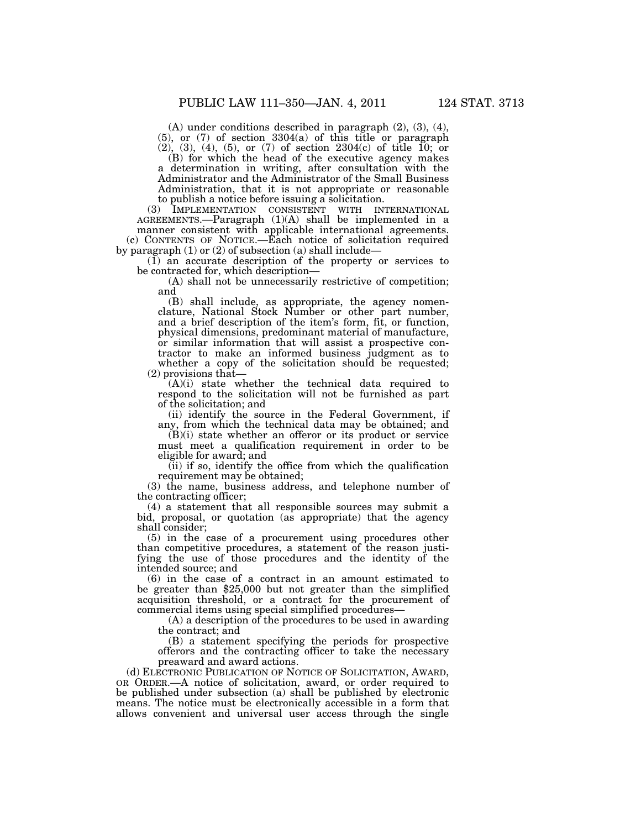(A) under conditions described in paragraph (2), (3), (4), (5), or (7) of section 3304(a) of this title or paragraph (2), (3), (4), (5), or (7) of section 2304(c) of title 10; or

(B) for which the head of the executive agency makes a determination in writing, after consultation with the Administrator and the Administrator of the Small Business Administration, that it is not appropriate or reasonable to publish a notice before issuing a solicitation.

(3) IMPLEMENTATION CONSISTENT WITH INTERNATIONAL AGREEMENTS.—Paragraph (1)(A) shall be implemented in a manner consistent with applicable international agreements. (c) CONTENTS OF NOTICE.—Each notice of solicitation required by paragraph  $(1)$  or  $(2)$  of subsection  $(a)$  shall include—

(1) an accurate description of the property or services to be contracted for, which description—

(A) shall not be unnecessarily restrictive of competition; and

(B) shall include, as appropriate, the agency nomenclature, National Stock Number or other part number, and a brief description of the item's form, fit, or function, physical dimensions, predominant material of manufacture, or similar information that will assist a prospective contractor to make an informed business judgment as to whether a copy of the solicitation should be requested; (2) provisions that—

(A)(i) state whether the technical data required to respond to the solicitation will not be furnished as part of the solicitation; and

(ii) identify the source in the Federal Government, if any, from which the technical data may be obtained; and

(B)(i) state whether an offeror or its product or service must meet a qualification requirement in order to be eligible for award; and

(ii) if so, identify the office from which the qualification requirement may be obtained;

(3) the name, business address, and telephone number of the contracting officer;

(4) a statement that all responsible sources may submit a bid, proposal, or quotation (as appropriate) that the agency shall consider;

(5) in the case of a procurement using procedures other than competitive procedures, a statement of the reason justifying the use of those procedures and the identity of the intended source; and

(6) in the case of a contract in an amount estimated to be greater than \$25,000 but not greater than the simplified acquisition threshold, or a contract for the procurement of commercial items using special simplified procedures—

(A) a description of the procedures to be used in awarding the contract; and

(B) a statement specifying the periods for prospective offerors and the contracting officer to take the necessary

preaward and award actions.<br>(d) ELECTRONIC PUBLICATION OF NOTICE OF SOLICITATION, AWARD, OR ORDER.—A notice of solicitation, award, or order required to be published under subsection (a) shall be published by electronic means. The notice must be electronically accessible in a form that allows convenient and universal user access through the single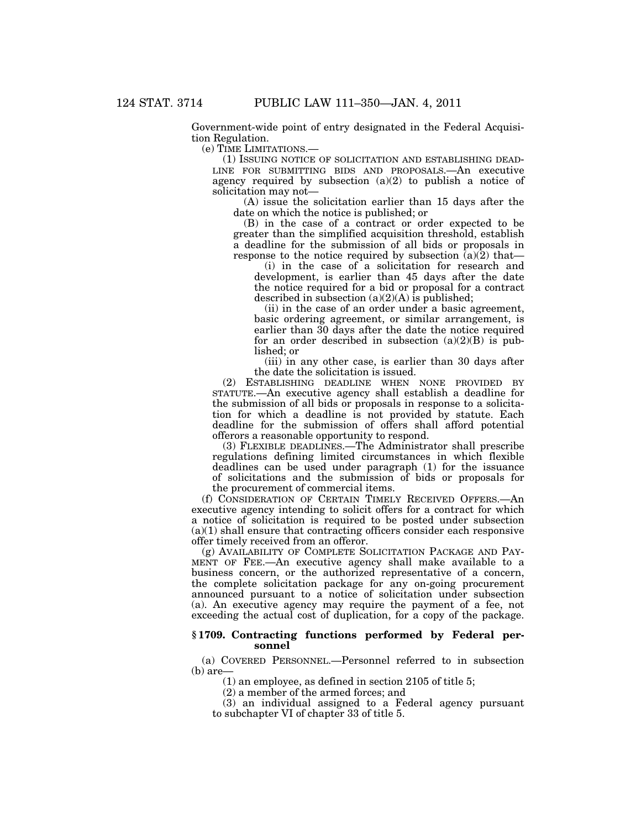Government-wide point of entry designated in the Federal Acquisition Regulation.

(e) TIME LIMITATIONS.—

(1) ISSUING NOTICE OF SOLICITATION AND ESTABLISHING DEAD-LINE FOR SUBMITTING BIDS AND PROPOSALS.—An executive agency required by subsection  $(a)(2)$  to publish a notice of solicitation may not—

(A) issue the solicitation earlier than 15 days after the date on which the notice is published; or

(B) in the case of a contract or order expected to be greater than the simplified acquisition threshold, establish a deadline for the submission of all bids or proposals in response to the notice required by subsection  $(a)(2)$  that—

(i) in the case of a solicitation for research and development, is earlier than 45 days after the date the notice required for a bid or proposal for a contract described in subsection  $(a)(2)(A)$  is published;

(ii) in the case of an order under a basic agreement, basic ordering agreement, or similar arrangement, is earlier than 30 days after the date the notice required for an order described in subsection  $(a)(2)(B)$  is published; or

(iii) in any other case, is earlier than 30 days after the date the solicitation is issued.

(2) ESTABLISHING DEADLINE WHEN NONE PROVIDED BY STATUTE.—An executive agency shall establish a deadline for the submission of all bids or proposals in response to a solicitation for which a deadline is not provided by statute. Each deadline for the submission of offers shall afford potential offerors a reasonable opportunity to respond.

(3) FLEXIBLE DEADLINES.—The Administrator shall prescribe regulations defining limited circumstances in which flexible deadlines can be used under paragraph (1) for the issuance of solicitations and the submission of bids or proposals for the procurement of commercial items.

(f) CONSIDERATION OF CERTAIN TIMELY RECEIVED OFFERS.—An executive agency intending to solicit offers for a contract for which a notice of solicitation is required to be posted under subsection  $(a)(1)$  shall ensure that contracting officers consider each responsive offer timely received from an offeror.

(g) AVAILABILITY OF COMPLETE SOLICITATION PACKAGE AND PAY-MENT OF FEE.—An executive agency shall make available to a business concern, or the authorized representative of a concern, the complete solicitation package for any on-going procurement announced pursuant to a notice of solicitation under subsection (a). An executive agency may require the payment of a fee, not exceeding the actual cost of duplication, for a copy of the package.

# **§ 1709. Contracting functions performed by Federal personnel**

(a) COVERED PERSONNEL.—Personnel referred to in subsection (b) are—

(1) an employee, as defined in section 2105 of title 5;

(2) a member of the armed forces; and

(3) an individual assigned to a Federal agency pursuant to subchapter VI of chapter 33 of title 5.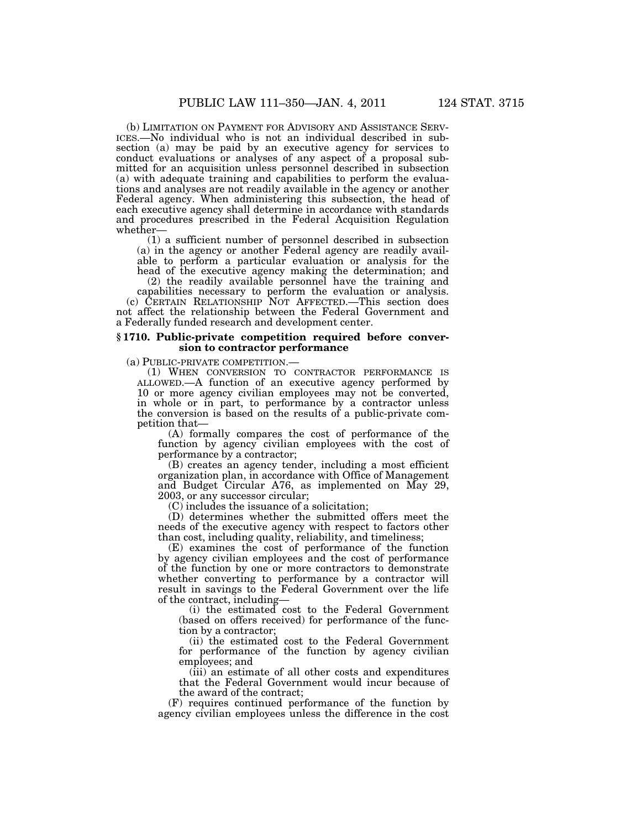(b) LIMITATION ON PAYMENT FOR ADVISORY AND ASSISTANCE SERV- ICES.—No individual who is not an individual described in subsection (a) may be paid by an executive agency for services to conduct evaluations or analyses of any aspect of a proposal submitted for an acquisition unless personnel described in subsection (a) with adequate training and capabilities to perform the evaluations and analyses are not readily available in the agency or another Federal agency. When administering this subsection, the head of each executive agency shall determine in accordance with standards and procedures prescribed in the Federal Acquisition Regulation whether—

(1) a sufficient number of personnel described in subsection (a) in the agency or another Federal agency are readily available to perform a particular evaluation or analysis for the head of the executive agency making the determination; and

(2) the readily available personnel have the training and capabilities necessary to perform the evaluation or analysis.

(c) CERTAIN RELATIONSHIP NOT AFFECTED.—This section does not affect the relationship between the Federal Government and a Federally funded research and development center.

### **§ 1710. Public-private competition required before conversion to contractor performance**

(a) PUBLIC-PRIVATE COMPETITION.— (1) WHEN CONVERSION TO CONTRACTOR PERFORMANCE IS ALLOWED.—A function of an executive agency performed by 10 or more agency civilian employees may not be converted, in whole or in part, to performance by a contractor unless the conversion is based on the results of a public-private competition that—

(A) formally compares the cost of performance of the function by agency civilian employees with the cost of performance by a contractor;

(B) creates an agency tender, including a most efficient organization plan, in accordance with Office of Management and Budget Circular A76, as implemented on May 29, 2003, or any successor circular;

(C) includes the issuance of a solicitation;

(D) determines whether the submitted offers meet the needs of the executive agency with respect to factors other than cost, including quality, reliability, and timeliness;

(E) examines the cost of performance of the function by agency civilian employees and the cost of performance of the function by one or more contractors to demonstrate whether converting to performance by a contractor will result in savings to the Federal Government over the life of the contract, including—

(i) the estimated cost to the Federal Government (based on offers received) for performance of the function by a contractor;

(ii) the estimated cost to the Federal Government for performance of the function by agency civilian employees; and

(iii) an estimate of all other costs and expenditures that the Federal Government would incur because of the award of the contract;

(F) requires continued performance of the function by agency civilian employees unless the difference in the cost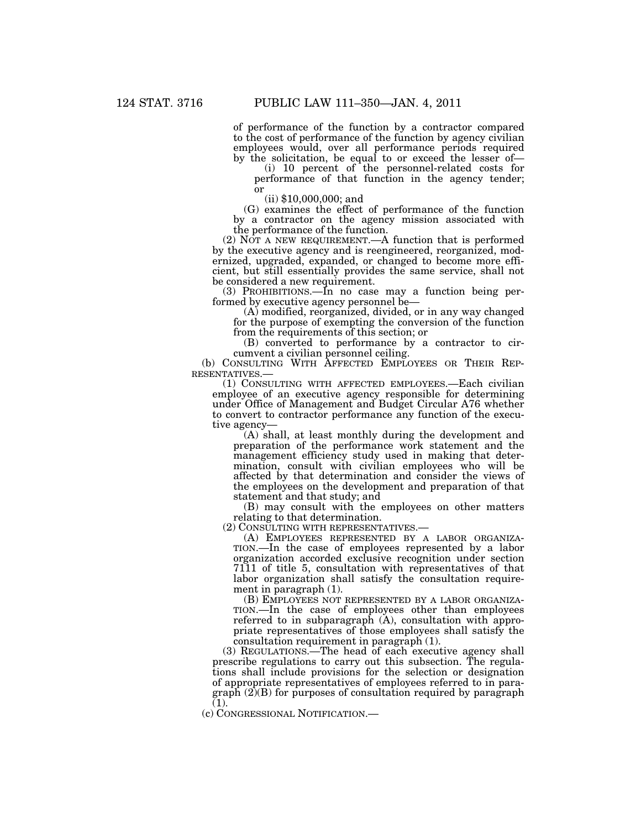of performance of the function by a contractor compared to the cost of performance of the function by agency civilian employees would, over all performance periods required by the solicitation, be equal to or exceed the lesser of—

(i) 10 percent of the personnel-related costs for performance of that function in the agency tender; or

(ii) \$10,000,000; and

(G) examines the effect of performance of the function by a contractor on the agency mission associated with the performance of the function.

 $(2)$  NOT A NEW REQUIREMENT.—A function that is performed by the executive agency and is reengineered, reorganized, modernized, upgraded, expanded, or changed to become more efficient, but still essentially provides the same service, shall not be considered a new requirement.

(3) PROHIBITIONS.—In no case may a function being performed by executive agency personnel be—

(A) modified, reorganized, divided, or in any way changed for the purpose of exempting the conversion of the function from the requirements of this section; or

(B) converted to performance by a contractor to circumvent a civilian personnel ceiling.

(b) CONSULTING WITH AFFECTED EMPLOYEES OR THEIR REP-<br>RESENTATIVES.—<br>(1) CONSULTING WITH AFFECTED EMPLOYEES.—Each civilian

employee of an executive agency responsible for determining under Office of Management and Budget Circular A76 whether to convert to contractor performance any function of the executive agency—

(A) shall, at least monthly during the development and preparation of the performance work statement and the management efficiency study used in making that determination, consult with civilian employees who will be affected by that determination and consider the views of the employees on the development and preparation of that statement and that study; and

(B) may consult with the employees on other matters relating to that determination.<br>(2) CONSULTING WITH REPRESENTATIVES.—

(A) EMPLOYEES REPRESENTED BY A LABOR ORGANIZATION.—In the case of employees represented by a labor organization accorded exclusive recognition under section 7111 of title 5, consultation with representatives of that labor organization shall satisfy the consultation requirement in paragraph (1).<br>(B) EMPLOYEES NOT REPRESENTED BY A LABOR ORGANIZA-

TION.—In the case of employees other than employees referred to in subparagraph (A), consultation with appropriate representatives of those employees shall satisfy the consultation requirement in paragraph (1).

(3) REGULATIONS.—The head of each executive agency shall prescribe regulations to carry out this subsection. The regulations shall include provisions for the selection or designation of appropriate representatives of employees referred to in paragraph (2)(B) for purposes of consultation required by paragraph (1).

(c) CONGRESSIONAL NOTIFICATION.—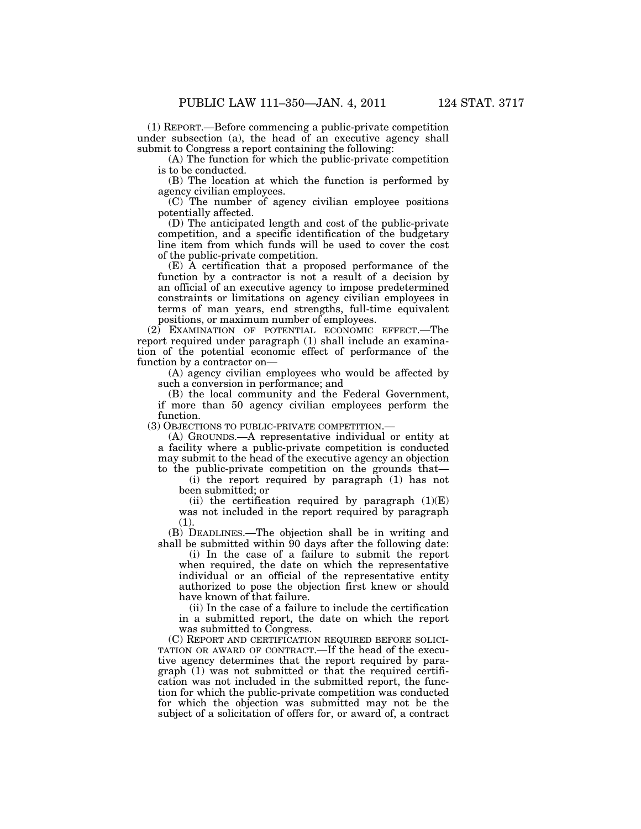(1) REPORT.—Before commencing a public-private competition under subsection (a), the head of an executive agency shall

submit to Congress a report containing the following: (A) The function for which the public-private competition is to be conducted.

(B) The location at which the function is performed by agency civilian employees.

(C) The number of agency civilian employee positions potentially affected.

(D) The anticipated length and cost of the public-private competition, and a specific identification of the budgetary line item from which funds will be used to cover the cost of the public-private competition.

(E) A certification that a proposed performance of the function by a contractor is not a result of a decision by an official of an executive agency to impose predetermined constraints or limitations on agency civilian employees in terms of man years, end strengths, full-time equivalent positions, or maximum number of employees.

(2) EXAMINATION OF POTENTIAL ECONOMIC EFFECT.—The report required under paragraph (1) shall include an examination of the potential economic effect of performance of the function by a contractor on—

(A) agency civilian employees who would be affected by such a conversion in performance; and

(B) the local community and the Federal Government, if more than 50 agency civilian employees perform the function.

(3) OBJECTIONS TO PUBLIC-PRIVATE COMPETITION.—

(A) GROUNDS.—A representative individual or entity at a facility where a public-private competition is conducted may submit to the head of the executive agency an objection to the public-private competition on the grounds that—

(i) the report required by paragraph (1) has not been submitted; or

(ii) the certification required by paragraph  $(1)(E)$ was not included in the report required by paragraph (1).

(B) DEADLINES.—The objection shall be in writing and shall be submitted within 90 days after the following date:

(i) In the case of a failure to submit the report when required, the date on which the representative individual or an official of the representative entity authorized to pose the objection first knew or should have known of that failure.

(ii) In the case of a failure to include the certification in a submitted report, the date on which the report was submitted to Congress.

(C) REPORT AND CERTIFICATION REQUIRED BEFORE SOLICI-TATION OR AWARD OF CONTRACT.—If the head of the executive agency determines that the report required by paragraph (1) was not submitted or that the required certification was not included in the submitted report, the function for which the public-private competition was conducted for which the objection was submitted may not be the subject of a solicitation of offers for, or award of, a contract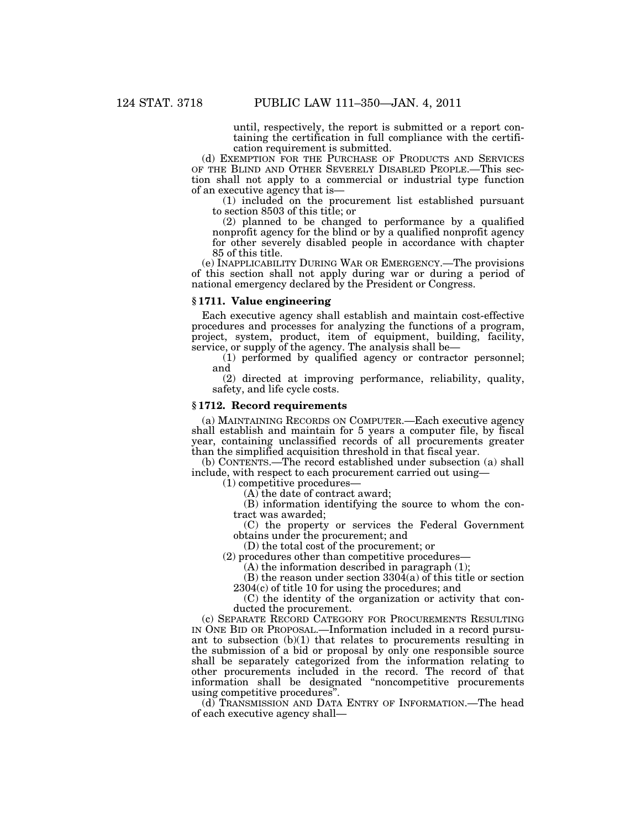until, respectively, the report is submitted or a report containing the certification in full compliance with the certification requirement is submitted.

(d) EXEMPTION FOR THE PURCHASE OF PRODUCTS AND SERVICES OF THE BLIND AND OTHER SEVERELY DISABLED PEOPLE.—This section shall not apply to a commercial or industrial type function of an executive agency that is—

(1) included on the procurement list established pursuant to section 8503 of this title; or

(2) planned to be changed to performance by a qualified nonprofit agency for the blind or by a qualified nonprofit agency for other severely disabled people in accordance with chapter 85 of this title.

(e) INAPPLICABILITY DURING WAR OR EMERGENCY.—The provisions of this section shall not apply during war or during a period of national emergency declared by the President or Congress.

# **§ 1711. Value engineering**

Each executive agency shall establish and maintain cost-effective procedures and processes for analyzing the functions of a program, project, system, product, item of equipment, building, facility, service, or supply of the agency. The analysis shall be—

 $(1)$  performed by qualified agency or contractor personnel; and

(2) directed at improving performance, reliability, quality, safety, and life cycle costs.

### **§ 1712. Record requirements**

(a) MAINTAINING RECORDS ON COMPUTER.—Each executive agency shall establish and maintain for 5 years a computer file, by fiscal year, containing unclassified records of all procurements greater than the simplified acquisition threshold in that fiscal year.

(b) CONTENTS.—The record established under subsection (a) shall include, with respect to each procurement carried out using—

(1) competitive procedures—

(A) the date of contract award;

(B) information identifying the source to whom the contract was awarded;

(C) the property or services the Federal Government obtains under the procurement; and

(D) the total cost of the procurement; or

(2) procedures other than competitive procedures—

(A) the information described in paragraph (1);

 $(B)$  the reason under section  $330\overline{4}$ (a) of this title or section 2304(c) of title 10 for using the procedures; and

(C) the identity of the organization or activity that conducted the procurement.

(c) SEPARATE RECORD CATEGORY FOR PROCUREMENTS RESULTING IN ONE BID OR PROPOSAL.—Information included in a record pursuant to subsection (b)(1) that relates to procurements resulting in the submission of a bid or proposal by only one responsible source shall be separately categorized from the information relating to other procurements included in the record. The record of that information shall be designated ''noncompetitive procurements using competitive procedures''.

(d) TRANSMISSION AND DATA ENTRY OF INFORMATION.—The head of each executive agency shall—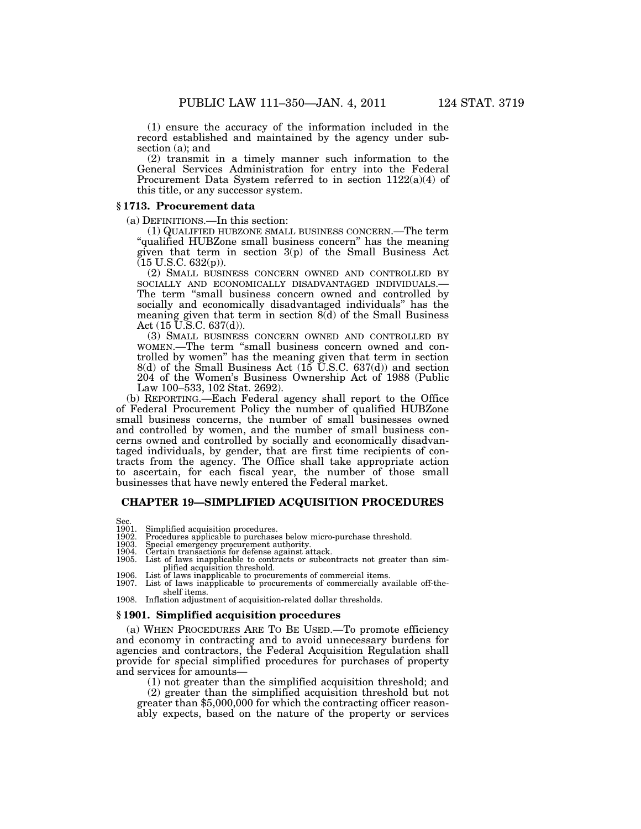(1) ensure the accuracy of the information included in the record established and maintained by the agency under subsection (a); and

(2) transmit in a timely manner such information to the General Services Administration for entry into the Federal Procurement Data System referred to in section 1122(a)(4) of this title, or any successor system.

### **§ 1713. Procurement data**

(a) DEFINITIONS.—In this section:

(1) QUALIFIED HUBZONE SMALL BUSINESS CONCERN.—The term "qualified HUBZone small business concern" has the meaning given that term in section 3(p) of the Small Business Act  $(15 \text{ U.S.C. } 632(p)).$ 

(2) SMALL BUSINESS CONCERN OWNED AND CONTROLLED BY SOCIALLY AND ECONOMICALLY DISADVANTAGED INDIVIDUALS.— The term "small business concern owned and controlled by socially and economically disadvantaged individuals'' has the meaning given that term in section 8(d) of the Small Business Act (15 U.S.C. 637(d)).

(3) SMALL BUSINESS CONCERN OWNED AND CONTROLLED BY WOMEN.—The term ''small business concern owned and controlled by women'' has the meaning given that term in section 8(d) of the Small Business Act (15 U.S.C. 637(d)) and section 204 of the Women's Business Ownership Act of 1988 (Public Law 100–533, 102 Stat. 2692).

(b) REPORTING.—Each Federal agency shall report to the Office of Federal Procurement Policy the number of qualified HUBZone small business concerns, the number of small businesses owned and controlled by women, and the number of small business concerns owned and controlled by socially and economically disadvantaged individuals, by gender, that are first time recipients of contracts from the agency. The Office shall take appropriate action to ascertain, for each fiscal year, the number of those small businesses that have newly entered the Federal market.

### **CHAPTER 19—SIMPLIFIED ACQUISITION PROCEDURES**

# Sec.<br>1901.<br>1902.

- 1901. Simplified acquisition procedures. 1902. Procedures applicable to purchases below micro-purchase threshold. 1903. Special emergency procurement authority.
- 
- 1904. Certain transactions for defense against attack.<br>1905. List of laws inapplicable to contracts or subcor
- List of laws inapplicable to contracts or subcontracts not greater than simplified acquisition threshold.
- 1906. List of laws inapplicable to procurements of commercial items.
- 1907. List of laws inapplicable to procurements of commercially available off-theshelf items.
- 1908. Inflation adjustment of acquisition-related dollar thresholds.

### **§ 1901. Simplified acquisition procedures**

(a) WHEN PROCEDURES ARE TO BE USED.—To promote efficiency and economy in contracting and to avoid unnecessary burdens for agencies and contractors, the Federal Acquisition Regulation shall provide for special simplified procedures for purchases of property and services for amounts—

(1) not greater than the simplified acquisition threshold; and

(2) greater than the simplified acquisition threshold but not greater than \$5,000,000 for which the contracting officer reasonably expects, based on the nature of the property or services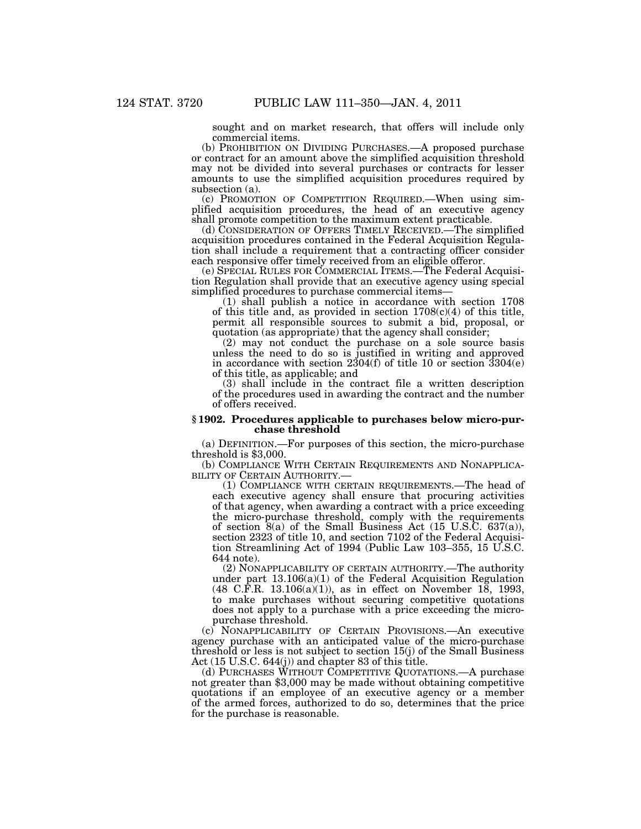sought and on market research, that offers will include only commercial items.

(b) PROHIBITION ON DIVIDING PURCHASES.—A proposed purchase or contract for an amount above the simplified acquisition threshold may not be divided into several purchases or contracts for lesser amounts to use the simplified acquisition procedures required by subsection (a).

(c) PROMOTION OF COMPETITION REQUIRED.—When using simplified acquisition procedures, the head of an executive agency shall promote competition to the maximum extent practicable.

(d) CONSIDERATION OF OFFERS TIMELY RECEIVED.—The simplified acquisition procedures contained in the Federal Acquisition Regulation shall include a requirement that a contracting officer consider each responsive offer timely received from an eligible offeror.

(e) SPECIAL RULES FOR COMMERCIAL ITEMS.—The Federal Acquisition Regulation shall provide that an executive agency using special simplified procedures to purchase commercial items—

(1) shall publish a notice in accordance with section 1708 of this title and, as provided in section  $1708(c)(4)$  of this title, permit all responsible sources to submit a bid, proposal, or quotation (as appropriate) that the agency shall consider;

(2) may not conduct the purchase on a sole source basis unless the need to do so is justified in writing and approved in accordance with section 2304(f) of title 10 or section 3304(e) of this title, as applicable; and

(3) shall include in the contract file a written description of the procedures used in awarding the contract and the number of offers received.

# **§ 1902. Procedures applicable to purchases below micro-purchase threshold**

(a) DEFINITION.—For purposes of this section, the micro-purchase threshold is \$3,000.

(b) COMPLIANCE WITH CERTAIN REQUIREMENTS AND NONAPPLICABILITY OF CERTAIN AUTHORITY.—

(1) COMPLIANCE WITH CERTAIN REQUIREMENTS.—The head of each executive agency shall ensure that procuring activities of that agency, when awarding a contract with a price exceeding the micro-purchase threshold, comply with the requirements of section  $8(a)$  of the Small Business Act (15 U.S.C. 637(a)), section 2323 of title 10, and section 7102 of the Federal Acquisition Streamlining Act of 1994 (Public Law 103–355, 15 U.S.C. 644 note).

(2) NONAPPLICABILITY OF CERTAIN AUTHORITY.—The authority under part  $13.106(a)(1)$  of the Federal Acquisition Regulation (48 C.F.R. 13.106(a)(1)), as in effect on November 18, 1993, to make purchases without securing competitive quotations does not apply to a purchase with a price exceeding the micropurchase threshold.

(c) NONAPPLICABILITY OF CERTAIN PROVISIONS.—An executive agency purchase with an anticipated value of the micro-purchase threshold or less is not subject to section 15(j) of the Small Business Act (15 U.S.C. 644(j)) and chapter 83 of this title.

(d) PURCHASES WITHOUT COMPETITIVE QUOTATIONS.—A purchase not greater than \$3,000 may be made without obtaining competitive quotations if an employee of an executive agency or a member of the armed forces, authorized to do so, determines that the price for the purchase is reasonable.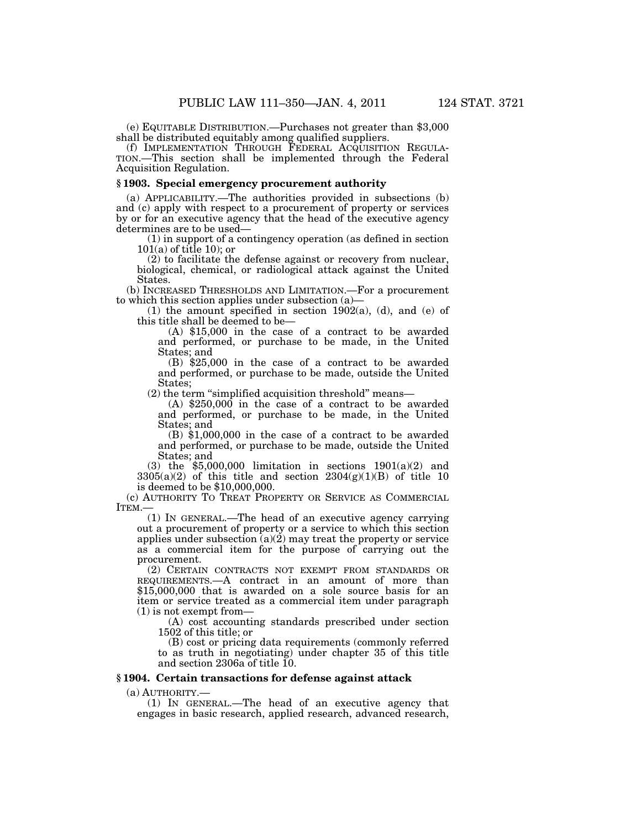(e) EQUITABLE DISTRIBUTION.—Purchases not greater than \$3,000 shall be distributed equitably among qualified suppliers.

(f) IMPLEMENTATION THROUGH FEDERAL ACQUISITION REGULA- TION.—This section shall be implemented through the Federal Acquisition Regulation.

# **§ 1903. Special emergency procurement authority**

(a) APPLICABILITY.—The authorities provided in subsections (b) and (c) apply with respect to a procurement of property or services by or for an executive agency that the head of the executive agency determines are to be used—

(1) in support of a contingency operation (as defined in section  $101(a)$  of title 10); or

(2) to facilitate the defense against or recovery from nuclear, biological, chemical, or radiological attack against the United States.

(b) INCREASED THRESHOLDS AND LIMITATION.—For a procurement to which this section applies under subsection (a)—

(1) the amount specified in section  $1902(a)$ , (d), and (e) of this title shall be deemed to be—

(A) \$15,000 in the case of a contract to be awarded and performed, or purchase to be made, in the United

 $(B)$  \$25,000 in the case of a contract to be awarded and performed, or purchase to be made, outside the United States;<br>(2) the term "simplified acquisition threshold" means—

(A)  $$250,000$  in the case of a contract to be awarded and performed, or purchase to be made, in the United

 $(B)$ \$1,000,000 in the case of a contract to be awarded and performed, or purchase to be made, outside the United

States; and<br>(3) the \$5,000,000 limitation in sections  $1901(a)(2)$  and  $3305(a)(2)$  of this title and section  $2304(g)(1)(B)$  of title 10 is deemed to be \$10,000,000.

(c) AUTHORITY TO TREAT PROPERTY OR SERVICE AS COMMERCIAL ITEM.—

(1) IN GENERAL.—The head of an executive agency carrying out a procurement of property or a service to which this section applies under subsection  $(a)(2)$  may treat the property or service as a commercial item for the purpose of carrying out the procurement.

(2) CERTAIN CONTRACTS NOT EXEMPT FROM STANDARDS OR REQUIREMENTS.—A contract in an amount of more than \$15,000,000 that is awarded on a sole source basis for an item or service treated as a commercial item under paragraph (1) is not exempt from—

(A) cost accounting standards prescribed under section 1502 of this title; or

(B) cost or pricing data requirements (commonly referred to as truth in negotiating) under chapter 35 of this title and section 2306a of title 10.

# **§ 1904. Certain transactions for defense against attack**

(a) AUTHORITY.— (1) IN GENERAL.—The head of an executive agency that engages in basic research, applied research, advanced research,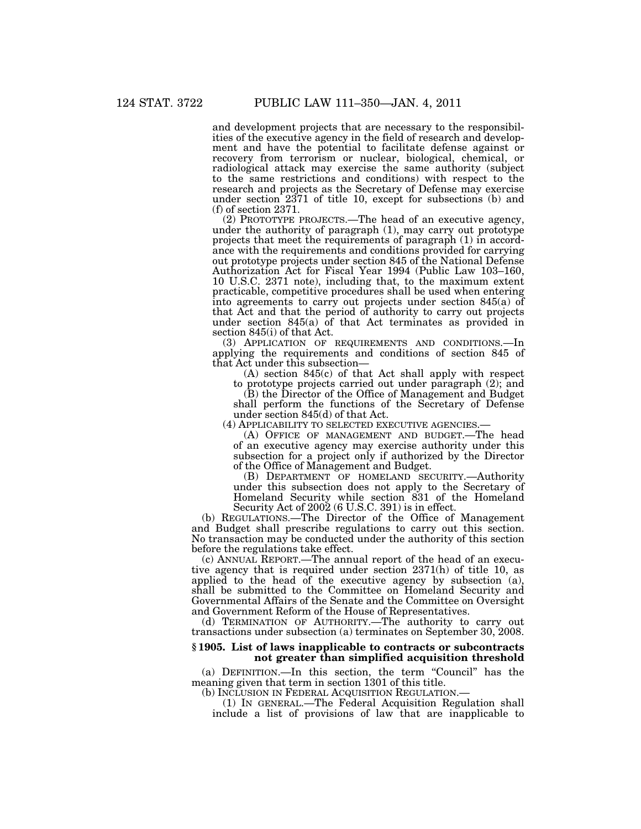and development projects that are necessary to the responsibilities of the executive agency in the field of research and development and have the potential to facilitate defense against or recovery from terrorism or nuclear, biological, chemical, or radiological attack may exercise the same authority (subject to the same restrictions and conditions) with respect to the research and projects as the Secretary of Defense may exercise under section 2371 of title 10, except for subsections (b) and (f) of section 2371.

(2) PROTOTYPE PROJECTS.—The head of an executive agency, under the authority of paragraph (1), may carry out prototype projects that meet the requirements of paragraph (1) in accordance with the requirements and conditions provided for carrying out prototype projects under section 845 of the National Defense Authorization Act for Fiscal Year 1994 (Public Law 103–160, 10 U.S.C. 2371 note), including that, to the maximum extent practicable, competitive procedures shall be used when entering into agreements to carry out projects under section 845(a) of that Act and that the period of authority to carry out projects under section 845(a) of that Act terminates as provided in section 845(i) of that Act.

(3) APPLICATION OF REQUIREMENTS AND CONDITIONS.—In applying the requirements and conditions of section 845 of that Act under this subsection—

(A) section 845(c) of that Act shall apply with respect to prototype projects carried out under paragraph (2); and

(B) the Director of the Office of Management and Budget shall perform the functions of the Secretary of Defense

under section 845(d) of that Act.<br>(4) APPLICABILITY TO SELECTED EXECUTIVE AGENCIES.

(A) OFFICE OF MANAGEMENT AND BUDGET.—The head of an executive agency may exercise authority under this subsection for a project only if authorized by the Director of the Office of Management and Budget.

(B) DEPARTMENT OF HOMELAND SECURITY.—Authority under this subsection does not apply to the Secretary of Homeland Security while section 831 of the Homeland Security Act of 2002 (6 U.S.C. 391) is in effect.

(b) REGULATIONS.—The Director of the Office of Management and Budget shall prescribe regulations to carry out this section. No transaction may be conducted under the authority of this section before the regulations take effect.

(c) ANNUAL REPORT.—The annual report of the head of an executive agency that is required under section 2371(h) of title 10, as applied to the head of the executive agency by subsection (a), shall be submitted to the Committee on Homeland Security and Governmental Affairs of the Senate and the Committee on Oversight and Government Reform of the House of Representatives.

(d) TERMINATION OF AUTHORITY.—The authority to carry out transactions under subsection (a) terminates on September 30, 2008.

# **§ 1905. List of laws inapplicable to contracts or subcontracts not greater than simplified acquisition threshold**

(a) DEFINITION.—In this section, the term ''Council'' has the meaning given that term in section 1301 of this title.

(b) INCLUSION IN FEDERAL ACQUISITION REGULATION.— (1) IN GENERAL.—The Federal Acquisition Regulation shall include a list of provisions of law that are inapplicable to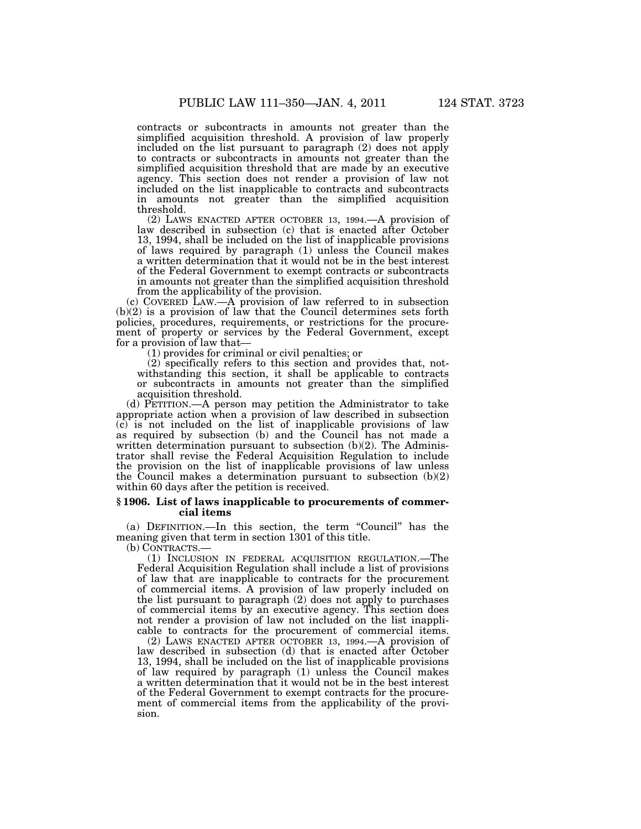contracts or subcontracts in amounts not greater than the simplified acquisition threshold. A provision of law properly included on the list pursuant to paragraph (2) does not apply to contracts or subcontracts in amounts not greater than the simplified acquisition threshold that are made by an executive

agency. This section does not render a provision of law not included on the list inapplicable to contracts and subcontracts in amounts not greater than the simplified acquisition threshold.

(2) LAWS ENACTED AFTER OCTOBER 13, 1994.—A provision of law described in subsection (c) that is enacted after October 13, 1994, shall be included on the list of inapplicable provisions of laws required by paragraph (1) unless the Council makes a written determination that it would not be in the best interest of the Federal Government to exempt contracts or subcontracts in amounts not greater than the simplified acquisition threshold from the applicability of the provision.

(c) COVERED LAW.—A provision of law referred to in subsection (b)(2) is a provision of law that the Council determines sets forth policies, procedures, requirements, or restrictions for the procurement of property or services by the Federal Government, except for a provision of law that—

(1) provides for criminal or civil penalties; or

(2) specifically refers to this section and provides that, notwithstanding this section, it shall be applicable to contracts or subcontracts in amounts not greater than the simplified acquisition threshold.

(d) PETITION.—A person may petition the Administrator to take appropriate action when a provision of law described in subsection (c) is not included on the list of inapplicable provisions of law as required by subsection (b) and the Council has not made a written determination pursuant to subsection (b)(2). The Administrator shall revise the Federal Acquisition Regulation to include the provision on the list of inapplicable provisions of law unless the Council makes a determination pursuant to subsection (b)(2) within 60 days after the petition is received.

# **§ 1906. List of laws inapplicable to procurements of commercial items**

(a) DEFINITION.—In this section, the term ''Council'' has the meaning given that term in section 1301 of this title.

(b) CONTRACTS.— (1) INCLUSION IN FEDERAL ACQUISITION REGULATION.—The Federal Acquisition Regulation shall include a list of provisions of law that are inapplicable to contracts for the procurement of commercial items. A provision of law properly included on the list pursuant to paragraph (2) does not apply to purchases of commercial items by an executive agency. This section does not render a provision of law not included on the list inapplicable to contracts for the procurement of commercial items.

(2) LAWS ENACTED AFTER OCTOBER 13, 1994.—A provision of law described in subsection (d) that is enacted after October 13, 1994, shall be included on the list of inapplicable provisions of law required by paragraph (1) unless the Council makes a written determination that it would not be in the best interest of the Federal Government to exempt contracts for the procurement of commercial items from the applicability of the provision.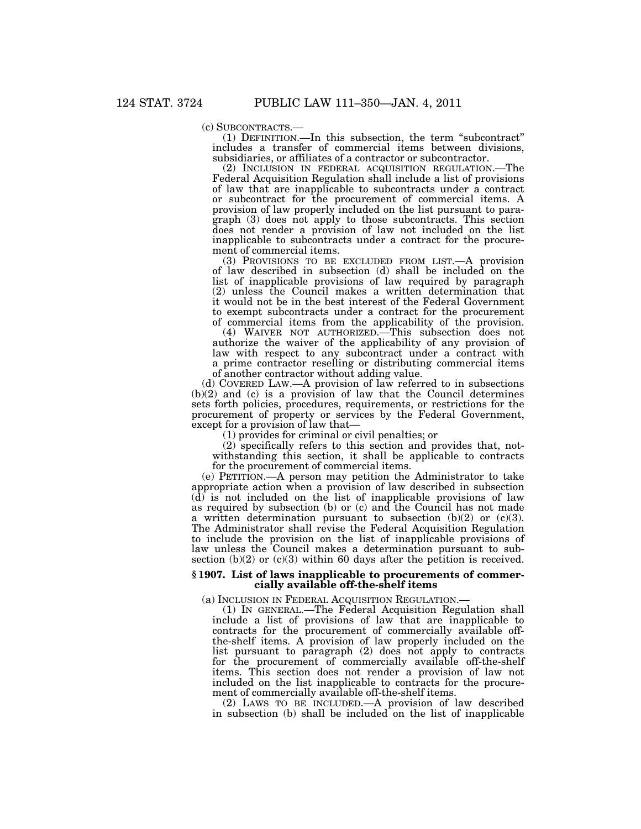(c) SUBCONTRACTS.— (1) DEFINITION.—In this subsection, the term ''subcontract'' includes a transfer of commercial items between divisions, subsidiaries, or affiliates of a contractor or subcontractor.

(2) INCLUSION IN FEDERAL ACQUISITION REGULATION.—The Federal Acquisition Regulation shall include a list of provisions of law that are inapplicable to subcontracts under a contract or subcontract for the procurement of commercial items. A provision of law properly included on the list pursuant to paragraph (3) does not apply to those subcontracts. This section does not render a provision of law not included on the list inapplicable to subcontracts under a contract for the procurement of commercial items.

(3) PROVISIONS TO BE EXCLUDED FROM LIST.—A provision of law described in subsection (d) shall be included on the list of inapplicable provisions of law required by paragraph (2) unless the Council makes a written determination that it would not be in the best interest of the Federal Government to exempt subcontracts under a contract for the procurement of commercial items from the applicability of the provision.

(4) WAIVER NOT AUTHORIZED.—This subsection does not authorize the waiver of the applicability of any provision of law with respect to any subcontract under a contract with a prime contractor reselling or distributing commercial items of another contractor without adding value.

(d) COVERED LAW.—A provision of law referred to in subsections (b)(2) and (c) is a provision of law that the Council determines sets forth policies, procedures, requirements, or restrictions for the procurement of property or services by the Federal Government, except for a provision of law that—

(1) provides for criminal or civil penalties; or

(2) specifically refers to this section and provides that, notwithstanding this section, it shall be applicable to contracts for the procurement of commercial items.

(e) PETITION.—A person may petition the Administrator to take appropriate action when a provision of law described in subsection (d) is not included on the list of inapplicable provisions of law as required by subsection (b) or (c) and the Council has not made a written determination pursuant to subsection (b)(2) or (c)(3). The Administrator shall revise the Federal Acquisition Regulation to include the provision on the list of inapplicable provisions of law unless the Council makes a determination pursuant to subsection  $(b)(2)$  or  $(c)(3)$  within 60 days after the petition is received.

# **§ 1907. List of laws inapplicable to procurements of commercially available off-the-shelf items**

(a) INCLUSION IN FEDERAL ACQUISITION REGULATION.— (1) IN GENERAL.—The Federal Acquisition Regulation shall include a list of provisions of law that are inapplicable to contracts for the procurement of commercially available offthe-shelf items. A provision of law properly included on the list pursuant to paragraph (2) does not apply to contracts for the procurement of commercially available off-the-shelf items. This section does not render a provision of law not included on the list inapplicable to contracts for the procurement of commercially available off-the-shelf items.

(2) LAWS TO BE INCLUDED.—A provision of law described in subsection (b) shall be included on the list of inapplicable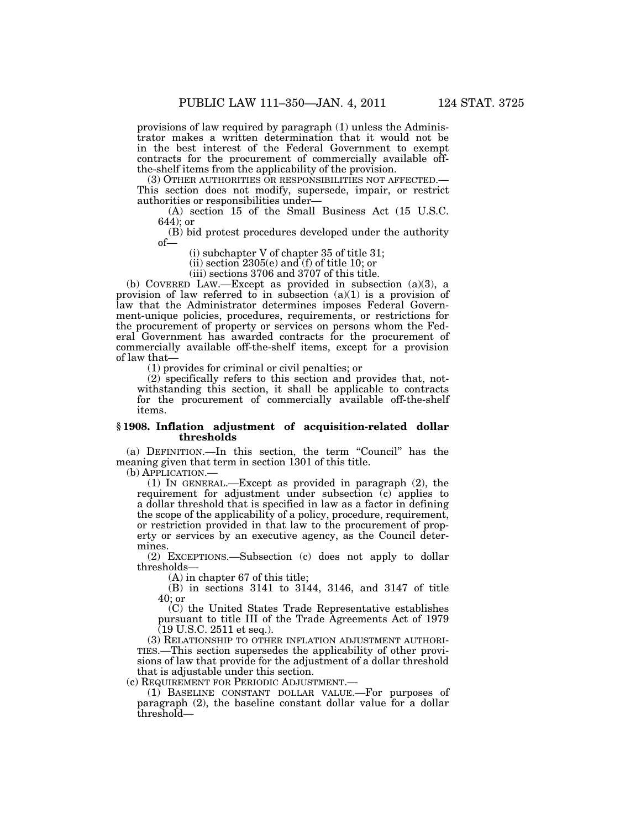provisions of law required by paragraph (1) unless the Administrator makes a written determination that it would not be in the best interest of the Federal Government to exempt contracts for the procurement of commercially available offthe-shelf items from the applicability of the provision.<br>(3) OTHER AUTHORITIES OR RESPONSIBILITIES NOT AFFECTED.—

This section does not modify, supersede, impair, or restrict authorities or responsibilities under—

(A) section 15 of the Small Business Act (15 U.S.C. 644); or

(B) bid protest procedures developed under the authority of—

(i) subchapter V of chapter 35 of title 31;

(ii) section 2305(e) and (f) of title 10; or

(iii) sections 3706 and 3707 of this title.

(b) COVERED LAW.—Except as provided in subsection (a)(3), a provision of law referred to in subsection  $(a)(1)$  is a provision of law that the Administrator determines imposes Federal Government-unique policies, procedures, requirements, or restrictions for the procurement of property or services on persons whom the Federal Government has awarded contracts for the procurement of commercially available off-the-shelf items, except for a provision of law that—

(1) provides for criminal or civil penalties; or

(2) specifically refers to this section and provides that, notwithstanding this section, it shall be applicable to contracts for the procurement of commercially available off-the-shelf items.

### **§ 1908. Inflation adjustment of acquisition-related dollar thresholds**

(a) DEFINITION.—In this section, the term ''Council'' has the meaning given that term in section 1301 of this title.

(b) APPLICATION.—

(1) IN GENERAL.—Except as provided in paragraph (2), the requirement for adjustment under subsection (c) applies to a dollar threshold that is specified in law as a factor in defining the scope of the applicability of a policy, procedure, requirement, or restriction provided in that law to the procurement of property or services by an executive agency, as the Council determines.

(2) EXCEPTIONS.—Subsection (c) does not apply to dollar thresholds—

(A) in chapter 67 of this title;

(B) in sections 3141 to 3144, 3146, and 3147 of title 40; or

(C) the United States Trade Representative establishes pursuant to title III of the Trade Agreements Act of 1979 (19 U.S.C. 2511 et seq.).

(3) RELATIONSHIP TO OTHER INFLATION ADJUSTMENT AUTHORI-TIES.—This section supersedes the applicability of other provisions of law that provide for the adjustment of a dollar threshold that is adjustable under this section.

(c) REQUIREMENT FOR PERIODIC ADJUSTMENT.—

(1) BASELINE CONSTANT DOLLAR VALUE.—For purposes of paragraph (2), the baseline constant dollar value for a dollar threshold—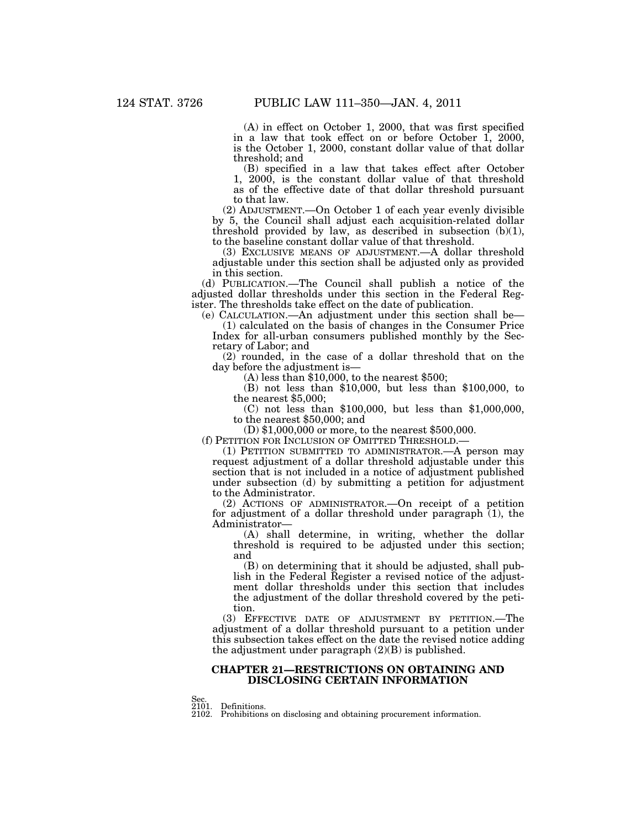(A) in effect on October 1, 2000, that was first specified in a law that took effect on or before October 1, 2000, is the October 1, 2000, constant dollar value of that dollar threshold; and

(B) specified in a law that takes effect after October 1, 2000, is the constant dollar value of that threshold as of the effective date of that dollar threshold pursuant to that law.

(2) ADJUSTMENT.—On October 1 of each year evenly divisible by 5, the Council shall adjust each acquisition-related dollar threshold provided by law, as described in subsection  $(b)(1)$ , to the baseline constant dollar value of that threshold.

(3) EXCLUSIVE MEANS OF ADJUSTMENT.—A dollar threshold adjustable under this section shall be adjusted only as provided in this section.

(d) PUBLICATION.—The Council shall publish a notice of the adjusted dollar thresholds under this section in the Federal Register. The thresholds take effect on the date of publication.

(e) CALCULATION.—An adjustment under this section shall be— (1) calculated on the basis of changes in the Consumer Price Index for all-urban consumers published monthly by the Secretary of Labor; and

(2) rounded, in the case of a dollar threshold that on the day before the adjustment is—

(A) less than \$10,000, to the nearest \$500;

(B) not less than \$10,000, but less than \$100,000, to the nearest \$5,000;

(C) not less than \$100,000, but less than \$1,000,000, to the nearest \$50,000; and

(D) \$1,000,000 or more, to the nearest \$500,000.

(f) PETITION FOR INCLUSION OF OMITTED THRESHOLD.—

(1) PETITION SUBMITTED TO ADMINISTRATOR.—A person may request adjustment of a dollar threshold adjustable under this section that is not included in a notice of adjustment published under subsection (d) by submitting a petition for adjustment to the Administrator.

(2) ACTIONS OF ADMINISTRATOR.—On receipt of a petition for adjustment of a dollar threshold under paragraph  $(1)$ , the Administrator—

(A) shall determine, in writing, whether the dollar threshold is required to be adjusted under this section; and

(B) on determining that it should be adjusted, shall publish in the Federal Register a revised notice of the adjustment dollar thresholds under this section that includes the adjustment of the dollar threshold covered by the petition.

(3) EFFECTIVE DATE OF ADJUSTMENT BY PETITION.—The adjustment of a dollar threshold pursuant to a petition under this subsection takes effect on the date the revised notice adding the adjustment under paragraph (2)(B) is published.

# **CHAPTER 21—RESTRICTIONS ON OBTAINING AND DISCLOSING CERTAIN INFORMATION**



2101. Definitions. 2102. Prohibitions on disclosing and obtaining procurement information.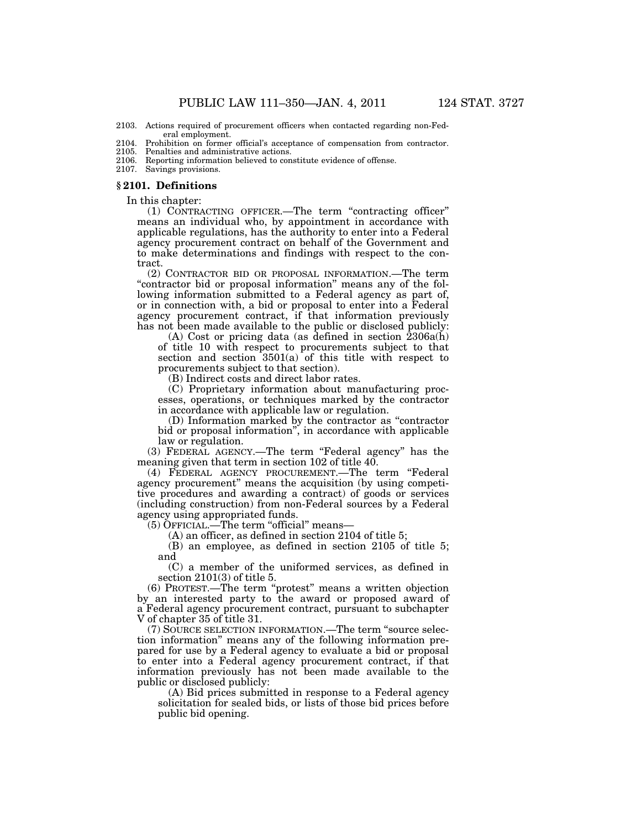2103. Actions required of procurement officers when contacted regarding non-Federal employment.

2104. Prohibition on former official's acceptance of compensation from contractor.

2105. Penalties and administrative actions.

2106. Reporting information believed to constitute evidence of offense.

2107. Savings provisions.

### **§ 2101. Definitions**

In this chapter:

(1) CONTRACTING OFFICER.—The term ''contracting officer'' means an individual who, by appointment in accordance with applicable regulations, has the authority to enter into a Federal agency procurement contract on behalf of the Government and to make determinations and findings with respect to the contract.

(2) CONTRACTOR BID OR PROPOSAL INFORMATION.—The term "contractor bid or proposal information" means any of the following information submitted to a Federal agency as part of, or in connection with, a bid or proposal to enter into a Federal agency procurement contract, if that information previously has not been made available to the public or disclosed publicly:

(A) Cost or pricing data (as defined in section 2306a(h) of title 10 with respect to procurements subject to that section and section 3501(a) of this title with respect to procurements subject to that section).

(B) Indirect costs and direct labor rates.

(C) Proprietary information about manufacturing processes, operations, or techniques marked by the contractor in accordance with applicable law or regulation.

(D) Information marked by the contractor as ''contractor bid or proposal information'', in accordance with applicable law or regulation.

(3) FEDERAL AGENCY.—The term ''Federal agency'' has the meaning given that term in section 102 of title 40.

(4) FEDERAL AGENCY PROCUREMENT.—The term ''Federal agency procurement'' means the acquisition (by using competitive procedures and awarding a contract) of goods or services (including construction) from non-Federal sources by a Federal agency using appropriated funds.

(5) OFFICIAL.—The term "official" means-

(A) an officer, as defined in section 2104 of title 5;

(B) an employee, as defined in section 2105 of title 5; and

(C) a member of the uniformed services, as defined in section 2101(3) of title 5.

(6) PROTEST.—The term ''protest'' means a written objection by an interested party to the award or proposed award of a Federal agency procurement contract, pursuant to subchapter V of chapter 35 of title 31.

(7) SOURCE SELECTION INFORMATION.—The term ''source selection information'' means any of the following information prepared for use by a Federal agency to evaluate a bid or proposal to enter into a Federal agency procurement contract, if that information previously has not been made available to the public or disclosed publicly:

(A) Bid prices submitted in response to a Federal agency solicitation for sealed bids, or lists of those bid prices before public bid opening.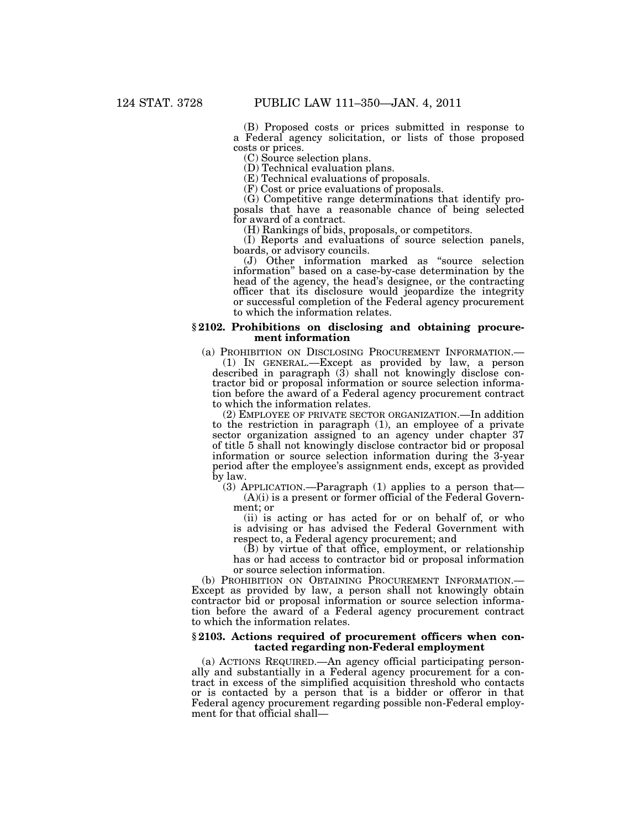(B) Proposed costs or prices submitted in response to a Federal agency solicitation, or lists of those proposed costs or prices.

(C) Source selection plans.

(D) Technical evaluation plans.

(E) Technical evaluations of proposals.

(F) Cost or price evaluations of proposals.

(G) Competitive range determinations that identify proposals that have a reasonable chance of being selected for award of a contract.

(H) Rankings of bids, proposals, or competitors.

(I) Reports and evaluations of source selection panels, boards, or advisory councils.

(J) Other information marked as ''source selection information'' based on a case-by-case determination by the head of the agency, the head's designee, or the contracting officer that its disclosure would jeopardize the integrity or successful completion of the Federal agency procurement to which the information relates.

# **§ 2102. Prohibitions on disclosing and obtaining procurement information**

(a) PROHIBITION ON DISCLOSING PROCUREMENT INFORMATION.— (1) IN GENERAL.—Except as provided by law, a person

described in paragraph (3) shall not knowingly disclose contractor bid or proposal information or source selection information before the award of a Federal agency procurement contract to which the information relates.

(2) EMPLOYEE OF PRIVATE SECTOR ORGANIZATION.—In addition to the restriction in paragraph (1), an employee of a private sector organization assigned to an agency under chapter 37 of title 5 shall not knowingly disclose contractor bid or proposal information or source selection information during the 3-year period after the employee's assignment ends, except as provided by law.

(3) APPLICATION.—Paragraph (1) applies to a person that—  $(A)(i)$  is a present or former official of the Federal Government; or

(ii) is acting or has acted for or on behalf of, or who is advising or has advised the Federal Government with respect to, a Federal agency procurement; and

(B) by virtue of that office, employment, or relationship has or had access to contractor bid or proposal information or source selection information.<br>
(b) PROHIBITION ON OBTAINING PROCUREMENT INFORMATION.—

Except as provided by law, a person shall not knowingly obtain contractor bid or proposal information or source selection information before the award of a Federal agency procurement contract to which the information relates.

# **§ 2103. Actions required of procurement officers when contacted regarding non-Federal employment**

(a) ACTIONS REQUIRED.—An agency official participating personally and substantially in a Federal agency procurement for a contract in excess of the simplified acquisition threshold who contacts or is contacted by a person that is a bidder or offeror in that Federal agency procurement regarding possible non-Federal employment for that official shall—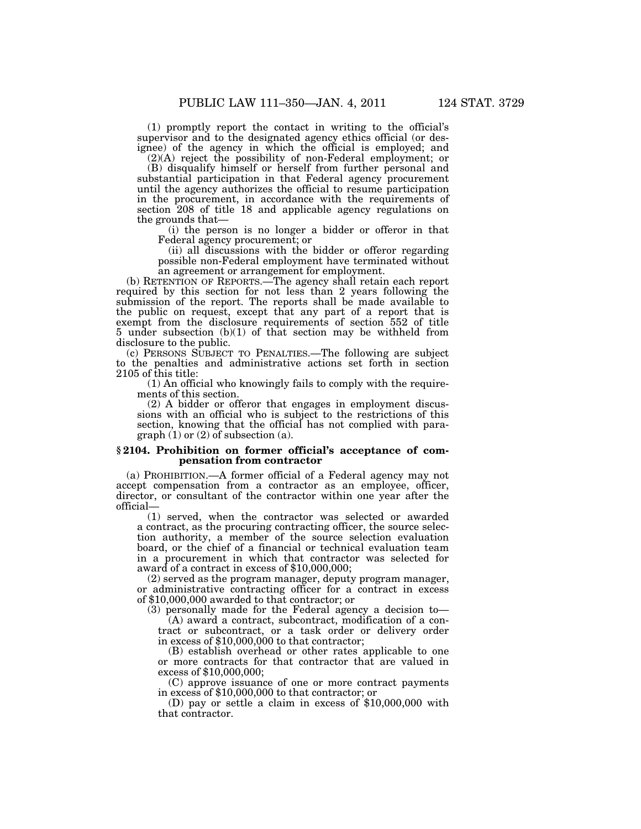(1) promptly report the contact in writing to the official's supervisor and to the designated agency ethics official (or designee) of the agency in which the official is employed; and

(2)(A) reject the possibility of non-Federal employment; or

(B) disqualify himself or herself from further personal and substantial participation in that Federal agency procurement until the agency authorizes the official to resume participation in the procurement, in accordance with the requirements of section 208 of title 18 and applicable agency regulations on the grounds that—

(i) the person is no longer a bidder or offeror in that Federal agency procurement; or

(ii) all discussions with the bidder or offeror regarding possible non-Federal employment have terminated without an agreement or arrangement for employment.

(b) RETENTION OF REPORTS.—The agency shall retain each report required by this section for not less than 2 years following the submission of the report. The reports shall be made available to the public on request, except that any part of a report that is exempt from the disclosure requirements of section 552 of title 5 under subsection (b)(1) of that section may be withheld from disclosure to the public.

(c) PERSONS SUBJECT TO PENALTIES.—The following are subject to the penalties and administrative actions set forth in section 2105 of this title:

(1) An official who knowingly fails to comply with the requirements of this section.

(2) A bidder or offeror that engages in employment discussions with an official who is subject to the restrictions of this section, knowing that the official has not complied with para $graph (1)$  or  $(2)$  of subsection  $(a)$ .

# **§ 2104. Prohibition on former official's acceptance of compensation from contractor**

(a) PROHIBITION.—A former official of a Federal agency may not accept compensation from a contractor as an employee, officer, director, or consultant of the contractor within one year after the official—

(1) served, when the contractor was selected or awarded a contract, as the procuring contracting officer, the source selection authority, a member of the source selection evaluation board, or the chief of a financial or technical evaluation team in a procurement in which that contractor was selected for award of a contract in excess of \$10,000,000;

(2) served as the program manager, deputy program manager, or administrative contracting officer for a contract in excess of \$10,000,000 awarded to that contractor; or

(3) personally made for the Federal agency a decision to— (A) award a contract, subcontract, modification of a contract or subcontract, or a task order or delivery order in excess of \$10,000,000 to that contractor;

(B) establish overhead or other rates applicable to one or more contracts for that contractor that are valued in excess of \$10,000,000;<br>(C) approve issuance of one or more contract payments

in excess of  $$10,000,000$  to that contractor; or (D) pay or settle a claim in excess of  $$10,000,000$  with

that contractor.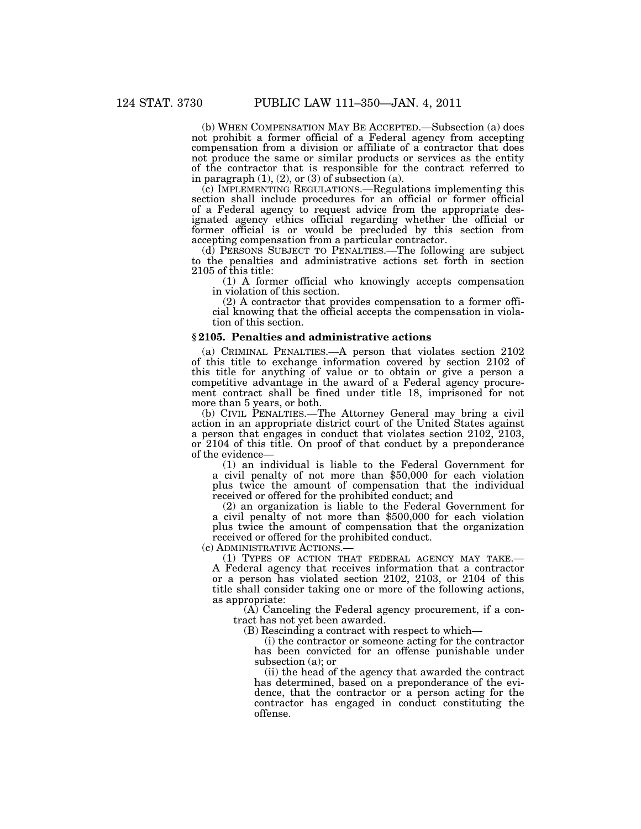(b) WHEN COMPENSATION MAY BE ACCEPTED.—Subsection (a) does not prohibit a former official of a Federal agency from accepting compensation from a division or affiliate of a contractor that does not produce the same or similar products or services as the entity of the contractor that is responsible for the contract referred to in paragraph  $(1)$ ,  $(2)$ , or  $(3)$  of subsection  $(a)$ .

(c) IMPLEMENTING REGULATIONS.—Regulations implementing this section shall include procedures for an official or former official of a Federal agency to request advice from the appropriate designated agency ethics official regarding whether the official or former official is or would be precluded by this section from accepting compensation from a particular contractor.

(d) PERSONS SUBJECT TO PENALTIES.—The following are subject to the penalties and administrative actions set forth in section 2105 of this title:

(1) A former official who knowingly accepts compensation in violation of this section.

(2) A contractor that provides compensation to a former official knowing that the official accepts the compensation in violation of this section.

### **§ 2105. Penalties and administrative actions**

(a) CRIMINAL PENALTIES.—A person that violates section 2102 of this title to exchange information covered by section 2102 of this title for anything of value or to obtain or give a person a competitive advantage in the award of a Federal agency procurement contract shall be fined under title 18, imprisoned for not more than 5 years, or both.

(b) CIVIL PENALTIES.—The Attorney General may bring a civil action in an appropriate district court of the United States against a person that engages in conduct that violates section 2102, 2103, or 2104 of this title. On proof of that conduct by a preponderance of the evidence—

(1) an individual is liable to the Federal Government for a civil penalty of not more than \$50,000 for each violation plus twice the amount of compensation that the individual received or offered for the prohibited conduct; and<br>(2) an organization is liable to the Federal Government for

a civil penalty of not more than \$500,000 for each violation plus twice the amount of compensation that the organization received or offered for the prohibited conduct.<br>(c) ADMINISTRATIVE ACTIONS.—

(1) TYPES OF ACTION THAT FEDERAL AGENCY MAY TAKE.— A Federal agency that receives information that a contractor or a person has violated section 2102, 2103, or 2104 of this title shall consider taking one or more of the following actions, as appropriate:

(A) Canceling the Federal agency procurement, if a contract has not yet been awarded.

(B) Rescinding a contract with respect to which—

(i) the contractor or someone acting for the contractor has been convicted for an offense punishable under subsection (a); or

(ii) the head of the agency that awarded the contract has determined, based on a preponderance of the evidence, that the contractor or a person acting for the contractor has engaged in conduct constituting the offense.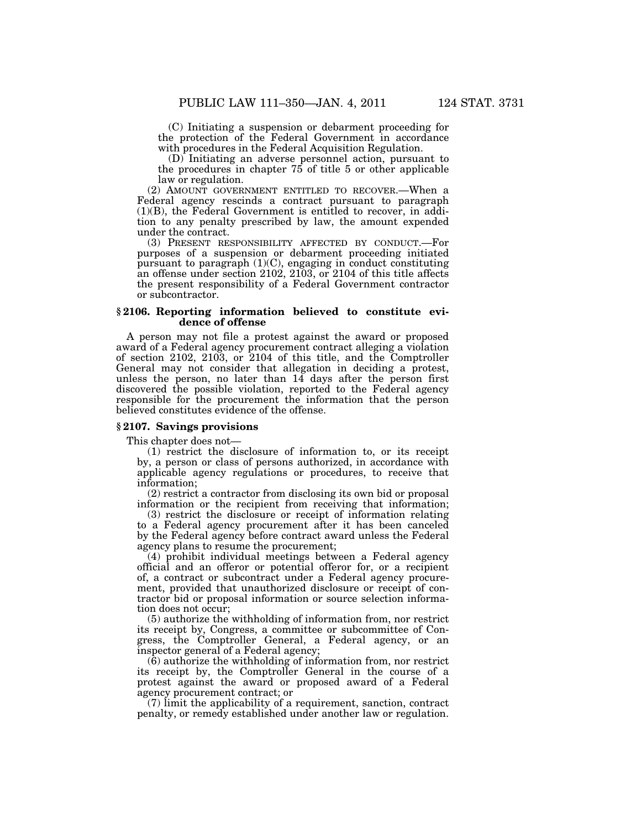(C) Initiating a suspension or debarment proceeding for the protection of the Federal Government in accordance with procedures in the Federal Acquisition Regulation.

(D) Initiating an adverse personnel action, pursuant to the procedures in chapter 75 of title 5 or other applicable law or regulation.

(2) AMOUNT GOVERNMENT ENTITLED TO RECOVER.—When a Federal agency rescinds a contract pursuant to paragraph (1)(B), the Federal Government is entitled to recover, in addition to any penalty prescribed by law, the amount expended under the contract.

(3) PRESENT RESPONSIBILITY AFFECTED BY CONDUCT.—For purposes of a suspension or debarment proceeding initiated pursuant to paragraph (1)(C), engaging in conduct constituting an offense under section 2102, 2103, or 2104 of this title affects the present responsibility of a Federal Government contractor or subcontractor.

# **§ 2106. Reporting information believed to constitute evidence of offense**

A person may not file a protest against the award or proposed award of a Federal agency procurement contract alleging a violation of section 2102, 2103, or 2104 of this title, and the Comptroller General may not consider that allegation in deciding a protest, unless the person, no later than  $14$  days after the person first discovered the possible violation, reported to the Federal agency responsible for the procurement the information that the person believed constitutes evidence of the offense.

# **§ 2107. Savings provisions**

This chapter does not—

(1) restrict the disclosure of information to, or its receipt by, a person or class of persons authorized, in accordance with applicable agency regulations or procedures, to receive that information;

(2) restrict a contractor from disclosing its own bid or proposal information or the recipient from receiving that information;

(3) restrict the disclosure or receipt of information relating to a Federal agency procurement after it has been canceled by the Federal agency before contract award unless the Federal agency plans to resume the procurement;

(4) prohibit individual meetings between a Federal agency official and an offeror or potential offeror for, or a recipient of, a contract or subcontract under a Federal agency procurement, provided that unauthorized disclosure or receipt of contractor bid or proposal information or source selection information does not occur;

(5) authorize the withholding of information from, nor restrict its receipt by, Congress, a committee or subcommittee of Congress, the Comptroller General, a Federal agency, or an inspector general of a Federal agency;

(6) authorize the withholding of information from, nor restrict its receipt by, the Comptroller General in the course of a protest against the award or proposed award of a Federal agency procurement contract; or

(7) limit the applicability of a requirement, sanction, contract penalty, or remedy established under another law or regulation.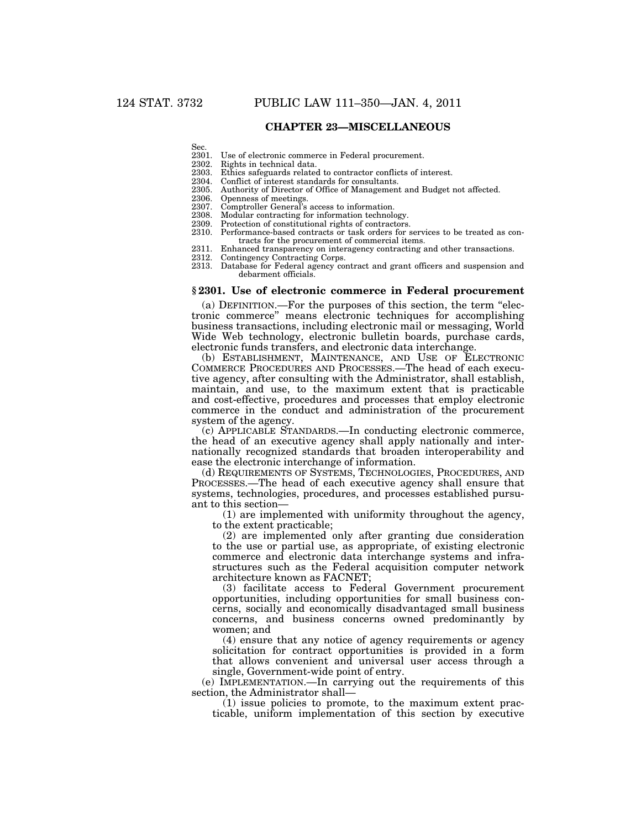# **CHAPTER 23—MISCELLANEOUS**

- Sec.<br>2301. 2301. Use of electronic commerce in Federal procurement.
- 2302. Rights in technical data.
- 2303. Ethics safeguards related to contractor conflicts of interest.<br>2304. Conflict of interest standards for consultants.
- 2304. Conflict of interest standards for consultants.<br>2305. Authority of Director of Office of Managemen
- 2305. Authority of Director of Office of Management and Budget not affected.
- 2306. Openness of meetings.<br>2307. Comptroller General's
- 2307. Comptroller General's access to information.<br>2308. Modular contracting for information technole
- 2308. Modular contracting for information technology.<br>2309. Protection of constitutional rights of contractors.
- Protection of constitutional rights of contractors.
- 2310. Performance-based contracts or task orders for services to be treated as contracts for the procurement of commercial items.
- 2311. Enhanced transparency on interagency contracting and other transactions.<br>2312. Contingency Contracting Corps.
- Contingency Contracting Corps.
- 2313. Database for Federal agency contract and grant officers and suspension and debarment officials.

# **§ 2301. Use of electronic commerce in Federal procurement**

(a) DEFINITION.—For the purposes of this section, the term ''electronic commerce'' means electronic techniques for accomplishing business transactions, including electronic mail or messaging, World Wide Web technology, electronic bulletin boards, purchase cards, electronic funds transfers, and electronic data interchange.

(b) ESTABLISHMENT, MAINTENANCE, AND USE OF ELECTRONIC COMMERCE PROCEDURES AND PROCESSES.—The head of each executive agency, after consulting with the Administrator, shall establish, maintain, and use, to the maximum extent that is practicable and cost-effective, procedures and processes that employ electronic commerce in the conduct and administration of the procurement system of the agency.

(c) APPLICABLE STANDARDS.—In conducting electronic commerce, the head of an executive agency shall apply nationally and internationally recognized standards that broaden interoperability and ease the electronic interchange of information.

(d) REQUIREMENTS OF SYSTEMS, TECHNOLOGIES, PROCEDURES, AND PROCESSES.—The head of each executive agency shall ensure that systems, technologies, procedures, and processes established pursuant to this section—

(1) are implemented with uniformity throughout the agency, to the extent practicable;

(2) are implemented only after granting due consideration to the use or partial use, as appropriate, of existing electronic commerce and electronic data interchange systems and infrastructures such as the Federal acquisition computer network architecture known as FACNET;

(3) facilitate access to Federal Government procurement opportunities, including opportunities for small business concerns, socially and economically disadvantaged small business concerns, and business concerns owned predominantly by women; and

(4) ensure that any notice of agency requirements or agency solicitation for contract opportunities is provided in a form that allows convenient and universal user access through a single, Government-wide point of entry.

(e) IMPLEMENTATION.—In carrying out the requirements of this section, the Administrator shall—

(1) issue policies to promote, to the maximum extent practicable, uniform implementation of this section by executive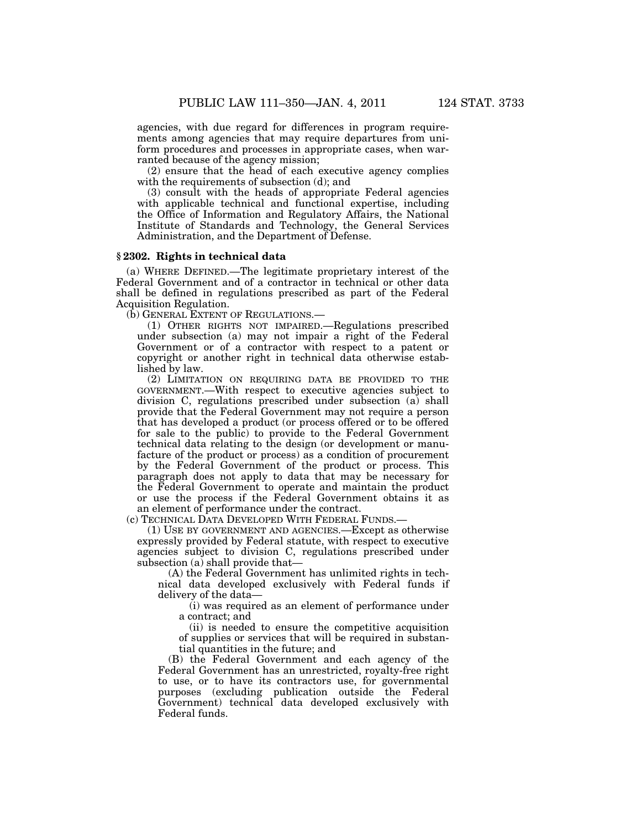agencies, with due regard for differences in program requirements among agencies that may require departures from uniform procedures and processes in appropriate cases, when warranted because of the agency mission;

(2) ensure that the head of each executive agency complies with the requirements of subsection (d); and

(3) consult with the heads of appropriate Federal agencies with applicable technical and functional expertise, including the Office of Information and Regulatory Affairs, the National Institute of Standards and Technology, the General Services Administration, and the Department of Defense.

### **§ 2302. Rights in technical data**

(a) WHERE DEFINED.—The legitimate proprietary interest of the Federal Government and of a contractor in technical or other data shall be defined in regulations prescribed as part of the Federal Acquisition Regulation.

(b) GENERAL EXTENT OF REGULATIONS.—

(1) OTHER RIGHTS NOT IMPAIRED.—Regulations prescribed under subsection (a) may not impair a right of the Federal Government or of a contractor with respect to a patent or copyright or another right in technical data otherwise established by law.

(2) LIMITATION ON REQUIRING DATA BE PROVIDED TO THE GOVERNMENT.—With respect to executive agencies subject to division C, regulations prescribed under subsection (a) shall provide that the Federal Government may not require a person that has developed a product (or process offered or to be offered for sale to the public) to provide to the Federal Government technical data relating to the design (or development or manufacture of the product or process) as a condition of procurement by the Federal Government of the product or process. This paragraph does not apply to data that may be necessary for the Federal Government to operate and maintain the product or use the process if the Federal Government obtains it as an element of performance under the contract.

(c) TECHNICAL DATA DEVELOPED WITH FEDERAL FUNDS.—

(1) USE BY GOVERNMENT AND AGENCIES.—Except as otherwise expressly provided by Federal statute, with respect to executive agencies subject to division C, regulations prescribed under subsection (a) shall provide that—

(A) the Federal Government has unlimited rights in technical data developed exclusively with Federal funds if delivery of the data—

(i) was required as an element of performance under a contract; and

(ii) is needed to ensure the competitive acquisition of supplies or services that will be required in substantial quantities in the future; and

(B) the Federal Government and each agency of the Federal Government has an unrestricted, royalty-free right to use, or to have its contractors use, for governmental purposes (excluding publication outside the Federal Government) technical data developed exclusively with Federal funds.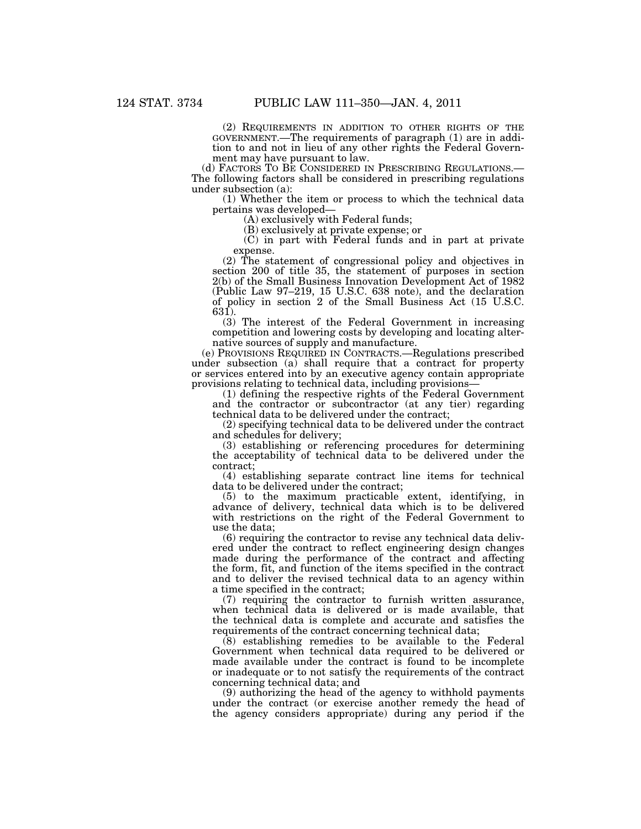(2) REQUIREMENTS IN ADDITION TO OTHER RIGHTS OF THE GOVERNMENT.—The requirements of paragraph (1) are in addition to and not in lieu of any other rights the Federal Govern-

ment may have pursuant to law.<br>(d) FACTORS TO BE CONSIDERED IN PRESCRIBING REGULATIONS.— The following factors shall be considered in prescribing regulations. under subsection (a):

(1) Whether the item or process to which the technical data pertains was developed—

(A) exclusively with Federal funds;

(B) exclusively at private expense; or

(C) in part with Federal funds and in part at private expense.

(2) The statement of congressional policy and objectives in section 200 of title 35, the statement of purposes in section 2(b) of the Small Business Innovation Development Act of 1982 (Public Law 97–219, 15 U.S.C. 638 note), and the declaration of policy in section 2 of the Small Business Act (15 U.S.C. 631).

(3) The interest of the Federal Government in increasing competition and lowering costs by developing and locating alternative sources of supply and manufacture.

(e) PROVISIONS REQUIRED IN CONTRACTS.—Regulations prescribed under subsection (a) shall require that a contract for property or services entered into by an executive agency contain appropriate provisions relating to technical data, including provisions—

(1) defining the respective rights of the Federal Government and the contractor or subcontractor (at any tier) regarding technical data to be delivered under the contract;

(2) specifying technical data to be delivered under the contract and schedules for delivery;

(3) establishing or referencing procedures for determining the acceptability of technical data to be delivered under the contract;

(4) establishing separate contract line items for technical data to be delivered under the contract;

(5) to the maximum practicable extent, identifying, in advance of delivery, technical data which is to be delivered with restrictions on the right of the Federal Government to use the data;

(6) requiring the contractor to revise any technical data delivered under the contract to reflect engineering design changes made during the performance of the contract and affecting the form, fit, and function of the items specified in the contract and to deliver the revised technical data to an agency within a time specified in the contract;

(7) requiring the contractor to furnish written assurance, when technical data is delivered or is made available, that the technical data is complete and accurate and satisfies the requirements of the contract concerning technical data;

(8) establishing remedies to be available to the Federal Government when technical data required to be delivered or made available under the contract is found to be incomplete or inadequate or to not satisfy the requirements of the contract concerning technical data; and

(9) authorizing the head of the agency to withhold payments under the contract (or exercise another remedy the head of the agency considers appropriate) during any period if the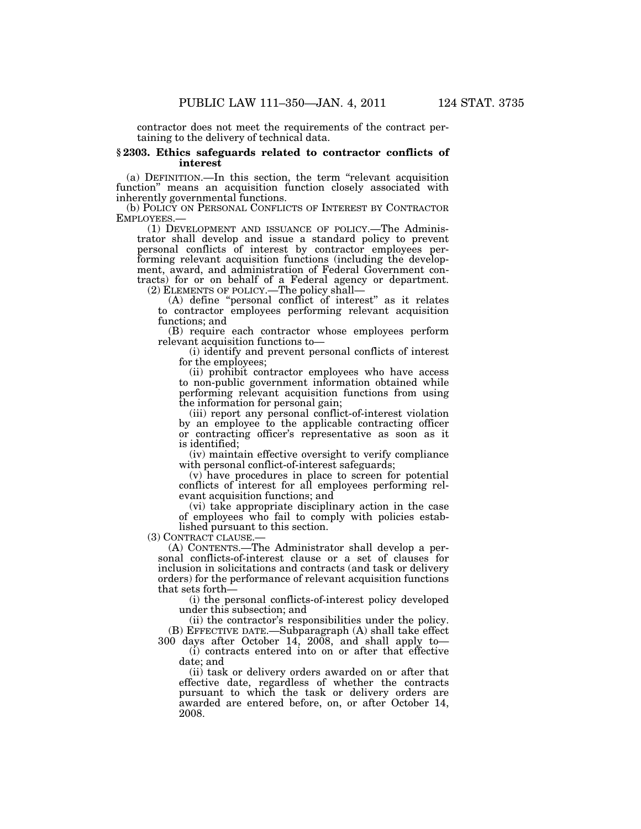contractor does not meet the requirements of the contract pertaining to the delivery of technical data.

# **§ 2303. Ethics safeguards related to contractor conflicts of interest**

(a) DEFINITION.—In this section, the term ''relevant acquisition function'' means an acquisition function closely associated with inherently governmental functions.

(b) POLICY ON PERSONAL CONFLICTS OF INTEREST BY CONTRACTOR EMPLOYEES.—

 $(1)$  DEVELOPMENT AND ISSUANCE OF POLICY.—The Administrator shall develop and issue a standard policy to prevent personal conflicts of interest by contractor employees performing relevant acquisition functions (including the development, award, and administration of Federal Government contracts) for or on behalf of a Federal agency or department. (2) ELEMENTS OF POLICY.—The policy shall—

(A) define ''personal conflict of interest'' as it relates to contractor employees performing relevant acquisition functions; and

(B) require each contractor whose employees perform relevant acquisition functions to—

(i) identify and prevent personal conflicts of interest for the employees;

(ii) prohibit contractor employees who have access to non-public government information obtained while performing relevant acquisition functions from using the information for personal gain;

(iii) report any personal conflict-of-interest violation by an employee to the applicable contracting officer or contracting officer's representative as soon as it is identified;

(iv) maintain effective oversight to verify compliance with personal conflict-of-interest safeguards;

(v) have procedures in place to screen for potential conflicts of interest for all employees performing relevant acquisition functions; and

(vi) take appropriate disciplinary action in the case of employees who fail to comply with policies established pursuant to this section.

(3) CONTRACT CLAUSE.— (A) CONTENTS.—The Administrator shall develop a personal conflicts-of-interest clause or a set of clauses for inclusion in solicitations and contracts (and task or delivery orders) for the performance of relevant acquisition functions that sets forth—

(i) the personal conflicts-of-interest policy developed under this subsection; and

(ii) the contractor's responsibilities under the policy. (B) EFFECTIVE DATE.—Subparagraph (A) shall take effect 300 days after October 14, 2008, and shall apply to—

(i) contracts entered into on or after that effective date; and

(ii) task or delivery orders awarded on or after that effective date, regardless of whether the contracts pursuant to which the task or delivery orders are awarded are entered before, on, or after October 14, 2008.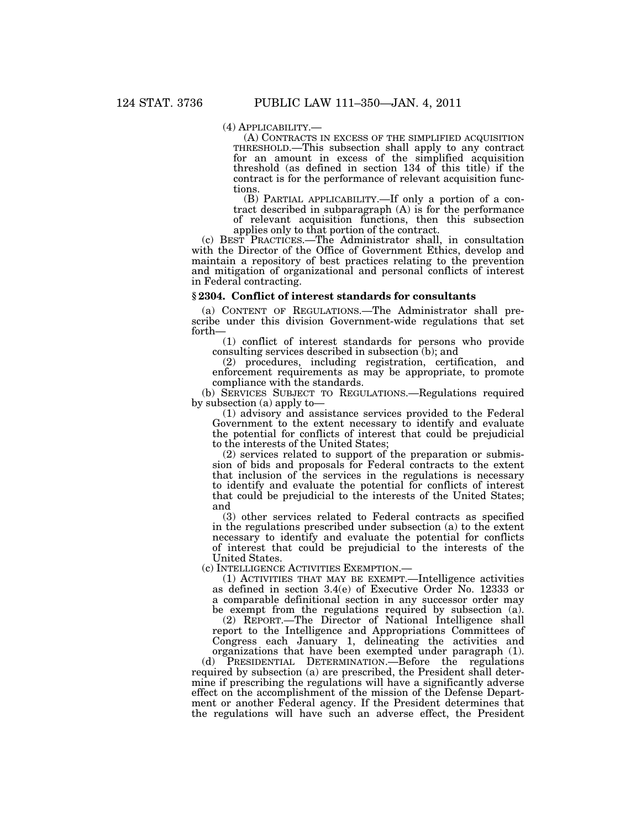(4) APPLICABILITY.— (A) CONTRACTS IN EXCESS OF THE SIMPLIFIED ACQUISITION THRESHOLD.—This subsection shall apply to any contract for an amount in excess of the simplified acquisition threshold (as defined in section 134 of this title) if the contract is for the performance of relevant acquisition functions.

(B) PARTIAL APPLICABILITY.—If only a portion of a contract described in subparagraph (A) is for the performance of relevant acquisition functions, then this subsection applies only to that portion of the contract.

(c) BEST PRACTICES.—The Administrator shall, in consultation with the Director of the Office of Government Ethics, develop and maintain a repository of best practices relating to the prevention and mitigation of organizational and personal conflicts of interest in Federal contracting.

# **§ 2304. Conflict of interest standards for consultants**

(a) CONTENT OF REGULATIONS.—The Administrator shall prescribe under this division Government-wide regulations that set forth—

(1) conflict of interest standards for persons who provide consulting services described in subsection (b); and

(2) procedures, including registration, certification, and enforcement requirements as may be appropriate, to promote compliance with the standards.

(b) SERVICES SUBJECT TO REGULATIONS.—Regulations required by subsection (a) apply to—

(1) advisory and assistance services provided to the Federal Government to the extent necessary to identify and evaluate the potential for conflicts of interest that could be prejudicial to the interests of the United States;

(2) services related to support of the preparation or submission of bids and proposals for Federal contracts to the extent that inclusion of the services in the regulations is necessary to identify and evaluate the potential for conflicts of interest that could be prejudicial to the interests of the United States; and

(3) other services related to Federal contracts as specified in the regulations prescribed under subsection (a) to the extent necessary to identify and evaluate the potential for conflicts of interest that could be prejudicial to the interests of the United States.<br>
(c) INTELLIGENCE ACTIVITIES EXEMPTION.

(1) ACTIVITIES THAT MAY BE EXEMPT.—Intelligence activities as defined in section 3.4(e) of Executive Order No. 12333 or a comparable definitional section in any successor order may be exempt from the regulations required by subsection (a).

(2) REPORT.—The Director of National Intelligence shall report to the Intelligence and Appropriations Committees of Congress each January 1, delineating the activities and organizations that have been exempted under paragraph (1).

(d) PRESIDENTIAL DETERMINATION.—Before the regulations required by subsection (a) are prescribed, the President shall determine if prescribing the regulations will have a significantly adverse effect on the accomplishment of the mission of the Defense Department or another Federal agency. If the President determines that the regulations will have such an adverse effect, the President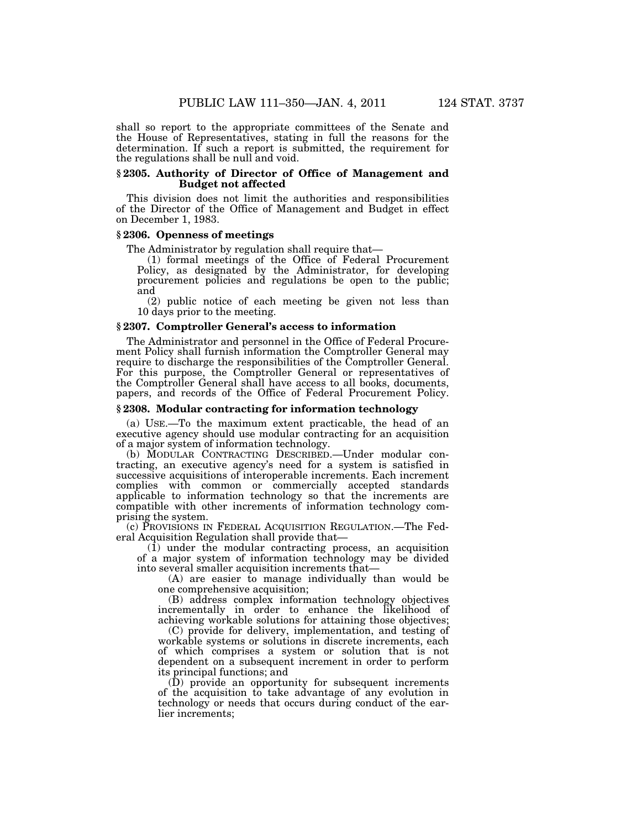shall so report to the appropriate committees of the Senate and the House of Representatives, stating in full the reasons for the determination. If such a report is submitted, the requirement for the regulations shall be null and void.

# **§ 2305. Authority of Director of Office of Management and Budget not affected**

This division does not limit the authorities and responsibilities of the Director of the Office of Management and Budget in effect on December 1, 1983.

# **§ 2306. Openness of meetings**

The Administrator by regulation shall require that—

(1) formal meetings of the Office of Federal Procurement Policy, as designated by the Administrator, for developing procurement policies and regulations be open to the public; and

(2) public notice of each meeting be given not less than 10 days prior to the meeting.

# **§ 2307. Comptroller General's access to information**

The Administrator and personnel in the Office of Federal Procurement Policy shall furnish information the Comptroller General may require to discharge the responsibilities of the Comptroller General. For this purpose, the Comptroller General or representatives of the Comptroller General shall have access to all books, documents, papers, and records of the Office of Federal Procurement Policy.

# **§ 2308. Modular contracting for information technology**

(a) USE.—To the maximum extent practicable, the head of an executive agency should use modular contracting for an acquisition of a major system of information technology.

(b) MODULAR CONTRACTING DESCRIBED.—Under modular contracting, an executive agency's need for a system is satisfied in successive acquisitions of interoperable increments. Each increment complies with common or commercially accepted standards applicable to information technology so that the increments are compatible with other increments of information technology comprising the system.

(c) PROVISIONS IN FEDERAL ACQUISITION REGULATION.—The Federal Acquisition Regulation shall provide that—

(1) under the modular contracting process, an acquisition of a major system of information technology may be divided into several smaller acquisition increments that—

(A) are easier to manage individually than would be one comprehensive acquisition;

(B) address complex information technology objectives incrementally in order to enhance the likelihood of achieving workable solutions for attaining those objectives;

(C) provide for delivery, implementation, and testing of workable systems or solutions in discrete increments, each of which comprises a system or solution that is not dependent on a subsequent increment in order to perform its principal functions; and

(D) provide an opportunity for subsequent increments of the acquisition to take advantage of any evolution in technology or needs that occurs during conduct of the earlier increments;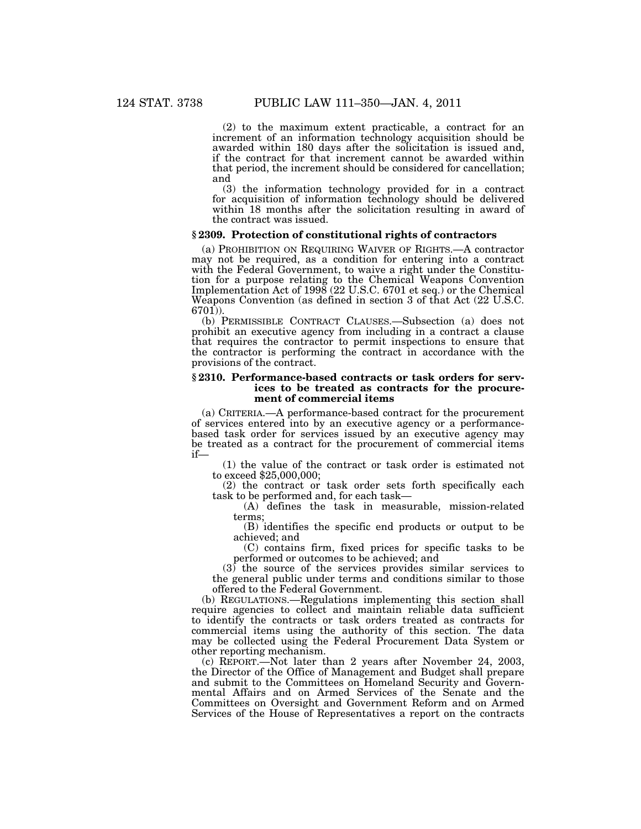(2) to the maximum extent practicable, a contract for an increment of an information technology acquisition should be awarded within 180 days after the solicitation is issued and, if the contract for that increment cannot be awarded within that period, the increment should be considered for cancellation; and

(3) the information technology provided for in a contract for acquisition of information technology should be delivered within 18 months after the solicitation resulting in award of the contract was issued.

# **§ 2309. Protection of constitutional rights of contractors**

(a) PROHIBITION ON REQUIRING WAIVER OF RIGHTS.—A contractor may not be required, as a condition for entering into a contract with the Federal Government, to waive a right under the Constitution for a purpose relating to the Chemical Weapons Convention Implementation Act of 1998 (22 U.S.C. 6701 et seq.) or the Chemical Weapons Convention (as defined in section 3 of that Act (22 U.S.C. 6701)).

(b) PERMISSIBLE CONTRACT CLAUSES.—Subsection (a) does not prohibit an executive agency from including in a contract a clause that requires the contractor to permit inspections to ensure that the contractor is performing the contract in accordance with the provisions of the contract.

### **§ 2310. Performance-based contracts or task orders for services to be treated as contracts for the procurement of commercial items**

(a) CRITERIA.—A performance-based contract for the procurement of services entered into by an executive agency or a performancebased task order for services issued by an executive agency may be treated as a contract for the procurement of commercial items if—

(1) the value of the contract or task order is estimated not to exceed \$25,000,000;

(2) the contract or task order sets forth specifically each task to be performed and, for each task—

(A) defines the task in measurable, mission-related terms;

(B) identifies the specific end products or output to be achieved; and

(C) contains firm, fixed prices for specific tasks to be performed or outcomes to be achieved; and

(3) the source of the services provides similar services to the general public under terms and conditions similar to those offered to the Federal Government.

(b) REGULATIONS.—Regulations implementing this section shall require agencies to collect and maintain reliable data sufficient to identify the contracts or task orders treated as contracts for commercial items using the authority of this section. The data may be collected using the Federal Procurement Data System or other reporting mechanism.

(c) REPORT.—Not later than 2 years after November 24, 2003, the Director of the Office of Management and Budget shall prepare and submit to the Committees on Homeland Security and Governmental Affairs and on Armed Services of the Senate and the Committees on Oversight and Government Reform and on Armed Services of the House of Representatives a report on the contracts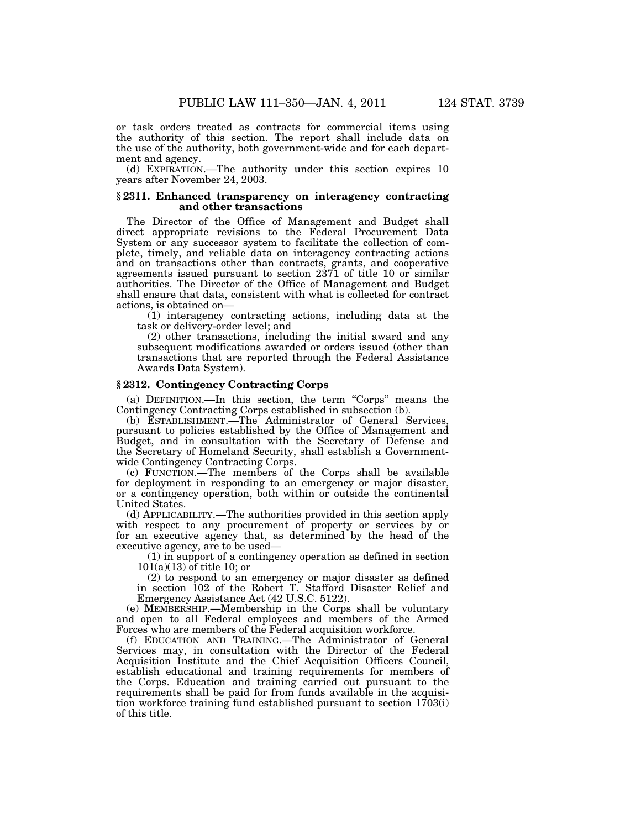or task orders treated as contracts for commercial items using the authority of this section. The report shall include data on the use of the authority, both government-wide and for each department and agency.

(d) EXPIRATION.—The authority under this section expires 10 years after November 24, 2003.

# **§ 2311. Enhanced transparency on interagency contracting and other transactions**

The Director of the Office of Management and Budget shall direct appropriate revisions to the Federal Procurement Data System or any successor system to facilitate the collection of complete, timely, and reliable data on interagency contracting actions and on transactions other than contracts, grants, and cooperative agreements issued pursuant to section 2371 of title 10 or similar authorities. The Director of the Office of Management and Budget shall ensure that data, consistent with what is collected for contract actions, is obtained on—

(1) interagency contracting actions, including data at the task or delivery-order level; and

(2) other transactions, including the initial award and any subsequent modifications awarded or orders issued (other than transactions that are reported through the Federal Assistance Awards Data System).

# **§ 2312. Contingency Contracting Corps**

(a) DEFINITION.—In this section, the term ''Corps'' means the Contingency Contracting Corps established in subsection (b).

(b) ESTABLISHMENT.—The Administrator of General Services, pursuant to policies established by the Office of Management and Budget, and in consultation with the Secretary of Defense and the Secretary of Homeland Security, shall establish a Governmentwide Contingency Contracting Corps.

(c) FUNCTION.—The members of the Corps shall be available for deployment in responding to an emergency or major disaster, or a contingency operation, both within or outside the continental United States.

(d) APPLICABILITY.—The authorities provided in this section apply with respect to any procurement of property or services by or for an executive agency that, as determined by the head of the executive agency, are to be used—

(1) in support of a contingency operation as defined in section  $101(a)(13)$  of title 10; or

(2) to respond to an emergency or major disaster as defined in section 102 of the Robert T. Stafford Disaster Relief and Emergency Assistance Act (42 U.S.C. 5122).

(e) MEMBERSHIP.—Membership in the Corps shall be voluntary and open to all Federal employees and members of the Armed Forces who are members of the Federal acquisition workforce.

(f) EDUCATION AND TRAINING.—The Administrator of General Services may, in consultation with the Director of the Federal Acquisition Institute and the Chief Acquisition Officers Council, establish educational and training requirements for members of the Corps. Education and training carried out pursuant to the requirements shall be paid for from funds available in the acquisition workforce training fund established pursuant to section 1703(i) of this title.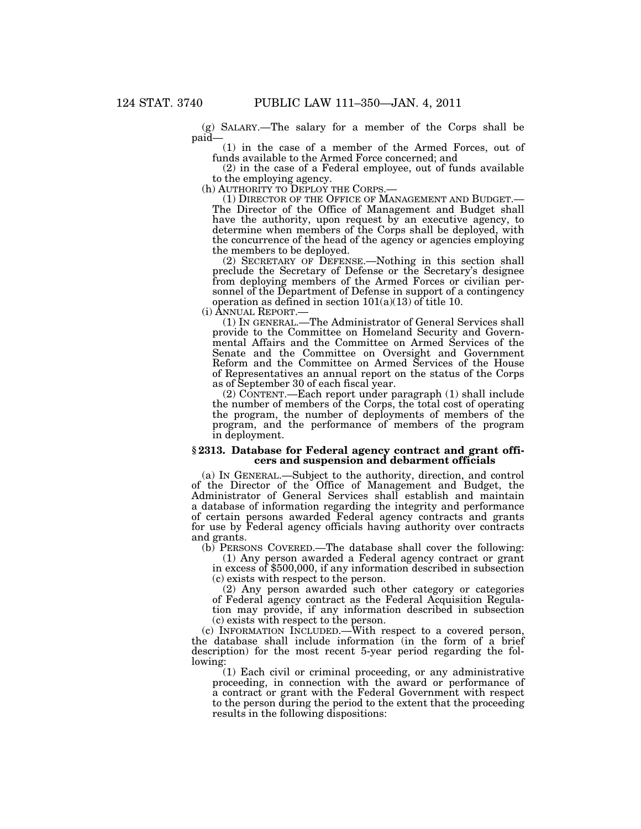(g) SALARY.—The salary for a member of the Corps shall be paid—

(1) in the case of a member of the Armed Forces, out of funds available to the Armed Force concerned; and

(2) in the case of a Federal employee, out of funds available

to the employing agency.<br>(h) AUTHORITY TO DEPLOY THE CORPS.—

(1) DIRECTOR OF THE OFFICE OF MANAGEMENT AND BUDGET.— The Director of the Office of Management and Budget shall have the authority, upon request by an executive agency, to determine when members of the Corps shall be deployed, with the concurrence of the head of the agency or agencies employing the members to be deployed.

(2) SECRETARY OF DEFENSE.—Nothing in this section shall preclude the Secretary of Defense or the Secretary's designee from deploying members of the Armed Forces or civilian personnel of the Department of Defense in support of a contingency operation as defined in section 101(a)(13) of title 10.

(i) ANNUAL REPORT.— (1) IN GENERAL.—The Administrator of General Services shall provide to the Committee on Homeland Security and Governmental Affairs and the Committee on Armed Services of the Senate and the Committee on Oversight and Government Reform and the Committee on Armed Services of the House of Representatives an annual report on the status of the Corps as of September 30 of each fiscal year.

(2) CONTENT.—Each report under paragraph (1) shall include the number of members of the Corps, the total cost of operating the program, the number of deployments of members of the program, and the performance of members of the program in deployment.

# **§ 2313. Database for Federal agency contract and grant officers and suspension and debarment officials**

(a) IN GENERAL.—Subject to the authority, direction, and control of the Director of the Office of Management and Budget, the Administrator of General Services shall establish and maintain a database of information regarding the integrity and performance of certain persons awarded Federal agency contracts and grants for use by Federal agency officials having authority over contracts and grants.

(b) PERSONS COVERED.—The database shall cover the following: (1) Any person awarded a Federal agency contract or grant

in excess of  $$500,000$ , if any information described in subsection (c) exists with respect to the person.

(2) Any person awarded such other category or categories of Federal agency contract as the Federal Acquisition Regulation may provide, if any information described in subsection (c) exists with respect to the person.

(c) INFORMATION INCLUDED.—With respect to a covered person, the database shall include information (in the form of a brief description) for the most recent 5-year period regarding the following:

(1) Each civil or criminal proceeding, or any administrative proceeding, in connection with the award or performance of a contract or grant with the Federal Government with respect to the person during the period to the extent that the proceeding results in the following dispositions: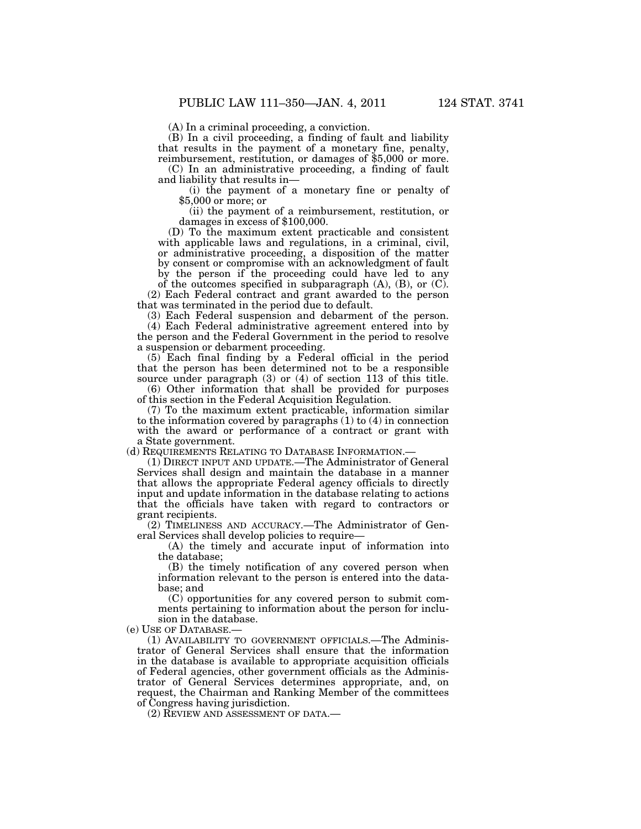(A) In a criminal proceeding, a conviction.

(B) In a civil proceeding, a finding of fault and liability that results in the payment of a monetary fine, penalty, reimbursement, restitution, or damages of \$5,000 or more.

(C) In an administrative proceeding, a finding of fault and liability that results in—

(i) the payment of a monetary fine or penalty of \$5,000 or more; or

(ii) the payment of a reimbursement, restitution, or damages in excess of \$100,000.

(D) To the maximum extent practicable and consistent with applicable laws and regulations, in a criminal, civil, or administrative proceeding, a disposition of the matter by consent or compromise with an acknowledgment of fault by the person if the proceeding could have led to any

of the outcomes specified in subparagraph  $(A)$ ,  $(B)$ , or  $(C)$ . (2) Each Federal contract and grant awarded to the person

that was terminated in the period due to default.

(3) Each Federal suspension and debarment of the person. (4) Each Federal administrative agreement entered into by the person and the Federal Government in the period to resolve a suspension or debarment proceeding.

(5) Each final finding by a Federal official in the period that the person has been determined not to be a responsible source under paragraph (3) or (4) of section 113 of this title.

(6) Other information that shall be provided for purposes of this section in the Federal Acquisition Regulation.

(7) To the maximum extent practicable, information similar to the information covered by paragraphs (1) to (4) in connection with the award or performance of a contract or grant with a State government.

(d) REQUIREMENTS RELATING TO DATABASE INFORMATION.—

(1) DIRECT INPUT AND UPDATE.—The Administrator of General Services shall design and maintain the database in a manner that allows the appropriate Federal agency officials to directly input and update information in the database relating to actions that the officials have taken with regard to contractors or grant recipients.

(2) TIMELINESS AND ACCURACY.—The Administrator of General Services shall develop policies to require—

(A) the timely and accurate input of information into the database;

(B) the timely notification of any covered person when information relevant to the person is entered into the database; and

(C) opportunities for any covered person to submit comments pertaining to information about the person for inclusion in the database.

(e) USE OF DATABASE.—

(1) AVAILABILITY TO GOVERNMENT OFFICIALS.—The Administrator of General Services shall ensure that the information in the database is available to appropriate acquisition officials of Federal agencies, other government officials as the Administrator of General Services determines appropriate, and, on request, the Chairman and Ranking Member of the committees of Congress having jurisdiction.

(2) REVIEW AND ASSESSMENT OF DATA.—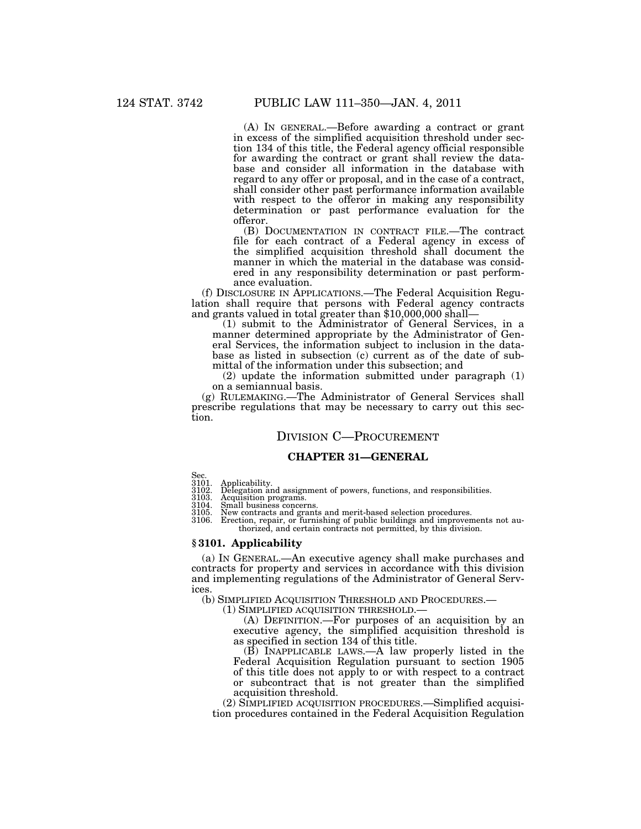(A) IN GENERAL.—Before awarding a contract or grant in excess of the simplified acquisition threshold under section 134 of this title, the Federal agency official responsible for awarding the contract or grant shall review the database and consider all information in the database with regard to any offer or proposal, and in the case of a contract, shall consider other past performance information available with respect to the offeror in making any responsibility determination or past performance evaluation for the offeror.

(B) DOCUMENTATION IN CONTRACT FILE.—The contract file for each contract of a Federal agency in excess of the simplified acquisition threshold shall document the manner in which the material in the database was considered in any responsibility determination or past performance evaluation.

(f) DISCLOSURE IN APPLICATIONS.—The Federal Acquisition Regulation shall require that persons with Federal agency contracts and grants valued in total greater than \$10,000,000 shall—

(1) submit to the Administrator of General Services, in a manner determined appropriate by the Administrator of General Services, the information subject to inclusion in the database as listed in subsection (c) current as of the date of submittal of the information under this subsection; and

(2) update the information submitted under paragraph (1) on a semiannual basis.

(g) RULEMAKING.—The Administrator of General Services shall prescribe regulations that may be necessary to carry out this section.

# DIVISION C—PROCUREMENT

# **CHAPTER 31—GENERAL**

 $\frac{3101}{3102}$ . 3101. Applicability. 3102. Delegation and assignment of powers, functions, and responsibilities.

3103. Acquisition programs. 3104. Small business concerns.

3105. New contracts and grants and merit-based selection procedures. 3106. Erection, repair, or furnishing of public buildings and improvements not au-

thorized, and certain contracts not permitted, by this division.

# **§ 3101. Applicability**

(a) IN GENERAL.—An executive agency shall make purchases and contracts for property and services in accordance with this division and implementing regulations of the Administrator of General Services.<br>(b) SIMPLIFIED ACQUISITION THRESHOLD AND PROCEDURES.—

(1) SIMPLIFIED ACQUISITION THRESHOLD.—<br>(A) DEFINITION.—For purposes of an acquisition by an executive agency, the simplified acquisition threshold is as specified in section 134 of this title.

(B) INAPPLICABLE LAWS.—A law properly listed in the Federal Acquisition Regulation pursuant to section 1905 of this title does not apply to or with respect to a contract or subcontract that is not greater than the simplified acquisition threshold.

(2) SIMPLIFIED ACQUISITION PROCEDURES.—Simplified acquisition procedures contained in the Federal Acquisition Regulation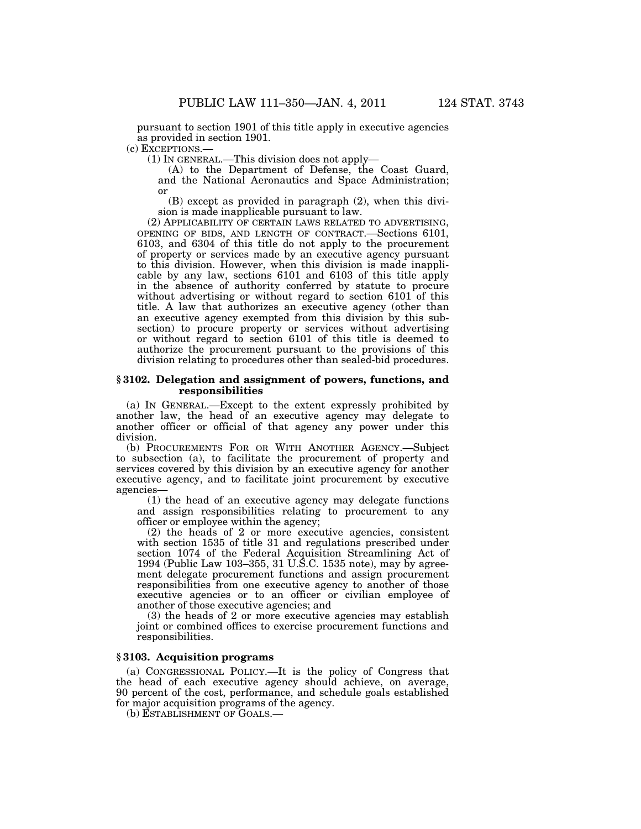pursuant to section 1901 of this title apply in executive agencies as provided in section 1901.

(c) EXCEPTIONS.—

(1) IN GENERAL.—This division does not apply—

(A) to the Department of Defense, the Coast Guard, and the National Aeronautics and Space Administration; or

(B) except as provided in paragraph (2), when this division is made inapplicable pursuant to law.

(2) APPLICABILITY OF CERTAIN LAWS RELATED TO ADVERTISING, OPENING OF BIDS, AND LENGTH OF CONTRACT.—Sections 6101, 6103, and 6304 of this title do not apply to the procurement of property or services made by an executive agency pursuant to this division. However, when this division is made inapplicable by any law, sections 6101 and 6103 of this title apply in the absence of authority conferred by statute to procure without advertising or without regard to section 6101 of this title. A law that authorizes an executive agency (other than an executive agency exempted from this division by this subsection) to procure property or services without advertising or without regard to section 6101 of this title is deemed to authorize the procurement pursuant to the provisions of this division relating to procedures other than sealed-bid procedures.

# **§ 3102. Delegation and assignment of powers, functions, and responsibilities**

(a) IN GENERAL.—Except to the extent expressly prohibited by another law, the head of an executive agency may delegate to another officer or official of that agency any power under this division.

(b) PROCUREMENTS FOR OR WITH ANOTHER AGENCY.—Subject to subsection (a), to facilitate the procurement of property and services covered by this division by an executive agency for another executive agency, and to facilitate joint procurement by executive agencies—

(1) the head of an executive agency may delegate functions and assign responsibilities relating to procurement to any officer or employee within the agency;

(2) the heads of 2 or more executive agencies, consistent with section 1535 of title 31 and regulations prescribed under section 1074 of the Federal Acquisition Streamlining Act of 1994 (Public Law 103–355, 31 U.S.C. 1535 note), may by agreement delegate procurement functions and assign procurement responsibilities from one executive agency to another of those executive agencies or to an officer or civilian employee of another of those executive agencies; and

(3) the heads of 2 or more executive agencies may establish joint or combined offices to exercise procurement functions and responsibilities.

### **§ 3103. Acquisition programs**

(a) CONGRESSIONAL POLICY.—It is the policy of Congress that the head of each executive agency should achieve, on average, 90 percent of the cost, performance, and schedule goals established for major acquisition programs of the agency.

(b) ESTABLISHMENT OF GOALS.—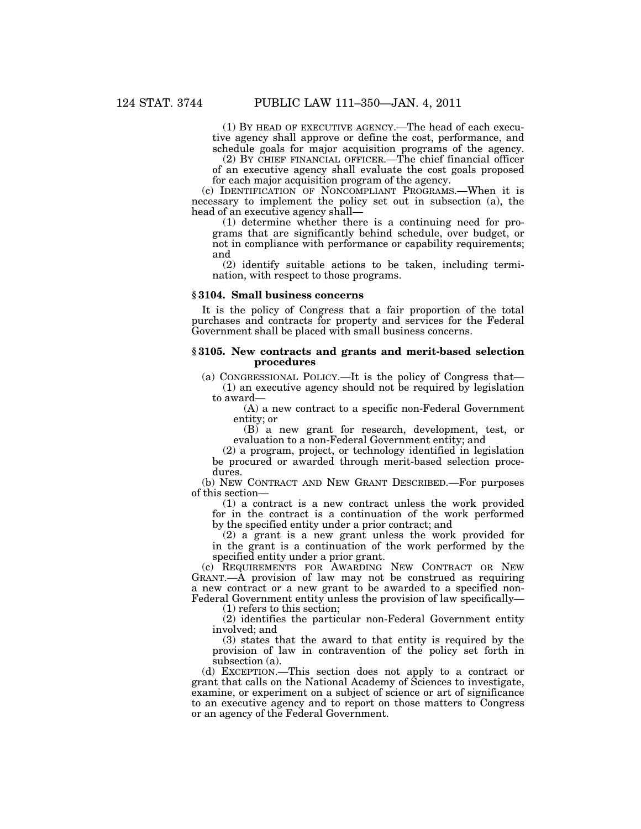(1) BY HEAD OF EXECUTIVE AGENCY.—The head of each executive agency shall approve or define the cost, performance, and schedule goals for major acquisition programs of the agency.

(2) BY CHIEF FINANCIAL OFFICER.—The chief financial officer of an executive agency shall evaluate the cost goals proposed for each major acquisition program of the agency.

(c) IDENTIFICATION OF NONCOMPLIANT PROGRAMS.—When it is necessary to implement the policy set out in subsection (a), the head of an executive agency shall—

(1) determine whether there is a continuing need for programs that are significantly behind schedule, over budget, or not in compliance with performance or capability requirements; and

(2) identify suitable actions to be taken, including termination, with respect to those programs.

# **§ 3104. Small business concerns**

It is the policy of Congress that a fair proportion of the total purchases and contracts for property and services for the Federal Government shall be placed with small business concerns.

# **§ 3105. New contracts and grants and merit-based selection procedures**

(a) CONGRESSIONAL POLICY.—It is the policy of Congress that— (1) an executive agency should not be required by legislation to award—

(A) a new contract to a specific non-Federal Government entity; or

(B) a new grant for research, development, test, or evaluation to a non-Federal Government entity; and

(2) a program, project, or technology identified in legislation be procured or awarded through merit-based selection procedures.

(b) NEW CONTRACT AND NEW GRANT DESCRIBED.—For purposes of this section—

(1) a contract is a new contract unless the work provided for in the contract is a continuation of the work performed by the specified entity under a prior contract; and

(2) a grant is a new grant unless the work provided for in the grant is a continuation of the work performed by the specified entity under a prior grant.

(c) REQUIREMENTS FOR AWARDING NEW CONTRACT OR NEW GRANT.—A provision of law may not be construed as requiring a new contract or a new grant to be awarded to a specified non-Federal Government entity unless the provision of law specifically—

(1) refers to this section;

(2) identifies the particular non-Federal Government entity involved; and

(3) states that the award to that entity is required by the provision of law in contravention of the policy set forth in subsection (a).

(d) EXCEPTION.—This section does not apply to a contract or grant that calls on the National Academy of Sciences to investigate, examine, or experiment on a subject of science or art of significance to an executive agency and to report on those matters to Congress or an agency of the Federal Government.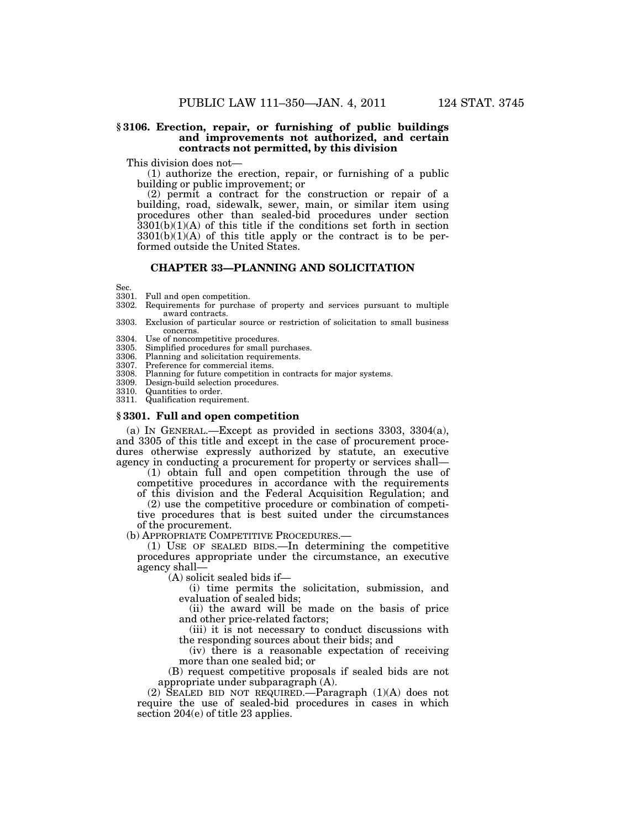# **§ 3106. Erection, repair, or furnishing of public buildings and improvements not authorized, and certain contracts not permitted, by this division**

This division does not—

(1) authorize the erection, repair, or furnishing of a public building or public improvement; or

(2) permit a contract for the construction or repair of a building, road, sidewalk, sewer, main, or similar item using procedures other than sealed-bid procedures under section 3301(b)(1)(A) of this title if the conditions set forth in section  $3301(b)(1)(A)$  of this title apply or the contract is to be performed outside the United States.

# **CHAPTER 33—PLANNING AND SOLICITATION**

- Sec.<br>3301. Full and open competition.
- 3302. Requirements for purchase of property and services pursuant to multiple award contracts.
- 3303. Exclusion of particular source or restriction of solicitation to small business concerns.
- 3304. Use of noncompetitive procedures.<br>3305. Simplified procedures for small pu
- Simplified procedures for small purchases.
- 3306. Planning and solicitation requirements.<br>3307. Preference for commercial items.
- Preference for commercial items.
- 3308. Planning for future competition in contracts for major systems.
- 3309. Design-build selection procedures.<br>3310. Quantities to order.
- Quantities to order.
- 3311. Qualification requirement.

### **§ 3301. Full and open competition**

(a) IN GENERAL.—Except as provided in sections 3303, 3304(a), and 3305 of this title and except in the case of procurement procedures otherwise expressly authorized by statute, an executive agency in conducting a procurement for property or services shall—

(1) obtain full and open competition through the use of competitive procedures in accordance with the requirements of this division and the Federal Acquisition Regulation; and

(2) use the competitive procedure or combination of competitive procedures that is best suited under the circumstances of the procurement.

(b) APPROPRIATE COMPETITIVE PROCEDURES.—

(1) USE OF SEALED BIDS.—In determining the competitive procedures appropriate under the circumstance, an executive agency shall—

(A) solicit sealed bids if—

(i) time permits the solicitation, submission, and evaluation of sealed bids;

(ii) the award will be made on the basis of price and other price-related factors;

(iii) it is not necessary to conduct discussions with the responding sources about their bids; and

(iv) there is a reasonable expectation of receiving more than one sealed bid; or

(B) request competitive proposals if sealed bids are not appropriate under subparagraph (A).

(2) SEALED BID NOT REQUIRED.—Paragraph (1)(A) does not require the use of sealed-bid procedures in cases in which section 204(e) of title 23 applies.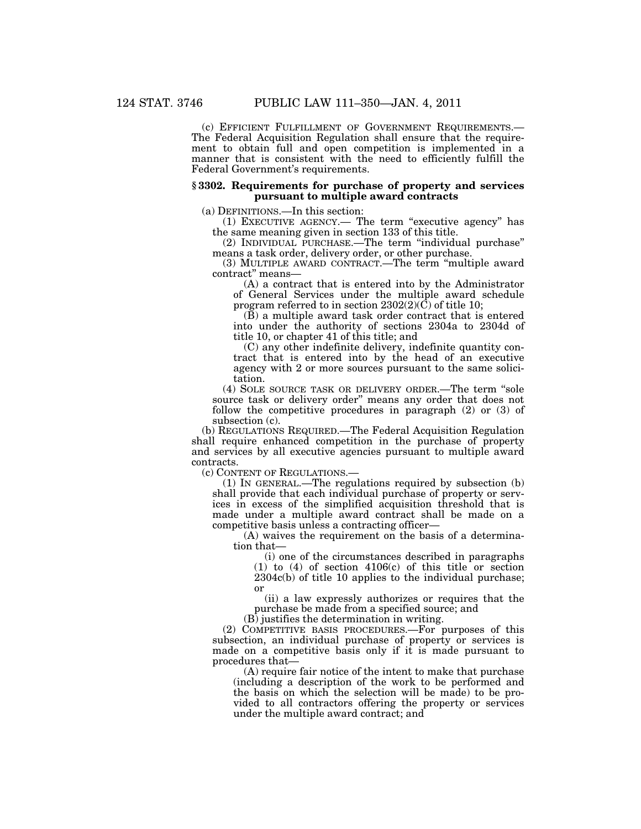(c) EFFICIENT FULFILLMENT OF GOVERNMENT REQUIREMENTS.— The Federal Acquisition Regulation shall ensure that the requirement to obtain full and open competition is implemented in a manner that is consistent with the need to efficiently fulfill the Federal Government's requirements.

# **§ 3302. Requirements for purchase of property and services pursuant to multiple award contracts**

(a) DEFINITIONS.—In this section:

(1) EXECUTIVE AGENCY.— The term ''executive agency'' has the same meaning given in section 133 of this title.

(2) INDIVIDUAL PURCHASE.—The term ''individual purchase'' means a task order, delivery order, or other purchase.

(3) MULTIPLE AWARD CONTRACT.—The term ''multiple award contract'' means—

(A) a contract that is entered into by the Administrator of General Services under the multiple award schedule program referred to in section 2302(2)(C) of title 10;

 $(\overrightarrow{B})$  a multiple award task order contract that is entered into under the authority of sections 2304a to 2304d of title 10, or chapter 41 of this title; and

(C) any other indefinite delivery, indefinite quantity contract that is entered into by the head of an executive agency with 2 or more sources pursuant to the same solicitation.

(4) SOLE SOURCE TASK OR DELIVERY ORDER.—The term ''sole source task or delivery order'' means any order that does not follow the competitive procedures in paragraph (2) or (3) of subsection (c).

(b) REGULATIONS REQUIRED.—The Federal Acquisition Regulation shall require enhanced competition in the purchase of property and services by all executive agencies pursuant to multiple award contracts.

(c) CONTENT OF REGULATIONS.—

(1) IN GENERAL.—The regulations required by subsection (b) shall provide that each individual purchase of property or services in excess of the simplified acquisition threshold that is made under a multiple award contract shall be made on a competitive basis unless a contracting officer—

(A) waives the requirement on the basis of a determination that—

(i) one of the circumstances described in paragraphs (1) to (4) of section 4106(c) of this title or section 2304c(b) of title 10 applies to the individual purchase; or

(ii) a law expressly authorizes or requires that the purchase be made from a specified source; and

(B) justifies the determination in writing.

(2) COMPETITIVE BASIS PROCEDURES.—For purposes of this subsection, an individual purchase of property or services is made on a competitive basis only if it is made pursuant to procedures that—

(A) require fair notice of the intent to make that purchase (including a description of the work to be performed and the basis on which the selection will be made) to be provided to all contractors offering the property or services under the multiple award contract; and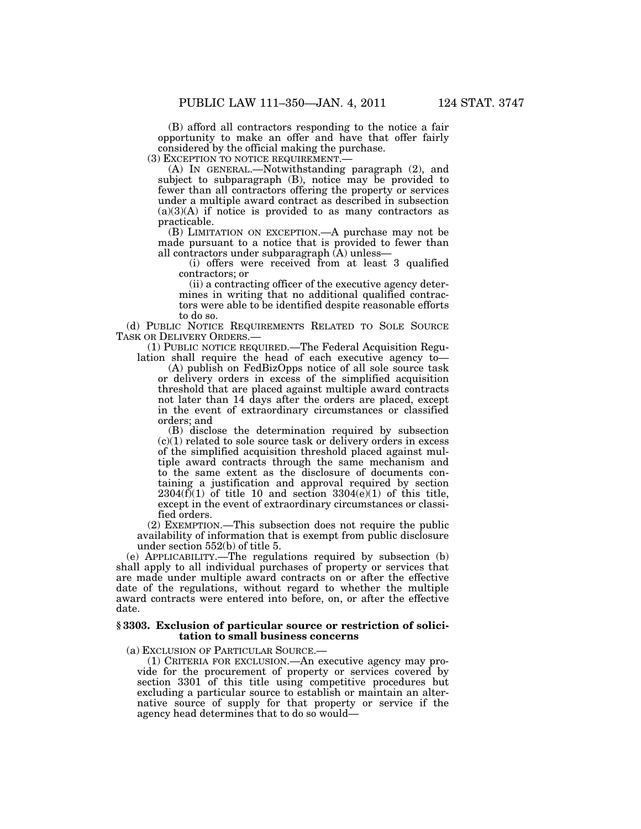(B) afford all contractors responding to the notice a fair opportunity to make an offer and have that offer fairly considered by the official making the purchase.

(3) EXCEPTION TO NOTICE REQUIREMENT.—<br>  $(A)$  In GENERAL.—Notwithstanding paragraph (2), and subject to subparagraph (B), notice may be provided to fewer than all contractors offering the property or services under a multiple award contract as described in subsection  $(a)(3)(A)$  if notice is provided to as many contractors as practicable.

(B) LIMITATION ON EXCEPTION.—A purchase may not be made pursuant to a notice that is provided to fewer than all contractors under subparagraph (A) unless—

(i) offers were received from at least 3 qualified contractors; or

(ii) a contracting officer of the executive agency determines in writing that no additional qualified contractors were able to be identified despite reasonable efforts to do so.

(d) PUBLIC NOTICE REQUIREMENTS RELATED TO SOLE SOURCE TASK OR DELIVERY ORDERS.—

(1) PUBLIC NOTICE REQUIRED.—The Federal Acquisition Regulation shall require the head of each executive agency to—

(A) publish on FedBizOpps notice of all sole source task or delivery orders in excess of the simplified acquisition threshold that are placed against multiple award contracts not later than 14 days after the orders are placed, except in the event of extraordinary circumstances or classified orders; and

(B) disclose the determination required by subsection  $(c)(1)$  related to sole source task or delivery orders in excess of the simplified acquisition threshold placed against multiple award contracts through the same mechanism and to the same extent as the disclosure of documents containing a justification and approval required by section  $2304(f)(1)$  of title 10 and section  $3304(e)(1)$  of this title, except in the event of extraordinary circumstances or classified orders.

(2) EXEMPTION.—This subsection does not require the public availability of information that is exempt from public disclosure under section 552(b) of title 5.

(e) APPLICABILITY.—The regulations required by subsection (b) shall apply to all individual purchases of property or services that are made under multiple award contracts on or after the effective date of the regulations, without regard to whether the multiple award contracts were entered into before, on, or after the effective date.

# **§ 3303. Exclusion of particular source or restriction of solicitation to small business concerns**

(a) EXCLUSION OF PARTICULAR SOURCE.— (1) CRITERIA FOR EXCLUSION.—An executive agency may provide for the procurement of property or services covered by section 3301 of this title using competitive procedures but excluding a particular source to establish or maintain an alternative source of supply for that property or service if the agency head determines that to do so would—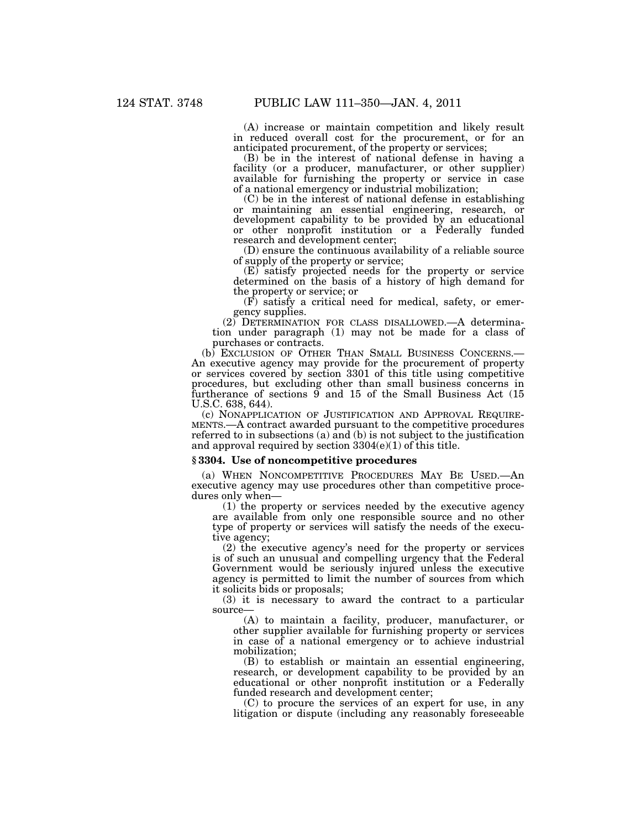(A) increase or maintain competition and likely result in reduced overall cost for the procurement, or for an anticipated procurement, of the property or services;

(B) be in the interest of national defense in having a facility (or a producer, manufacturer, or other supplier) available for furnishing the property or service in case of a national emergency or industrial mobilization;

(C) be in the interest of national defense in establishing or maintaining an essential engineering, research, or development capability to be provided by an educational or other nonprofit institution or a Federally funded research and development center;

(D) ensure the continuous availability of a reliable source of supply of the property or service;

(E) satisfy projected needs for the property or service determined on the basis of a history of high demand for the property or service; or

(F) satisfy a critical need for medical, safety, or emergency supplies.

(2) DETERMINATION FOR CLASS DISALLOWED.—A determination under paragraph (1) may not be made for a class of purchases or contracts.<br>(b) EXCLUSION OF OTHER THAN SMALL BUSINESS CONCERNS.-

An executive agency may provide for the procurement of property or services covered by section 3301 of this title using competitive procedures, but excluding other than small business concerns in furtherance of sections  $\tilde{9}$  and 15 of the Small Business Act (15) U.S.C. 638, 644).

(c) NONAPPLICATION OF JUSTIFICATION AND APPROVAL REQUIRE- MENTS.—A contract awarded pursuant to the competitive procedures referred to in subsections (a) and (b) is not subject to the justification and approval required by section  $3304(e)(1)$  of this title.

# **§ 3304. Use of noncompetitive procedures**

(a) WHEN NONCOMPETITIVE PROCEDURES MAY BE USED.—An executive agency may use procedures other than competitive procedures only when—

(1) the property or services needed by the executive agency are available from only one responsible source and no other type of property or services will satisfy the needs of the executive agency;

(2) the executive agency's need for the property or services is of such an unusual and compelling urgency that the Federal Government would be seriously injured unless the executive agency is permitted to limit the number of sources from which it solicits bids or proposals;

(3) it is necessary to award the contract to a particular source—

(A) to maintain a facility, producer, manufacturer, or other supplier available for furnishing property or services in case of a national emergency or to achieve industrial mobilization;

(B) to establish or maintain an essential engineering, research, or development capability to be provided by an educational or other nonprofit institution or a Federally funded research and development center;

(C) to procure the services of an expert for use, in any litigation or dispute (including any reasonably foreseeable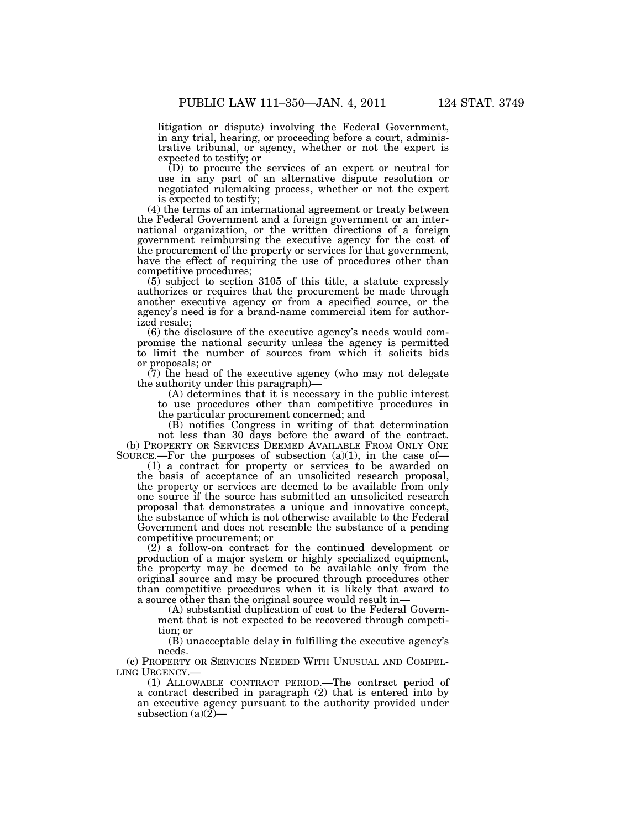litigation or dispute) involving the Federal Government, in any trial, hearing, or proceeding before a court, administrative tribunal, or agency, whether or not the expert is

expected to testify; or

(D) to procure the services of an expert or neutral for use in any part of an alternative dispute resolution or negotiated rulemaking process, whether or not the expert is expected to testify;

(4) the terms of an international agreement or treaty between the Federal Government and a foreign government or an international organization, or the written directions of a foreign government reimbursing the executive agency for the cost of the procurement of the property or services for that government, have the effect of requiring the use of procedures other than competitive procedures;

(5) subject to section 3105 of this title, a statute expressly authorizes or requires that the procurement be made through another executive agency or from a specified source, or the agency's need is for a brand-name commercial item for authorized resale;

(6) the disclosure of the executive agency's needs would compromise the national security unless the agency is permitted to limit the number of sources from which it solicits bids or proposals; or

(7) the head of the executive agency (who may not delegate the authority under this paragraph)—

(A) determines that it is necessary in the public interest to use procedures other than competitive procedures in the particular procurement concerned; and

(B) notifies Congress in writing of that determination not less than 30 days before the award of the contract. (b) PROPERTY OR SERVICES DEEMED AVAILABLE FROM ONLY ONE SOURCE.—For the purposes of subsection  $(a)(1)$ , in the case of—

(1) a contract for property or services to be awarded on the basis of acceptance of an unsolicited research proposal, the property or services are deemed to be available from only one source if the source has submitted an unsolicited research proposal that demonstrates a unique and innovative concept, the substance of which is not otherwise available to the Federal Government and does not resemble the substance of a pending competitive procurement; or

(2) a follow-on contract for the continued development or production of a major system or highly specialized equipment, the property may be deemed to be available only from the original source and may be procured through procedures other than competitive procedures when it is likely that award to a source other than the original source would result in—

(A) substantial duplication of cost to the Federal Government that is not expected to be recovered through competition; or

(B) unacceptable delay in fulfilling the executive agency's needs.

(c) PROPERTY OR SERVICES NEEDED WITH UNUSUAL AND COMPEL-

(1) ALLOWABLE CONTRACT PERIOD.—The contract period of a contract described in paragraph (2) that is entered into by an executive agency pursuant to the authority provided under subsection  $(a)(\overline{2})$ —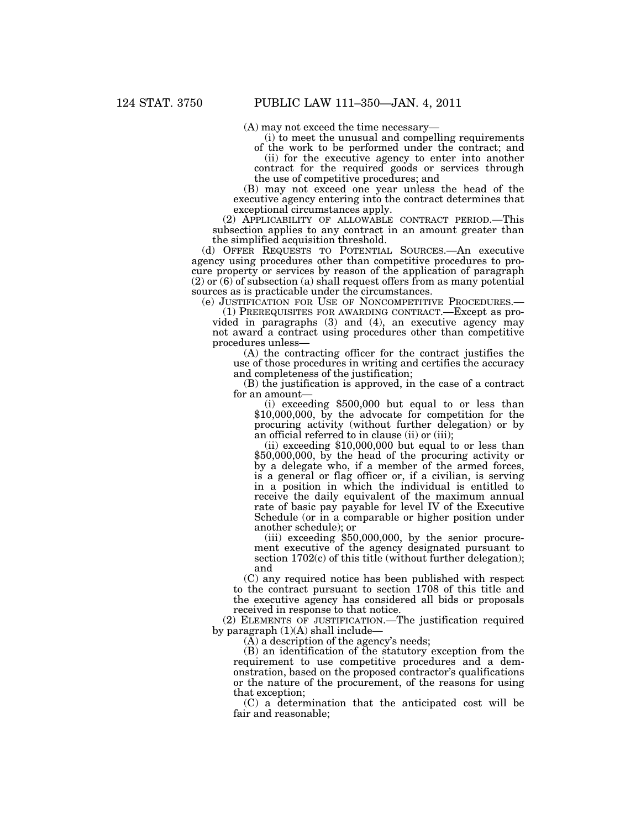(A) may not exceed the time necessary—

(i) to meet the unusual and compelling requirements

of the work to be performed under the contract; and (ii) for the executive agency to enter into another contract for the required goods or services through the use of competitive procedures; and

(B) may not exceed one year unless the head of the executive agency entering into the contract determines that exceptional circumstances apply.

(2) APPLICABILITY OF ALLOWABLE CONTRACT PERIOD.—This subsection applies to any contract in an amount greater than the simplified acquisition threshold.

(d) OFFER REQUESTS TO POTENTIAL SOURCES.—An executive agency using procedures other than competitive procedures to procure property or services by reason of the application of paragraph (2) or (6) of subsection (a) shall request offers from as many potential sources as is practicable under the circumstances.

(e) JUSTIFICATION FOR USE OF NONCOMPETITIVE PROCEDURES.— (1) PREREQUISITES FOR AWARDING CONTRACT.—Except as pro-

vided in paragraphs (3) and (4), an executive agency may not award a contract using procedures other than competitive procedures unless—

(A) the contracting officer for the contract justifies the use of those procedures in writing and certifies the accuracy and completeness of the justification;

(B) the justification is approved, in the case of a contract for an amount—<br>(i) exceeding \$500,000 but equal to or less than

 $$10,000,000$ , by the advocate for competition for the procuring activity (without further delegation) or by an official referred to in clause (ii) or (iii);

(ii) exceeding  $$10,000,000$  but equal to or less than  $$50,000,000$ , by the head of the procuring activity or by a delegate who, if a member of the armed forces, is a general or flag officer or, if a civilian, is serving in a position in which the individual is entitled to receive the daily equivalent of the maximum annual rate of basic pay payable for level IV of the Executive Schedule (or in a comparable or higher position under another schedule); or

(iii) exceeding  $$50,000,000$ , by the senior procurement executive of the agency designated pursuant to section 1702(c) of this title (without further delegation); and

(C) any required notice has been published with respect to the contract pursuant to section 1708 of this title and the executive agency has considered all bids or proposals received in response to that notice.

(2) ELEMENTS OF JUSTIFICATION.—The justification required by paragraph  $(1)(A)$  shall include–

(A) a description of the agency's needs;

(B) an identification of the statutory exception from the requirement to use competitive procedures and a demonstration, based on the proposed contractor's qualifications or the nature of the procurement, of the reasons for using that exception;

(C) a determination that the anticipated cost will be fair and reasonable;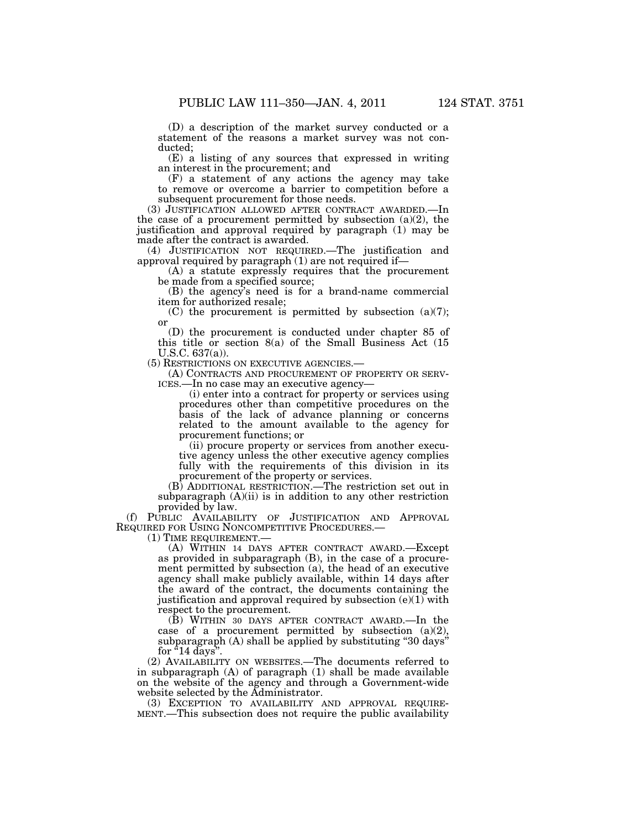(D) a description of the market survey conducted or a statement of the reasons a market survey was not conducted;

(E) a listing of any sources that expressed in writing an interest in the procurement; and

(F) a statement of any actions the agency may take to remove or overcome a barrier to competition before a subsequent procurement for those needs.

(3) JUSTIFICATION ALLOWED AFTER CONTRACT AWARDED.—In the case of a procurement permitted by subsection  $(a)(2)$ , the justification and approval required by paragraph (1) may be made after the contract is awarded.

(4) JUSTIFICATION NOT REQUIRED.—The justification and approval required by paragraph (1) are not required if—

(A) a statute expressly requires that the procurement be made from a specified source;

(B) the agency's need is for a brand-name commercial item for authorized resale;

(C) the procurement is permitted by subsection  $(a)(7)$ ; or

(D) the procurement is conducted under chapter 85 of this title or section 8(a) of the Small Business Act (15 U.S.C. 637(a)).<br>(5) RESTRICTIONS ON EXECUTIVE AGENCIES.—

(A) CONTRACTS AND PROCUREMENT OF PROPERTY OR SERVICES.—In no case may an executive agency—

(i) enter into a contract for property or services using procedures other than competitive procedures on the basis of the lack of advance planning or concerns related to the amount available to the agency for procurement functions; or

(ii) procure property or services from another executive agency unless the other executive agency complies fully with the requirements of this division in its procurement of the property or services.

(B) ADDITIONAL RESTRICTION.—The restriction set out in subparagraph  $(A)(ii)$  is in addition to any other restriction provided by law.

(f) PUBLIC AVAILABILITY OF JUSTIFICATION AND APPROVAL REQUIRED FOR USING NONCOMPETITIVE PROCEDURES.—

 $R(E)$  TIME REQUIREMENT.—<br>(A) WITHIN 14 DAYS AFTER CONTRACT AWARD.—Except as provided in subparagraph (B), in the case of a procurement permitted by subsection (a), the head of an executive agency shall make publicly available, within 14 days after the award of the contract, the documents containing the justification and approval required by subsection  $(e)(1)$  with respect to the procurement.

(B) WITHIN 30 DAYS AFTER CONTRACT AWARD.—In the case of a procurement permitted by subsection  $(a)(2)$ , subparagraph (A) shall be applied by substituting "30 days" for  $44 \text{ days}$ .

(2) AVAILABILITY ON WEBSITES.—The documents referred to in subparagraph (A) of paragraph (1) shall be made available on the website of the agency and through a Government-wide website selected by the Administrator.

(3) EXCEPTION TO AVAILABILITY AND APPROVAL REQUIRE- MENT.—This subsection does not require the public availability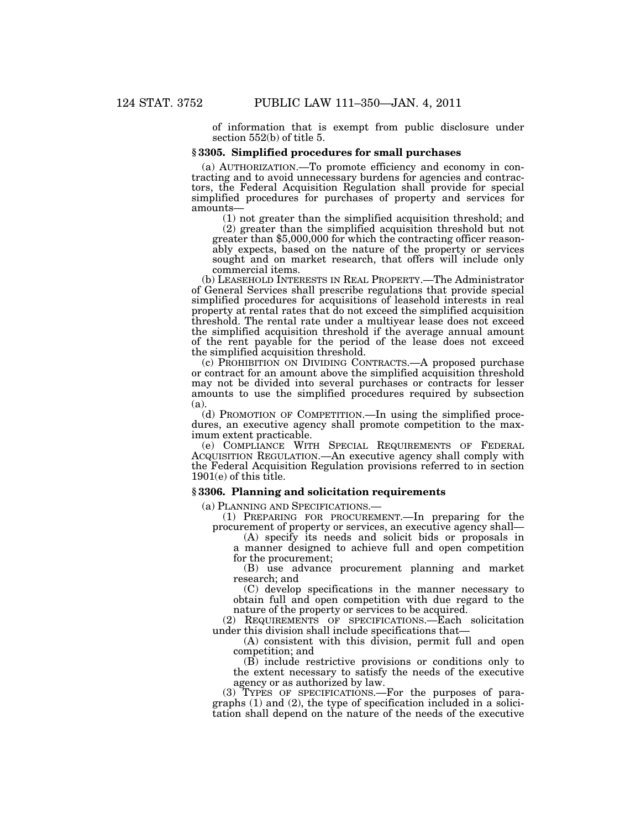of information that is exempt from public disclosure under section 552(b) of title 5.

## **§ 3305. Simplified procedures for small purchases**

(a) AUTHORIZATION.—To promote efficiency and economy in contracting and to avoid unnecessary burdens for agencies and contractors, the Federal Acquisition Regulation shall provide for special simplified procedures for purchases of property and services for amounts—

(1) not greater than the simplified acquisition threshold; and

greater than \$5,000,000 for which the contracting officer reasonably expects, based on the nature of the property or services sought and on market research, that offers will include only commercial items.

(b) LEASEHOLD INTERESTS IN REAL PROPERTY.—The Administrator of General Services shall prescribe regulations that provide special simplified procedures for acquisitions of leasehold interests in real property at rental rates that do not exceed the simplified acquisition threshold. The rental rate under a multiyear lease does not exceed the simplified acquisition threshold if the average annual amount of the rent payable for the period of the lease does not exceed the simplified acquisition threshold.

(c) PROHIBITION ON DIVIDING CONTRACTS.—A proposed purchase or contract for an amount above the simplified acquisition threshold may not be divided into several purchases or contracts for lesser amounts to use the simplified procedures required by subsection (a).

(d) PROMOTION OF COMPETITION.—In using the simplified procedures, an executive agency shall promote competition to the maximum extent practicable.

(e) COMPLIANCE WITH SPECIAL REQUIREMENTS OF FEDERAL ACQUISITION REGULATION.—An executive agency shall comply with the Federal Acquisition Regulation provisions referred to in section 1901(e) of this title.

## **§ 3306. Planning and solicitation requirements**

(a) PLANNING AND SPECIFICATIONS.— (1) PREPARING FOR PROCUREMENT.—In preparing for the procurement of property or services, an executive agency shall—

(A) specify its needs and solicit bids or proposals in a manner designed to achieve full and open competition for the procurement;

(B) use advance procurement planning and market research; and

(C) develop specifications in the manner necessary to obtain full and open competition with due regard to the nature of the property or services to be acquired.

(2) REQUIREMENTS OF SPECIFICATIONS.—Each solicitation under this division shall include specifications that—

(A) consistent with this division, permit full and open competition; and

(B) include restrictive provisions or conditions only to the extent necessary to satisfy the needs of the executive agency or as authorized by law.

(3) TYPES OF SPECIFICATIONS.—For the purposes of paragraphs (1) and (2), the type of specification included in a solicitation shall depend on the nature of the needs of the executive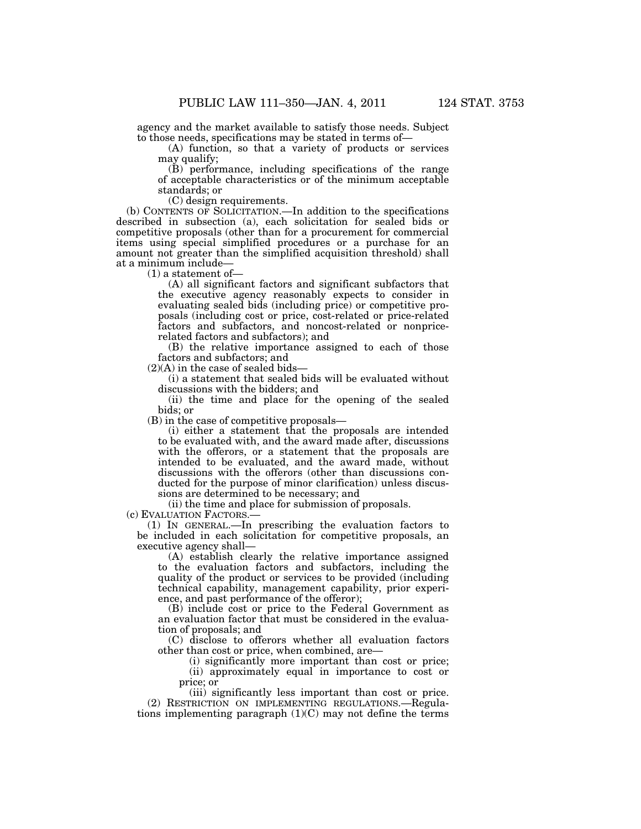agency and the market available to satisfy those needs. Subject to those needs, specifications may be stated in terms of—

(A) function, so that a variety of products or services may qualify;

(B) performance, including specifications of the range of acceptable characteristics or of the minimum acceptable standards; or

(C) design requirements.

(b) CONTENTS OF SOLICITATION.—In addition to the specifications described in subsection (a), each solicitation for sealed bids or competitive proposals (other than for a procurement for commercial items using special simplified procedures or a purchase for an amount not greater than the simplified acquisition threshold) shall at a minimum include—

(1) a statement of—

(A) all significant factors and significant subfactors that the executive agency reasonably expects to consider in evaluating sealed bids (including price) or competitive proposals (including cost or price, cost-related or price-related factors and subfactors, and noncost-related or nonpricerelated factors and subfactors); and

(B) the relative importance assigned to each of those factors and subfactors; and

 $(2)(A)$  in the case of sealed bids-

(i) a statement that sealed bids will be evaluated without discussions with the bidders; and

(ii) the time and place for the opening of the sealed bids; or

(B) in the case of competitive proposals—

(i) either a statement that the proposals are intended to be evaluated with, and the award made after, discussions with the offerors, or a statement that the proposals are intended to be evaluated, and the award made, without discussions with the offerors (other than discussions conducted for the purpose of minor clarification) unless discussions are determined to be necessary; and

(ii) the time and place for submission of proposals.

(c) EVALUATION FACTORS.—

(1) IN GENERAL.—In prescribing the evaluation factors to be included in each solicitation for competitive proposals, an executive agency shall—

(A) establish clearly the relative importance assigned to the evaluation factors and subfactors, including the quality of the product or services to be provided (including technical capability, management capability, prior experience, and past performance of the offeror);

(B) include cost or price to the Federal Government as an evaluation factor that must be considered in the evaluation of proposals; and

(C) disclose to offerors whether all evaluation factors other than cost or price, when combined, are—

(i) significantly more important than cost or price; (ii) approximately equal in importance to cost or price; or

(iii) significantly less important than cost or price. (2) RESTRICTION ON IMPLEMENTING REGULATIONS.—Regulations implementing paragraph  $(1)(C)$  may not define the terms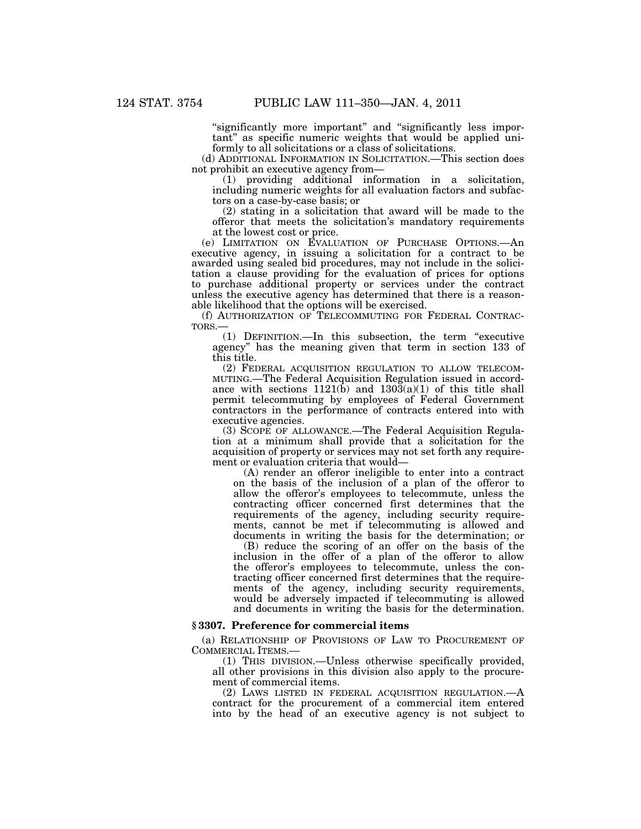"significantly more important" and "significantly less important'' as specific numeric weights that would be applied uniformly to all solicitations or a class of solicitations.

(d) ADDITIONAL INFORMATION IN SOLICITATION.—This section does not prohibit an executive agency from—

(1) providing additional information in a solicitation, including numeric weights for all evaluation factors and subfactors on a case-by-case basis; or

(2) stating in a solicitation that award will be made to the offeror that meets the solicitation's mandatory requirements at the lowest cost or price.

(e) LIMITATION ON EVALUATION OF PURCHASE OPTIONS.—An executive agency, in issuing a solicitation for a contract to be awarded using sealed bid procedures, may not include in the solicitation a clause providing for the evaluation of prices for options to purchase additional property or services under the contract unless the executive agency has determined that there is a reasonable likelihood that the options will be exercised.

(f) AUTHORIZATION OF TELECOMMUTING FOR FEDERAL CONTRAC-TORS.—

(1) DEFINITION.—In this subsection, the term ''executive agency'' has the meaning given that term in section 133 of this title.

(2) FEDERAL ACQUISITION REGULATION TO ALLOW TELECOM-MUTING.—The Federal Acquisition Regulation issued in accordance with sections  $1121(b)$  and  $1303(a)(1)$  of this title shall permit telecommuting by employees of Federal Government contractors in the performance of contracts entered into with executive agencies.

(3) SCOPE OF ALLOWANCE.—The Federal Acquisition Regulation at a minimum shall provide that a solicitation for the acquisition of property or services may not set forth any requirement or evaluation criteria that would—

(A) render an offeror ineligible to enter into a contract on the basis of the inclusion of a plan of the offeror to allow the offeror's employees to telecommute, unless the contracting officer concerned first determines that the requirements of the agency, including security requirements, cannot be met if telecommuting is allowed and documents in writing the basis for the determination; or

(B) reduce the scoring of an offer on the basis of the inclusion in the offer of a plan of the offeror to allow the offeror's employees to telecommute, unless the contracting officer concerned first determines that the requirements of the agency, including security requirements, would be adversely impacted if telecommuting is allowed and documents in writing the basis for the determination.

#### **§ 3307. Preference for commercial items**

(a) RELATIONSHIP OF PROVISIONS OF LAW TO PROCUREMENT OF COMMERCIAL ITEMS.—

(1) THIS DIVISION.— Unless otherwise specifically provided, all other provisions in this division also apply to the procurement of commercial items.

(2) LAWS LISTED IN FEDERAL ACQUISITION REGULATION.—A contract for the procurement of a commercial item entered into by the head of an executive agency is not subject to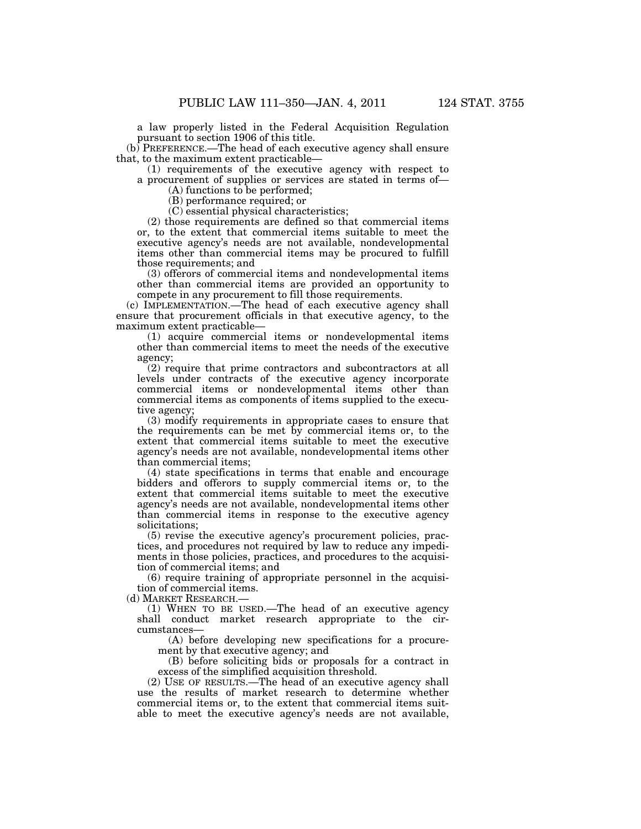a law properly listed in the Federal Acquisition Regulation pursuant to section 1906 of this title.

(b) PREFERENCE.—The head of each executive agency shall ensure that, to the maximum extent practicable—

(1) requirements of the executive agency with respect to a procurement of supplies or services are stated in terms of—

(A) functions to be performed;

(B) performance required; or

(C) essential physical characteristics;

(2) those requirements are defined so that commercial items or, to the extent that commercial items suitable to meet the executive agency's needs are not available, nondevelopmental items other than commercial items may be procured to fulfill those requirements; and

(3) offerors of commercial items and nondevelopmental items other than commercial items are provided an opportunity to compete in any procurement to fill those requirements.

(c) IMPLEMENTATION.—The head of each executive agency shall ensure that procurement officials in that executive agency, to the maximum extent practicable—

(1) acquire commercial items or nondevelopmental items other than commercial items to meet the needs of the executive agency;

(2) require that prime contractors and subcontractors at all levels under contracts of the executive agency incorporate commercial items or nondevelopmental items other than commercial items as components of items supplied to the executive agency;

(3) modify requirements in appropriate cases to ensure that the requirements can be met by commercial items or, to the extent that commercial items suitable to meet the executive agency's needs are not available, nondevelopmental items other than commercial items;

(4) state specifications in terms that enable and encourage bidders and offerors to supply commercial items or, to the extent that commercial items suitable to meet the executive agency's needs are not available, nondevelopmental items other than commercial items in response to the executive agency solicitations;

(5) revise the executive agency's procurement policies, practices, and procedures not required by law to reduce any impediments in those policies, practices, and procedures to the acquisition of commercial items; and

(6) require training of appropriate personnel in the acquisition of commercial items.

(d) MARKET RESEARCH.—

(1) WHEN TO BE USED.—The head of an executive agency shall conduct market research appropriate to the circumstances—

(A) before developing new specifications for a procurement by that executive agency; and

(B) before soliciting bids or proposals for a contract in excess of the simplified acquisition threshold.

(2) USE OF RESULTS.—The head of an executive agency shall use the results of market research to determine whether commercial items or, to the extent that commercial items suitable to meet the executive agency's needs are not available,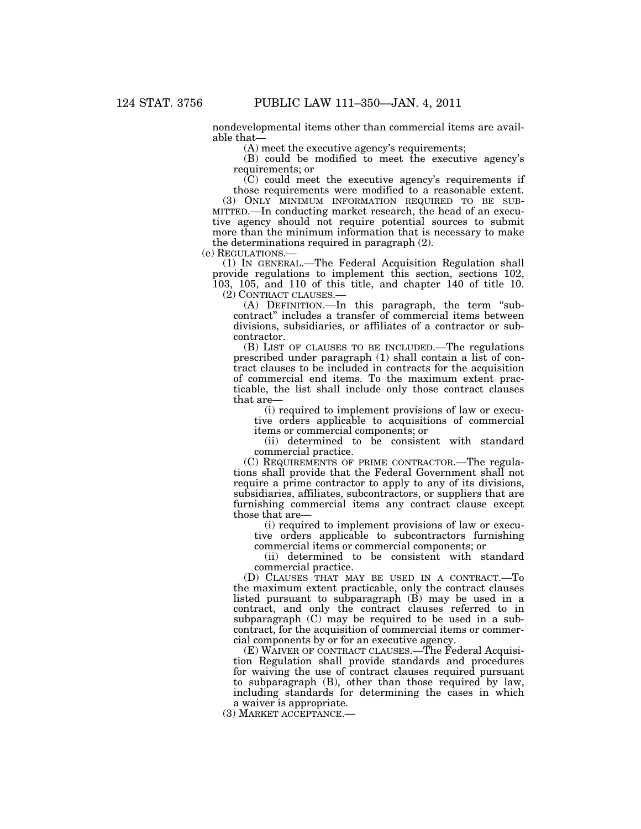nondevelopmental items other than commercial items are available that—

(A) meet the executive agency's requirements;

(B) could be modified to meet the executive agency's requirements; or

 $(C)$  could meet the executive agency's requirements if those requirements were modified to a reasonable extent.

(3) ONLY MINIMUM INFORMATION REQUIRED TO BE SUB- MITTED.—In conducting market research, the head of an executive agency should not require potential sources to submit more than the minimum information that is necessary to make the determinations required in paragraph (2).

(e) REGULATIONS.— (1) IN GENERAL.—The Federal Acquisition Regulation shall provide regulations to implement this section, sections 102, 103, 105, and 110 of this title, and chapter 140 of title 10. (2) CONTRACT CLAUSES.—

(A) DEFINITION.—In this paragraph, the term "subcontract'' includes a transfer of commercial items between divisions, subsidiaries, or affiliates of a contractor or subcontractor.

(B) LIST OF CLAUSES TO BE INCLUDED.—The regulations prescribed under paragraph (1) shall contain a list of contract clauses to be included in contracts for the acquisition of commercial end items. To the maximum extent practicable, the list shall include only those contract clauses that are—

(i) required to implement provisions of law or executive orders applicable to acquisitions of commercial items or commercial components; or

(ii) determined to be consistent with standard commercial practice.

(C) REQUIREMENTS OF PRIME CONTRACTOR.—The regulations shall provide that the Federal Government shall not require a prime contractor to apply to any of its divisions, subsidiaries, affiliates, subcontractors, or suppliers that are furnishing commercial items any contract clause except those that are—

(i) required to implement provisions of law or executive orders applicable to subcontractors furnishing commercial items or commercial components; or

(ii) determined to be consistent with standard commercial practice.

(D) CLAUSES THAT MAY BE USED IN A CONTRACT.—To the maximum extent practicable, only the contract clauses listed pursuant to subparagraph (B) may be used in a contract, and only the contract clauses referred to in subparagraph (C) may be required to be used in a subcontract, for the acquisition of commercial items or commercial components by or for an executive agency.

(E) WAIVER OF CONTRACT CLAUSES.—The Federal Acquisition Regulation shall provide standards and procedures for waiving the use of contract clauses required pursuant to subparagraph (B), other than those required by law, including standards for determining the cases in which a waiver is appropriate.

(3) MARKET ACCEPTANCE.—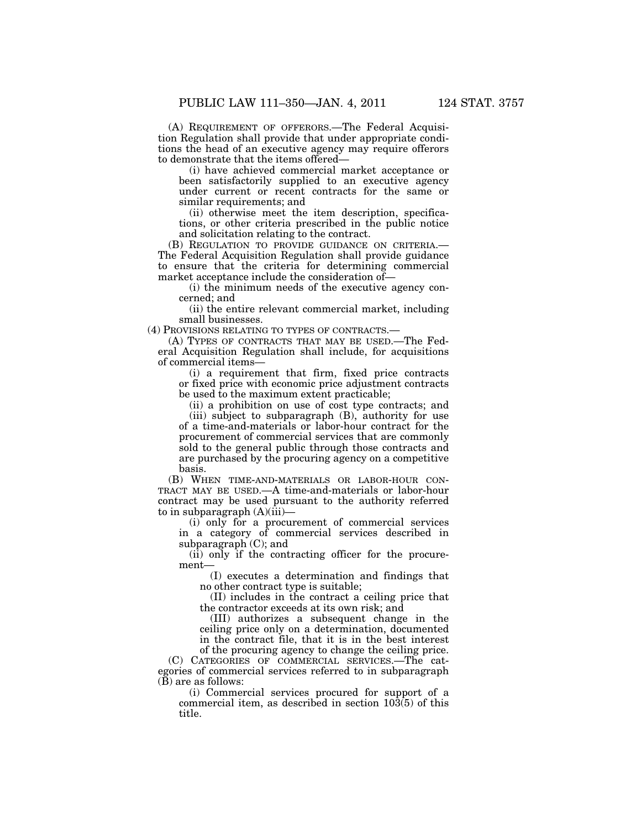(A) REQUIREMENT OF OFFERORS.—The Federal Acquisition Regulation shall provide that under appropriate conditions the head of an executive agency may require offerors to demonstrate that the items offered—

(i) have achieved commercial market acceptance or been satisfactorily supplied to an executive agency under current or recent contracts for the same or similar requirements; and

(ii) otherwise meet the item description, specifications, or other criteria prescribed in the public notice and solicitation relating to the contract.

(B) REGULATION TO PROVIDE GUIDANCE ON CRITERIA.— The Federal Acquisition Regulation shall provide guidance to ensure that the criteria for determining commercial market acceptance include the consideration of—

(i) the minimum needs of the executive agency concerned; and

(ii) the entire relevant commercial market, including small businesses.

(4) PROVISIONS RELATING TO TYPES OF CONTRACTS.—

(A) TYPES OF CONTRACTS THAT MAY BE USED.—The Federal Acquisition Regulation shall include, for acquisitions of commercial items—

(i) a requirement that firm, fixed price contracts or fixed price with economic price adjustment contracts be used to the maximum extent practicable;

(ii) a prohibition on use of cost type contracts; and

(iii) subject to subparagraph (B), authority for use of a time-and-materials or labor-hour contract for the procurement of commercial services that are commonly sold to the general public through those contracts and are purchased by the procuring agency on a competitive basis.

(B) WHEN TIME-AND-MATERIALS OR LABOR-HOUR CON-TRACT MAY BE USED.—A time-and-materials or labor-hour contract may be used pursuant to the authority referred to in subparagraph (A)(iii)—

(i) only for a procurement of commercial services in a category of commercial services described in subparagraph (C); and

(ii) only if the contracting officer for the procurement—

(I) executes a determination and findings that no other contract type is suitable;

(II) includes in the contract a ceiling price that the contractor exceeds at its own risk; and

(III) authorizes a subsequent change in the ceiling price only on a determination, documented in the contract file, that it is in the best interest

of the procuring agency to change the ceiling price. (C) CATEGORIES OF COMMERCIAL SERVICES.—The cat-

egories of commercial services referred to in subparagraph (B) are as follows:

(i) Commercial services procured for support of a commercial item, as described in section  $10\overline{3}(5)$  of this title.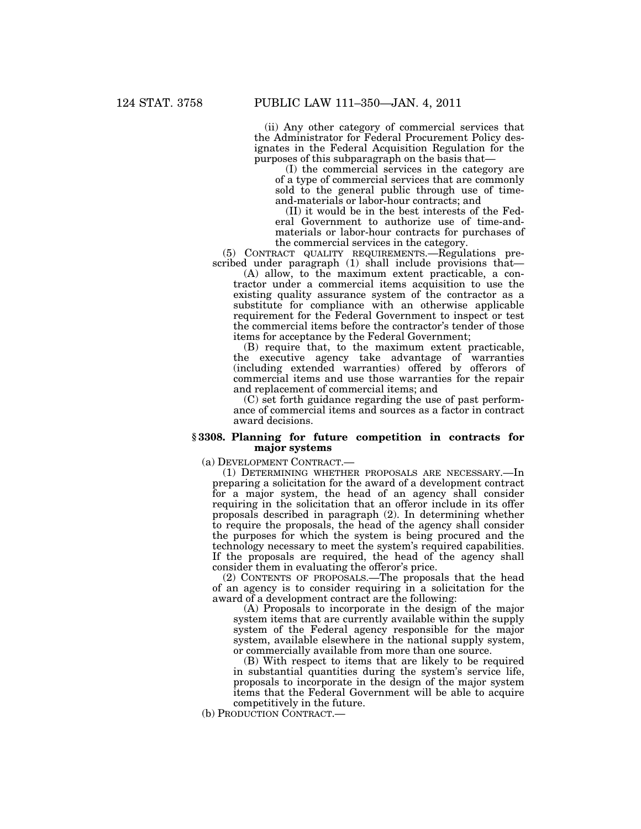(ii) Any other category of commercial services that the Administrator for Federal Procurement Policy designates in the Federal Acquisition Regulation for the purposes of this subparagraph on the basis that—

(I) the commercial services in the category are of a type of commercial services that are commonly sold to the general public through use of timeand-materials or labor-hour contracts; and

(II) it would be in the best interests of the Federal Government to authorize use of time-andmaterials or labor-hour contracts for purchases of the commercial services in the category.

(5) CONTRACT QUALITY REQUIREMENTS.—Regulations prescribed under paragraph (1) shall include provisions that—

(A) allow, to the maximum extent practicable, a contractor under a commercial items acquisition to use the existing quality assurance system of the contractor as a substitute for compliance with an otherwise applicable requirement for the Federal Government to inspect or test the commercial items before the contractor's tender of those items for acceptance by the Federal Government;

(B) require that, to the maximum extent practicable, the executive agency take advantage of warranties (including extended warranties) offered by offerors of commercial items and use those warranties for the repair and replacement of commercial items; and

(C) set forth guidance regarding the use of past performance of commercial items and sources as a factor in contract award decisions.

## **§ 3308. Planning for future competition in contracts for major systems**

(a) DEVELOPMENT CONTRACT.—

(1) DETERMINING WHETHER PROPOSALS ARE NECESSARY.—In preparing a solicitation for the award of a development contract for a major system, the head of an agency shall consider requiring in the solicitation that an offeror include in its offer proposals described in paragraph (2). In determining whether to require the proposals, the head of the agency shall consider the purposes for which the system is being procured and the technology necessary to meet the system's required capabilities. If the proposals are required, the head of the agency shall consider them in evaluating the offeror's price.

(2) CONTENTS OF PROPOSALS.—The proposals that the head of an agency is to consider requiring in a solicitation for the award of a development contract are the following:

(A) Proposals to incorporate in the design of the major system items that are currently available within the supply system of the Federal agency responsible for the major system, available elsewhere in the national supply system, or commercially available from more than one source.

(B) With respect to items that are likely to be required in substantial quantities during the system's service life, proposals to incorporate in the design of the major system items that the Federal Government will be able to acquire competitively in the future.

(b) PRODUCTION CONTRACT.—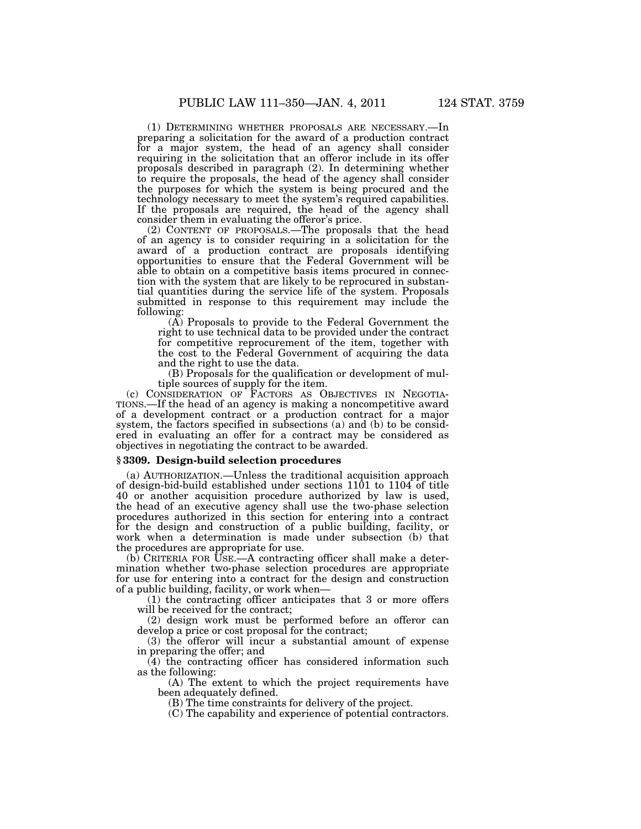(1) DETERMINING WHETHER PROPOSALS ARE NECESSARY.—In preparing a solicitation for the award of a production contract for a major system, the head of an agency shall consider requiring in the solicitation that an offeror include in its offer proposals described in paragraph (2). In determining whether to require the proposals, the head of the agency shall consider the purposes for which the system is being procured and the technology necessary to meet the system's required capabilities. If the proposals are required, the head of the agency shall consider them in evaluating the offeror's price.

(2) CONTENT OF PROPOSALS.—The proposals that the head of an agency is to consider requiring in a solicitation for the award of a production contract are proposals identifying opportunities to ensure that the Federal Government will be able to obtain on a competitive basis items procured in connection with the system that are likely to be reprocured in substantial quantities during the service life of the system. Proposals submitted in response to this requirement may include the following:

(A) Proposals to provide to the Federal Government the right to use technical data to be provided under the contract for competitive reprocurement of the item, together with the cost to the Federal Government of acquiring the data and the right to use the data.

(B) Proposals for the qualification or development of mul-

tiple sources of supply for the item.<br>(c) CONSIDERATION OF FACTORS AS OBJECTIVES IN NEGOTIA-TIONS.—If the head of an agency is making a noncompetitive award of a development contract or a production contract for a major system, the factors specified in subsections (a) and (b) to be considered in evaluating an offer for a contract may be considered as objectives in negotiating the contract to be awarded.

#### **§ 3309. Design-build selection procedures**

(a) AUTHORIZATION.—Unless the traditional acquisition approach of design-bid-build established under sections 1101 to 1104 of title 40 or another acquisition procedure authorized by law is used, the head of an executive agency shall use the two-phase selection procedures authorized in this section for entering into a contract for the design and construction of a public building, facility, or work when a determination is made under subsection (b) that the procedures are appropriate for use.

 $(b)$  CRITERIA FOR USE.—A contracting officer shall make a determination whether two-phase selection procedures are appropriate for use for entering into a contract for the design and construction of a public building, facility, or work when—

(1) the contracting officer anticipates that 3 or more offers will be received for the contract;

(2) design work must be performed before an offeror can develop a price or cost proposal for the contract;

(3) the offeror will incur a substantial amount of expense in preparing the offer; and

(4) the contracting officer has considered information such as the following:

(A) The extent to which the project requirements have been adequately defined.

(B) The time constraints for delivery of the project.

(C) The capability and experience of potential contractors.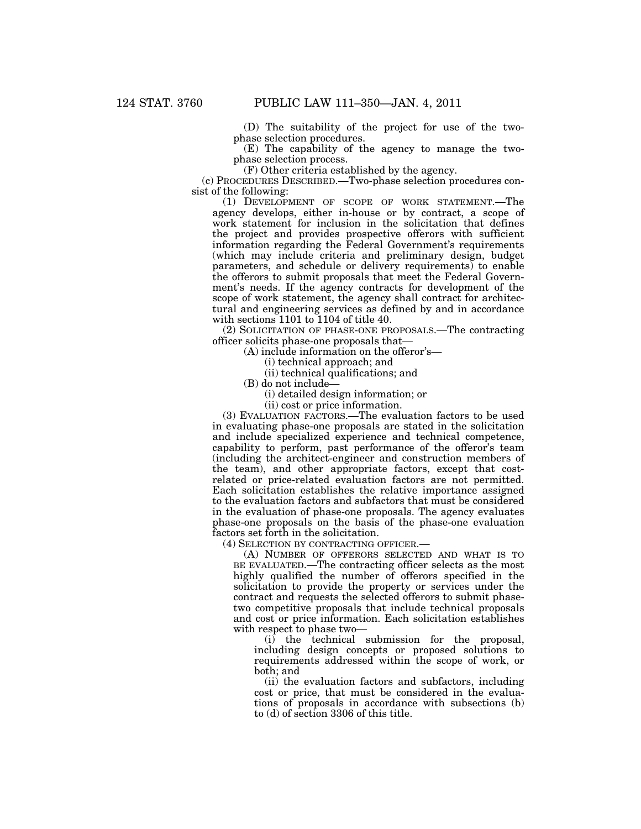(D) The suitability of the project for use of the twophase selection procedures.

(E) The capability of the agency to manage the twophase selection process.

(F) Other criteria established by the agency.

(c) PROCEDURES DESCRIBED.—Two-phase selection procedures consist of the following:

(1) DEVELOPMENT OF SCOPE OF WORK STATEMENT.—The agency develops, either in-house or by contract, a scope of work statement for inclusion in the solicitation that defines the project and provides prospective offerors with sufficient information regarding the Federal Government's requirements (which may include criteria and preliminary design, budget parameters, and schedule or delivery requirements) to enable the offerors to submit proposals that meet the Federal Government's needs. If the agency contracts for development of the scope of work statement, the agency shall contract for architectural and engineering services as defined by and in accordance with sections 1101 to 1104 of title 40.

(2) SOLICITATION OF PHASE-ONE PROPOSALS.—The contracting officer solicits phase-one proposals that—

(A) include information on the offeror's—

(i) technical approach; and

(ii) technical qualifications; and

(B) do not include—

(i) detailed design information; or

(ii) cost or price information.

(3) EVALUATION FACTORS.—The evaluation factors to be used in evaluating phase-one proposals are stated in the solicitation and include specialized experience and technical competence, capability to perform, past performance of the offeror's team (including the architect-engineer and construction members of the team), and other appropriate factors, except that costrelated or price-related evaluation factors are not permitted. Each solicitation establishes the relative importance assigned to the evaluation factors and subfactors that must be considered in the evaluation of phase-one proposals. The agency evaluates phase-one proposals on the basis of the phase-one evaluation factors set forth in the solicitation.

(4) SELECTION BY CONTRACTING OFFICER.—

(A) NUMBER OF OFFERORS SELECTED AND WHAT IS TO BE EVALUATED.—The contracting officer selects as the most highly qualified the number of offerors specified in the solicitation to provide the property or services under the contract and requests the selected offerors to submit phasetwo competitive proposals that include technical proposals and cost or price information. Each solicitation establishes with respect to phase two—

(i) the technical submission for the proposal, including design concepts or proposed solutions to requirements addressed within the scope of work, or both; and

(ii) the evaluation factors and subfactors, including cost or price, that must be considered in the evaluations of proposals in accordance with subsections (b) to (d) of section 3306 of this title.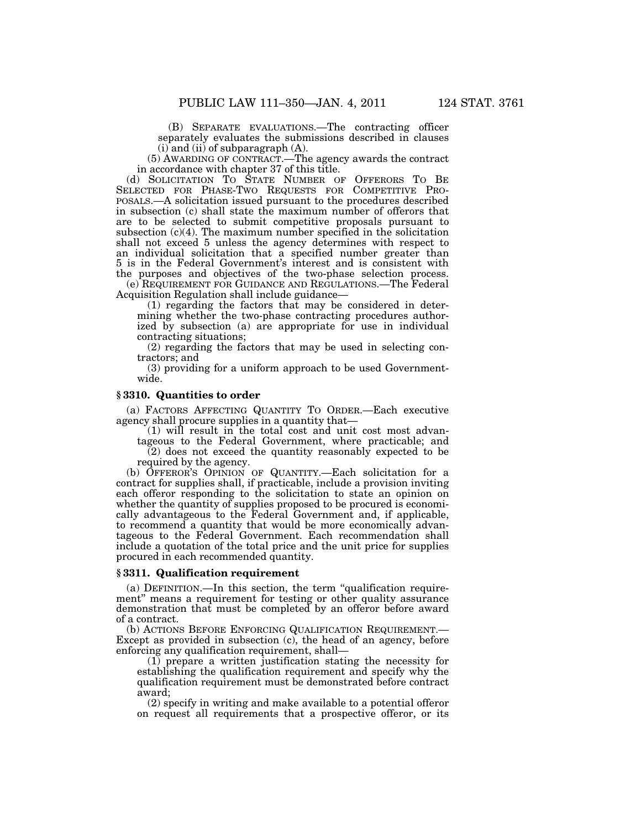(B) SEPARATE EVALUATIONS.—The contracting officer separately evaluates the submissions described in clauses (i) and (ii) of subparagraph (A).

(5) AWARDING OF CONTRACT.—The agency awards the contract in accordance with chapter 37 of this title.

(d) SOLICITATION TO STATE NUMBER OF OFFERORS TO BE<br>SELECTED FOR PHASE-TWO REQUESTS FOR COMPETITIVE PRO-POSALS.—A solicitation issued pursuant to the procedures described in subsection (c) shall state the maximum number of offerors that are to be selected to submit competitive proposals pursuant to subsection (c)(4). The maximum number specified in the solicitation shall not exceed 5 unless the agency determines with respect to an individual solicitation that a specified number greater than 5 is in the Federal Government's interest and is consistent with the purposes and objectives of the two-phase selection process. (e) REQUIREMENT FOR GUIDANCE AND REGULATIONS.—The Federal

Acquisition Regulation shall include guidance—

(1) regarding the factors that may be considered in determining whether the two-phase contracting procedures authorized by subsection (a) are appropriate for use in individual contracting situations;

(2) regarding the factors that may be used in selecting contractors; and

(3) providing for a uniform approach to be used Governmentwide.

# **§ 3310. Quantities to order**

(a) FACTORS AFFECTING QUANTITY TO ORDER.—Each executive agency shall procure supplies in a quantity that—

(1) will result in the total cost and unit cost most advan-

tageous to the Federal Government, where practicable; and (2) does not exceed the quantity reasonably expected to be required by the agency.

(b) OFFEROR'S OPINION OF QUANTITY.—Each solicitation for a contract for supplies shall, if practicable, include a provision inviting each offeror responding to the solicitation to state an opinion on whether the quantity of supplies proposed to be procured is economically advantageous to the Federal Government and, if applicable, to recommend a quantity that would be more economically advantageous to the Federal Government. Each recommendation shall include a quotation of the total price and the unit price for supplies procured in each recommended quantity.

#### **§ 3311. Qualification requirement**

(a) DEFINITION.—In this section, the term ''qualification requirement" means a requirement for testing or other quality assurance demonstration that must be completed by an offeror before award of a contract.

(b) ACTIONS BEFORE ENFORCING QUALIFICATION REQUIREMENT.— Except as provided in subsection (c), the head of an agency, before enforcing any qualification requirement, shall—

(1) prepare a written justification stating the necessity for establishing the qualification requirement and specify why the qualification requirement must be demonstrated before contract award;

(2) specify in writing and make available to a potential offeror on request all requirements that a prospective offeror, or its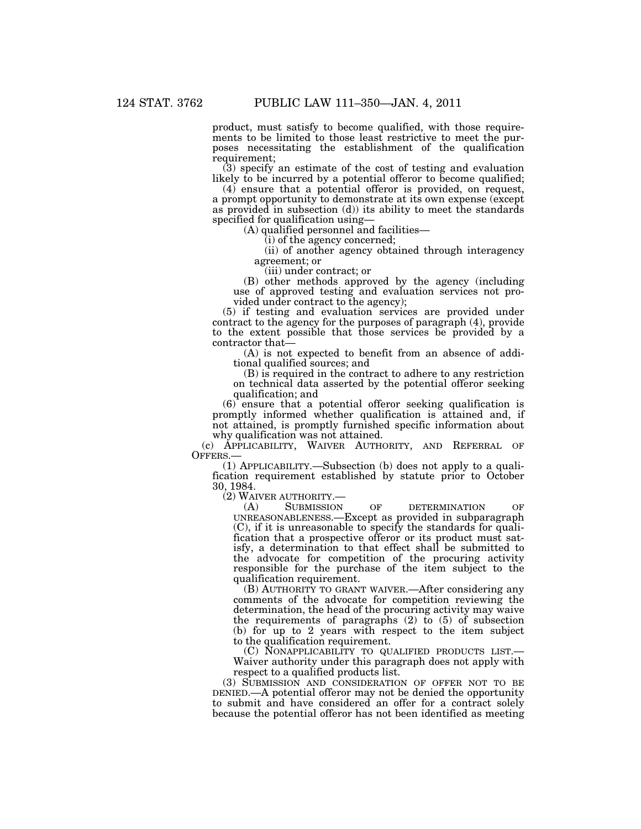product, must satisfy to become qualified, with those requirements to be limited to those least restrictive to meet the purposes necessitating the establishment of the qualification requirement;

(3) specify an estimate of the cost of testing and evaluation likely to be incurred by a potential offeror to become qualified;

(4) ensure that a potential offeror is provided, on request, a prompt opportunity to demonstrate at its own expense (except as provided in subsection (d)) its ability to meet the standards specified for qualification using—

(A) qualified personnel and facilities—

(i) of the agency concerned;

(ii) of another agency obtained through interagency agreement; or

(iii) under contract; or

(B) other methods approved by the agency (including use of approved testing and evaluation services not provided under contract to the agency);

(5) if testing and evaluation services are provided under contract to the agency for the purposes of paragraph (4), provide to the extent possible that those services be provided by a contractor that—

(A) is not expected to benefit from an absence of additional qualified sources; and

(B) is required in the contract to adhere to any restriction on technical data asserted by the potential offeror seeking qualification; and

(6) ensure that a potential offeror seeking qualification is promptly informed whether qualification is attained and, if not attained, is promptly furnished specific information about why qualification was not attained.

(c) APPLICABILITY, WAIVER AUTHORITY, AND REFERRAL OF OFFERS.—

(1) APPLICABILITY.—Subsection (b) does not apply to a qualification requirement established by statute prior to October 30, 1984.

(2) WAIVER AUTHORITY.— (A) SUBMISSION OF DETERMINATION OF UNREASONABLENESS.—Except as provided in subparagraph (C), if it is unreasonable to specify the standards for qualification that a prospective offeror or its product must satisfy, a determination to that effect shall be submitted to the advocate for competition of the procuring activity responsible for the purchase of the item subject to the qualification requirement.

(B) AUTHORITY TO GRANT WAIVER.—After considering any comments of the advocate for competition reviewing the determination, the head of the procuring activity may waive the requirements of paragraphs (2) to (5) of subsection (b) for up to 2 years with respect to the item subject to the qualification requirement.

(C) NONAPPLICABILITY TO QUALIFIED PRODUCTS LIST.— Waiver authority under this paragraph does not apply with respect to a qualified products list.

(3) SUBMISSION AND CONSIDERATION OF OFFER NOT TO BE DENIED.—A potential offeror may not be denied the opportunity to submit and have considered an offer for a contract solely because the potential offeror has not been identified as meeting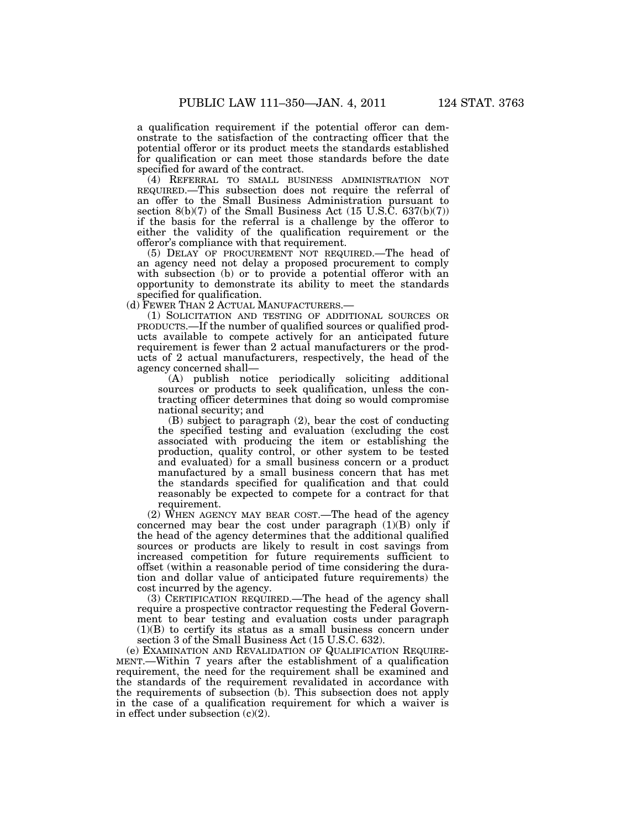a qualification requirement if the potential offeror can demonstrate to the satisfaction of the contracting officer that the potential offeror or its product meets the standards established for qualification or can meet those standards before the date specified for award of the contract.

(4) REFERRAL TO SMALL BUSINESS ADMINISTRATION NOT REQUIRED.—This subsection does not require the referral of an offer to the Small Business Administration pursuant to section  $8(b)(7)$  of the Small Business Act (15 U.S.C. 637(b)(7)) if the basis for the referral is a challenge by the offeror to either the validity of the qualification requirement or the offeror's compliance with that requirement.

(5) DELAY OF PROCUREMENT NOT REQUIRED.—The head of an agency need not delay a proposed procurement to comply with subsection (b) or to provide a potential offeror with an opportunity to demonstrate its ability to meet the standards specified for qualification.

(d) FEWER THAN 2 ACTUAL MANUFACTURERS.—

(1) SOLICITATION AND TESTING OF ADDITIONAL SOURCES OR PRODUCTS.—If the number of qualified sources or qualified products available to compete actively for an anticipated future requirement is fewer than 2 actual manufacturers or the products of 2 actual manufacturers, respectively, the head of the agency concerned shall—

(A) publish notice periodically soliciting additional sources or products to seek qualification, unless the contracting officer determines that doing so would compromise national security; and

(B) subject to paragraph (2), bear the cost of conducting the specified testing and evaluation (excluding the cost associated with producing the item or establishing the production, quality control, or other system to be tested and evaluated) for a small business concern or a product manufactured by a small business concern that has met the standards specified for qualification and that could reasonably be expected to compete for a contract for that requirement.

(2) WHEN AGENCY MAY BEAR COST.—The head of the agency concerned may bear the cost under paragraph  $(1)(B)$  only if the head of the agency determines that the additional qualified sources or products are likely to result in cost savings from increased competition for future requirements sufficient to offset (within a reasonable period of time considering the duration and dollar value of anticipated future requirements) the cost incurred by the agency.

(3) CERTIFICATION REQUIRED.—The head of the agency shall require a prospective contractor requesting the Federal Government to bear testing and evaluation costs under paragraph (1)(B) to certify its status as a small business concern under

section 3 of the Small Business Act (15 U.S.C. 632).<br>(e) EXAMINATION AND REVALIDATION OF QUALIFICATION REQUIRE-MENT.—Within 7 years after the establishment of a qualification requirement, the need for the requirement shall be examined and the standards of the requirement revalidated in accordance with the requirements of subsection (b). This subsection does not apply in the case of a qualification requirement for which a waiver is in effect under subsection (c)(2).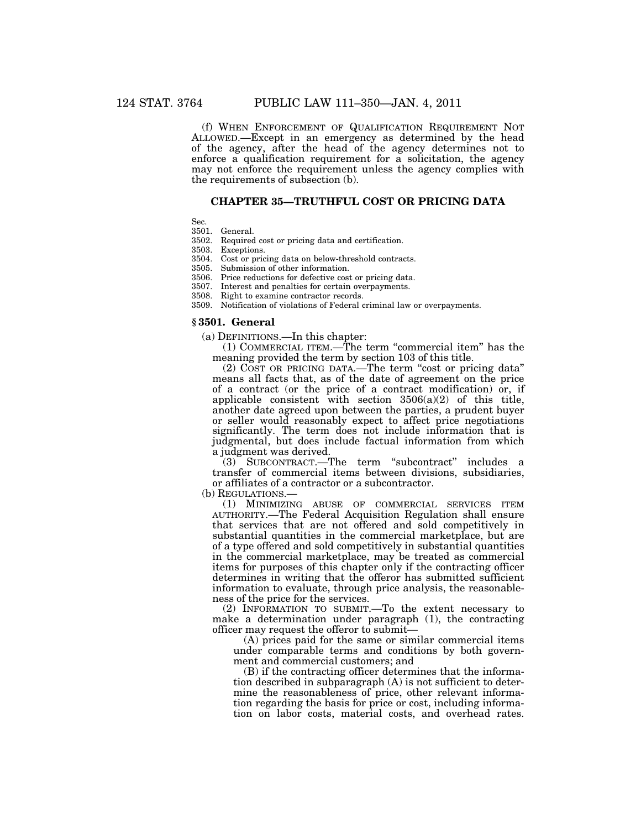(f) WHEN ENFORCEMENT OF QUALIFICATION REQUIREMENT NOT ALLOWED.—Except in an emergency as determined by the head of the agency, after the head of the agency determines not to enforce a qualification requirement for a solicitation, the agency may not enforce the requirement unless the agency complies with the requirements of subsection (b).

# **CHAPTER 35—TRUTHFUL COST OR PRICING DATA**

Sec.

3501. General.

3502. Required cost or pricing data and certification.

3503. Exceptions.<br>3504. Cost or pric

- Cost or pricing data on below-threshold contracts.
- 3505. Submission of other information.
- 3506. Price reductions for defective cost or pricing data.
- 3507. Interest and penalties for certain overpayments.
- 3508. Right to examine contractor records.
- 3509. Notification of violations of Federal criminal law or overpayments.

#### **§ 3501. General**

(a) DEFINITIONS.—In this chapter:

(1) COMMERCIAL ITEM.—The term ''commercial item'' has the meaning provided the term by section 103 of this title.

 $(2)$  COST OR PRICING DATA.—The term "cost or pricing data" means all facts that, as of the date of agreement on the price of a contract (or the price of a contract modification) or, if applicable consistent with section  $3506(a)(2)$  of this title, another date agreed upon between the parties, a prudent buyer or seller would reasonably expect to affect price negotiations significantly. The term does not include information that is judgmental, but does include factual information from which a judgment was derived.

(3) SUBCONTRACT.—The term ''subcontract'' includes a transfer of commercial items between divisions, subsidiaries, or affiliates of a contractor or a subcontractor.

(b) REGULATIONS.—

(1) MINIMIZING ABUSE OF COMMERCIAL SERVICES ITEM AUTHORITY.—The Federal Acquisition Regulation shall ensure that services that are not offered and sold competitively in substantial quantities in the commercial marketplace, but are of a type offered and sold competitively in substantial quantities in the commercial marketplace, may be treated as commercial items for purposes of this chapter only if the contracting officer determines in writing that the offeror has submitted sufficient information to evaluate, through price analysis, the reasonableness of the price for the services.

(2) INFORMATION TO SUBMIT.—To the extent necessary to make a determination under paragraph (1), the contracting officer may request the offeror to submit—

(A) prices paid for the same or similar commercial items under comparable terms and conditions by both government and commercial customers; and

(B) if the contracting officer determines that the information described in subparagraph (A) is not sufficient to determine the reasonableness of price, other relevant information regarding the basis for price or cost, including information on labor costs, material costs, and overhead rates.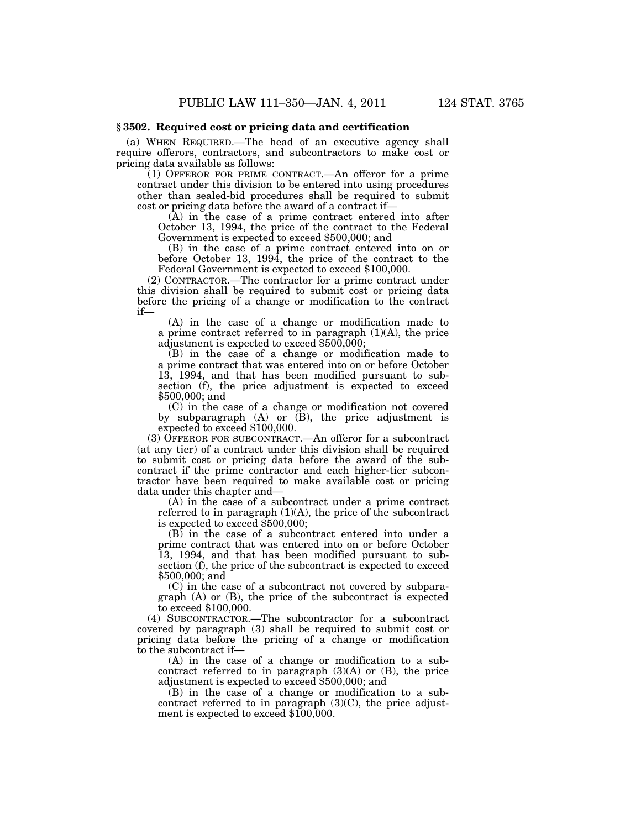## **§ 3502. Required cost or pricing data and certification**

(a) WHEN REQUIRED.—The head of an executive agency shall require offerors, contractors, and subcontractors to make cost or pricing data available as follows:

(1) OFFEROR FOR PRIME CONTRACT.—An offeror for a prime contract under this division to be entered into using procedures other than sealed-bid procedures shall be required to submit cost or pricing data before the award of a contract if—

(A) in the case of a prime contract entered into after October 13, 1994, the price of the contract to the Federal Government is expected to exceed \$500,000; and

(B) in the case of a prime contract entered into on or before October 13, 1994, the price of the contract to the Federal Government is expected to exceed \$100,000.

(2) CONTRACTOR.—The contractor for a prime contract under this division shall be required to submit cost or pricing data before the pricing of a change or modification to the contract if—

(A) in the case of a change or modification made to a prime contract referred to in paragraph (1)(A), the price adjustment is expected to exceed \$500,000;

(B) in the case of a change or modification made to a prime contract that was entered into on or before October 13, 1994, and that has been modified pursuant to subsection (f), the price adjustment is expected to exceed \$500,000; and

(C) in the case of a change or modification not covered by subparagraph  $(A)$  or  $(B)$ , the price adjustment is expected to exceed \$100,000.

(3) OFFEROR FOR SUBCONTRACT.—An offeror for a subcontract (at any tier) of a contract under this division shall be required to submit cost or pricing data before the award of the subcontract if the prime contractor and each higher-tier subcontractor have been required to make available cost or pricing data under this chapter and—

(A) in the case of a subcontract under a prime contract referred to in paragraph  $(1)(A)$ , the price of the subcontract is expected to exceed \$500,000;

(B) in the case of a subcontract entered into under a prime contract that was entered into on or before October 13, 1994, and that has been modified pursuant to subsection (f), the price of the subcontract is expected to exceed \$500,000; and

(C) in the case of a subcontract not covered by subparagraph (A) or (B), the price of the subcontract is expected to exceed \$100,000.

(4) SUBCONTRACTOR.—The subcontractor for a subcontract covered by paragraph (3) shall be required to submit cost or pricing data before the pricing of a change or modification to the subcontract if—

(A) in the case of a change or modification to a subcontract referred to in paragraph  $(3)(A)$  or  $(B)$ , the price adjustment is expected to exceed \$500,000; and

(B) in the case of a change or modification to a subcontract referred to in paragraph  $(3)(C)$ , the price adjustment is expected to exceed \$100,000.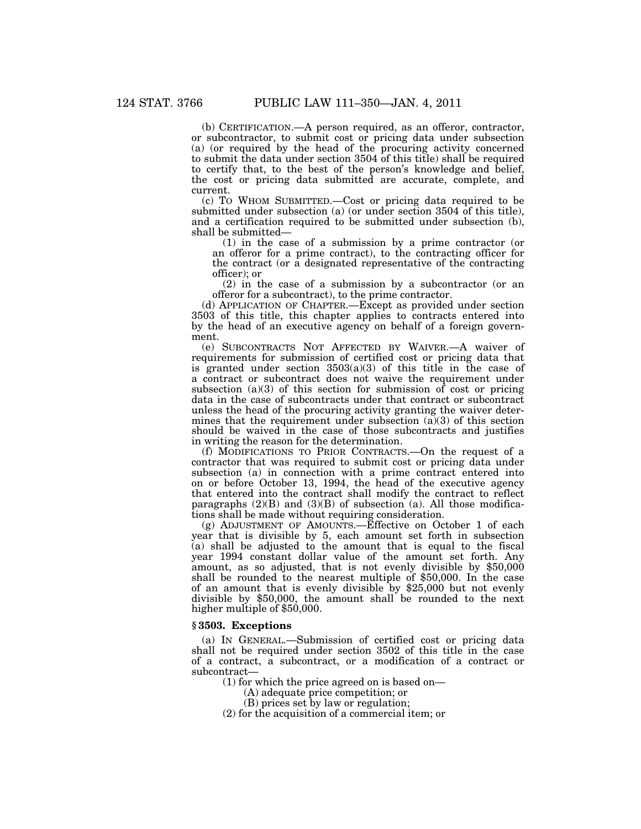(b) CERTIFICATION.—A person required, as an offeror, contractor, or subcontractor, to submit cost or pricing data under subsection (a) (or required by the head of the procuring activity concerned to submit the data under section 3504 of this title) shall be required to certify that, to the best of the person's knowledge and belief, the cost or pricing data submitted are accurate, complete, and current.

(c) TO WHOM SUBMITTED.—Cost or pricing data required to be submitted under subsection (a) (or under section 3504 of this title), and a certification required to be submitted under subsection (b), shall be submitted—

(1) in the case of a submission by a prime contractor (or an offeror for a prime contract), to the contracting officer for the contract (or a designated representative of the contracting officer); or

(2) in the case of a submission by a subcontractor (or an offeror for a subcontract), to the prime contractor.

(d) APPLICATION OF CHAPTER.—Except as provided under section 3503 of this title, this chapter applies to contracts entered into by the head of an executive agency on behalf of a foreign government.

(e) SUBCONTRACTS NOT AFFECTED BY WAIVER.—A waiver of requirements for submission of certified cost or pricing data that is granted under section  $3503(a)(3)$  of this title in the case of a contract or subcontract does not waive the requirement under subsection  $(a)(3)$  of this section for submission of cost or pricing data in the case of subcontracts under that contract or subcontract unless the head of the procuring activity granting the waiver determines that the requirement under subsection  $(a)(3)$  of this section should be waived in the case of those subcontracts and justifies in writing the reason for the determination.

(f) MODIFICATIONS TO PRIOR CONTRACTS.—On the request of a contractor that was required to submit cost or pricing data under subsection (a) in connection with a prime contract entered into on or before October 13, 1994, the head of the executive agency that entered into the contract shall modify the contract to reflect paragraphs (2)(B) and (3)(B) of subsection (a). All those modifications shall be made without requiring consideration.

(g) ADJUSTMENT OF AMOUNTS.—Effective on October 1 of each year that is divisible by 5, each amount set forth in subsection (a) shall be adjusted to the amount that is equal to the fiscal year 1994 constant dollar value of the amount set forth. Any amount, as so adjusted, that is not evenly divisible by \$50,000 shall be rounded to the nearest multiple of \$50,000. In the case of an amount that is evenly divisible by \$25,000 but not evenly divisible by \$50,000, the amount shall be rounded to the next higher multiple of \$50,000.

#### **§ 3503. Exceptions**

(a) IN GENERAL.—Submission of certified cost or pricing data shall not be required under section 3502 of this title in the case of a contract, a subcontract, or a modification of a contract or subcontract—

(1) for which the price agreed on is based on—

(A) adequate price competition; or

(B) prices set by law or regulation;

(2) for the acquisition of a commercial item; or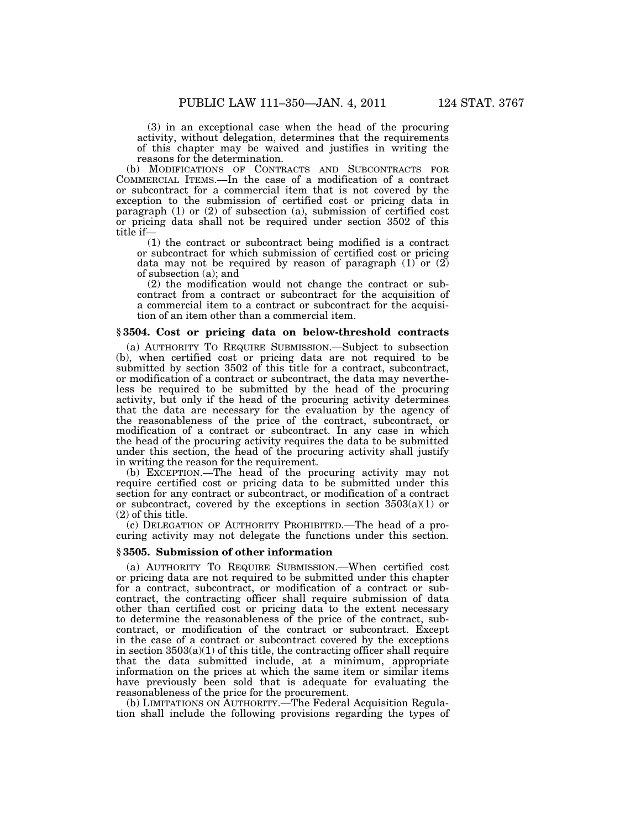(3) in an exceptional case when the head of the procuring activity, without delegation, determines that the requirements of this chapter may be waived and justifies in writing the reasons for the determination.

(b) MODIFICATIONS OF CONTRACTS AND SUBCONTRACTS FOR COMMERCIAL ITEMS.—In the case of a modification of a contract or subcontract for a commercial item that is not covered by the exception to the submission of certified cost or pricing data in paragraph (1) or (2) of subsection (a), submission of certified cost or pricing data shall not be required under section 3502 of this title if—

(1) the contract or subcontract being modified is a contract or subcontract for which submission of certified cost or pricing data may not be required by reason of paragraph  $(1)$  or  $(2)$ of subsection (a); and

(2) the modification would not change the contract or subcontract from a contract or subcontract for the acquisition of a commercial item to a contract or subcontract for the acquisition of an item other than a commercial item.

#### **§ 3504. Cost or pricing data on below-threshold contracts**

(a) AUTHORITY TO REQUIRE SUBMISSION.—Subject to subsection (b), when certified cost or pricing data are not required to be submitted by section 3502 of this title for a contract, subcontract, or modification of a contract or subcontract, the data may nevertheless be required to be submitted by the head of the procuring activity, but only if the head of the procuring activity determines that the data are necessary for the evaluation by the agency of the reasonableness of the price of the contract, subcontract, or modification of a contract or subcontract. In any case in which the head of the procuring activity requires the data to be submitted under this section, the head of the procuring activity shall justify in writing the reason for the requirement.

(b) EXCEPTION.—The head of the procuring activity may not require certified cost or pricing data to be submitted under this section for any contract or subcontract, or modification of a contract or subcontract, covered by the exceptions in section  $3503(a)(1)$  or (2) of this title.

(c) DELEGATION OF AUTHORITY PROHIBITED.—The head of a procuring activity may not delegate the functions under this section.

## **§ 3505. Submission of other information**

(a) AUTHORITY TO REQUIRE SUBMISSION.—When certified cost or pricing data are not required to be submitted under this chapter for a contract, subcontract, or modification of a contract or subcontract, the contracting officer shall require submission of data other than certified cost or pricing data to the extent necessary to determine the reasonableness of the price of the contract, subcontract, or modification of the contract or subcontract. Except in the case of a contract or subcontract covered by the exceptions in section  $3503(a)(1)$  of this title, the contracting officer shall require that the data submitted include, at a minimum, appropriate information on the prices at which the same item or similar items have previously been sold that is adequate for evaluating the reasonableness of the price for the procurement.

(b) LIMITATIONS ON AUTHORITY.—The Federal Acquisition Regulation shall include the following provisions regarding the types of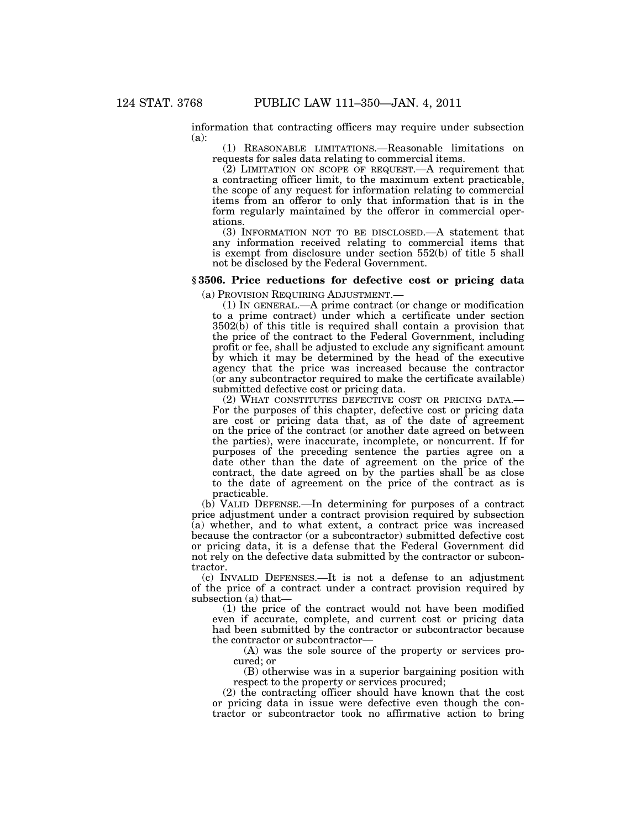information that contracting officers may require under subsection (a):

(1) REASONABLE LIMITATIONS.—Reasonable limitations on requests for sales data relating to commercial items.

 $(2)$  LIMITATION ON SCOPE OF REQUEST. A requirement that a contracting officer limit, to the maximum extent practicable, the scope of any request for information relating to commercial items from an offeror to only that information that is in the form regularly maintained by the offeror in commercial operations.

(3) INFORMATION NOT TO BE DISCLOSED.—A statement that any information received relating to commercial items that is exempt from disclosure under section 552(b) of title 5 shall not be disclosed by the Federal Government.

# **§ 3506. Price reductions for defective cost or pricing data**

(a) PROVISION REQUIRING ADJUSTMENT.—

(1) IN GENERAL.—A prime contract (or change or modification to a prime contract) under which a certificate under section 3502(b) of this title is required shall contain a provision that the price of the contract to the Federal Government, including profit or fee, shall be adjusted to exclude any significant amount by which it may be determined by the head of the executive agency that the price was increased because the contractor (or any subcontractor required to make the certificate available) submitted defective cost or pricing data.

(2) WHAT CONSTITUTES DEFECTIVE COST OR PRICING DATA.— For the purposes of this chapter, defective cost or pricing data are cost or pricing data that, as of the date of agreement on the price of the contract (or another date agreed on between the parties), were inaccurate, incomplete, or noncurrent. If for purposes of the preceding sentence the parties agree on a date other than the date of agreement on the price of the contract, the date agreed on by the parties shall be as close to the date of agreement on the price of the contract as is practicable.

(b) VALID DEFENSE.—In determining for purposes of a contract price adjustment under a contract provision required by subsection (a) whether, and to what extent, a contract price was increased because the contractor (or a subcontractor) submitted defective cost or pricing data, it is a defense that the Federal Government did not rely on the defective data submitted by the contractor or subcontractor.

(c) INVALID DEFENSES.—It is not a defense to an adjustment of the price of a contract under a contract provision required by subsection (a) that—

(1) the price of the contract would not have been modified even if accurate, complete, and current cost or pricing data had been submitted by the contractor or subcontractor because the contractor or subcontractor—

(A) was the sole source of the property or services procured; or

(B) otherwise was in a superior bargaining position with respect to the property or services procured;

(2) the contracting officer should have known that the cost or pricing data in issue were defective even though the contractor or subcontractor took no affirmative action to bring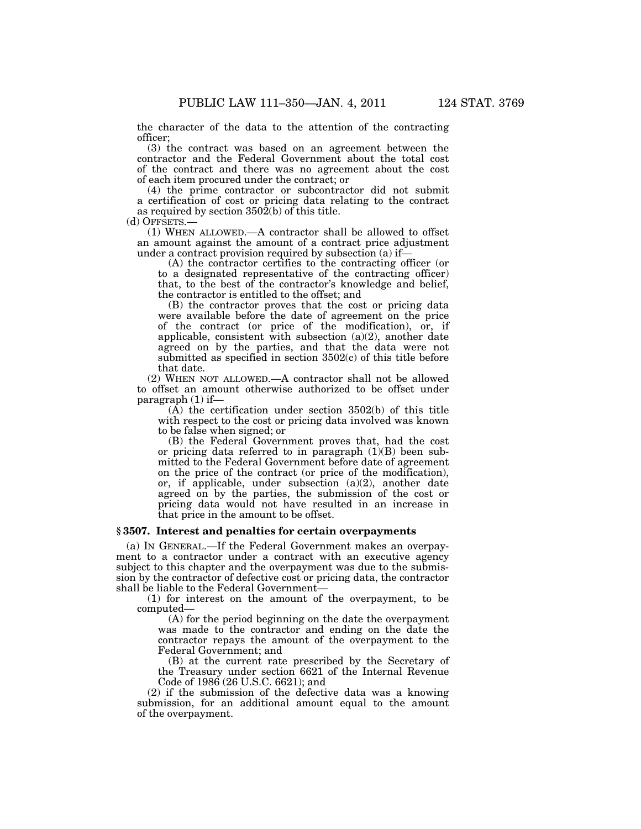the character of the data to the attention of the contracting officer;

(3) the contract was based on an agreement between the contractor and the Federal Government about the total cost of the contract and there was no agreement about the cost of each item procured under the contract; or

(4) the prime contractor or subcontractor did not submit a certification of cost or pricing data relating to the contract as required by section  $350\overline{2}$ (b) of this title.

(d) OFFSETS.— (1) WHEN ALLOWED.—A contractor shall be allowed to offset an amount against the amount of a contract price adjustment under a contract provision required by subsection (a) if—

(A) the contractor certifies to the contracting officer (or to a designated representative of the contracting officer) that, to the best of the contractor's knowledge and belief, the contractor is entitled to the offset; and

(B) the contractor proves that the cost or pricing data were available before the date of agreement on the price of the contract (or price of the modification), or, if applicable, consistent with subsection (a)(2), another date agreed on by the parties, and that the data were not submitted as specified in section 3502(c) of this title before that date.

(2) WHEN NOT ALLOWED.—A contractor shall not be allowed to offset an amount otherwise authorized to be offset under paragraph (1) if—

(A) the certification under section 3502(b) of this title with respect to the cost or pricing data involved was known to be false when signed; or

(B) the Federal Government proves that, had the cost or pricing data referred to in paragraph (1)(B) been submitted to the Federal Government before date of agreement on the price of the contract (or price of the modification), or, if applicable, under subsection  $(a)(2)$ , another date agreed on by the parties, the submission of the cost or pricing data would not have resulted in an increase in that price in the amount to be offset.

#### **§ 3507. Interest and penalties for certain overpayments**

(a) IN GENERAL.—If the Federal Government makes an overpayment to a contractor under a contract with an executive agency subject to this chapter and the overpayment was due to the submission by the contractor of defective cost or pricing data, the contractor shall be liable to the Federal Government—

(1) for interest on the amount of the overpayment, to be computed—

(A) for the period beginning on the date the overpayment was made to the contractor and ending on the date the contractor repays the amount of the overpayment to the Federal Government; and

(B) at the current rate prescribed by the Secretary of the Treasury under section 6621 of the Internal Revenue Code of 1986 (26 U.S.C. 6621); and

(2) if the submission of the defective data was a knowing submission, for an additional amount equal to the amount of the overpayment.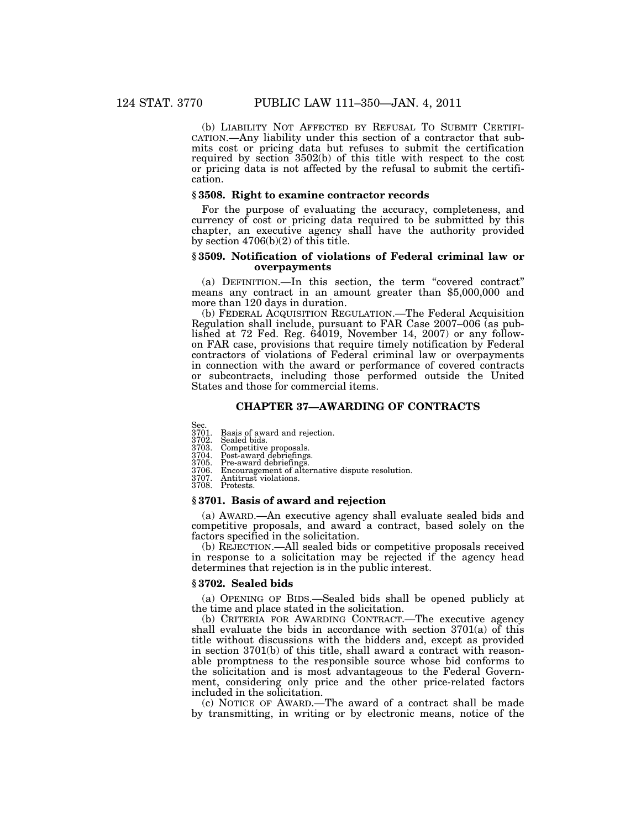(b) LIABILITY NOT AFFECTED BY REFUSAL TO SUBMIT CERTIFI- CATION.—Any liability under this section of a contractor that submits cost or pricing data but refuses to submit the certification required by section 3502(b) of this title with respect to the cost or pricing data is not affected by the refusal to submit the certification.

#### **§ 3508. Right to examine contractor records**

For the purpose of evaluating the accuracy, completeness, and currency of cost or pricing data required to be submitted by this chapter, an executive agency shall have the authority provided by section  $4706(b)(2)$  of this title.

#### **§ 3509. Notification of violations of Federal criminal law or overpayments**

(a) DEFINITION.—In this section, the term ''covered contract'' means any contract in an amount greater than \$5,000,000 and more than 120 days in duration.

(b) FEDERAL ACQUISITION REGULATION.—The Federal Acquisition Regulation shall include, pursuant to FAR Case 2007–006 (as published at 72 Fed. Reg.  $64019$ , November 14, 2007) or any followon FAR case, provisions that require timely notification by Federal contractors of violations of Federal criminal law or overpayments in connection with the award or performance of covered contracts or subcontracts, including those performed outside the United States and those for commercial items.

### **CHAPTER 37—AWARDING OF CONTRACTS**

Sec. 3701. Basis of award and rejection.

3702. Sealed bids. 3703. Competitive proposals.

3704. Post-award debriefings. 3705. Pre-award debriefings.

3704. Entra and debriefings.<br>3706. Pre-award debriefings.<br>3705. Encouragement of alternative dispute resolution.

3707. Antitrust violations. 3708. Protests.

## **§ 3701. Basis of award and rejection**

(a) AWARD.—An executive agency shall evaluate sealed bids and competitive proposals, and award a contract, based solely on the factors specified in the solicitation.

(b) REJECTION.—All sealed bids or competitive proposals received in response to a solicitation may be rejected if the agency head determines that rejection is in the public interest.

#### **§ 3702. Sealed bids**

(a) OPENING OF BIDS.—Sealed bids shall be opened publicly at the time and place stated in the solicitation.

(b) CRITERIA FOR AWARDING CONTRACT.—The executive agency shall evaluate the bids in accordance with section 3701(a) of this title without discussions with the bidders and, except as provided in section 3701(b) of this title, shall award a contract with reasonable promptness to the responsible source whose bid conforms to the solicitation and is most advantageous to the Federal Government, considering only price and the other price-related factors included in the solicitation.

(c) NOTICE OF AWARD.—The award of a contract shall be made by transmitting, in writing or by electronic means, notice of the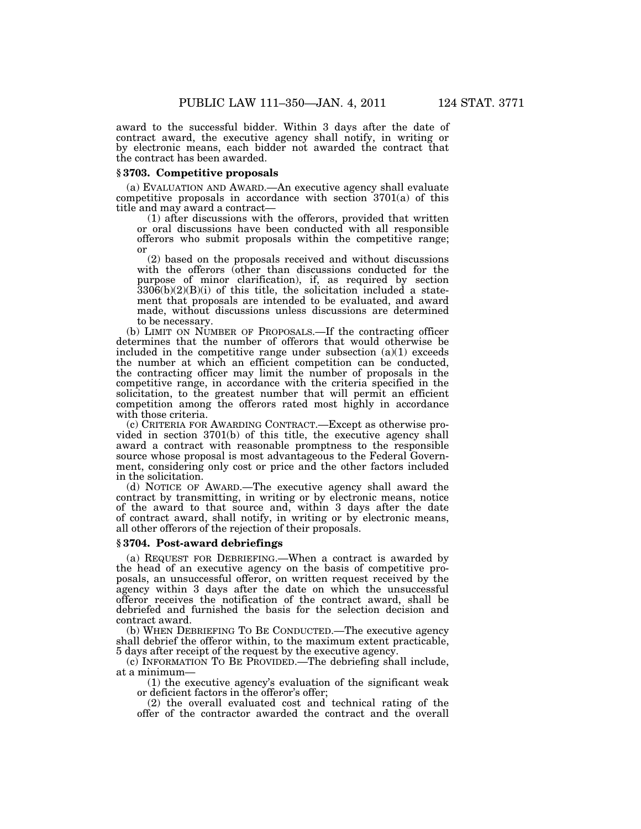award to the successful bidder. Within 3 days after the date of contract award, the executive agency shall notify, in writing or by electronic means, each bidder not awarded the contract that the contract has been awarded.

#### **§ 3703. Competitive proposals**

(a) EVALUATION AND AWARD.—An executive agency shall evaluate competitive proposals in accordance with section 3701(a) of this title and may award a contract—

(1) after discussions with the offerors, provided that written or oral discussions have been conducted with all responsible offerors who submit proposals within the competitive range; or

(2) based on the proposals received and without discussions with the offerors (other than discussions conducted for the purpose of minor clarification), if, as required by section  $3306(b)(2)(B)(i)$  of this title, the solicitation included a statement that proposals are intended to be evaluated, and award made, without discussions unless discussions are determined to be necessary.

(b) LIMIT ON NUMBER OF PROPOSALS.—If the contracting officer determines that the number of offerors that would otherwise be included in the competitive range under subsection  $(a)(1)$  exceeds the number at which an efficient competition can be conducted, the contracting officer may limit the number of proposals in the competitive range, in accordance with the criteria specified in the solicitation, to the greatest number that will permit an efficient competition among the offerors rated most highly in accordance with those criteria.

(c) CRITERIA FOR AWARDING CONTRACT.—Except as otherwise provided in section 3701(b) of this title, the executive agency shall award a contract with reasonable promptness to the responsible source whose proposal is most advantageous to the Federal Government, considering only cost or price and the other factors included in the solicitation.

(d) NOTICE OF AWARD.—The executive agency shall award the contract by transmitting, in writing or by electronic means, notice of the award to that source and, within 3 days after the date of contract award, shall notify, in writing or by electronic means, all other offerors of the rejection of their proposals.

#### **§ 3704. Post-award debriefings**

(a) REQUEST FOR DEBRIEFING.—When a contract is awarded by the head of an executive agency on the basis of competitive proposals, an unsuccessful offeror, on written request received by the agency within 3 days after the date on which the unsuccessful offeror receives the notification of the contract award, shall be debriefed and furnished the basis for the selection decision and contract award.

(b) WHEN DEBRIEFING TO BE CONDUCTED.—The executive agency shall debrief the offeror within, to the maximum extent practicable, 5 days after receipt of the request by the executive agency.

(c) INFORMATION TO BE PROVIDED.—The debriefing shall include, at a minimum—

(1) the executive agency's evaluation of the significant weak or deficient factors in the offeror's offer;

(2) the overall evaluated cost and technical rating of the offer of the contractor awarded the contract and the overall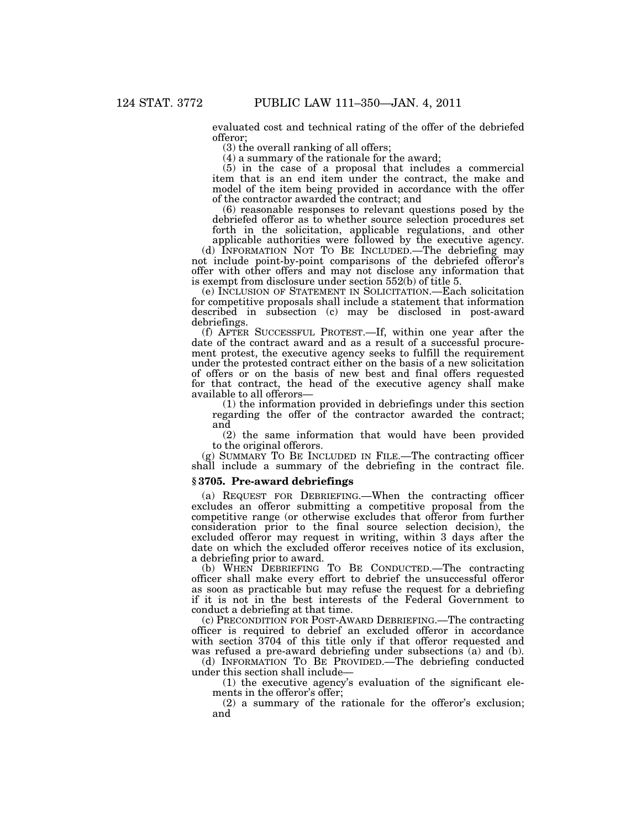evaluated cost and technical rating of the offer of the debriefed offeror;

(3) the overall ranking of all offers;

(4) a summary of the rationale for the award;

(5) in the case of a proposal that includes a commercial item that is an end item under the contract, the make and model of the item being provided in accordance with the offer of the contractor awarded the contract; and

(6) reasonable responses to relevant questions posed by the debriefed offeror as to whether source selection procedures set forth in the solicitation, applicable regulations, and other applicable authorities were followed by the executive agency.

(d) INFORMATION NOT TO BE INCLUDED.—The debriefing may not include point-by-point comparisons of the debriefed offeror's offer with other offers and may not disclose any information that is exempt from disclosure under section 552(b) of title 5.

(e) INCLUSION OF STATEMENT IN SOLICITATION.—Each solicitation for competitive proposals shall include a statement that information described in subsection (c) may be disclosed in post-award debriefings.

(f) AFTER SUCCESSFUL PROTEST.—If, within one year after the date of the contract award and as a result of a successful procurement protest, the executive agency seeks to fulfill the requirement under the protested contract either on the basis of a new solicitation of offers or on the basis of new best and final offers requested for that contract, the head of the executive agency shall make available to all offerors—

(1) the information provided in debriefings under this section regarding the offer of the contractor awarded the contract; and

(2) the same information that would have been provided to the original offerors.

(g) SUMMARY TO BE INCLUDED IN FILE.—The contracting officer shall include a summary of the debriefing in the contract file.

# **§ 3705. Pre-award debriefings**

(a) REQUEST FOR DEBRIEFING.—When the contracting officer excludes an offeror submitting a competitive proposal from the competitive range (or otherwise excludes that offeror from further consideration prior to the final source selection decision), the excluded offeror may request in writing, within 3 days after the date on which the excluded offeror receives notice of its exclusion, a debriefing prior to award.

(b) WHEN DEBRIEFING TO BE CONDUCTED.—The contracting officer shall make every effort to debrief the unsuccessful offeror as soon as practicable but may refuse the request for a debriefing if it is not in the best interests of the Federal Government to conduct a debriefing at that time.

(c) PRECONDITION FOR POST-AWARD DEBRIEFING.—The contracting officer is required to debrief an excluded offeror in accordance with section 3704 of this title only if that offeror requested and was refused a pre-award debriefing under subsections (a) and (b).

(d) INFORMATION TO BE PROVIDED.—The debriefing conducted under this section shall include—

(1) the executive agency's evaluation of the significant elements in the offeror's offer;

(2) a summary of the rationale for the offeror's exclusion; and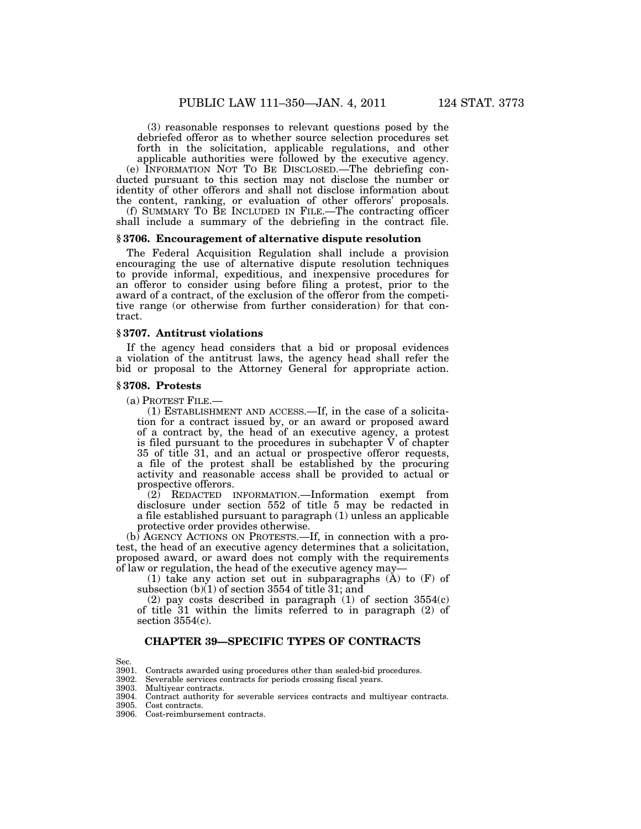(3) reasonable responses to relevant questions posed by the debriefed offeror as to whether source selection procedures set forth in the solicitation, applicable regulations, and other applicable authorities were followed by the executive agency. (e) INFORMATION NOT TO BE DISCLOSED.—The debriefing con-

ducted pursuant to this section may not disclose the number or identity of other offerors and shall not disclose information about the content, ranking, or evaluation of other offerors' proposals. (f) SUMMARY TO BE INCLUDED IN FILE.—The contracting officer

shall include a summary of the debriefing in the contract file.

## **§ 3706. Encouragement of alternative dispute resolution**

The Federal Acquisition Regulation shall include a provision encouraging the use of alternative dispute resolution techniques to provide informal, expeditious, and inexpensive procedures for an offeror to consider using before filing a protest, prior to the award of a contract, of the exclusion of the offeror from the competitive range (or otherwise from further consideration) for that contract.

#### **§ 3707. Antitrust violations**

If the agency head considers that a bid or proposal evidences a violation of the antitrust laws, the agency head shall refer the bid or proposal to the Attorney General for appropriate action.

#### **§ 3708. Protests**

(a) PROTEST FILE.—

(1) ESTABLISHMENT AND ACCESS.—If, in the case of a solicitation for a contract issued by, or an award or proposed award of a contract by, the head of an executive agency, a protest is filed pursuant to the procedures in subchapter  $\dot{V}$  of chapter 35 of title 31, and an actual or prospective offeror requests, a file of the protest shall be established by the procuring activity and reasonable access shall be provided to actual or prospective offerors.

(2) REDACTED INFORMATION.—Information exempt from disclosure under section 552 of title 5 may be redacted in a file established pursuant to paragraph (1) unless an applicable protective order provides otherwise.

(b) AGENCY ACTIONS ON PROTESTS.—If, in connection with a protest, the head of an executive agency determines that a solicitation, proposed award, or award does not comply with the requirements of law or regulation, the head of the executive agency may—

(1) take any action set out in subparagraphs (A) to (F) of subsection  $(b)(1)$  of section 3554 of title 31; and

(2) pay costs described in paragraph (1) of section 3554(c) of title 31 within the limits referred to in paragraph (2) of section 3554(c).

# **CHAPTER 39—SPECIFIC TYPES OF CONTRACTS**

Sec.

- 3901. Contracts awarded using procedures other than sealed-bid procedures.<br>3902. Severable services contracts for periods crossing fiscal years.
- 3902. Severable services contracts for periods crossing fiscal years.
- 3903. Multiyear contracts.<br>3904. Contract authority
- 3904. Contract authority for severable services contracts and multiyear contracts.
- 3905. Cost contracts.<br>3906. Cost-reimburse
- Cost-reimbursement contracts.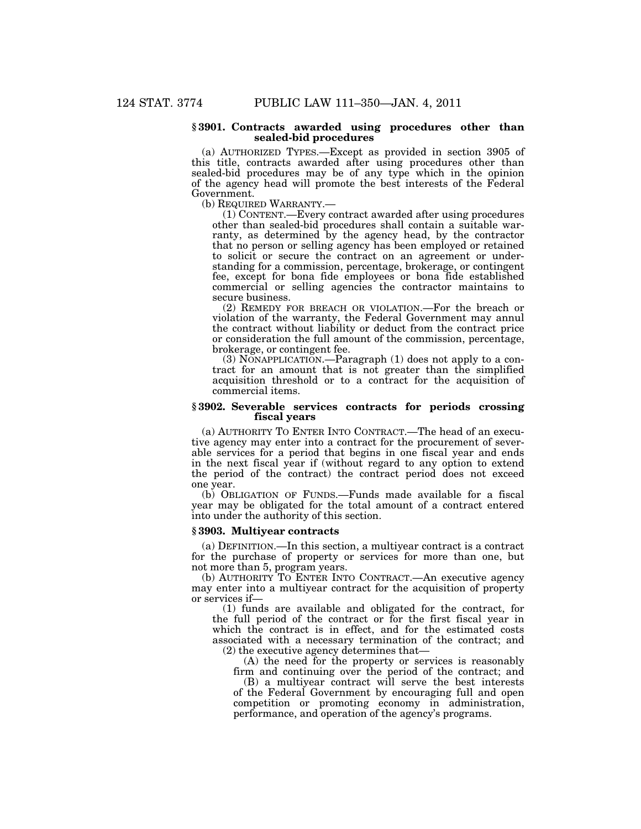#### **§ 3901. Contracts awarded using procedures other than sealed-bid procedures**

(a) AUTHORIZED TYPES.—Except as provided in section 3905 of this title, contracts awarded after using procedures other than sealed-bid procedures may be of any type which in the opinion of the agency head will promote the best interests of the Federal Government.<br>(b) REQUIRED WARRANTY.

 $(1)$  CONTENT.—Every contract awarded after using procedures other than sealed-bid procedures shall contain a suitable warranty, as determined by the agency head, by the contractor that no person or selling agency has been employed or retained to solicit or secure the contract on an agreement or understanding for a commission, percentage, brokerage, or contingent fee, except for bona fide employees or bona fide established commercial or selling agencies the contractor maintains to secure business.

(2) REMEDY FOR BREACH OR VIOLATION.—For the breach or violation of the warranty, the Federal Government may annul the contract without liability or deduct from the contract price or consideration the full amount of the commission, percentage, brokerage, or contingent fee.

(3) NONAPPLICATION.—Paragraph (1) does not apply to a contract for an amount that is not greater than the simplified acquisition threshold or to a contract for the acquisition of commercial items.

#### **§ 3902. Severable services contracts for periods crossing fiscal years**

(a) AUTHORITY TO ENTER INTO CONTRACT.—The head of an executive agency may enter into a contract for the procurement of severable services for a period that begins in one fiscal year and ends in the next fiscal year if (without regard to any option to extend the period of the contract) the contract period does not exceed one year.

(b) OBLIGATION OF FUNDS.—Funds made available for a fiscal year may be obligated for the total amount of a contract entered into under the authority of this section.

#### **§ 3903. Multiyear contracts**

(a) DEFINITION.—In this section, a multiyear contract is a contract for the purchase of property or services for more than one, but not more than 5, program years.

(b) AUTHORITY TO ENTER INTO CONTRACT.—An executive agency may enter into a multiyear contract for the acquisition of property or services if—

(1) funds are available and obligated for the contract, for the full period of the contract or for the first fiscal year in which the contract is in effect, and for the estimated costs associated with a necessary termination of the contract; and (2) the executive agency determines that—

(A) the need for the property or services is reasonably firm and continuing over the period of the contract; and

(B) a multiyear contract will serve the best interests of the Federal Government by encouraging full and open competition or promoting economy in administration, performance, and operation of the agency's programs.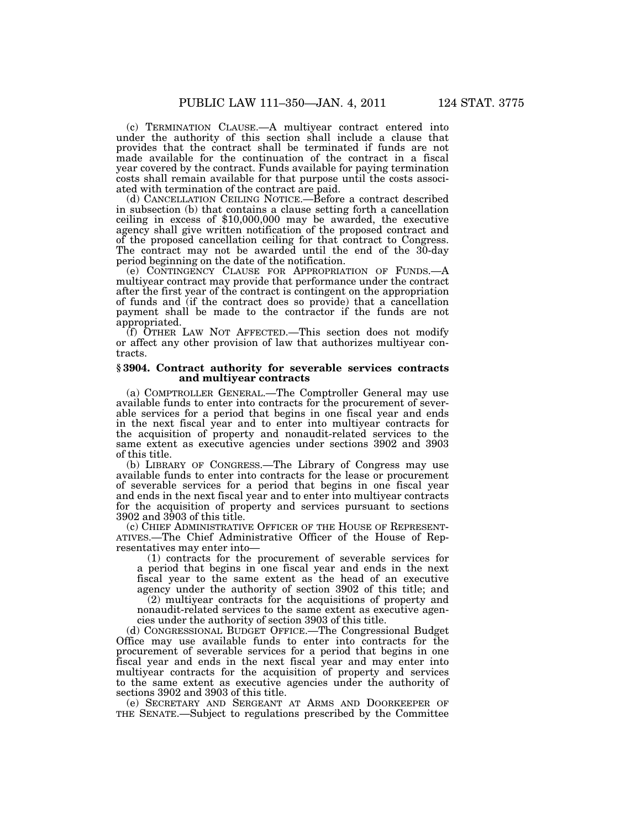(c) TERMINATION CLAUSE.—A multiyear contract entered into under the authority of this section shall include a clause that provides that the contract shall be terminated if funds are not made available for the continuation of the contract in a fiscal year covered by the contract. Funds available for paying termination costs shall remain available for that purpose until the costs associated with termination of the contract are paid.

(d) CANCELLATION CEILING NOTICE.—Before a contract described in subsection (b) that contains a clause setting forth a cancellation ceiling in excess of \$10,000,000 may be awarded, the executive agency shall give written notification of the proposed contract and of the proposed cancellation ceiling for that contract to Congress. The contract may not be awarded until the end of the 30-day period beginning on the date of the notification.

(e) CONTINGENCY CLAUSE FOR APPROPRIATION OF FUNDS.—A multiyear contract may provide that performance under the contract after the first year of the contract is contingent on the appropriation of funds and (if the contract does so provide) that a cancellation payment shall be made to the contractor if the funds are not appropriated.

(f) OTHER LAW NOT AFFECTED.—This section does not modify or affect any other provision of law that authorizes multiyear contracts.

#### **§ 3904. Contract authority for severable services contracts and multiyear contracts**

(a) COMPTROLLER GENERAL.—The Comptroller General may use available funds to enter into contracts for the procurement of severable services for a period that begins in one fiscal year and ends in the next fiscal year and to enter into multiyear contracts for the acquisition of property and nonaudit-related services to the same extent as executive agencies under sections 3902 and 3903 of this title.

(b) LIBRARY OF CONGRESS.—The Library of Congress may use available funds to enter into contracts for the lease or procurement of severable services for a period that begins in one fiscal year and ends in the next fiscal year and to enter into multiyear contracts for the acquisition of property and services pursuant to sections 3902 and 3903 of this title.<br>
(c) CHIEF ADMINISTRATIVE OFFICER OF THE HOUSE OF REPRESENT-

ATIVES.—The Chief Administrative Officer of the House of Representatives may enter into—

(1) contracts for the procurement of severable services for a period that begins in one fiscal year and ends in the next fiscal year to the same extent as the head of an executive agency under the authority of section 3902 of this title; and

(2) multiyear contracts for the acquisitions of property and nonaudit-related services to the same extent as executive agencies under the authority of section 3903 of this title.

(d) CONGRESSIONAL BUDGET OFFICE.—The Congressional Budget Office may use available funds to enter into contracts for the procurement of severable services for a period that begins in one fiscal year and ends in the next fiscal year and may enter into multiyear contracts for the acquisition of property and services to the same extent as executive agencies under the authority of sections 3902 and 3903 of this title.

(e) SECRETARY AND SERGEANT AT ARMS AND DOORKEEPER OF THE SENATE.—Subject to regulations prescribed by the Committee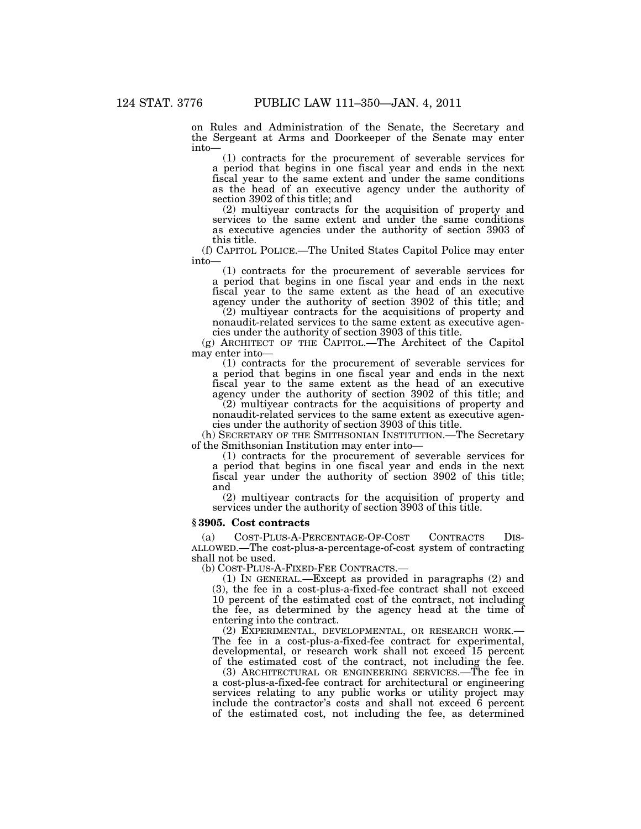on Rules and Administration of the Senate, the Secretary and the Sergeant at Arms and Doorkeeper of the Senate may enter into—

(1) contracts for the procurement of severable services for a period that begins in one fiscal year and ends in the next fiscal year to the same extent and under the same conditions as the head of an executive agency under the authority of section 3902 of this title; and

(2) multiyear contracts for the acquisition of property and services to the same extent and under the same conditions as executive agencies under the authority of section 3903 of this title.

(f) CAPITOL POLICE.—The United States Capitol Police may enter into—

(1) contracts for the procurement of severable services for a period that begins in one fiscal year and ends in the next fiscal year to the same extent as the head of an executive agency under the authority of section 3902 of this title; and

(2) multiyear contracts for the acquisitions of property and nonaudit-related services to the same extent as executive agencies under the authority of section 3903 of this title.

(g) ARCHITECT OF THE CAPITOL.—The Architect of the Capitol may enter into—

(1) contracts for the procurement of severable services for a period that begins in one fiscal year and ends in the next fiscal year to the same extent as the head of an executive agency under the authority of section 3902 of this title; and

(2) multiyear contracts for the acquisitions of property and nonaudit-related services to the same extent as executive agencies under the authority of section 3903 of this title.

(h) SECRETARY OF THE SMITHSONIAN INSTITUTION.—The Secretary of the Smithsonian Institution may enter into—

(1) contracts for the procurement of severable services for a period that begins in one fiscal year and ends in the next fiscal year under the authority of section 3902 of this title; and

(2) multiyear contracts for the acquisition of property and services under the authority of section 3903 of this title.

#### **§ 3905. Cost contracts**

(a) COST-PLUS-A-PERCENTAGE-OF-COST CONTRACTS DIS- ALLOWED.—The cost-plus-a-percentage-of-cost system of contracting shall not be used.<br>(b) COST-PLUS-A-FIXED-FEE CONTRACTS.-

(1) IN GENERAL.—Except as provided in paragraphs  $(2)$  and (3), the fee in a cost-plus-a-fixed-fee contract shall not exceed 10 percent of the estimated cost of the contract, not including the fee, as determined by the agency head at the time of entering into the contract.

(2) EXPERIMENTAL, DEVELOPMENTAL, OR RESEARCH WORK.— The fee in a cost-plus-a-fixed-fee contract for experimental, developmental, or research work shall not exceed 15 percent of the estimated cost of the contract, not including the fee.

(3) ARCHITECTURAL OR ENGINEERING SERVICES.—The fee in a cost-plus-a-fixed-fee contract for architectural or engineering services relating to any public works or utility project may include the contractor's costs and shall not exceed 6 percent of the estimated cost, not including the fee, as determined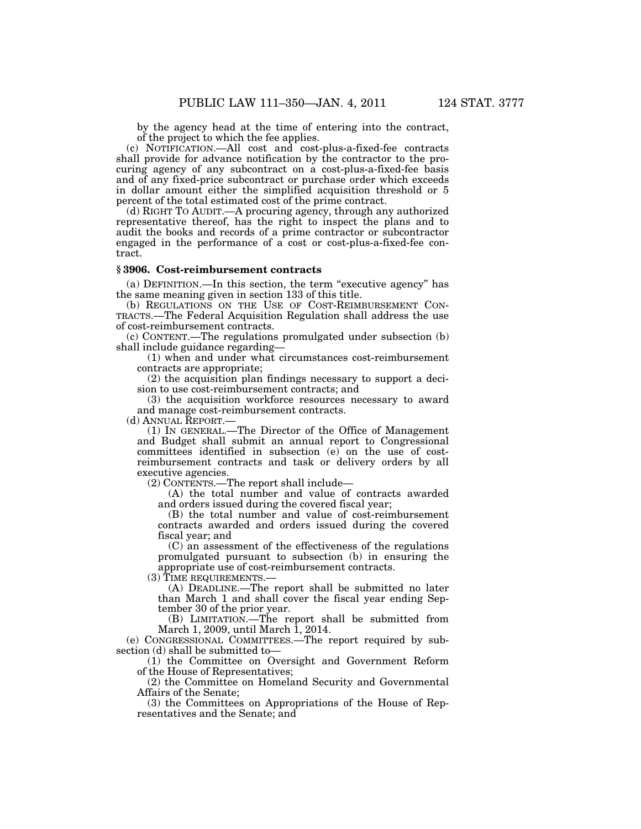by the agency head at the time of entering into the contract, of the project to which the fee applies.

(c) NOTIFICATION.—All cost and cost-plus-a-fixed-fee contracts shall provide for advance notification by the contractor to the procuring agency of any subcontract on a cost-plus-a-fixed-fee basis and of any fixed-price subcontract or purchase order which exceeds in dollar amount either the simplified acquisition threshold or 5 percent of the total estimated cost of the prime contract.

(d) RIGHT TO AUDIT.—A procuring agency, through any authorized representative thereof, has the right to inspect the plans and to audit the books and records of a prime contractor or subcontractor engaged in the performance of a cost or cost-plus-a-fixed-fee contract.

# **§ 3906. Cost-reimbursement contracts**

(a) DEFINITION.—In this section, the term ''executive agency'' has the same meaning given in section 133 of this title.

(b) REGULATIONS ON THE USE OF COST-REIMBURSEMENT CON-TRACTS.—The Federal Acquisition Regulation shall address the use of cost-reimbursement contracts.

(c) CONTENT.—The regulations promulgated under subsection (b) shall include guidance regarding—

(1) when and under what circumstances cost-reimbursement contracts are appropriate;

(2) the acquisition plan findings necessary to support a decision to use cost-reimbursement contracts; and

(3) the acquisition workforce resources necessary to award and manage cost-reimbursement contracts.

(d) ANNUAL REPORT.

(1) IN GENERAL.—The Director of the Office of Management and Budget shall submit an annual report to Congressional committees identified in subsection (e) on the use of costreimbursement contracts and task or delivery orders by all executive agencies.

(2) CONTENTS.—The report shall include—

(A) the total number and value of contracts awarded and orders issued during the covered fiscal year;

(B) the total number and value of cost-reimbursement contracts awarded and orders issued during the covered fiscal year; and

(C) an assessment of the effectiveness of the regulations promulgated pursuant to subsection (b) in ensuring the appropriate use of cost-reimbursement contracts.

 $(3)$  TIME REQUIREMENTS.—

(A) DEADLINE.—The report shall be submitted no later than March 1 and shall cover the fiscal year ending September 30 of the prior year.

(B) LIMITATION.—The report shall be submitted from March 1, 2009, until March 1, 2014.

(e) CONGRESSIONAL COMMITTEES.—The report required by subsection (d) shall be submitted to—

(1) the Committee on Oversight and Government Reform of the House of Representatives;

(2) the Committee on Homeland Security and Governmental Affairs of the Senate;

(3) the Committees on Appropriations of the House of Representatives and the Senate; and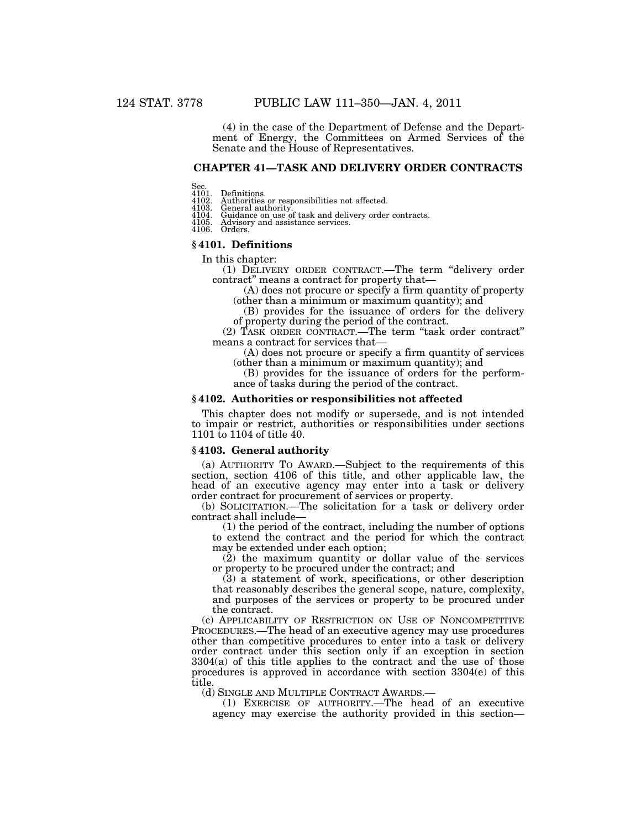(4) in the case of the Department of Defense and the Department of Energy, the Committees on Armed Services of the Senate and the House of Representatives.

# **CHAPTER 41—TASK AND DELIVERY ORDER CONTRACTS**

4101.

4101. Definitions.<br>4102. Authorities<br>4103. General aut 4102. Authorities or responsibilities not affected. 4103. General authority.

4104. Guidance on use of task and delivery order contracts.<br>4105. Advisory and assistance services.

4105. Advisory and assistance services. Orders.

# **§ 4101. Definitions**

In this chapter:

(1) DELIVERY ORDER CONTRACT.—The term ''delivery order contract'' means a contract for property that—

(A) does not procure or specify a firm quantity of property (other than a minimum or maximum quantity); and

(B) provides for the issuance of orders for the delivery of property during the period of the contract.

(2) TASK ORDER CONTRACT.—The term ''task order contract'' means a contract for services that-

(A) does not procure or specify a firm quantity of services (other than a minimum or maximum quantity); and

(B) provides for the issuance of orders for the perform-

ance of tasks during the period of the contract.

#### **§ 4102. Authorities or responsibilities not affected**

This chapter does not modify or supersede, and is not intended to impair or restrict, authorities or responsibilities under sections 1101 to 1104 of title 40.

#### **§ 4103. General authority**

(a) AUTHORITY TO AWARD.—Subject to the requirements of this section, section 4106 of this title, and other applicable law, the head of an executive agency may enter into a task or delivery order contract for procurement of services or property.

(b) SOLICITATION.—The solicitation for a task or delivery order contract shall include—

(1) the period of the contract, including the number of options to extend the contract and the period for which the contract may be extended under each option;

(2) the maximum quantity or dollar value of the services or property to be procured under the contract; and

(3) a statement of work, specifications, or other description that reasonably describes the general scope, nature, complexity, and purposes of the services or property to be procured under the contract.

(c) APPLICABILITY OF RESTRICTION ON USE OF NONCOMPETITIVE PROCEDURES.—The head of an executive agency may use procedures other than competitive procedures to enter into a task or delivery order contract under this section only if an exception in section 3304(a) of this title applies to the contract and the use of those procedures is approved in accordance with section 3304(e) of this title.<br>(d) Single and Multiple Contract Awards.—

(1) EXERCISE OF AUTHORITY.—The head of an executive agency may exercise the authority provided in this section—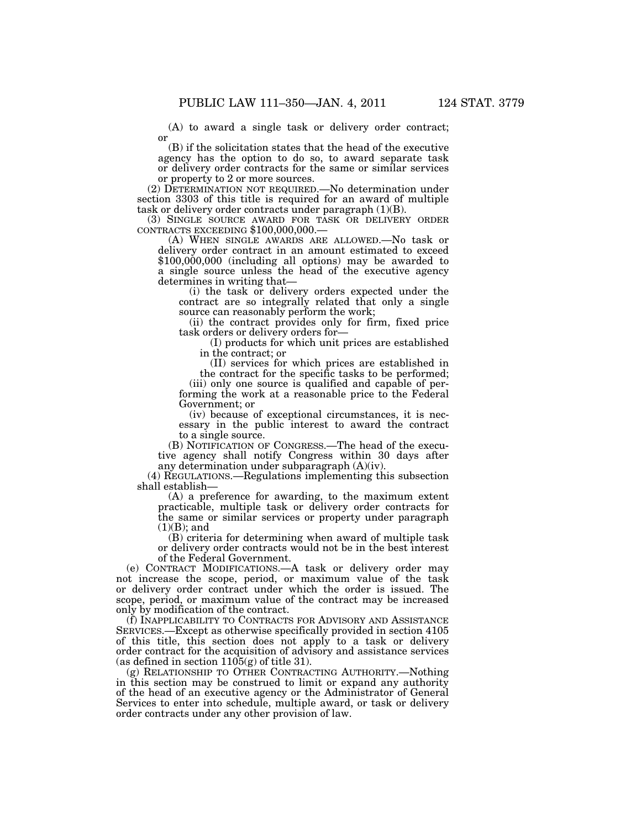(A) to award a single task or delivery order contract; or

(B) if the solicitation states that the head of the executive agency has the option to do so, to award separate task or delivery order contracts for the same or similar services or property to 2 or more sources.

(2) DETERMINATION NOT REQUIRED.—No determination under section 3303 of this title is required for an award of multiple task or delivery order contracts under paragraph (1)(B).

(3) SINGLE SOURCE AWARD FOR TASK OR DELIVERY ORDER CONTRACTS EXCEEDING \$100,000,000.—

(A) WHEN SINGLE AWARDS ARE ALLOWED.—No task or delivery order contract in an amount estimated to exceed \$100,000,000 (including all options) may be awarded to a single source unless the head of the executive agency determines in writing that—

(i) the task or delivery orders expected under the contract are so integrally related that only a single source can reasonably perform the work;

(ii) the contract provides only for firm, fixed price task orders or delivery orders for—

(I) products for which unit prices are established in the contract; or

(II) services for which prices are established in the contract for the specific tasks to be performed; (iii) only one source is qualified and capable of performing the work at a reasonable price to the Federal Government; or

(iv) because of exceptional circumstances, it is necessary in the public interest to award the contract to a single source.

(B) NOTIFICATION OF CONGRESS.—The head of the executive agency shall notify Congress within 30 days after any determination under subparagraph (A)(iv).

(4) REGULATIONS.—Regulations implementing this subsection shall establish—

(A) a preference for awarding, to the maximum extent practicable, multiple task or delivery order contracts for the same or similar services or property under paragraph  $(1)(B)$ ; and

(B) criteria for determining when award of multiple task or delivery order contracts would not be in the best interest of the Federal Government.

(e) CONTRACT MODIFICATIONS.—A task or delivery order may not increase the scope, period, or maximum value of the task or delivery order contract under which the order is issued. The scope, period, or maximum value of the contract may be increased only by modification of the contract.

(f) INAPPLICABILITY TO CONTRACTS FOR ADVISORY AND ASSISTANCE SERVICES.—Except as otherwise specifically provided in section 4105 of this title, this section does not apply to a task or delivery order contract for the acquisition of advisory and assistance services (as defined in section  $1105(g)$  of title 31).

(g) RELATIONSHIP TO OTHER CONTRACTING AUTHORITY.—Nothing in this section may be construed to limit or expand any authority of the head of an executive agency or the Administrator of General Services to enter into schedule, multiple award, or task or delivery order contracts under any other provision of law.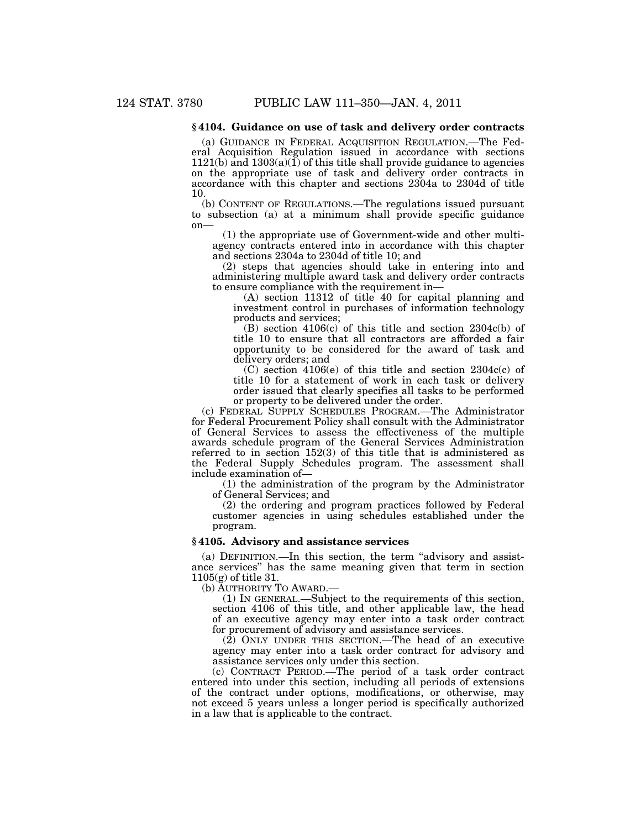## **§ 4104. Guidance on use of task and delivery order contracts**

(a) GUIDANCE IN FEDERAL ACQUISITION REGULATION.—The Federal Acquisition Regulation issued in accordance with sections  $1121(b)$  and  $1303(a)(1)$  of this title shall provide guidance to agencies on the appropriate use of task and delivery order contracts in accordance with this chapter and sections 2304a to 2304d of title 10.

(b) CONTENT OF REGULATIONS.—The regulations issued pursuant to subsection (a) at a minimum shall provide specific guidance on—

(1) the appropriate use of Government-wide and other multiagency contracts entered into in accordance with this chapter and sections 2304a to 2304d of title 10; and

(2) steps that agencies should take in entering into and administering multiple award task and delivery order contracts to ensure compliance with the requirement in—

(A) section 11312 of title 40 for capital planning and investment control in purchases of information technology products and services;

(B) section 4106(c) of this title and section 2304c(b) of title 10 to ensure that all contractors are afforded a fair opportunity to be considered for the award of task and delivery orders; and

(C) section 4106(e) of this title and section 2304c(c) of title 10 for a statement of work in each task or delivery order issued that clearly specifies all tasks to be performed or property to be delivered under the order.

(c) FEDERAL SUPPLY SCHEDULES PROGRAM.—The Administrator for Federal Procurement Policy shall consult with the Administrator of General Services to assess the effectiveness of the multiple awards schedule program of the General Services Administration referred to in section 152(3) of this title that is administered as the Federal Supply Schedules program. The assessment shall include examination of—

(1) the administration of the program by the Administrator of General Services; and

(2) the ordering and program practices followed by Federal customer agencies in using schedules established under the program.

# **§ 4105. Advisory and assistance services**

(a) DEFINITION.—In this section, the term ''advisory and assistance services'' has the same meaning given that term in section 1105(g) of title 31.

(b) AUTHORITY TO AWARD.—

(1) IN GENERAL.—Subject to the requirements of this section, section 4106 of this title, and other applicable law, the head of an executive agency may enter into a task order contract for procurement of advisory and assistance services.

(2) ONLY UNDER THIS SECTION.—The head of an executive agency may enter into a task order contract for advisory and assistance services only under this section.

(c) CONTRACT PERIOD.—The period of a task order contract entered into under this section, including all periods of extensions of the contract under options, modifications, or otherwise, may not exceed 5 years unless a longer period is specifically authorized in a law that is applicable to the contract.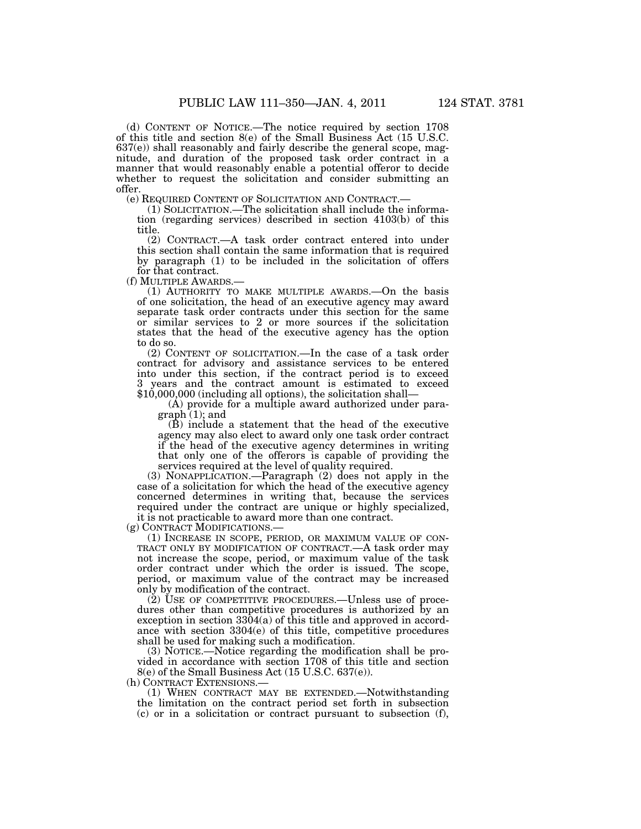(d) CONTENT OF NOTICE.—The notice required by section 1708 of this title and section 8(e) of the Small Business Act (15 U.S.C. 637(e)) shall reasonably and fairly describe the general scope, magnitude, and duration of the proposed task order contract in a manner that would reasonably enable a potential offeror to decide whether to request the solicitation and consider submitting an

offer.<br>(e) REQUIRED CONTENT OF SOLICITATION AND CONTRACT.-

 $(1)$  SOLICITATION.—The solicitation shall include the information (regarding services) described in section 4103(b) of this title.

(2) CONTRACT.—A task order contract entered into under this section shall contain the same information that is required by paragraph (1) to be included in the solicitation of offers for that contract.<br>(f) MULTIPLE AWARDS.-

(1) AUTHORITY TO MAKE MULTIPLE AWARDS.—On the basis of one solicitation, the head of an executive agency may award separate task order contracts under this section for the same or similar services to 2 or more sources if the solicitation states that the head of the executive agency has the option to do so.

(2) CONTENT OF SOLICITATION.—In the case of a task order contract for advisory and assistance services to be entered into under this section, if the contract period is to exceed 3 years and the contract amount is estimated to exceed \$10,000,000 (including all options), the solicitation shall—

(A) provide for a multiple award authorized under paragraph (1); and

(B) include a statement that the head of the executive agency may also elect to award only one task order contract if the head of the executive agency determines in writing that only one of the offerors is capable of providing the services required at the level of quality required.

(3) NONAPPLICATION.—Paragraph (2) does not apply in the case of a solicitation for which the head of the executive agency concerned determines in writing that, because the services required under the contract are unique or highly specialized, it is not practicable to award more than one contract.<br>(g) CONTRACT MODIFICATIONS.—

(1) INCREASE IN SCOPE, PERIOD, OR MAXIMUM VALUE OF CONTRACT ONLY BY MODIFICATION OF CONTRACT.—A task order may not increase the scope, period, or maximum value of the task order contract under which the order is issued. The scope, period, or maximum value of the contract may be increased only by modification of the contract.

(2) USE OF COMPETITIVE PROCEDURES.—Unless use of procedures other than competitive procedures is authorized by an exception in section 3304(a) of this title and approved in accordance with section 3304(e) of this title, competitive procedures shall be used for making such a modification.

(3) NOTICE.—Notice regarding the modification shall be provided in accordance with section 1708 of this title and section 8(e) of the Small Business Act (15 U.S.C. 637(e)).

(h) CONTRACT EXTENSIONS.— (1) WHEN CONTRACT MAY BE EXTENDED.—Notwithstanding the limitation on the contract period set forth in subsection (c) or in a solicitation or contract pursuant to subsection (f),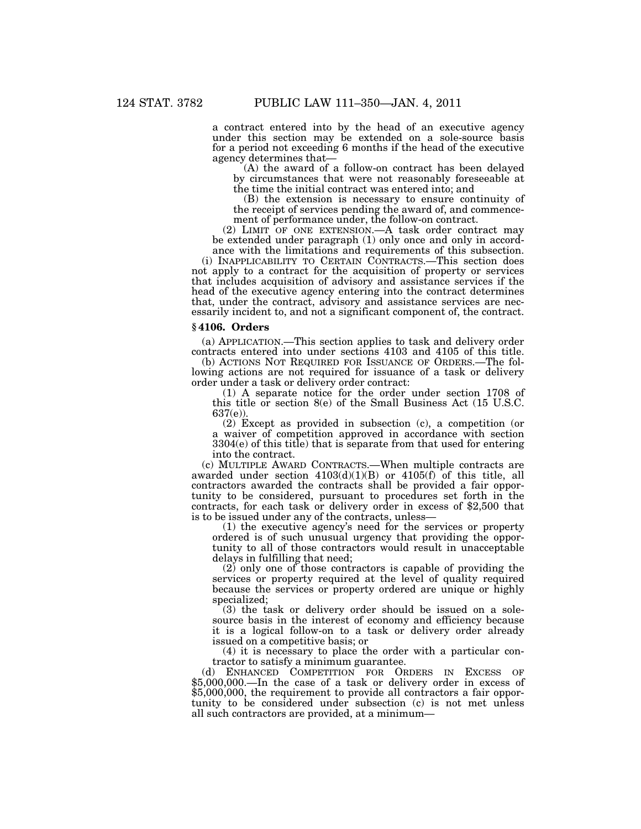a contract entered into by the head of an executive agency under this section may be extended on a sole-source basis for a period not exceeding 6 months if the head of the executive agency determines that—

(A) the award of a follow-on contract has been delayed by circumstances that were not reasonably foreseeable at the time the initial contract was entered into; and

(B) the extension is necessary to ensure continuity of the receipt of services pending the award of, and commencement of performance under, the follow-on contract.

(2) LIMIT OF ONE EXTENSION.—A task order contract may be extended under paragraph (1) only once and only in accordance with the limitations and requirements of this subsection.

(i) INAPPLICABILITY TO CERTAIN CONTRACTS.—This section does not apply to a contract for the acquisition of property or services that includes acquisition of advisory and assistance services if the head of the executive agency entering into the contract determines that, under the contract, advisory and assistance services are necessarily incident to, and not a significant component of, the contract.

#### **§ 4106. Orders**

(a) APPLICATION.—This section applies to task and delivery order contracts entered into under sections 4103 and 4105 of this title.

(b) ACTIONS NOT REQUIRED FOR ISSUANCE OF ORDERS.—The following actions are not required for issuance of a task or delivery order under a task or delivery order contract:

(1) A separate notice for the order under section 1708 of this title or section 8(e) of the Small Business Act (15 U.S.C. 637(e)).

(2) Except as provided in subsection (c), a competition (or a waiver of competition approved in accordance with section 3304(e) of this title) that is separate from that used for entering into the contract.

(c) MULTIPLE AWARD CONTRACTS.—When multiple contracts are awarded under section 4103(d)(1)(B) or 4105(f) of this title, all contractors awarded the contracts shall be provided a fair opportunity to be considered, pursuant to procedures set forth in the contracts, for each task or delivery order in excess of \$2,500 that is to be issued under any of the contracts, unless—

(1) the executive agency's need for the services or property ordered is of such unusual urgency that providing the opportunity to all of those contractors would result in unacceptable delays in fulfilling that need;

(2) only one of those contractors is capable of providing the services or property required at the level of quality required because the services or property ordered are unique or highly specialized;

(3) the task or delivery order should be issued on a solesource basis in the interest of economy and efficiency because it is a logical follow-on to a task or delivery order already issued on a competitive basis; or

(4) it is necessary to place the order with a particular contractor to satisfy a minimum guarantee.

(d) ENHANCED COMPETITION FOR ORDERS IN EXCESS OF \$5,000,000.—In the case of a task or delivery order in excess of \$5,000,000, the requirement to provide all contractors a fair opportunity to be considered under subsection (c) is not met unless all such contractors are provided, at a minimum—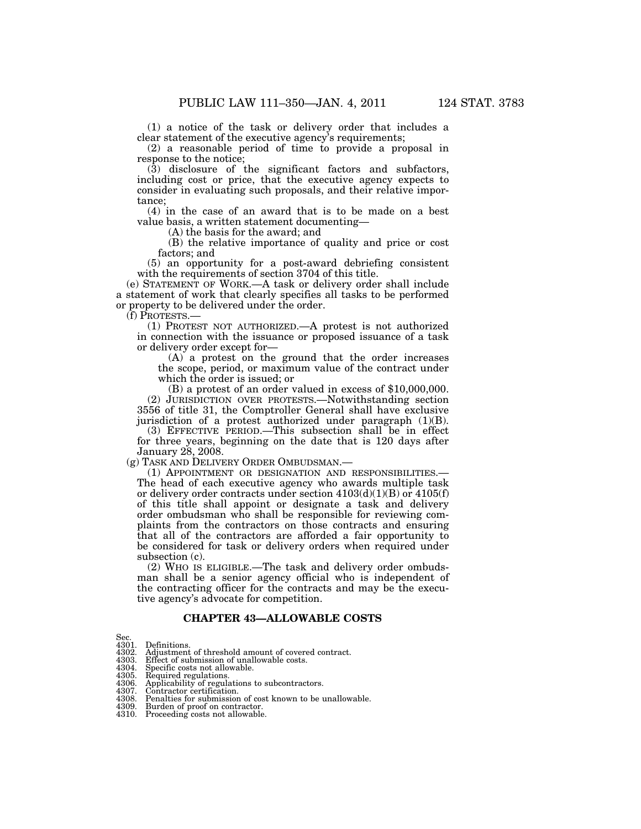(1) a notice of the task or delivery order that includes a clear statement of the executive agency's requirements;

(2) a reasonable period of time to provide a proposal in response to the notice;

(3) disclosure of the significant factors and subfactors, including cost or price, that the executive agency expects to consider in evaluating such proposals, and their relative importance;

(4) in the case of an award that is to be made on a best value basis, a written statement documenting—

(A) the basis for the award; and

(B) the relative importance of quality and price or cost factors; and

(5) an opportunity for a post-award debriefing consistent with the requirements of section 3704 of this title.

(e) STATEMENT OF WORK.—A task or delivery order shall include a statement of work that clearly specifies all tasks to be performed or property to be delivered under the order.

(f) PROTESTS.—

(1) PROTEST NOT AUTHORIZED.—A protest is not authorized in connection with the issuance or proposed issuance of a task or delivery order except for—

(A) a protest on the ground that the order increases the scope, period, or maximum value of the contract under which the order is issued; or

(B) a protest of an order valued in excess of \$10,000,000.

(2) JURISDICTION OVER PROTESTS.—Notwithstanding section 3556 of title 31, the Comptroller General shall have exclusive jurisdiction of a protest authorized under paragraph (1)(B).

(3) EFFECTIVE PERIOD.—This subsection shall be in effect for three years, beginning on the date that is 120 days after January 28, 2008.

(g) TASK AND DELIVERY ORDER OMBUDSMAN.—

(1) APPOINTMENT OR DESIGNATION AND RESPONSIBILITIES.— The head of each executive agency who awards multiple task or delivery order contracts under section  $4103(d)(1)(B)$  or  $4105(f)$ of this title shall appoint or designate a task and delivery order ombudsman who shall be responsible for reviewing complaints from the contractors on those contracts and ensuring that all of the contractors are afforded a fair opportunity to be considered for task or delivery orders when required under subsection (c).

(2) WHO IS ELIGIBLE.—The task and delivery order ombudsman shall be a senior agency official who is independent of the contracting officer for the contracts and may be the executive agency's advocate for competition.

## **CHAPTER 43—ALLOWABLE COSTS**

Sec.

4301. Definitions.<br>4302. Adjustment

4302. Adjustment of threshold amount of covered contract.<br>4303. Effect of submission of unallowable costs.

4303. Effect of submission of unallowable costs.<br>4304. Specific costs not allowable.

4304. Specific costs not allowable.<br>4305. Required regulations.

4305. Required regulations. 4306. Applicability of regulations to subcontractors.

4307. Contractor certification.

4308. Penalties for submission of cost known to be unallowable.<br>4309 Burden of proof on contractor

Burden of proof on contractor. 4310. Proceeding costs not allowable.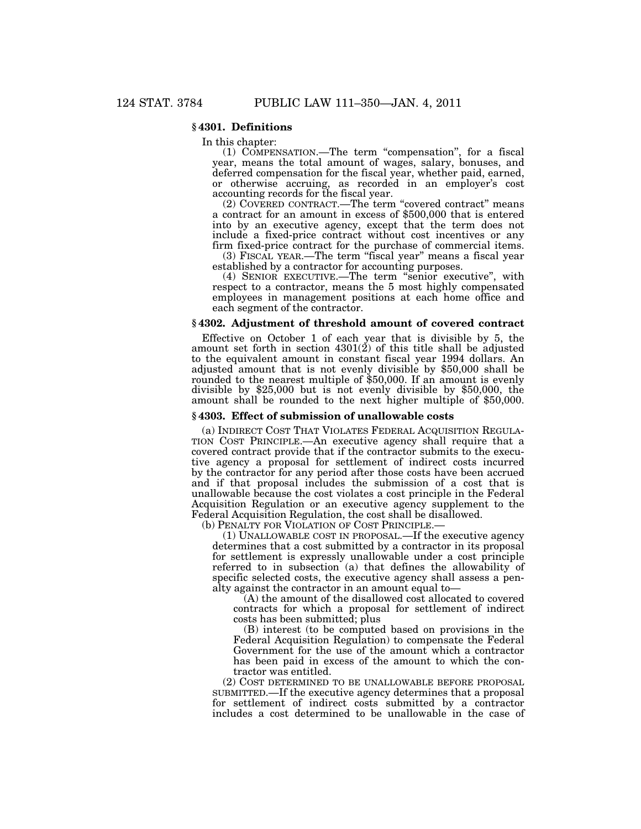## **§ 4301. Definitions**

In this chapter:

(1) COMPENSATION.—The term ''compensation'', for a fiscal year, means the total amount of wages, salary, bonuses, and deferred compensation for the fiscal year, whether paid, earned, or otherwise accruing, as recorded in an employer's cost accounting records for the fiscal year.

(2) COVERED CONTRACT.—The term ''covered contract'' means a contract for an amount in excess of \$500,000 that is entered into by an executive agency, except that the term does not include a fixed-price contract without cost incentives or any firm fixed-price contract for the purchase of commercial items.

(3) FISCAL YEAR.—The term ''fiscal year'' means a fiscal year established by a contractor for accounting purposes.

(4) SENIOR EXECUTIVE.—The term ''senior executive'', with respect to a contractor, means the 5 most highly compensated employees in management positions at each home office and each segment of the contractor.

#### **§ 4302. Adjustment of threshold amount of covered contract**

Effective on October 1 of each year that is divisible by 5, the amount set forth in section 4301(2) of this title shall be adjusted to the equivalent amount in constant fiscal year 1994 dollars. An adjusted amount that is not evenly divisible by \$50,000 shall be rounded to the nearest multiple of \$50,000. If an amount is evenly divisible by \$25,000 but is not evenly divisible by \$50,000, the amount shall be rounded to the next higher multiple of \$50,000.

#### **§ 4303. Effect of submission of unallowable costs**

(a) INDIRECT COST THAT VIOLATES FEDERAL ACQUISITION REGULA-TION COST PRINCIPLE.—An executive agency shall require that a covered contract provide that if the contractor submits to the executive agency a proposal for settlement of indirect costs incurred by the contractor for any period after those costs have been accrued and if that proposal includes the submission of a cost that is unallowable because the cost violates a cost principle in the Federal Acquisition Regulation or an executive agency supplement to the Federal Acquisition Regulation, the cost shall be disallowed.

(b) PENALTY FOR VIOLATION OF COST PRINCIPLE.—

(1) UNALLOWABLE COST IN PROPOSAL.—If the executive agency determines that a cost submitted by a contractor in its proposal for settlement is expressly unallowable under a cost principle referred to in subsection (a) that defines the allowability of specific selected costs, the executive agency shall assess a penalty against the contractor in an amount equal to—

(A) the amount of the disallowed cost allocated to covered contracts for which a proposal for settlement of indirect costs has been submitted; plus

(B) interest (to be computed based on provisions in the Federal Acquisition Regulation) to compensate the Federal Government for the use of the amount which a contractor has been paid in excess of the amount to which the contractor was entitled.

(2) COST DETERMINED TO BE UNALLOWABLE BEFORE PROPOSAL SUBMITTED.—If the executive agency determines that a proposal for settlement of indirect costs submitted by a contractor includes a cost determined to be unallowable in the case of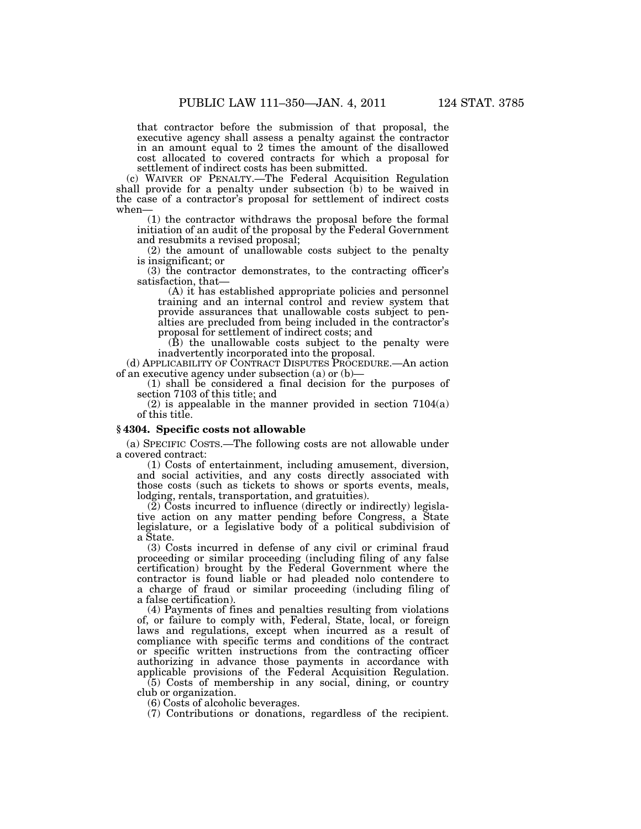that contractor before the submission of that proposal, the executive agency shall assess a penalty against the contractor in an amount equal to 2 times the amount of the disallowed cost allocated to covered contracts for which a proposal for settlement of indirect costs has been submitted.

(c) WAIVER OF PENALTY.—The Federal Acquisition Regulation shall provide for a penalty under subsection (b) to be waived in the case of a contractor's proposal for settlement of indirect costs when—

(1) the contractor withdraws the proposal before the formal initiation of an audit of the proposal by the Federal Government and resubmits a revised proposal;

(2) the amount of unallowable costs subject to the penalty is insignificant; or

(3) the contractor demonstrates, to the contracting officer's satisfaction, that—

(A) it has established appropriate policies and personnel training and an internal control and review system that provide assurances that unallowable costs subject to penalties are precluded from being included in the contractor's proposal for settlement of indirect costs; and

 $(\hat{B})$  the unallowable costs subject to the penalty were inadvertently incorporated into the proposal.

(d) APPLICABILITY OF CONTRACT DISPUTES PROCEDURE.—An action of an executive agency under subsection (a) or  $(b)$ -

(1) shall be considered a final decision for the purposes of section 7103 of this title; and

 $(2)$  is appealable in the manner provided in section  $7104(a)$ of this title.

# **§ 4304. Specific costs not allowable**

(a) SPECIFIC COSTS.—The following costs are not allowable under a covered contract:

(1) Costs of entertainment, including amusement, diversion, and social activities, and any costs directly associated with those costs (such as tickets to shows or sports events, meals, lodging, rentals, transportation, and gratuities).

 $(2)$  Costs incurred to influence (directly or indirectly) legislative action on any matter pending before Congress, a State legislature, or a legislative body of a political subdivision of a State.

(3) Costs incurred in defense of any civil or criminal fraud proceeding or similar proceeding (including filing of any false certification) brought by the Federal Government where the contractor is found liable or had pleaded nolo contendere to a charge of fraud or similar proceeding (including filing of a false certification).

(4) Payments of fines and penalties resulting from violations of, or failure to comply with, Federal, State, local, or foreign laws and regulations, except when incurred as a result of compliance with specific terms and conditions of the contract or specific written instructions from the contracting officer authorizing in advance those payments in accordance with applicable provisions of the Federal Acquisition Regulation.

(5) Costs of membership in any social, dining, or country club or organization.

(6) Costs of alcoholic beverages.

(7) Contributions or donations, regardless of the recipient.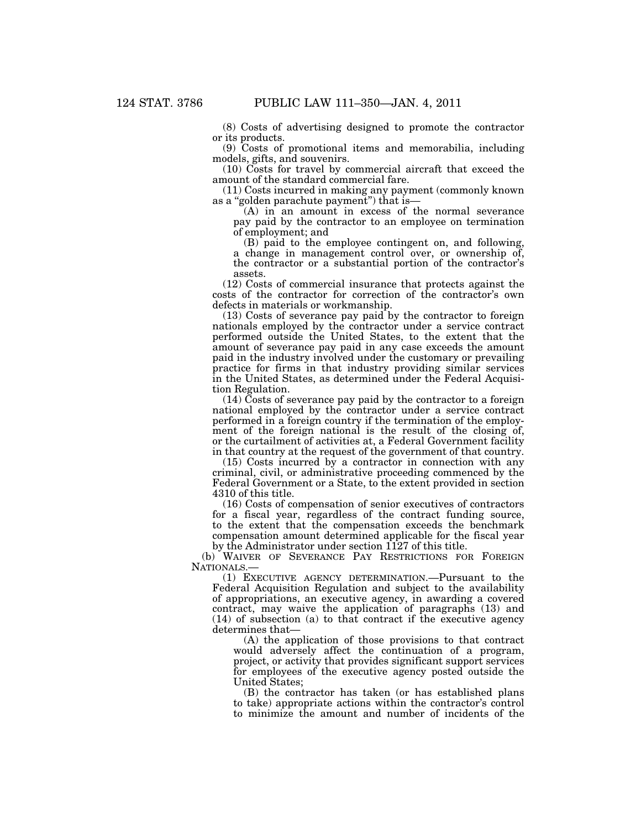(8) Costs of advertising designed to promote the contractor or its products.

(9) Costs of promotional items and memorabilia, including models, gifts, and souvenirs.

(10) Costs for travel by commercial aircraft that exceed the amount of the standard commercial fare.

(11) Costs incurred in making any payment (commonly known as a ''golden parachute payment'') that is—

(A) in an amount in excess of the normal severance pay paid by the contractor to an employee on termination of employment; and

(B) paid to the employee contingent on, and following, a change in management control over, or ownership of, the contractor or a substantial portion of the contractor's assets.

(12) Costs of commercial insurance that protects against the costs of the contractor for correction of the contractor's own defects in materials or workmanship.

(13) Costs of severance pay paid by the contractor to foreign nationals employed by the contractor under a service contract performed outside the United States, to the extent that the amount of severance pay paid in any case exceeds the amount paid in the industry involved under the customary or prevailing practice for firms in that industry providing similar services in the United States, as determined under the Federal Acquisition Regulation.

(14) Costs of severance pay paid by the contractor to a foreign national employed by the contractor under a service contract performed in a foreign country if the termination of the employment of the foreign national is the result of the closing of, or the curtailment of activities at, a Federal Government facility in that country at the request of the government of that country.

(15) Costs incurred by a contractor in connection with any criminal, civil, or administrative proceeding commenced by the Federal Government or a State, to the extent provided in section 4310 of this title.

(16) Costs of compensation of senior executives of contractors for a fiscal year, regardless of the contract funding source, to the extent that the compensation exceeds the benchmark compensation amount determined applicable for the fiscal year by the Administrator under section 1127 of this title.

(b) WAIVER OF SEVERANCE PAY RESTRICTIONS FOR FOREIGN NATIONALS.

(1) EXECUTIVE AGENCY DETERMINATION.—Pursuant to the Federal Acquisition Regulation and subject to the availability of appropriations, an executive agency, in awarding a covered contract, may waive the application of paragraphs (13) and (14) of subsection (a) to that contract if the executive agency determines that—

(A) the application of those provisions to that contract would adversely affect the continuation of a program, project, or activity that provides significant support services for employees of the executive agency posted outside the United States;

(B) the contractor has taken (or has established plans to take) appropriate actions within the contractor's control to minimize the amount and number of incidents of the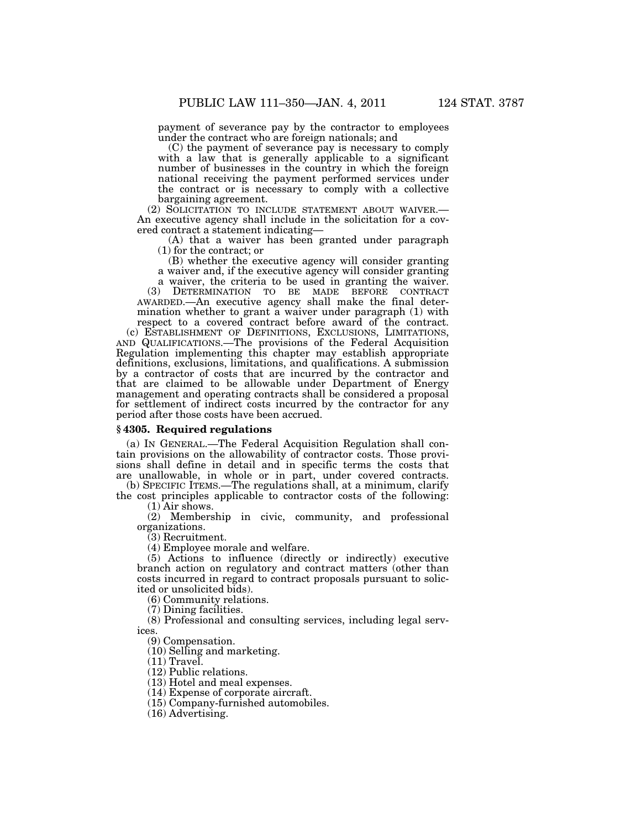payment of severance pay by the contractor to employees under the contract who are foreign nationals; and

(C) the payment of severance pay is necessary to comply with a law that is generally applicable to a significant number of businesses in the country in which the foreign national receiving the payment performed services under the contract or is necessary to comply with a collective bargaining agreement.<br>(2) SOLICITATION TO INCLUDE STATEMENT ABOUT WAIVER.—

An executive agency shall include in the solicitation for a covered contract a statement indicating—

(A) that a waiver has been granted under paragraph (1) for the contract; or

(B) whether the executive agency will consider granting a waiver and, if the executive agency will consider granting

a waiver, the criteria to be used in granting the waiver. (3) DETERMINATION TO BE MADE BEFORE CONTRACT

AWARDED.—An executive agency shall make the final determination whether to grant a waiver under paragraph (1) with respect to a covered contract before award of the contract.<br>(c) ESTABLISHMENT OF DEFINITIONS, EXCLUSIONS, LIMITATIONS,

AND QUALIFICATIONS. The provisions of the Federal Acquisition Regulation implementing this chapter may establish appropriate definitions, exclusions, limitations, and qualifications. A submission by a contractor of costs that are incurred by the contractor and that are claimed to be allowable under Department of Energy management and operating contracts shall be considered a proposal for settlement of indirect costs incurred by the contractor for any period after those costs have been accrued.

### **§ 4305. Required regulations**

(a) IN GENERAL.—The Federal Acquisition Regulation shall contain provisions on the allowability of contractor costs. Those provisions shall define in detail and in specific terms the costs that are unallowable, in whole or in part, under covered contracts. (b) SPECIFIC ITEMS.—The regulations shall, at a minimum, clarify

the cost principles applicable to contractor costs of the following: (1) Air shows.

(2) Membership in civic, community, and professional organizations.

(3) Recruitment.

(4) Employee morale and welfare.

(5) Actions to influence (directly or indirectly) executive branch action on regulatory and contract matters (other than costs incurred in regard to contract proposals pursuant to solicited or unsolicited bids).

(6) Community relations.

(7) Dining facilities.

(8) Professional and consulting services, including legal services.

(9) Compensation.

(10) Selling and marketing.

 $(11)$  Travel.

(12) Public relations.

(13) Hotel and meal expenses.

(14) Expense of corporate aircraft.

(15) Company-furnished automobiles.

(16) Advertising.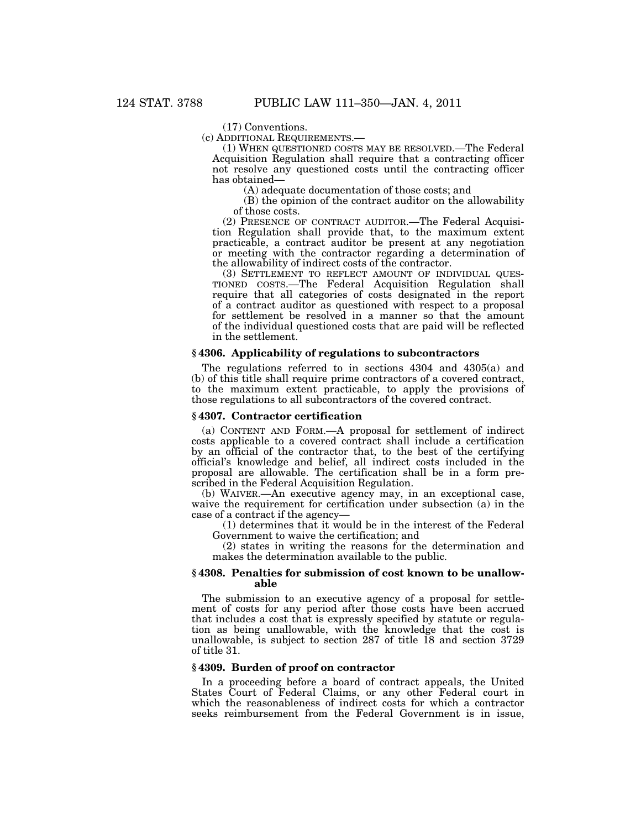(17) Conventions.<br>(c) ADDITIONAL REQUIREMENTS.—

(1) WHEN QUESTIONED COSTS MAY BE RESOLVED.—The Federal Acquisition Regulation shall require that a contracting officer not resolve any questioned costs until the contracting officer has obtained—

(A) adequate documentation of those costs; and

(B) the opinion of the contract auditor on the allowability of those costs.

(2) PRESENCE OF CONTRACT AUDITOR.—The Federal Acquisition Regulation shall provide that, to the maximum extent practicable, a contract auditor be present at any negotiation or meeting with the contractor regarding a determination of the allowability of indirect costs of the contractor.

(3) SETTLEMENT TO REFLECT AMOUNT OF INDIVIDUAL QUES- TIONED COSTS.—The Federal Acquisition Regulation shall require that all categories of costs designated in the report of a contract auditor as questioned with respect to a proposal for settlement be resolved in a manner so that the amount of the individual questioned costs that are paid will be reflected in the settlement.

## **§ 4306. Applicability of regulations to subcontractors**

The regulations referred to in sections 4304 and 4305(a) and (b) of this title shall require prime contractors of a covered contract, to the maximum extent practicable, to apply the provisions of those regulations to all subcontractors of the covered contract.

#### **§ 4307. Contractor certification**

(a) CONTENT AND FORM.—A proposal for settlement of indirect costs applicable to a covered contract shall include a certification by an official of the contractor that, to the best of the certifying official's knowledge and belief, all indirect costs included in the proposal are allowable. The certification shall be in a form prescribed in the Federal Acquisition Regulation.

(b) WAIVER.—An executive agency may, in an exceptional case, waive the requirement for certification under subsection (a) in the case of a contract if the agency—

(1) determines that it would be in the interest of the Federal Government to waive the certification; and

(2) states in writing the reasons for the determination and makes the determination available to the public.

#### **§ 4308. Penalties for submission of cost known to be unallowable**

The submission to an executive agency of a proposal for settlement of costs for any period after those costs have been accrued that includes a cost that is expressly specified by statute or regulation as being unallowable, with the knowledge that the cost is unallowable, is subject to section 287 of title 18 and section 3729 of title 31.

#### **§ 4309. Burden of proof on contractor**

In a proceeding before a board of contract appeals, the United States Court of Federal Claims, or any other Federal court in which the reasonableness of indirect costs for which a contractor seeks reimbursement from the Federal Government is in issue,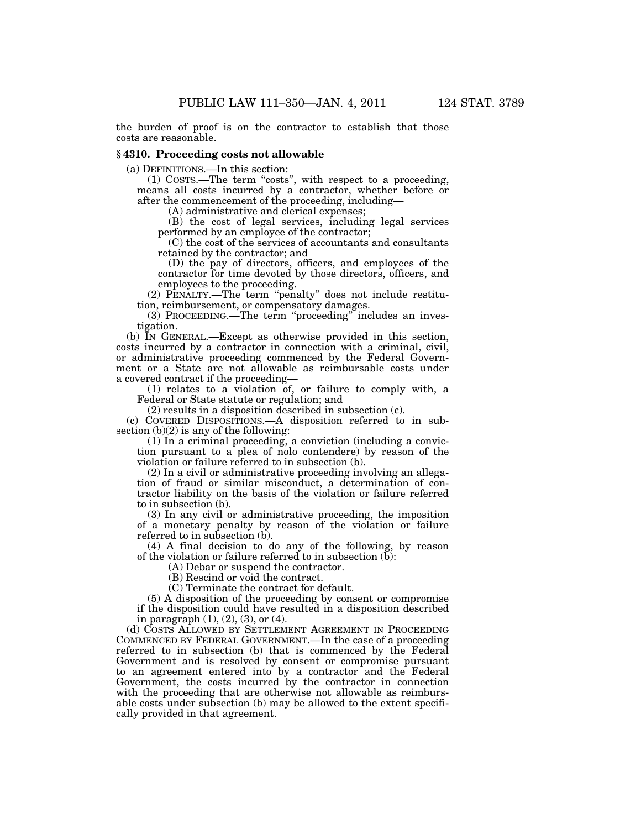the burden of proof is on the contractor to establish that those costs are reasonable.

#### **§ 4310. Proceeding costs not allowable**

(a) DEFINITIONS.—In this section:

(1) COSTS.—The term ''costs'', with respect to a proceeding, means all costs incurred by a contractor, whether before or after the commencement of the proceeding, including—

(A) administrative and clerical expenses;

(B) the cost of legal services, including legal services performed by an employee of the contractor;

(C) the cost of the services of accountants and consultants retained by the contractor; and

(D) the pay of directors, officers, and employees of the contractor for time devoted by those directors, officers, and employees to the proceeding.

(2) PENALTY.—The term ''penalty'' does not include restitution, reimbursement, or compensatory damages.

(3) PROCEEDING.—The term ''proceeding'' includes an investigation.

(b) IN GENERAL.—Except as otherwise provided in this section, costs incurred by a contractor in connection with a criminal, civil, or administrative proceeding commenced by the Federal Government or a State are not allowable as reimbursable costs under a covered contract if the proceeding—

(1) relates to a violation of, or failure to comply with, a Federal or State statute or regulation; and

(2) results in a disposition described in subsection (c).

(c) COVERED DISPOSITIONS.—A disposition referred to in subsection (b)(2) is any of the following:

(1) In a criminal proceeding, a conviction (including a conviction pursuant to a plea of nolo contendere) by reason of the violation or failure referred to in subsection (b).

(2) In a civil or administrative proceeding involving an allegation of fraud or similar misconduct, a determination of contractor liability on the basis of the violation or failure referred to in subsection (b).

(3) In any civil or administrative proceeding, the imposition of a monetary penalty by reason of the violation or failure referred to in subsection (b).

(4) A final decision to do any of the following, by reason of the violation or failure referred to in subsection  $(b)$ :

(A) Debar or suspend the contractor.

(B) Rescind or void the contract.

(C) Terminate the contract for default.

(5) A disposition of the proceeding by consent or compromise if the disposition could have resulted in a disposition described in paragraph (1), (2), (3), or (4).

(d) COSTS ALLOWED BY SETTLEMENT AGREEMENT IN PROCEEDING COMMENCED BY FEDERAL GOVERNMENT.—In the case of a proceeding referred to in subsection (b) that is commenced by the Federal Government and is resolved by consent or compromise pursuant to an agreement entered into by a contractor and the Federal Government, the costs incurred by the contractor in connection with the proceeding that are otherwise not allowable as reimbursable costs under subsection (b) may be allowed to the extent specifically provided in that agreement.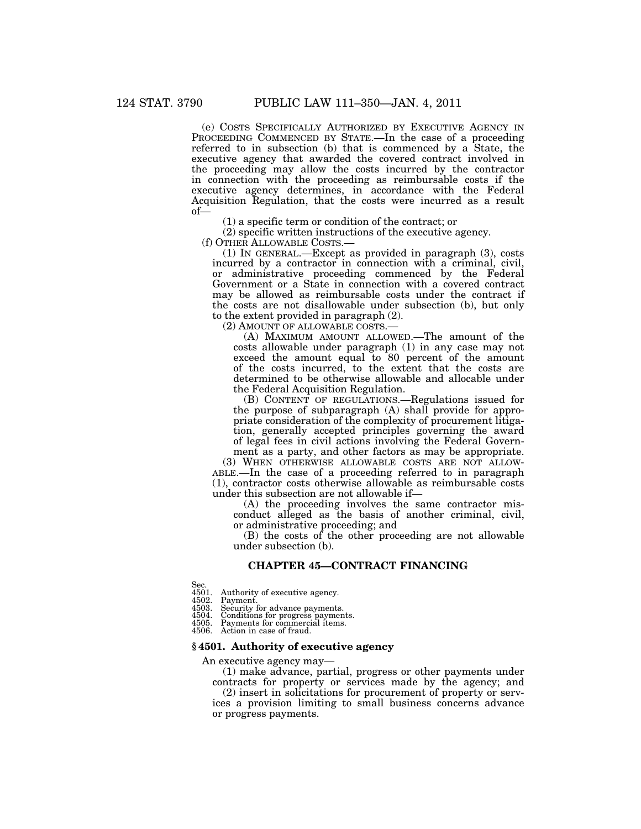(e) COSTS SPECIFICALLY AUTHORIZED BY EXECUTIVE AGENCY IN PROCEEDING COMMENCED BY STATE.—In the case of a proceeding referred to in subsection (b) that is commenced by a State, the executive agency that awarded the covered contract involved in the proceeding may allow the costs incurred by the contractor in connection with the proceeding as reimbursable costs if the executive agency determines, in accordance with the Federal Acquisition Regulation, that the costs were incurred as a result  $of$ 

(1) a specific term or condition of the contract; or

(2) specific written instructions of the executive agency.

(1) IN GENERAL.—Except as provided in paragraph  $(3)$ , costs incurred by a contractor in connection with a criminal, civil, or administrative proceeding commenced by the Federal Government or a State in connection with a covered contract may be allowed as reimbursable costs under the contract if the costs are not disallowable under subsection (b), but only to the extent provided in paragraph (2).

(2) AMOUNT OF ALLOWABLE COSTS.—

(A) MAXIMUM AMOUNT ALLOWED.—The amount of the costs allowable under paragraph (1) in any case may not exceed the amount equal to 80 percent of the amount of the costs incurred, to the extent that the costs are determined to be otherwise allowable and allocable under the Federal Acquisition Regulation.

(B) CONTENT OF REGULATIONS.—Regulations issued for the purpose of subparagraph (A) shall provide for appropriate consideration of the complexity of procurement litigation, generally accepted principles governing the award of legal fees in civil actions involving the Federal Government as a party, and other factors as may be appropriate.

(3) WHEN OTHERWISE ALLOWABLE COSTS ARE NOT ALLOW-ABLE.—In the case of a proceeding referred to in paragraph (1), contractor costs otherwise allowable as reimbursable costs under this subsection are not allowable if—

(A) the proceeding involves the same contractor misconduct alleged as the basis of another criminal, civil, or administrative proceeding; and

(B) the costs of the other proceeding are not allowable under subsection (b).

## **CHAPTER 45—CONTRACT FINANCING**

Sec.<br>4501.<br>4502. 4501. Authority of executive agency. 4502. Payment.

4503. Security for advance payments.<br>4504. Conditions for progress paymen

4504. Conditions for progress payments.<br>4505. Payments for commercial items.<br>4506. Action in case of fraud. Payments for commercial items.

Action in case of fraud.

#### **§ 4501. Authority of executive agency**

#### An executive agency may—

(1) make advance, partial, progress or other payments under contracts for property or services made by the agency; and

(2) insert in solicitations for procurement of property or services a provision limiting to small business concerns advance or progress payments.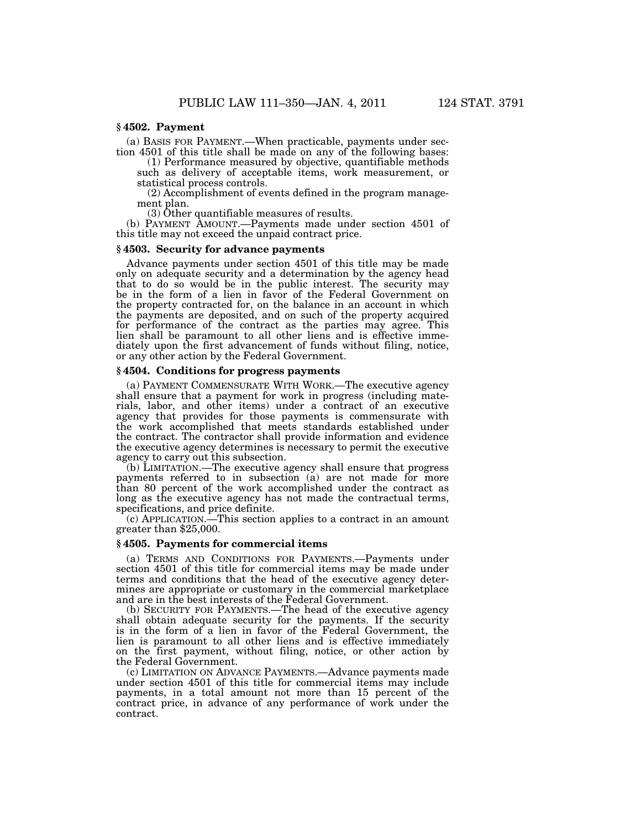# **§ 4502. Payment**

(a) BASIS FOR PAYMENT.—When practicable, payments under section 4501 of this title shall be made on any of the following bases:

(1) Performance measured by objective, quantifiable methods such as delivery of acceptable items, work measurement, or statistical process controls.

(2) Accomplishment of events defined in the program management plan.

(3) Other quantifiable measures of results.

(b) PAYMENT AMOUNT.—Payments made under section 4501 of this title may not exceed the unpaid contract price.

## **§ 4503. Security for advance payments**

Advance payments under section 4501 of this title may be made only on adequate security and a determination by the agency head that to do so would be in the public interest. The security may be in the form of a lien in favor of the Federal Government on the property contracted for, on the balance in an account in which the payments are deposited, and on such of the property acquired for performance of the contract as the parties may agree. This lien shall be paramount to all other liens and is effective immediately upon the first advancement of funds without filing, notice, or any other action by the Federal Government.

#### **§ 4504. Conditions for progress payments**

(a) PAYMENT COMMENSURATE WITH WORK.—The executive agency shall ensure that a payment for work in progress (including materials, labor, and other items) under a contract of an executive agency that provides for those payments is commensurate with the work accomplished that meets standards established under the contract. The contractor shall provide information and evidence the executive agency determines is necessary to permit the executive agency to carry out this subsection.

(b) LIMITATION.—The executive agency shall ensure that progress payments referred to in subsection (a) are not made for more than 80 percent of the work accomplished under the contract as long as the executive agency has not made the contractual terms, specifications, and price definite.

(c) APPLICATION.—This section applies to a contract in an amount greater than \$25,000.

#### **§ 4505. Payments for commercial items**

(a) TERMS AND CONDITIONS FOR PAYMENTS.—Payments under section 4501 of this title for commercial items may be made under terms and conditions that the head of the executive agency determines are appropriate or customary in the commercial marketplace and are in the best interests of the Federal Government.

(b) SECURITY FOR PAYMENTS.—The head of the executive agency shall obtain adequate security for the payments. If the security is in the form of a lien in favor of the Federal Government, the lien is paramount to all other liens and is effective immediately on the first payment, without filing, notice, or other action by the Federal Government.

(c) LIMITATION ON ADVANCE PAYMENTS.—Advance payments made under section 4501 of this title for commercial items may include payments, in a total amount not more than 15 percent of the contract price, in advance of any performance of work under the contract.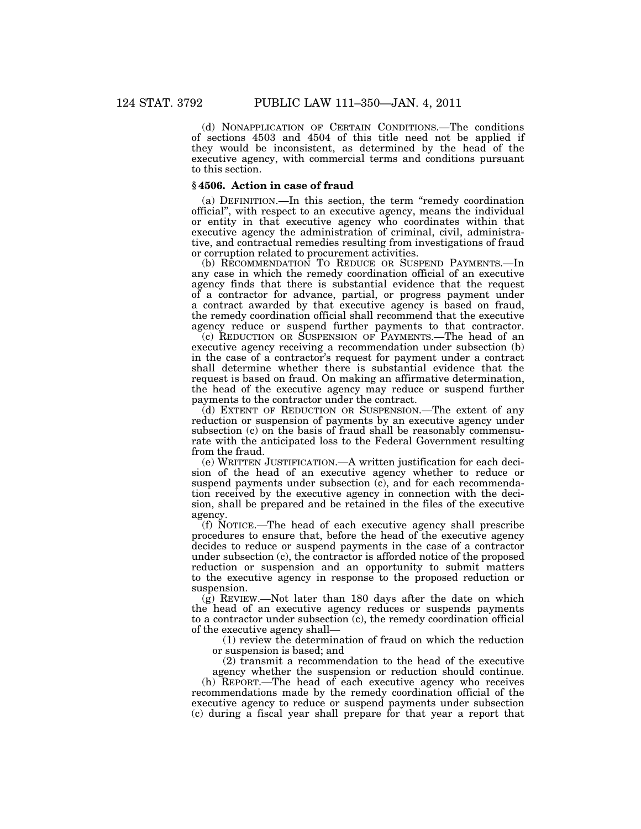(d) NONAPPLICATION OF CERTAIN CONDITIONS.—The conditions of sections 4503 and 4504 of this title need not be applied if they would be inconsistent, as determined by the head of the executive agency, with commercial terms and conditions pursuant to this section.

#### **§ 4506. Action in case of fraud**

(a) DEFINITION.—In this section, the term ''remedy coordination official'', with respect to an executive agency, means the individual or entity in that executive agency who coordinates within that executive agency the administration of criminal, civil, administrative, and contractual remedies resulting from investigations of fraud or corruption related to procurement activities.

(b) RECOMMENDATION TO REDUCE OR SUSPEND PAYMENTS.—In any case in which the remedy coordination official of an executive agency finds that there is substantial evidence that the request of a contractor for advance, partial, or progress payment under a contract awarded by that executive agency is based on fraud, the remedy coordination official shall recommend that the executive agency reduce or suspend further payments to that contractor.

(c) REDUCTION OR SUSPENSION OF PAYMENTS.—The head of an executive agency receiving a recommendation under subsection (b) in the case of a contractor's request for payment under a contract shall determine whether there is substantial evidence that the request is based on fraud. On making an affirmative determination, the head of the executive agency may reduce or suspend further payments to the contractor under the contract.

(d) EXTENT OF REDUCTION OR SUSPENSION.—The extent of any reduction or suspension of payments by an executive agency under subsection (c) on the basis of fraud shall be reasonably commensurate with the anticipated loss to the Federal Government resulting from the fraud.

(e) WRITTEN JUSTIFICATION.—A written justification for each decision of the head of an executive agency whether to reduce or suspend payments under subsection (c), and for each recommendation received by the executive agency in connection with the decision, shall be prepared and be retained in the files of the executive agency.

(f) NOTICE.—The head of each executive agency shall prescribe procedures to ensure that, before the head of the executive agency decides to reduce or suspend payments in the case of a contractor under subsection (c), the contractor is afforded notice of the proposed reduction or suspension and an opportunity to submit matters to the executive agency in response to the proposed reduction or suspension.

(g) REVIEW.—Not later than 180 days after the date on which the head of an executive agency reduces or suspends payments to a contractor under subsection (c), the remedy coordination official of the executive agency shall—

(1) review the determination of fraud on which the reduction or suspension is based; and

(2) transmit a recommendation to the head of the executive agency whether the suspension or reduction should continue.

(h) REPORT.—The head of each executive agency who receives recommendations made by the remedy coordination official of the executive agency to reduce or suspend payments under subsection (c) during a fiscal year shall prepare for that year a report that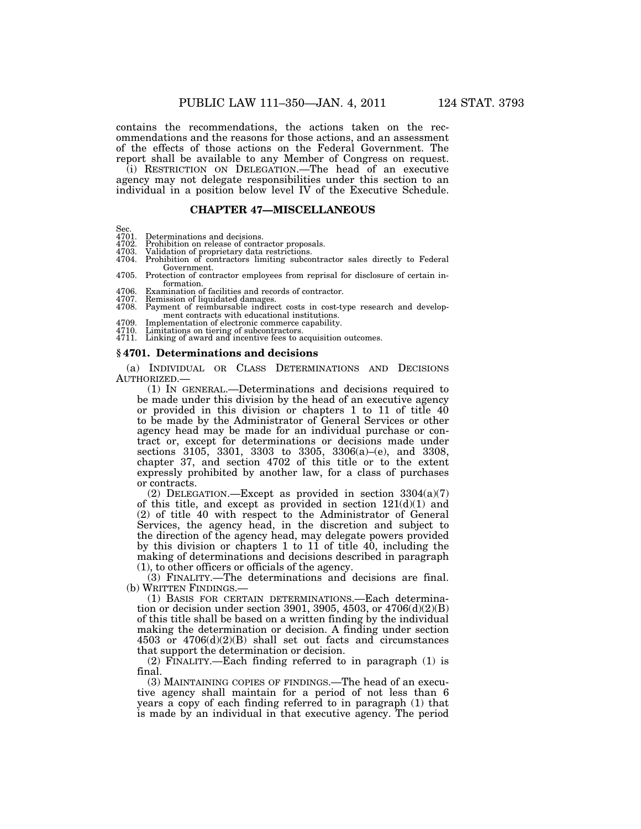contains the recommendations, the actions taken on the recommendations and the reasons for those actions, and an assessment of the effects of those actions on the Federal Government. The report shall be available to any Member of Congress on request.

(i) RESTRICTION ON DELEGATION.—The head of an executive agency may not delegate responsibilities under this section to an individual in a position below level IV of the Executive Schedule.

## **CHAPTER 47—MISCELLANEOUS**

- Sec.<br>4701. 4701. Determinations and decisions.<br>4702. Prohibition on release of contr
- 
- 4702. Prohibition on release of contractor proposals. 4703. Validation of proprietary data restrictions. 4704. Prohibition of contractors limiting subcontractor sales directly to Federal Government.
- 4705. Protection of contractor employees from reprisal for disclosure of certain information.
- 4706. Examination of facilities and records of contractor.<br>4707. Remission of liquidated damages.<br>4708. Payment of reimbursable indirect costs in cost-t
- 
- 4707. Remission of liquidated damages. 4708. Payment of reimbursable indirect costs in cost-type research and development contracts with educational institutions.
- 
- 4709. Implementation of electronic commerce capability.<br>4710. Limitations on tiering of subcontractors.<br>4711. Linking of award and incentive fees to acquisition 4710. Limitations on tiering of subcontractors. 4711. Linking of award and incentive fees to acquisition outcomes.

#### **§ 4701. Determinations and decisions**

(a) INDIVIDUAL OR CLASS DETERMINATIONS AND DECISIONS AUTHORIZED.—

(1) IN GENERAL.—Determinations and decisions required to be made under this division by the head of an executive agency or provided in this division or chapters 1 to 11 of title 40 to be made by the Administrator of General Services or other agency head may be made for an individual purchase or contract or, except for determinations or decisions made under sections 3105, 3301, 3303 to 3305, 3306(a)–(e), and 3308, chapter 37, and section 4702 of this title or to the extent expressly prohibited by another law, for a class of purchases or contracts.

(2) DELEGATION.—Except as provided in section 3304(a)(7) of this title, and except as provided in section  $121(d)(1)$  and (2) of title 40 with respect to the Administrator of General Services, the agency head, in the discretion and subject to the direction of the agency head, may delegate powers provided by this division or chapters 1 to 11 of title 40, including the making of determinations and decisions described in paragraph (1), to other officers or officials of the agency.

(3) FINALITY.—The determinations and decisions are final. (b) WRITTEN FINDINGS.—

(1) BASIS FOR CERTAIN DETERMINATIONS.—Each determination or decision under section 3901, 3905, 4503, or 4706(d)(2)(B) of this title shall be based on a written finding by the individual making the determination or decision. A finding under section  $4503$  or  $4706(d)(2)(B)$  shall set out facts and circumstances that support the determination or decision.

(2) FINALITY.—Each finding referred to in paragraph (1) is final.

(3) MAINTAINING COPIES OF FINDINGS.—The head of an executive agency shall maintain for a period of not less than 6 years a copy of each finding referred to in paragraph (1) that is made by an individual in that executive agency. The period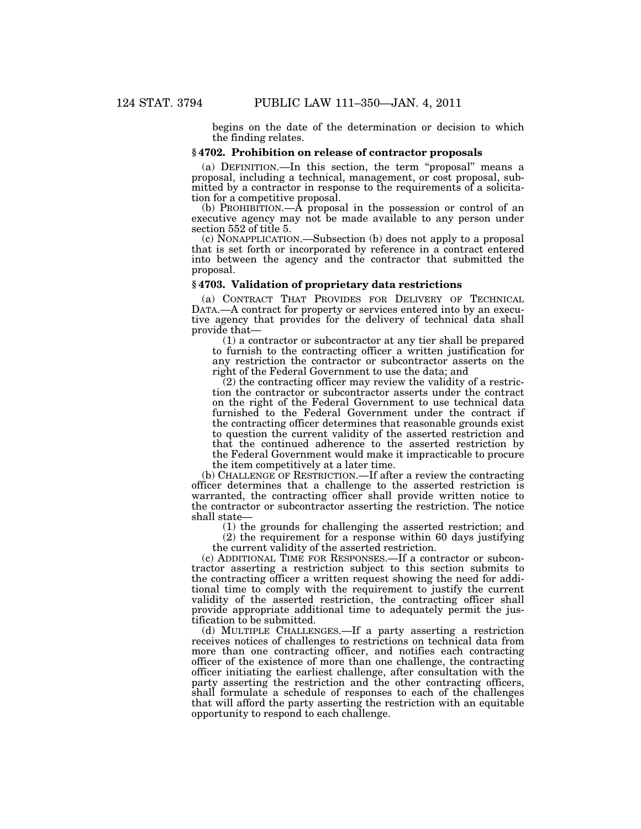begins on the date of the determination or decision to which the finding relates.

## **§ 4702. Prohibition on release of contractor proposals**

(a) DEFINITION.—In this section, the term ''proposal'' means a proposal, including a technical, management, or cost proposal, submitted by a contractor in response to the requirements of a solicitation for a competitive proposal.

(b) PROHIBITION.—A proposal in the possession or control of an executive agency may not be made available to any person under section 552 of title 5.

(c) NONAPPLICATION.—Subsection (b) does not apply to a proposal that is set forth or incorporated by reference in a contract entered into between the agency and the contractor that submitted the proposal.

#### **§ 4703. Validation of proprietary data restrictions**

(a) CONTRACT THAT PROVIDES FOR DELIVERY OF TECHNICAL DATA.—A contract for property or services entered into by an executive agency that provides for the delivery of technical data shall provide that—

(1) a contractor or subcontractor at any tier shall be prepared to furnish to the contracting officer a written justification for any restriction the contractor or subcontractor asserts on the right of the Federal Government to use the data; and

(2) the contracting officer may review the validity of a restriction the contractor or subcontractor asserts under the contract on the right of the Federal Government to use technical data furnished to the Federal Government under the contract if the contracting officer determines that reasonable grounds exist to question the current validity of the asserted restriction and that the continued adherence to the asserted restriction by the Federal Government would make it impracticable to procure the item competitively at a later time.

(b) CHALLENGE OF RESTRICTION.—If after a review the contracting officer determines that a challenge to the asserted restriction is warranted, the contracting officer shall provide written notice to the contractor or subcontractor asserting the restriction. The notice shall state—

(1) the grounds for challenging the asserted restriction; and (2) the requirement for a response within 60 days justifying

the current validity of the asserted restriction.

(c) ADDITIONAL TIME FOR RESPONSES.—If a contractor or subcontractor asserting a restriction subject to this section submits to the contracting officer a written request showing the need for additional time to comply with the requirement to justify the current validity of the asserted restriction, the contracting officer shall provide appropriate additional time to adequately permit the justification to be submitted.

(d) MULTIPLE CHALLENGES.—If a party asserting a restriction receives notices of challenges to restrictions on technical data from more than one contracting officer, and notifies each contracting officer of the existence of more than one challenge, the contracting officer initiating the earliest challenge, after consultation with the party asserting the restriction and the other contracting officers, shall formulate a schedule of responses to each of the challenges that will afford the party asserting the restriction with an equitable opportunity to respond to each challenge.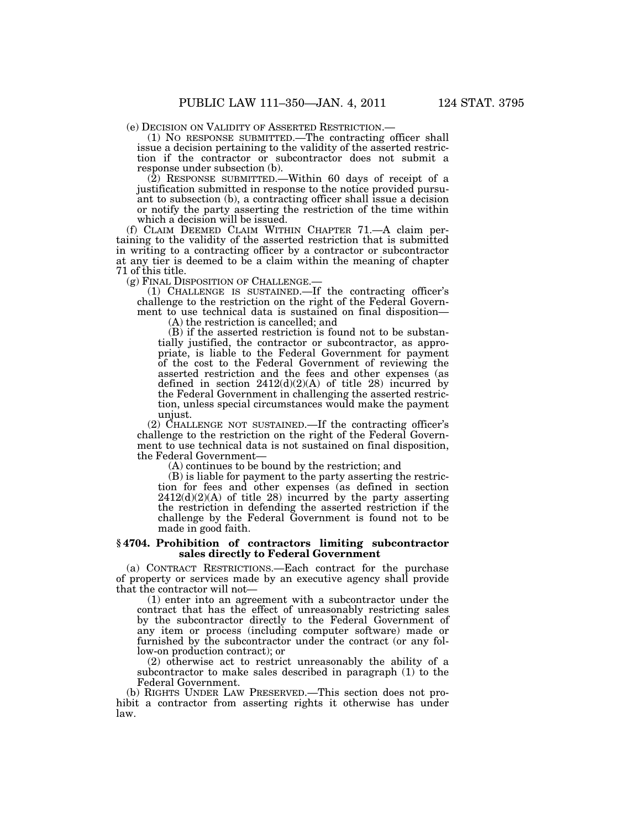(e) DECISION ON VALIDITY OF ASSERTED RESTRICTION.— (1) NO RESPONSE SUBMITTED.—The contracting officer shall issue a decision pertaining to the validity of the asserted restriction if the contractor or subcontractor does not submit a response under subsection (b).

(2) RESPONSE SUBMITTED.—Within 60 days of receipt of a justification submitted in response to the notice provided pursuant to subsection (b), a contracting officer shall issue a decision or notify the party asserting the restriction of the time within which a decision will be issued.

(f) CLAIM DEEMED CLAIM WITHIN CHAPTER 71.—A claim pertaining to the validity of the asserted restriction that is submitted in writing to a contracting officer by a contractor or subcontractor at any tier is deemed to be a claim within the meaning of chapter 71 of this title.<br>(g) FINAL DISPOSITION OF CHALLENGE.-

(1) CHALLENGE IS SUSTAINED.—If the contracting officer's challenge to the restriction on the right of the Federal Government to use technical data is sustained on final disposition—

(A) the restriction is cancelled; and

(B) if the asserted restriction is found not to be substantially justified, the contractor or subcontractor, as appropriate, is liable to the Federal Government for payment of the cost to the Federal Government of reviewing the asserted restriction and the fees and other expenses (as defined in section  $2412(d)(2)(A)$  of title 28) incurred by the Federal Government in challenging the asserted restriction, unless special circumstances would make the payment unjust.

(2) CHALLENGE NOT SUSTAINED.—If the contracting officer's challenge to the restriction on the right of the Federal Government to use technical data is not sustained on final disposition, the Federal Government—

(A) continues to be bound by the restriction; and

(B) is liable for payment to the party asserting the restriction for fees and other expenses (as defined in section  $2412(d)(2)(A)$  of title 28) incurred by the party asserting the restriction in defending the asserted restriction if the challenge by the Federal Government is found not to be made in good faith.

#### **§ 4704. Prohibition of contractors limiting subcontractor sales directly to Federal Government**

(a) CONTRACT RESTRICTIONS.—Each contract for the purchase of property or services made by an executive agency shall provide that the contractor will not—

(1) enter into an agreement with a subcontractor under the contract that has the effect of unreasonably restricting sales by the subcontractor directly to the Federal Government of any item or process (including computer software) made or furnished by the subcontractor under the contract (or any follow-on production contract); or

(2) otherwise act to restrict unreasonably the ability of a subcontractor to make sales described in paragraph (1) to the Federal Government.

(b) RIGHTS UNDER LAW PRESERVED.—This section does not prohibit a contractor from asserting rights it otherwise has under law.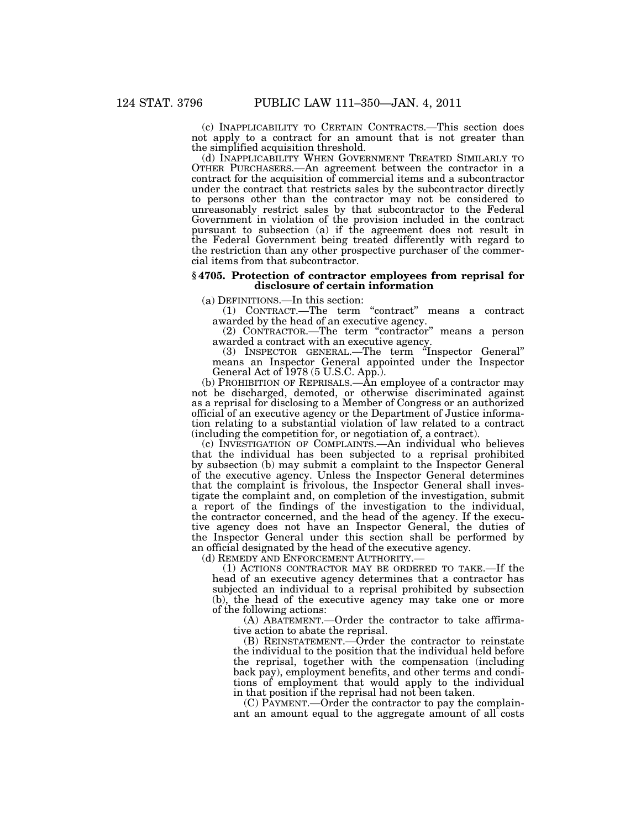(c) INAPPLICABILITY TO CERTAIN CONTRACTS.—This section does not apply to a contract for an amount that is not greater than the simplified acquisition threshold.

(d) INAPPLICABILITY WHEN GOVERNMENT TREATED SIMILARLY TO OTHER PURCHASERS.—An agreement between the contractor in a contract for the acquisition of commercial items and a subcontractor under the contract that restricts sales by the subcontractor directly to persons other than the contractor may not be considered to unreasonably restrict sales by that subcontractor to the Federal Government in violation of the provision included in the contract pursuant to subsection (a) if the agreement does not result in the Federal Government being treated differently with regard to the restriction than any other prospective purchaser of the commercial items from that subcontractor.

#### **§ 4705. Protection of contractor employees from reprisal for disclosure of certain information**

(a) DEFINITIONS.—In this section:

(1) CONTRACT.—The term ''contract'' means a contract awarded by the head of an executive agency.

(2) CONTRACTOR.—The term ''contractor'' means a person awarded a contract with an executive agency.

(3) INSPECTOR GENERAL.—The term ''Inspector General'' means an Inspector General appointed under the Inspector General Act of 1978 (5 U.S.C. App.).

(b) PROHIBITION OF REPRISALS.—An employee of a contractor may not be discharged, demoted, or otherwise discriminated against as a reprisal for disclosing to a Member of Congress or an authorized official of an executive agency or the Department of Justice information relating to a substantial violation of law related to a contract (including the competition for, or negotiation of, a contract).

(c) INVESTIGATION OF COMPLAINTS.—An individual who believes that the individual has been subjected to a reprisal prohibited by subsection (b) may submit a complaint to the Inspector General of the executive agency. Unless the Inspector General determines that the complaint is frivolous, the Inspector General shall investigate the complaint and, on completion of the investigation, submit a report of the findings of the investigation to the individual, the contractor concerned, and the head of the agency. If the executive agency does not have an Inspector General, the duties of the Inspector General under this section shall be performed by an official designated by the head of the executive agency.<br>(d) REMEDY AND ENFORCEMENT AUTHORITY.—

(1) ACTIONS CONTRACTOR MAY BE ORDERED TO TAKE.—If the head of an executive agency determines that a contractor has subjected an individual to a reprisal prohibited by subsection (b), the head of the executive agency may take one or more of the following actions:

(A) ABATEMENT.—Order the contractor to take affirmative action to abate the reprisal.

(B) REINSTATEMENT.—Order the contractor to reinstate the individual to the position that the individual held before the reprisal, together with the compensation (including back pay), employment benefits, and other terms and conditions of employment that would apply to the individual in that position if the reprisal had not been taken.

(C) PAYMENT.—Order the contractor to pay the complainant an amount equal to the aggregate amount of all costs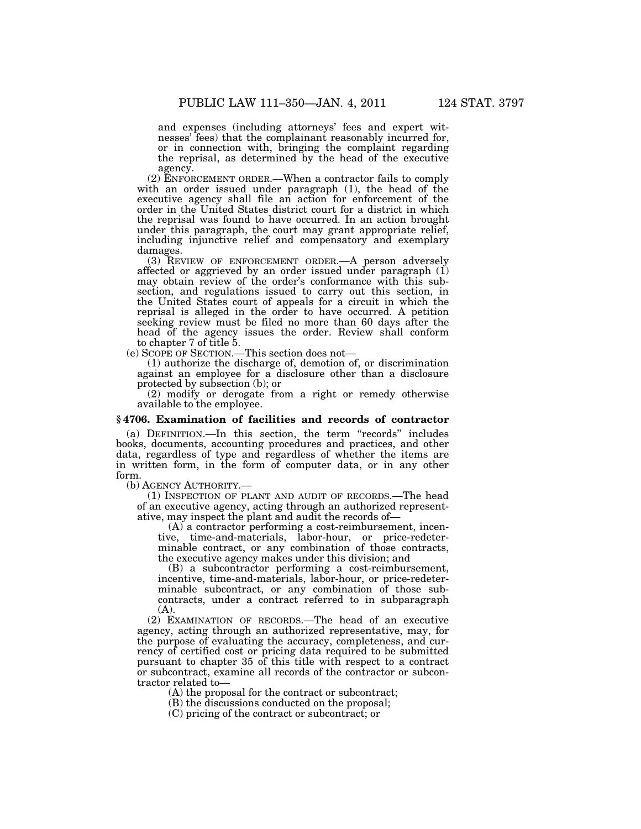and expenses (including attorneys' fees and expert witnesses' fees) that the complainant reasonably incurred for, or in connection with, bringing the complaint regarding the reprisal, as determined by the head of the executive agency.

(2) ENFORCEMENT ORDER.—When a contractor fails to comply with an order issued under paragraph (1), the head of the executive agency shall file an action for enforcement of the order in the United States district court for a district in which the reprisal was found to have occurred. In an action brought under this paragraph, the court may grant appropriate relief, including injunctive relief and compensatory and exemplary damages.

(3) REVIEW OF ENFORCEMENT ORDER.—A person adversely affected or aggrieved by an order issued under paragraph (1) may obtain review of the order's conformance with this subsection, and regulations issued to carry out this section, in the United States court of appeals for a circuit in which the reprisal is alleged in the order to have occurred. A petition seeking review must be filed no more than 60 days after the head of the agency issues the order. Review shall conform to chapter 7 of title 5.

(e) SCOPE OF SECTION.—This section does not—

(1) authorize the discharge of, demotion of, or discrimination against an employee for a disclosure other than a disclosure protected by subsection (b); or

(2) modify or derogate from a right or remedy otherwise available to the employee.

#### **§ 4706. Examination of facilities and records of contractor**

(a) DEFINITION.—In this section, the term ''records'' includes books, documents, accounting procedures and practices, and other data, regardless of type and regardless of whether the items are in written form, in the form of computer data, or in any other form.

(b) AGENCY AUTHORITY.—<br>(1) INSPECTION OF PLANT AND AUDIT OF RECORDS.—The head of an executive agency, acting through an authorized representative, may inspect the plant and audit the records of—

(A) a contractor performing a cost-reimbursement, incentive, time-and-materials, labor-hour, or price-redeterminable contract, or any combination of those contracts, the executive agency makes under this division; and

(B) a subcontractor performing a cost-reimbursement, incentive, time-and-materials, labor-hour, or price-redeterminable subcontract, or any combination of those subcontracts, under a contract referred to in subparagraph (A).

(2) EXAMINATION OF RECORDS.—The head of an executive agency, acting through an authorized representative, may, for the purpose of evaluating the accuracy, completeness, and currency of certified cost or pricing data required to be submitted pursuant to chapter 35 of this title with respect to a contract or subcontract, examine all records of the contractor or subcontractor related to—

(A) the proposal for the contract or subcontract;

(B) the discussions conducted on the proposal;

(C) pricing of the contract or subcontract; or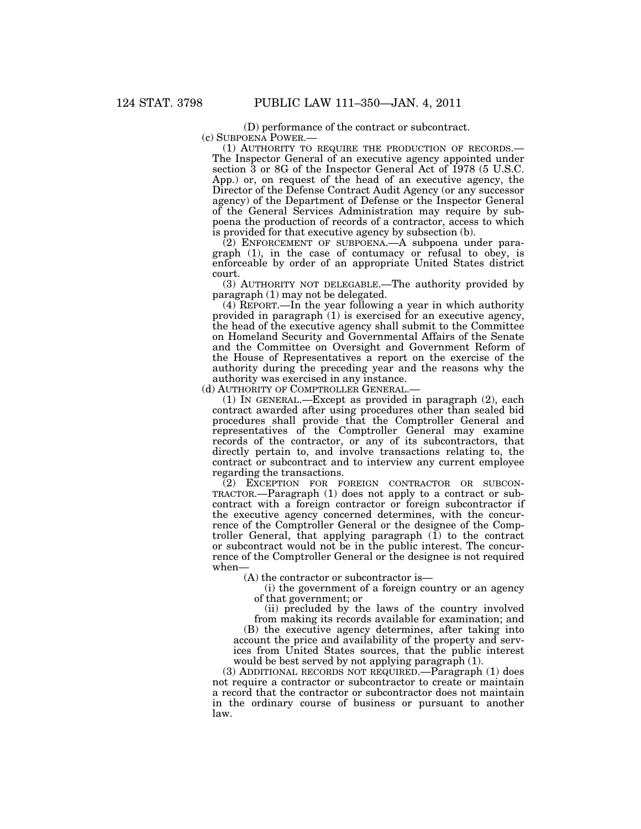(D) performance of the contract or subcontract.<br>(c) SUBPOENA POWER.—

 $(1)$  AUTHORITY TO REQUIRE THE PRODUCTION OF RECORDS.— The Inspector General of an executive agency appointed under section 3 or 8G of the Inspector General Act of 1978 (5 U.S.C. App.) or, on request of the head of an executive agency, the Director of the Defense Contract Audit Agency (or any successor agency) of the Department of Defense or the Inspector General of the General Services Administration may require by subpoena the production of records of a contractor, access to which is provided for that executive agency by subsection (b).

(2) ENFORCEMENT OF SUBPOENA.—A subpoena under paragraph (1), in the case of contumacy or refusal to obey, is enforceable by order of an appropriate United States district court.

(3) AUTHORITY NOT DELEGABLE.—The authority provided by paragraph (1) may not be delegated.

(4) REPORT.—In the year following a year in which authority provided in paragraph (1) is exercised for an executive agency, the head of the executive agency shall submit to the Committee on Homeland Security and Governmental Affairs of the Senate and the Committee on Oversight and Government Reform of the House of Representatives a report on the exercise of the authority during the preceding year and the reasons why the authority was exercised in any instance.

(d) AUTHORITY OF COMPTROLLER GENERAL.—

(1) IN GENERAL.—Except as provided in paragraph (2), each contract awarded after using procedures other than sealed bid procedures shall provide that the Comptroller General and representatives of the Comptroller General may examine records of the contractor, or any of its subcontractors, that directly pertain to, and involve transactions relating to, the contract or subcontract and to interview any current employee regarding the transactions.<br>
(2) EXCEPTION FOR FOREIGN CONTRACTOR OR SUBCON-

 $TRACTOR.$ —Paragraph  $(1)$  does not apply to a contract or subcontract with a foreign contractor or foreign subcontractor if the executive agency concerned determines, with the concurrence of the Comptroller General or the designee of the Comptroller General, that applying paragraph (1) to the contract or subcontract would not be in the public interest. The concurrence of the Comptroller General or the designee is not required when—

(A) the contractor or subcontractor is—

(i) the government of a foreign country or an agency of that government; or

(ii) precluded by the laws of the country involved from making its records available for examination; and

(B) the executive agency determines, after taking into account the price and availability of the property and services from United States sources, that the public interest would be best served by not applying paragraph (1).

(3) ADDITIONAL RECORDS NOT REQUIRED.—Paragraph (1) does not require a contractor or subcontractor to create or maintain a record that the contractor or subcontractor does not maintain in the ordinary course of business or pursuant to another law.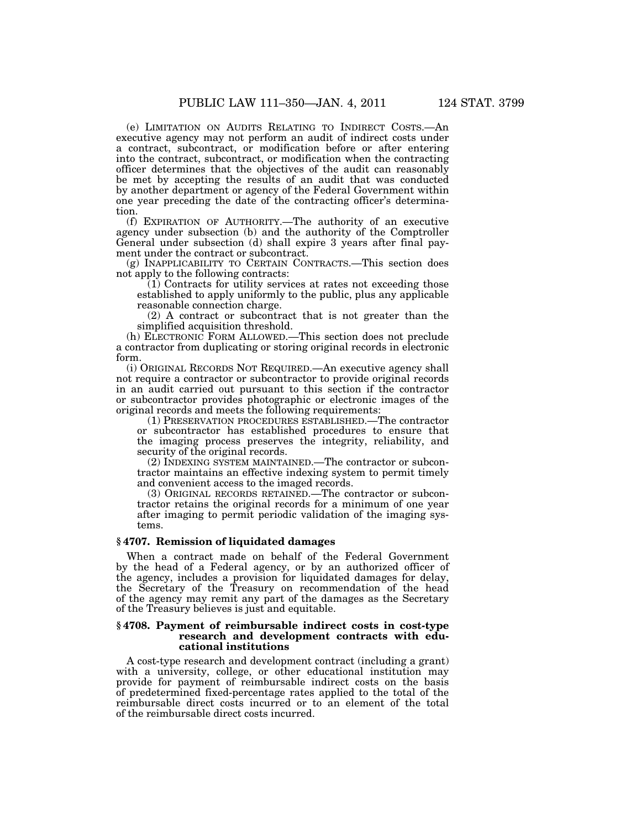(e) LIMITATION ON AUDITS RELATING TO INDIRECT COSTS.—An executive agency may not perform an audit of indirect costs under a contract, subcontract, or modification before or after entering into the contract, subcontract, or modification when the contracting officer determines that the objectives of the audit can reasonably be met by accepting the results of an audit that was conducted by another department or agency of the Federal Government within one year preceding the date of the contracting officer's determination.

(f) EXPIRATION OF AUTHORITY.—The authority of an executive agency under subsection (b) and the authority of the Comptroller General under subsection (d) shall expire 3 years after final payment under the contract or subcontract.

(g) INAPPLICABILITY TO CERTAIN CONTRACTS.—This section does not apply to the following contracts:

(1) Contracts for utility services at rates not exceeding those established to apply uniformly to the public, plus any applicable reasonable connection charge.

(2) A contract or subcontract that is not greater than the simplified acquisition threshold.

(h) ELECTRONIC FORM ALLOWED.—This section does not preclude a contractor from duplicating or storing original records in electronic form.

(i) ORIGINAL RECORDS NOT REQUIRED.—An executive agency shall not require a contractor or subcontractor to provide original records in an audit carried out pursuant to this section if the contractor or subcontractor provides photographic or electronic images of the original records and meets the following requirements:

(1) PRESERVATION PROCEDURES ESTABLISHED.—The contractor or subcontractor has established procedures to ensure that the imaging process preserves the integrity, reliability, and security of the original records.

(2) INDEXING SYSTEM MAINTAINED.—The contractor or subcontractor maintains an effective indexing system to permit timely and convenient access to the imaged records.

(3) ORIGINAL RECORDS RETAINED.—The contractor or subcontractor retains the original records for a minimum of one year after imaging to permit periodic validation of the imaging systems.

# **§ 4707. Remission of liquidated damages**

When a contract made on behalf of the Federal Government by the head of a Federal agency, or by an authorized officer of the agency, includes a provision for liquidated damages for delay, the Secretary of the Treasury on recommendation of the head of the agency may remit any part of the damages as the Secretary of the Treasury believes is just and equitable.

#### **§ 4708. Payment of reimbursable indirect costs in cost-type research and development contracts with educational institutions**

A cost-type research and development contract (including a grant) with a university, college, or other educational institution may provide for payment of reimbursable indirect costs on the basis of predetermined fixed-percentage rates applied to the total of the reimbursable direct costs incurred or to an element of the total of the reimbursable direct costs incurred.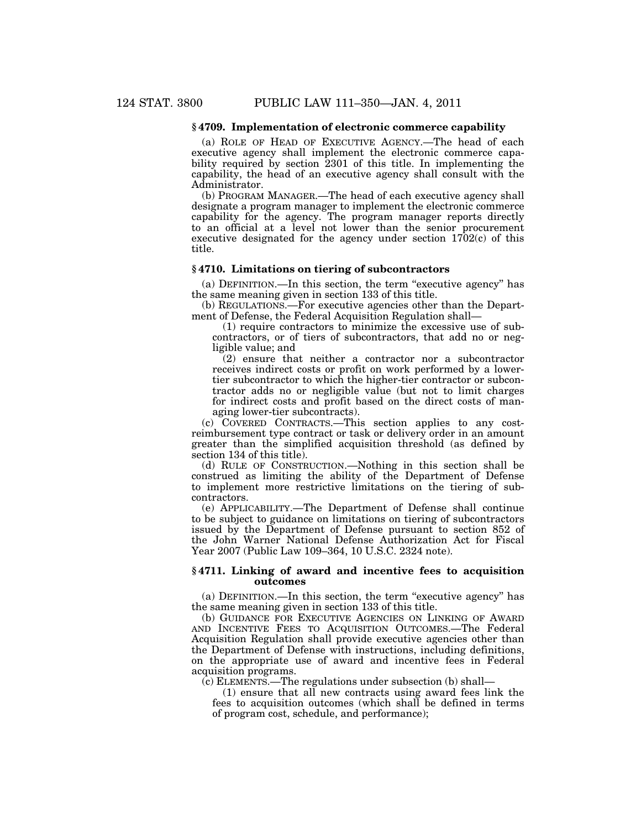## **§ 4709. Implementation of electronic commerce capability**

(a) ROLE OF HEAD OF EXECUTIVE AGENCY.—The head of each executive agency shall implement the electronic commerce capability required by section 2301 of this title. In implementing the capability, the head of an executive agency shall consult with the Administrator.

(b) PROGRAM MANAGER.—The head of each executive agency shall designate a program manager to implement the electronic commerce capability for the agency. The program manager reports directly to an official at a level not lower than the senior procurement executive designated for the agency under section 1702(c) of this title.

## **§ 4710. Limitations on tiering of subcontractors**

(a) DEFINITION.—In this section, the term ''executive agency'' has the same meaning given in section 133 of this title.

(b) REGULATIONS.—For executive agencies other than the Department of Defense, the Federal Acquisition Regulation shall—

(1) require contractors to minimize the excessive use of subcontractors, or of tiers of subcontractors, that add no or negligible value; and

(2) ensure that neither a contractor nor a subcontractor receives indirect costs or profit on work performed by a lowertier subcontractor to which the higher-tier contractor or subcontractor adds no or negligible value (but not to limit charges for indirect costs and profit based on the direct costs of managing lower-tier subcontracts).

(c) COVERED CONTRACTS.—This section applies to any costreimbursement type contract or task or delivery order in an amount greater than the simplified acquisition threshold (as defined by section 134 of this title).

(d) RULE OF CONSTRUCTION.—Nothing in this section shall be construed as limiting the ability of the Department of Defense to implement more restrictive limitations on the tiering of subcontractors.

(e) APPLICABILITY.—The Department of Defense shall continue to be subject to guidance on limitations on tiering of subcontractors issued by the Department of Defense pursuant to section 852 of the John Warner National Defense Authorization Act for Fiscal Year 2007 (Public Law 109–364, 10 U.S.C. 2324 note).

#### **§ 4711. Linking of award and incentive fees to acquisition outcomes**

(a) DEFINITION.—In this section, the term ''executive agency'' has the same meaning given in section 133 of this title.

(b) GUIDANCE FOR EXECUTIVE AGENCIES ON LINKING OF AWARD AND INCENTIVE FEES TO ACQUISITION OUTCOMES.—The Federal Acquisition Regulation shall provide executive agencies other than the Department of Defense with instructions, including definitions, on the appropriate use of award and incentive fees in Federal acquisition programs.

(c) ELEMENTS.—The regulations under subsection (b) shall—

(1) ensure that all new contracts using award fees link the fees to acquisition outcomes (which shall be defined in terms of program cost, schedule, and performance);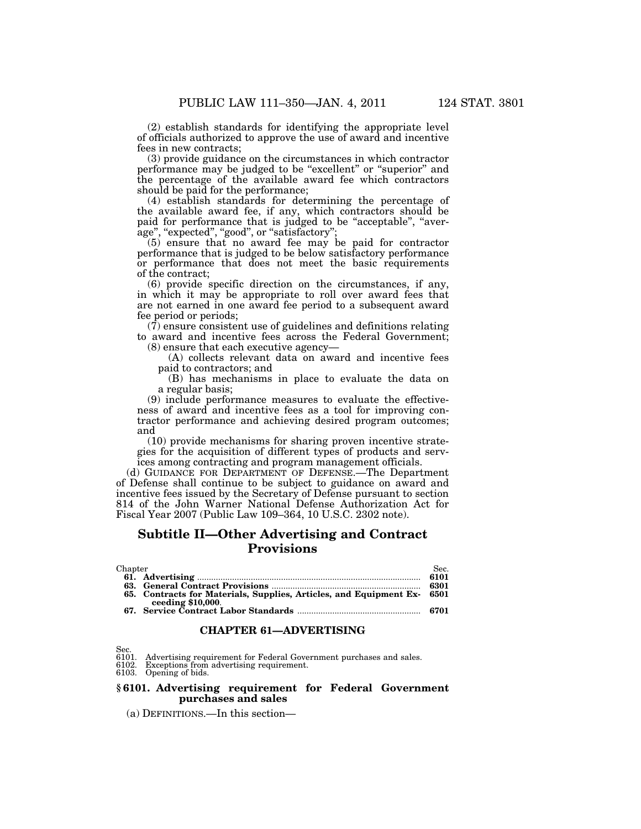(2) establish standards for identifying the appropriate level of officials authorized to approve the use of award and incentive fees in new contracts;

(3) provide guidance on the circumstances in which contractor performance may be judged to be "excellent" or "superior" and the percentage of the available award fee which contractors should be paid for the performance;

(4) establish standards for determining the percentage of the available award fee, if any, which contractors should be paid for performance that is judged to be ''acceptable'', ''average", "expected", "good", or "satisfactory";

(5) ensure that no award fee may be paid for contractor performance that is judged to be below satisfactory performance or performance that does not meet the basic requirements of the contract;

(6) provide specific direction on the circumstances, if any, in which it may be appropriate to roll over award fees that are not earned in one award fee period to a subsequent award fee period or periods;

 $(7)$  ensure consistent use of guidelines and definitions relating to award and incentive fees across the Federal Government; (8) ensure that each executive agency—

(A) collects relevant data on award and incentive fees

paid to contractors; and

(B) has mechanisms in place to evaluate the data on a regular basis;

(9) include performance measures to evaluate the effectiveness of award and incentive fees as a tool for improving contractor performance and achieving desired program outcomes; and

(10) provide mechanisms for sharing proven incentive strategies for the acquisition of different types of products and services among contracting and program management officials.

(d) GUIDANCE FOR DEPARTMENT OF DEFENSE.—The Department of Defense shall continue to be subject to guidance on award and incentive fees issued by the Secretary of Defense pursuant to section 814 of the John Warner National Defense Authorization Act for Fiscal Year 2007 (Public Law 109–364, 10 U.S.C. 2302 note).

# **Subtitle II—Other Advertising and Contract Provisions**

| Chapter |                                                                    | Sec. |
|---------|--------------------------------------------------------------------|------|
|         |                                                                    | 6101 |
|         |                                                                    | 6301 |
|         | 65. Contracts for Materials, Supplies, Articles, and Equipment Ex- | 6501 |
|         | ceeding \$10,000.                                                  |      |
|         |                                                                    |      |
|         |                                                                    |      |

## **CHAPTER 61—ADVERTISING**

Sec.

6101. Advertising requirement for Federal Government purchases and sales.

6102. Exceptions from advertising requirement. 6103. Opening of bids.

## **§ 6101. Advertising requirement for Federal Government purchases and sales**

(a) DEFINITIONS.—In this section—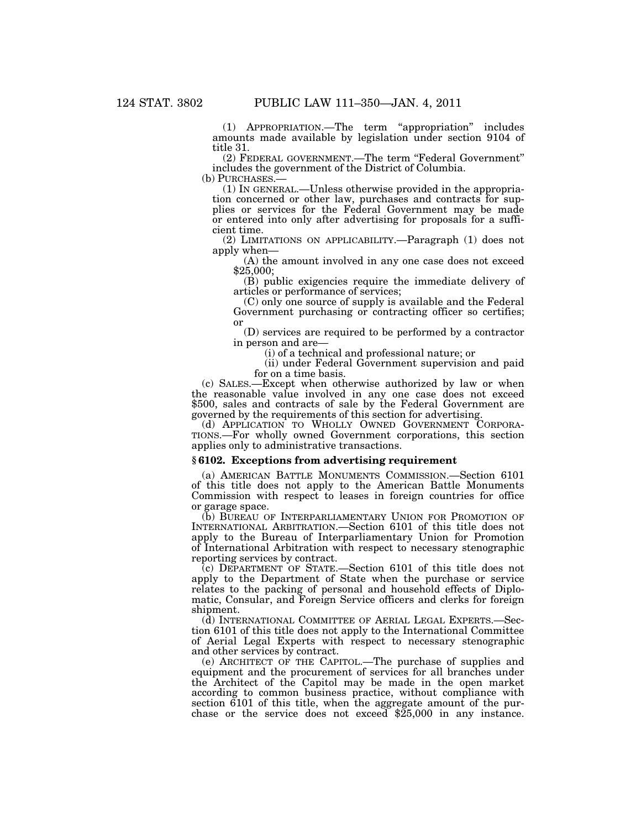(1) APPROPRIATION.—The term ''appropriation'' includes amounts made available by legislation under section 9104 of title 31.

(2) FEDERAL GOVERNMENT.—The term ''Federal Government'' includes the government of the District of Columbia.

(b) PURCHASES.— (1) IN GENERAL.—Unless otherwise provided in the appropriation concerned or other law, purchases and contracts for supplies or services for the Federal Government may be made or entered into only after advertising for proposals for a sufficient time.

(2) LIMITATIONS ON APPLICABILITY.—Paragraph (1) does not apply when—

(A) the amount involved in any one case does not exceed \$25,000;

(B) public exigencies require the immediate delivery of articles or performance of services;

(C) only one source of supply is available and the Federal Government purchasing or contracting officer so certifies; or

(D) services are required to be performed by a contractor in person and are—

(i) of a technical and professional nature; or

(ii) under Federal Government supervision and paid for on a time basis.

(c) SALES.—Except when otherwise authorized by law or when the reasonable value involved in any one case does not exceed \$500, sales and contracts of sale by the Federal Government are governed by the requirements of this section for advertising.

(d) APPLICATION TO WHOLLY OWNED GOVERNMENT CORPORA- TIONS.—For wholly owned Government corporations, this section applies only to administrative transactions.

#### **§ 6102. Exceptions from advertising requirement**

(a) AMERICAN BATTLE MONUMENTS COMMISSION.—Section 6101 of this title does not apply to the American Battle Monuments Commission with respect to leases in foreign countries for office or garage space.

(b) BUREAU OF INTERPARLIAMENTARY UNION FOR PROMOTION OF INTERNATIONAL ARBITRATION.—Section 6101 of this title does not apply to the Bureau of Interparliamentary Union for Promotion of International Arbitration with respect to necessary stenographic reporting services by contract.

(c) DEPARTMENT OF STATE.—Section 6101 of this title does not apply to the Department of State when the purchase or service relates to the packing of personal and household effects of Diplomatic, Consular, and Foreign Service officers and clerks for foreign shipment.

(d) INTERNATIONAL COMMITTEE OF AERIAL LEGAL EXPERTS.—Section 6101 of this title does not apply to the International Committee of Aerial Legal Experts with respect to necessary stenographic and other services by contract.

(e) ARCHITECT OF THE CAPITOL.—The purchase of supplies and equipment and the procurement of services for all branches under the Architect of the Capitol may be made in the open market according to common business practice, without compliance with section  $\tilde{6}101$  of this title, when the aggregate amount of the purchase or the service does not exceed \$25,000 in any instance.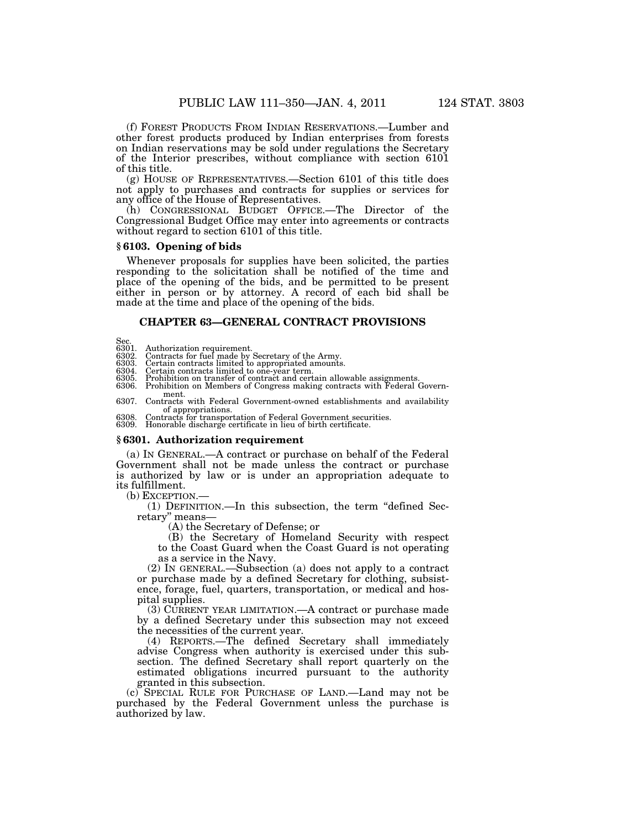(f) FOREST PRODUCTS FROM INDIAN RESERVATIONS.—Lumber and other forest products produced by Indian enterprises from forests on Indian reservations may be sold under regulations the Secretary of the Interior prescribes, without compliance with section 6101 of this title.

(g) HOUSE OF REPRESENTATIVES.—Section 6101 of this title does not apply to purchases and contracts for supplies or services for any office of the House of Representatives.

(h) CONGRESSIONAL BUDGET OFFICE.—The Director of the Congressional Budget Office may enter into agreements or contracts without regard to section 6101 of this title.

#### **§ 6103. Opening of bids**

Whenever proposals for supplies have been solicited, the parties responding to the solicitation shall be notified of the time and place of the opening of the bids, and be permitted to be present either in person or by attorney. A record of each bid shall be made at the time and place of the opening of the bids.

#### **CHAPTER 63—GENERAL CONTRACT PROVISIONS**

Sec.<br>6301.

6301. Authorization requirement. 6302. Contracts for fuel made by Secretary of the Army.

- 6303. Certain contracts limited to appropriated amounts. 6304. Certain contracts limited to one-year term.
- 6305. Prohibition on transfer of contract and certain allowable assignments.
- 6306. Prohibition on Members of Congress making contracts with Federal Government.
- 6307. Contracts with Federal Government-owned establishments and availability of appropriations. 6308. Contracts for transportation of Federal Government securities.
- 
- 6309. Honorable discharge certificate in lieu of birth certificate.

# **§ 6301. Authorization requirement**

(a) IN GENERAL.—A contract or purchase on behalf of the Federal Government shall not be made unless the contract or purchase is authorized by law or is under an appropriation adequate to its fulfillment.

(b) EXCEPTION.— (1) DEFINITION.—In this subsection, the term ''defined Secretary'' means—

(A) the Secretary of Defense; or

(B) the Secretary of Homeland Security with respect to the Coast Guard when the Coast Guard is not operating as a service in the Navy.

(2) IN GENERAL.—Subsection (a) does not apply to a contract or purchase made by a defined Secretary for clothing, subsistence, forage, fuel, quarters, transportation, or medical and hospital supplies.

(3) CURRENT YEAR LIMITATION.—A contract or purchase made by a defined Secretary under this subsection may not exceed the necessities of the current year.

(4) REPORTS.—The defined Secretary shall immediately advise Congress when authority is exercised under this subsection. The defined Secretary shall report quarterly on the estimated obligations incurred pursuant to the authority granted in this subsection.

(c) SPECIAL RULE FOR PURCHASE OF LAND.—Land may not be purchased by the Federal Government unless the purchase is authorized by law.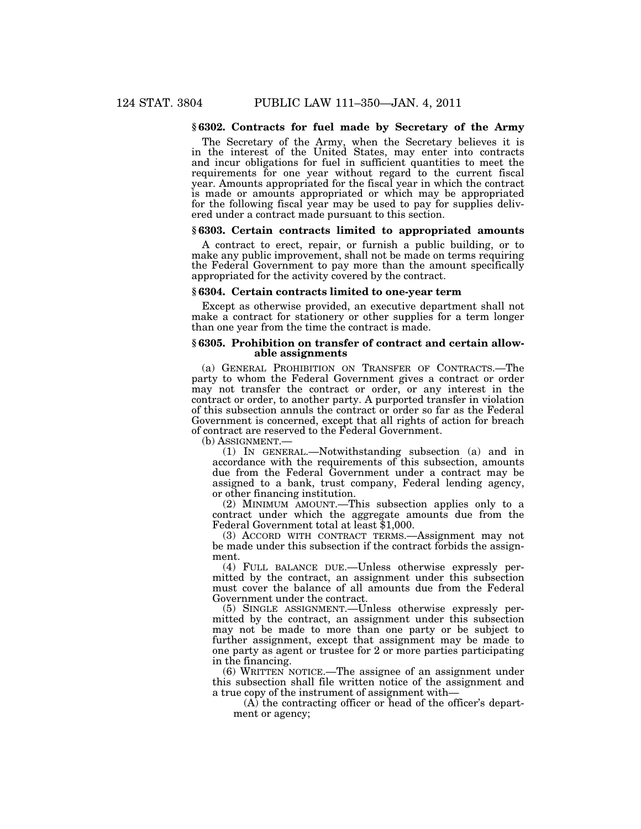## **§ 6302. Contracts for fuel made by Secretary of the Army**

The Secretary of the Army, when the Secretary believes it is in the interest of the United States, may enter into contracts and incur obligations for fuel in sufficient quantities to meet the requirements for one year without regard to the current fiscal year. Amounts appropriated for the fiscal year in which the contract is made or amounts appropriated or which may be appropriated for the following fiscal year may be used to pay for supplies delivered under a contract made pursuant to this section.

# **§ 6303. Certain contracts limited to appropriated amounts**

A contract to erect, repair, or furnish a public building, or to make any public improvement, shall not be made on terms requiring the Federal Government to pay more than the amount specifically appropriated for the activity covered by the contract.

#### **§ 6304. Certain contracts limited to one-year term**

Except as otherwise provided, an executive department shall not make a contract for stationery or other supplies for a term longer than one year from the time the contract is made.

#### **§ 6305. Prohibition on transfer of contract and certain allowable assignments**

(a) GENERAL PROHIBITION ON TRANSFER OF CONTRACTS.—The party to whom the Federal Government gives a contract or order may not transfer the contract or order, or any interest in the contract or order, to another party. A purported transfer in violation of this subsection annuls the contract or order so far as the Federal Government is concerned, except that all rights of action for breach of contract are reserved to the Federal Government.

(b) ASSIGNMENT.—

(1) IN GENERAL.—Notwithstanding subsection (a) and in accordance with the requirements of this subsection, amounts due from the Federal Government under a contract may be assigned to a bank, trust company, Federal lending agency, or other financing institution.

(2) MINIMUM AMOUNT.—This subsection applies only to a contract under which the aggregate amounts due from the Federal Government total at least \$1,000.

(3) ACCORD WITH CONTRACT TERMS.—Assignment may not be made under this subsection if the contract forbids the assignment.

(4) FULL BALANCE DUE.—Unless otherwise expressly permitted by the contract, an assignment under this subsection must cover the balance of all amounts due from the Federal Government under the contract.

(5) SINGLE ASSIGNMENT.—Unless otherwise expressly permitted by the contract, an assignment under this subsection may not be made to more than one party or be subject to further assignment, except that assignment may be made to one party as agent or trustee for 2 or more parties participating in the financing.

(6) WRITTEN NOTICE.—The assignee of an assignment under this subsection shall file written notice of the assignment and a true copy of the instrument of assignment with—

(A) the contracting officer or head of the officer's department or agency;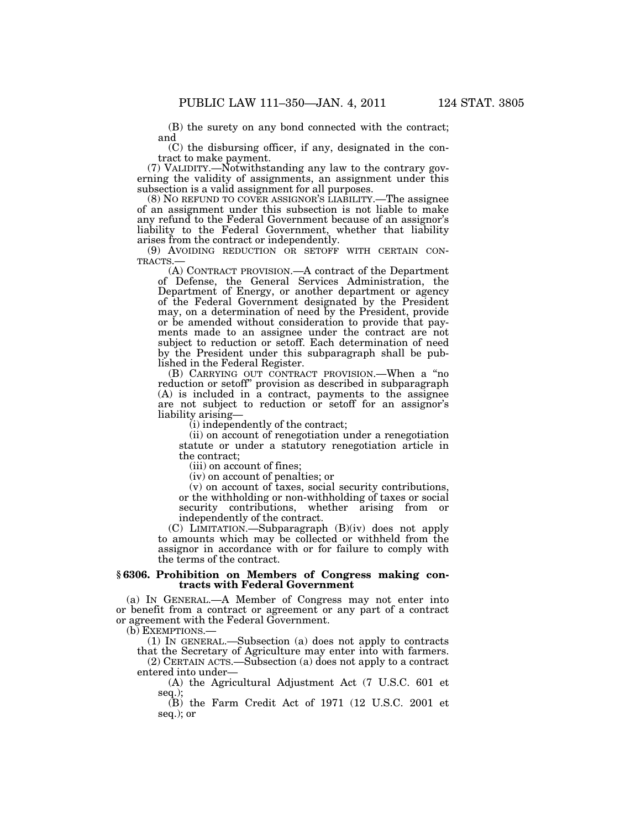(B) the surety on any bond connected with the contract; and

(C) the disbursing officer, if any, designated in the contract to make payment.

(7) VALIDITY.—Notwithstanding any law to the contrary governing the validity of assignments, an assignment under this subsection is a valid assignment for all purposes.

(8) NO REFUND TO COVER ASSIGNOR'S LIABILITY.—The assignee of an assignment under this subsection is not liable to make any refund to the Federal Government because of an assignor's liability to the Federal Government, whether that liability arises from the contract or independently.

(9) AVOIDING REDUCTION OR SETOFF WITH CERTAIN CONTRACTS.—

(A) CONTRACT PROVISION.—A contract of the Department of Defense, the General Services Administration, the Department of Energy, or another department or agency of the Federal Government designated by the President may, on a determination of need by the President, provide or be amended without consideration to provide that payments made to an assignee under the contract are not subject to reduction or setoff. Each determination of need by the President under this subparagraph shall be published in the Federal Register.

(B) CARRYING OUT CONTRACT PROVISION.—When a ''no reduction or setoff'' provision as described in subparagraph (A) is included in a contract, payments to the assignee are not subject to reduction or setoff for an assignor's liability arising—

(i) independently of the contract;

(ii) on account of renegotiation under a renegotiation statute or under a statutory renegotiation article in the contract;

(iii) on account of fines;

(iv) on account of penalties; or

(v) on account of taxes, social security contributions, or the withholding or non-withholding of taxes or social security contributions, whether arising from or independently of the contract.

(C) LIMITATION.—Subparagraph (B)(iv) does not apply to amounts which may be collected or withheld from the assignor in accordance with or for failure to comply with the terms of the contract.

## **§ 6306. Prohibition on Members of Congress making contracts with Federal Government**

(a) IN GENERAL.—A Member of Congress may not enter into or benefit from a contract or agreement or any part of a contract or agreement with the Federal Government.

(b) EXEMPTIONS.—<br>(1) IN GENERAL.—Subsection (a) does not apply to contracts that the Secretary of Agriculture may enter into with farmers. (2) CERTAIN ACTS.—Subsection (a) does not apply to a contract

entered into under—

(A) the Agricultural Adjustment Act (7 U.S.C. 601 et seq.);

(B) the Farm Credit Act of 1971 (12 U.S.C. 2001 et seq.); or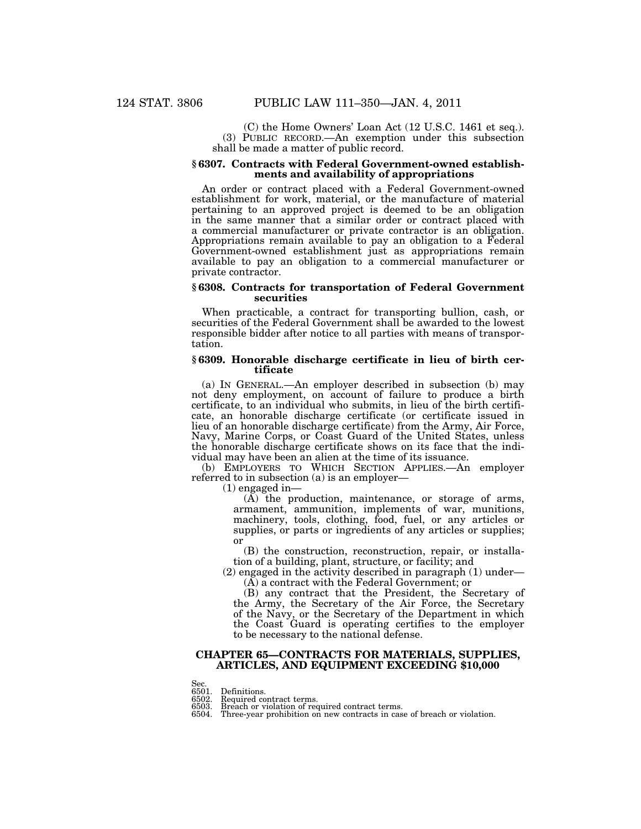(C) the Home Owners' Loan Act (12 U.S.C. 1461 et seq.). (3) PUBLIC RECORD.—An exemption under this subsection shall be made a matter of public record.

## **§ 6307. Contracts with Federal Government-owned establishments and availability of appropriations**

An order or contract placed with a Federal Government-owned establishment for work, material, or the manufacture of material pertaining to an approved project is deemed to be an obligation in the same manner that a similar order or contract placed with a commercial manufacturer or private contractor is an obligation. Appropriations remain available to pay an obligation to a Federal Government-owned establishment just as appropriations remain available to pay an obligation to a commercial manufacturer or private contractor.

#### **§ 6308. Contracts for transportation of Federal Government securities**

When practicable, a contract for transporting bullion, cash, or securities of the Federal Government shall be awarded to the lowest responsible bidder after notice to all parties with means of transportation.

#### **§ 6309. Honorable discharge certificate in lieu of birth certificate**

(a) IN GENERAL.—An employer described in subsection (b) may not deny employment, on account of failure to produce a birth certificate, to an individual who submits, in lieu of the birth certificate, an honorable discharge certificate (or certificate issued in lieu of an honorable discharge certificate) from the Army, Air Force, Navy, Marine Corps, or Coast Guard of the United States, unless the honorable discharge certificate shows on its face that the individual may have been an alien at the time of its issuance.

(b) EMPLOYERS TO WHICH SECTION APPLIES.—An employer referred to in subsection (a) is an employer—

(1) engaged in—

(A) the production, maintenance, or storage of arms, armament, ammunition, implements of war, munitions, machinery, tools, clothing, food, fuel, or any articles or supplies, or parts or ingredients of any articles or supplies; or

(B) the construction, reconstruction, repair, or installation of a building, plant, structure, or facility; and

(2) engaged in the activity described in paragraph (1) under— (A) a contract with the Federal Government; or

(B) any contract that the President, the Secretary of the Army, the Secretary of the Air Force, the Secretary of the Navy, or the Secretary of the Department in which the Coast Guard is operating certifies to the employer to be necessary to the national defense.

## **CHAPTER 65—CONTRACTS FOR MATERIALS, SUPPLIES, ARTICLES, AND EQUIPMENT EXCEEDING \$10,000**



6501. Definitions. 6502. Required contract terms.

6503. Breach or violation of required contract terms. 6504. Three-year prohibition on new contracts in case of breach or violation.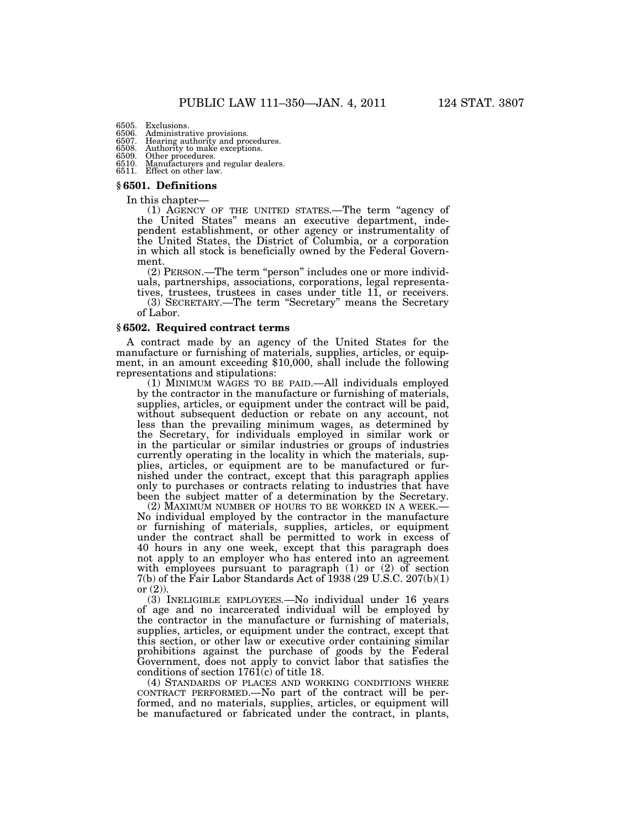6505. Exclusions.<br>6506. Administra<br>6507. Hearing au

6506. Administrative provisions. 6507. Hearing authority and procedures.

6508. Authority to make exceptions. 6509. Other procedures.

6510. Manufacturers and regular dealers.

6511. Effect on other law.

#### **§ 6501. Definitions**

In this chapter—

(1) AGENCY OF THE UNITED STATES.—The term ''agency of the United States'' means an executive department, independent establishment, or other agency or instrumentality of the United States, the District of Columbia, or a corporation in which all stock is beneficially owned by the Federal Government.

(2) PERSON.—The term ''person'' includes one or more individuals, partnerships, associations, corporations, legal representatives, trustees, trustees in cases under title 11, or receivers.

(3) SECRETARY.—The term ''Secretary'' means the Secretary of Labor.

#### **§ 6502. Required contract terms**

A contract made by an agency of the United States for the manufacture or furnishing of materials, supplies, articles, or equipment, in an amount exceeding \$10,000, shall include the following representations and stipulations:

(1) MINIMUM WAGES TO BE PAID.—All individuals employed by the contractor in the manufacture or furnishing of materials, supplies, articles, or equipment under the contract will be paid, without subsequent deduction or rebate on any account, not less than the prevailing minimum wages, as determined by the Secretary, for individuals employed in similar work or in the particular or similar industries or groups of industries currently operating in the locality in which the materials, supplies, articles, or equipment are to be manufactured or furnished under the contract, except that this paragraph applies only to purchases or contracts relating to industries that have been the subject matter of a determination by the Secretary.<br>(2) MAXIMUM NUMBER OF HOURS TO BE WORKED IN A WEEK.—

No individual employed by the contractor in the manufacture or furnishing of materials, supplies, articles, or equipment under the contract shall be permitted to work in excess of 40 hours in any one week, except that this paragraph does not apply to an employer who has entered into an agreement with employees pursuant to paragraph (1) or (2) of section 7(b) of the Fair Labor Standards Act of 1938 (29 U.S.C. 207(b)(1) or  $(2)$ ).

(3) INELIGIBLE EMPLOYEES.—No individual under 16 years of age and no incarcerated individual will be employed by the contractor in the manufacture or furnishing of materials, supplies, articles, or equipment under the contract, except that this section, or other law or executive order containing similar prohibitions against the purchase of goods by the Federal Government, does not apply to convict labor that satisfies the conditions of section 1761(c) of title 18.

(4) STANDARDS OF PLACES AND WORKING CONDITIONS WHERE CONTRACT PERFORMED.—No part of the contract will be performed, and no materials, supplies, articles, or equipment will be manufactured or fabricated under the contract, in plants,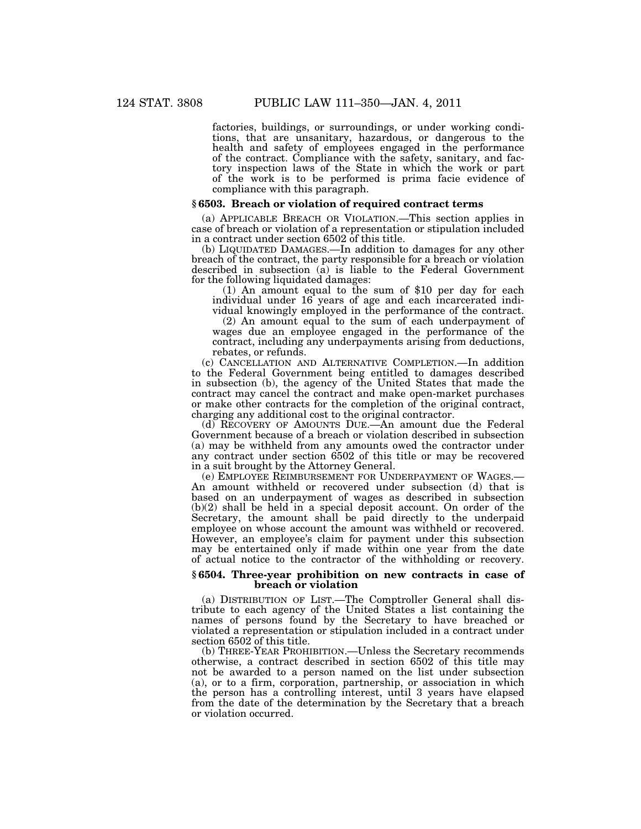factories, buildings, or surroundings, or under working conditions, that are unsanitary, hazardous, or dangerous to the health and safety of employees engaged in the performance of the contract. Compliance with the safety, sanitary, and factory inspection laws of the State in which the work or part of the work is to be performed is prima facie evidence of compliance with this paragraph.

#### **§ 6503. Breach or violation of required contract terms**

(a) APPLICABLE BREACH OR VIOLATION.—This section applies in case of breach or violation of a representation or stipulation included in a contract under section 6502 of this title.

(b) LIQUIDATED DAMAGES.—In addition to damages for any other breach of the contract, the party responsible for a breach or violation described in subsection  $\overrightarrow{a}$  is liable to the Federal Government for the following liquidated damages:

 $f(1)$  An amount equal to the sum of \$10 per day for each individual under 16 years of age and each incarcerated individual knowingly employed in the performance of the contract.

(2) An amount equal to the sum of each underpayment of wages due an employee engaged in the performance of the contract, including any underpayments arising from deductions, rebates, or refunds.

(c) CANCELLATION AND ALTERNATIVE COMPLETION.—In addition to the Federal Government being entitled to damages described in subsection (b), the agency of the United States that made the contract may cancel the contract and make open-market purchases or make other contracts for the completion of the original contract, charging any additional cost to the original contractor.

(d) RECOVERY OF AMOUNTS DUE.—An amount due the Federal Government because of a breach or violation described in subsection (a) may be withheld from any amounts owed the contractor under any contract under section 6502 of this title or may be recovered

in a suit brought by the Attorney General.<br>(e) EMPLOYEE REIMBURSEMENT FOR UNDERPAYMENT OF WAGES.— An amount withheld or recovered under subsection (d) that is based on an underpayment of wages as described in subsection (b)(2) shall be held in a special deposit account. On order of the Secretary, the amount shall be paid directly to the underpaid employee on whose account the amount was withheld or recovered. However, an employee's claim for payment under this subsection may be entertained only if made within one year from the date of actual notice to the contractor of the withholding or recovery.

#### **§ 6504. Three-year prohibition on new contracts in case of breach or violation**

(a) DISTRIBUTION OF LIST.—The Comptroller General shall distribute to each agency of the United States a list containing the names of persons found by the Secretary to have breached or violated a representation or stipulation included in a contract under section 6502 of this title.

(b) THREE-YEAR PROHIBITION.—Unless the Secretary recommends otherwise, a contract described in section 6502 of this title may not be awarded to a person named on the list under subsection (a), or to a firm, corporation, partnership, or association in which the person has a controlling interest, until 3 years have elapsed from the date of the determination by the Secretary that a breach or violation occurred.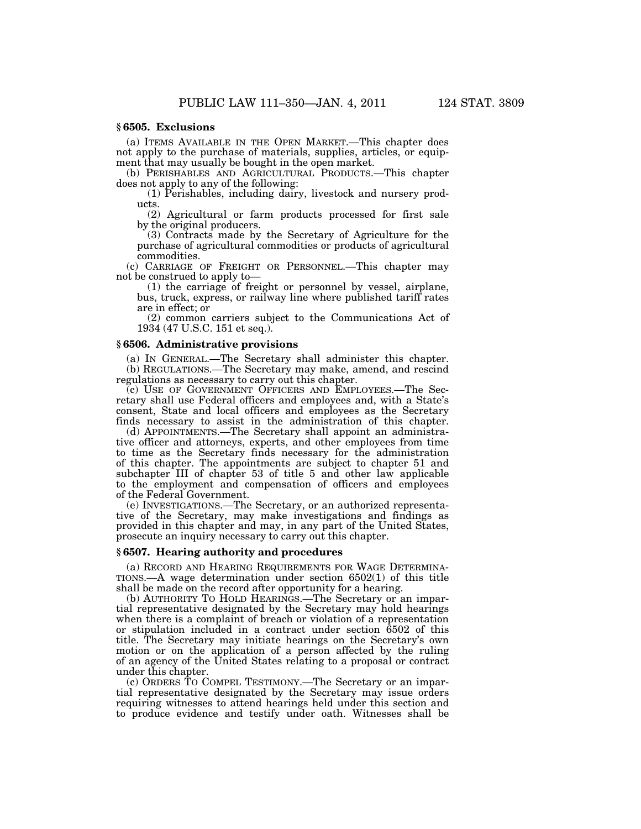# **§ 6505. Exclusions**

(a) ITEMS AVAILABLE IN THE OPEN MARKET.—This chapter does not apply to the purchase of materials, supplies, articles, or equipment that may usually be bought in the open market.

(b) PERISHABLES AND AGRICULTURAL PRODUCTS.—This chapter does not apply to any of the following:

(1) Perishables, including dairy, livestock and nursery products.

(2) Agricultural or farm products processed for first sale by the original producers.

(3) Contracts made by the Secretary of Agriculture for the purchase of agricultural commodities or products of agricultural commodities.

(c) CARRIAGE OF FREIGHT OR PERSONNEL.—This chapter may not be construed to apply to—

(1) the carriage of freight or personnel by vessel, airplane, bus, truck, express, or railway line where published tariff rates are in effect; or

(2) common carriers subject to the Communications Act of 1934 (47 U.S.C. 151 et seq.).

# **§ 6506. Administrative provisions**

(a) IN GENERAL.—The Secretary shall administer this chapter. (b) REGULATIONS.—The Secretary may make, amend, and rescind regulations as necessary to carry out this chapter.

(c) USE OF GOVERNMENT OFFICERS AND EMPLOYEES.—The Secretary shall use Federal officers and employees and, with a State's consent, State and local officers and employees as the Secretary finds necessary to assist in the administration of this chapter.

(d) APPOINTMENTS.—The Secretary shall appoint an administrative officer and attorneys, experts, and other employees from time to time as the Secretary finds necessary for the administration of this chapter. The appointments are subject to chapter 51 and subchapter III of chapter 53 of title 5 and other law applicable to the employment and compensation of officers and employees of the Federal Government.

(e) INVESTIGATIONS.—The Secretary, or an authorized representative of the Secretary, may make investigations and findings as provided in this chapter and may, in any part of the United States, prosecute an inquiry necessary to carry out this chapter.

## **§ 6507. Hearing authority and procedures**

(a) RECORD AND HEARING REQUIREMENTS FOR WAGE DETERMINA-TIONS.—A wage determination under section 6502(1) of this title shall be made on the record after opportunity for a hearing.

(b) AUTHORITY TO HOLD HEARINGS.—The Secretary or an impartial representative designated by the Secretary may hold hearings when there is a complaint of breach or violation of a representation or stipulation included in a contract under section 6502 of this title. The Secretary may initiate hearings on the Secretary's own motion or on the application of a person affected by the ruling of an agency of the United States relating to a proposal or contract under this chapter.

(c) ORDERS TO COMPEL TESTIMONY.—The Secretary or an impartial representative designated by the Secretary may issue orders requiring witnesses to attend hearings held under this section and to produce evidence and testify under oath. Witnesses shall be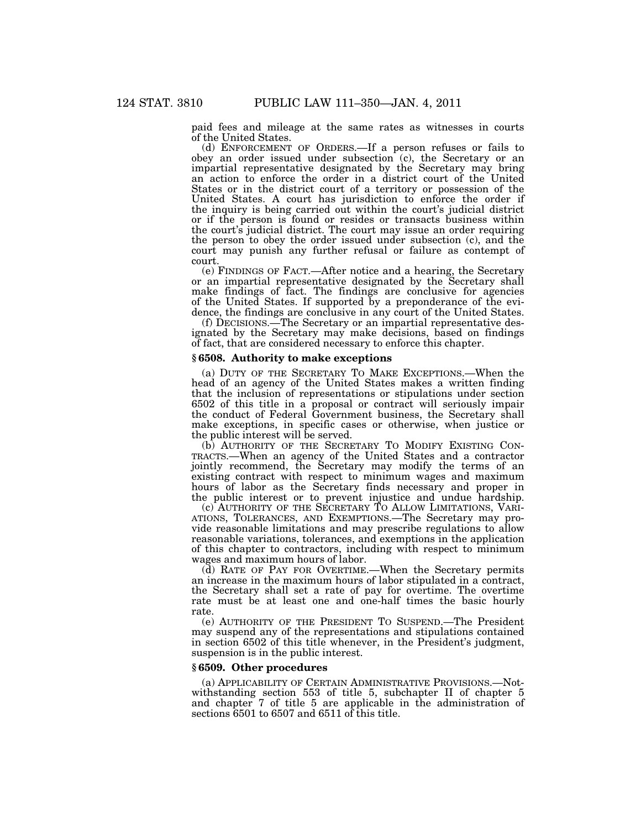paid fees and mileage at the same rates as witnesses in courts of the United States.

(d) ENFORCEMENT OF ORDERS.—If a person refuses or fails to obey an order issued under subsection (c), the Secretary or an impartial representative designated by the Secretary may bring an action to enforce the order in a district court of the United States or in the district court of a territory or possession of the United States. A court has jurisdiction to enforce the order if the inquiry is being carried out within the court's judicial district or if the person is found or resides or transacts business within the court's judicial district. The court may issue an order requiring the person to obey the order issued under subsection (c), and the court may punish any further refusal or failure as contempt of court.

(e) FINDINGS OF FACT.—After notice and a hearing, the Secretary or an impartial representative designated by the Secretary shall make findings of fact. The findings are conclusive for agencies of the United States. If supported by a preponderance of the evidence, the findings are conclusive in any court of the United States.

(f) DECISIONS.—The Secretary or an impartial representative designated by the Secretary may make decisions, based on findings of fact, that are considered necessary to enforce this chapter.

#### **§ 6508. Authority to make exceptions**

(a) DUTY OF THE SECRETARY TO MAKE EXCEPTIONS.—When the head of an agency of the United States makes a written finding that the inclusion of representations or stipulations under section 6502 of this title in a proposal or contract will seriously impair the conduct of Federal Government business, the Secretary shall make exceptions, in specific cases or otherwise, when justice or the public interest will be served.

(b) AUTHORITY OF THE SECRETARY TO MODIFY EXISTING CON- TRACTS.—When an agency of the United States and a contractor jointly recommend, the Secretary may modify the terms of an existing contract with respect to minimum wages and maximum hours of labor as the Secretary finds necessary and proper in the public interest or to prevent injustice and undue hardship.<br>(c) AUTHORITY OF THE SECRETARY TO ALLOW LIMITATIONS, VARI-

ATIONS, TOLERANCES, AND EXEMPTIONS.—The Secretary may provide reasonable limitations and may prescribe regulations to allow reasonable variations, tolerances, and exemptions in the application of this chapter to contractors, including with respect to minimum wages and maximum hours of labor.

(d) RATE OF PAY FOR OVERTIME.—When the Secretary permits an increase in the maximum hours of labor stipulated in a contract, the Secretary shall set a rate of pay for overtime. The overtime rate must be at least one and one-half times the basic hourly rate.

(e) AUTHORITY OF THE PRESIDENT TO SUSPEND.—The President may suspend any of the representations and stipulations contained in section 6502 of this title whenever, in the President's judgment, suspension is in the public interest.

#### **§ 6509. Other procedures**

(a) APPLICABILITY OF CERTAIN ADMINISTRATIVE PROVISIONS.—Notwithstanding section 553 of title 5, subchapter II of chapter 5 and chapter 7 of title 5 are applicable in the administration of sections 6501 to 6507 and 6511 of this title.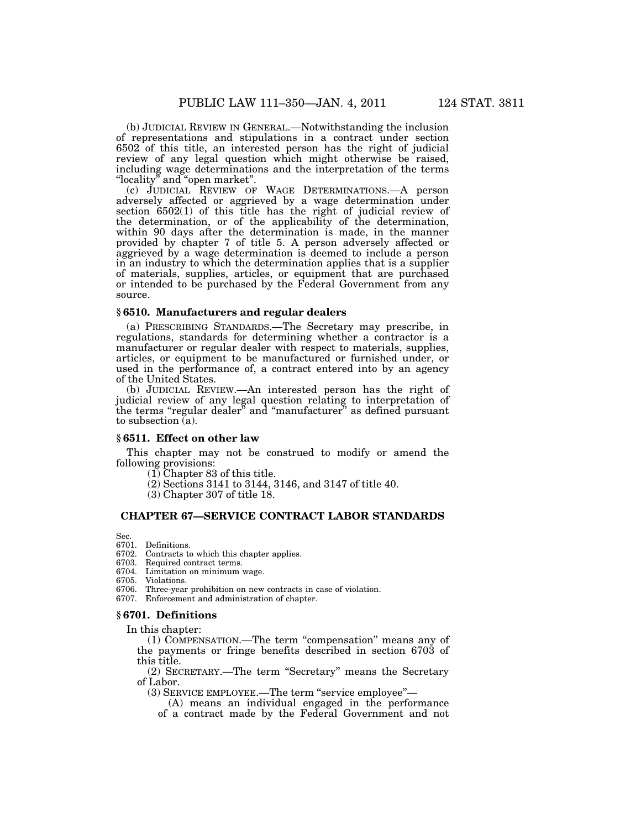(b) JUDICIAL REVIEW IN GENERAL.—Notwithstanding the inclusion of representations and stipulations in a contract under section 6502 of this title, an interested person has the right of judicial review of any legal question which might otherwise be raised, including wage determinations and the interpretation of the terms ''locality'' and ''open market''.

(c) JUDICIAL REVIEW OF WAGE DETERMINATIONS.—A person adversely affected or aggrieved by a wage determination under section  $6502(1)$  of this title has the right of judicial review of the determination, or of the applicability of the determination, within 90 days after the determination is made, in the manner provided by chapter 7 of title 5. A person adversely affected or aggrieved by a wage determination is deemed to include a person in an industry to which the determination applies that is a supplier of materials, supplies, articles, or equipment that are purchased or intended to be purchased by the Federal Government from any source.

#### **§ 6510. Manufacturers and regular dealers**

(a) PRESCRIBING STANDARDS.—The Secretary may prescribe, in regulations, standards for determining whether a contractor is a manufacturer or regular dealer with respect to materials, supplies, articles, or equipment to be manufactured or furnished under, or used in the performance of, a contract entered into by an agency of the United States.

(b) JUDICIAL REVIEW.—An interested person has the right of judicial review of any legal question relating to interpretation of the terms "regular dealer" and "manufacturer" as defined pursuant to subsection (a).

#### **§ 6511. Effect on other law**

This chapter may not be construed to modify or amend the following provisions:

- (1) Chapter 83 of this title.
- (2) Sections 3141 to 3144, 3146, and 3147 of title 40.
- (3) Chapter 307 of title 18.

#### **CHAPTER 67—SERVICE CONTRACT LABOR STANDARDS**

Sec.

# 6701. Definitions.

- 6702. Contracts to which this chapter applies.
- 6703. Required contract terms.
- 6704. Limitation on minimum wage. Violations.
- 
- 6706. Three-year prohibition on new contracts in case of violation.
- 6707. Enforcement and administration of chapter.

# **§ 6701. Definitions**

In this chapter:

(1) COMPENSATION.—The term ''compensation'' means any of the payments or fringe benefits described in section 6703 of this title.

(2) SECRETARY.—The term ''Secretary'' means the Secretary of Labor.

(3) SERVICE EMPLOYEE.—The term ''service employee''—

(A) means an individual engaged in the performance of a contract made by the Federal Government and not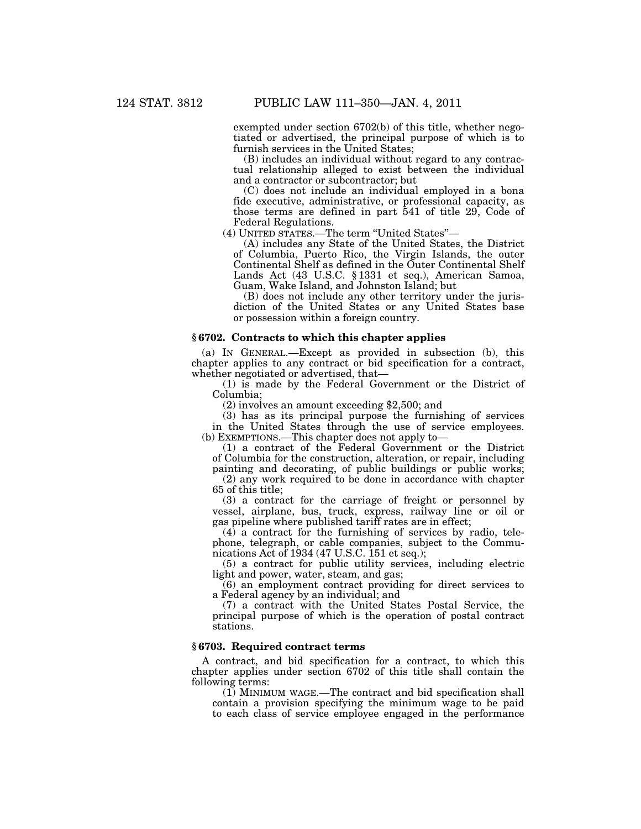exempted under section 6702(b) of this title, whether negotiated or advertised, the principal purpose of which is to furnish services in the United States;

(B) includes an individual without regard to any contractual relationship alleged to exist between the individual and a contractor or subcontractor; but

(C) does not include an individual employed in a bona fide executive, administrative, or professional capacity, as those terms are defined in part 541 of title 29, Code of Federal Regulations.

(4) UNITED STATES.—The term ''United States''—

(A) includes any State of the United States, the District of Columbia, Puerto Rico, the Virgin Islands, the outer Continental Shelf as defined in the Outer Continental Shelf Lands Act (43 U.S.C. § 1331 et seq.), American Samoa, Guam, Wake Island, and Johnston Island; but

(B) does not include any other territory under the jurisdiction of the United States or any United States base or possession within a foreign country.

## **§ 6702. Contracts to which this chapter applies**

(a) IN GENERAL.—Except as provided in subsection (b), this chapter applies to any contract or bid specification for a contract, whether negotiated or advertised, that—

(1) is made by the Federal Government or the District of Columbia;

(2) involves an amount exceeding \$2,500; and

(3) has as its principal purpose the furnishing of services in the United States through the use of service employees. (b) EXEMPTIONS.—This chapter does not apply to—

(1) a contract of the Federal Government or the District of Columbia for the construction, alteration, or repair, including painting and decorating, of public buildings or public works;

(2) any work required to be done in accordance with chapter 65 of this title;

(3) a contract for the carriage of freight or personnel by vessel, airplane, bus, truck, express, railway line or oil or gas pipeline where published tariff rates are in effect;

(4) a contract for the furnishing of services by radio, telephone, telegraph, or cable companies, subject to the Communications Act of 1934 (47 U.S.C. 151 et seq.);

(5) a contract for public utility services, including electric light and power, water, steam, and gas;

(6) an employment contract providing for direct services to a Federal agency by an individual; and

(7) a contract with the United States Postal Service, the principal purpose of which is the operation of postal contract stations.

## **§ 6703. Required contract terms**

A contract, and bid specification for a contract, to which this chapter applies under section 6702 of this title shall contain the following terms:

(1) MINIMUM WAGE.—The contract and bid specification shall contain a provision specifying the minimum wage to be paid to each class of service employee engaged in the performance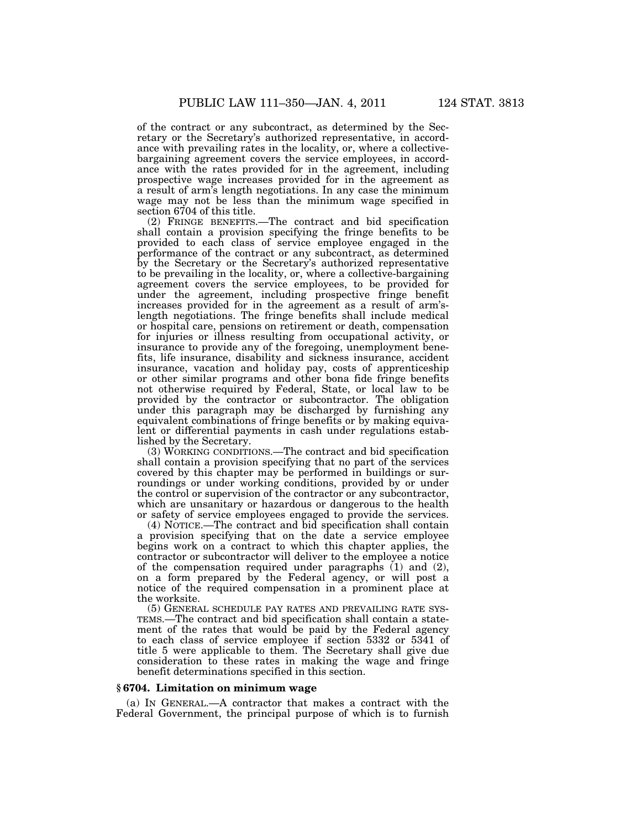of the contract or any subcontract, as determined by the Secretary or the Secretary's authorized representative, in accordance with prevailing rates in the locality, or, where a collectivebargaining agreement covers the service employees, in accordance with the rates provided for in the agreement, including prospective wage increases provided for in the agreement as a result of arm's length negotiations. In any case the minimum wage may not be less than the minimum wage specified in section 6704 of this title.

(2) FRINGE BENEFITS.—The contract and bid specification shall contain a provision specifying the fringe benefits to be provided to each class of service employee engaged in the performance of the contract or any subcontract, as determined by the Secretary or the Secretary's authorized representative to be prevailing in the locality, or, where a collective-bargaining agreement covers the service employees, to be provided for under the agreement, including prospective fringe benefit increases provided for in the agreement as a result of arm'slength negotiations. The fringe benefits shall include medical or hospital care, pensions on retirement or death, compensation for injuries or illness resulting from occupational activity, or insurance to provide any of the foregoing, unemployment benefits, life insurance, disability and sickness insurance, accident insurance, vacation and holiday pay, costs of apprenticeship or other similar programs and other bona fide fringe benefits not otherwise required by Federal, State, or local law to be provided by the contractor or subcontractor. The obligation under this paragraph may be discharged by furnishing any equivalent combinations of fringe benefits or by making equivalent or differential payments in cash under regulations established by the Secretary.

(3) WORKING CONDITIONS.—The contract and bid specification shall contain a provision specifying that no part of the services covered by this chapter may be performed in buildings or surroundings or under working conditions, provided by or under the control or supervision of the contractor or any subcontractor, which are unsanitary or hazardous or dangerous to the health or safety of service employees engaged to provide the services.

(4) NOTICE.—The contract and bid specification shall contain a provision specifying that on the date a service employee begins work on a contract to which this chapter applies, the contractor or subcontractor will deliver to the employee a notice of the compensation required under paragraphs (1) and (2), on a form prepared by the Federal agency, or will post a notice of the required compensation in a prominent place at the worksite.

(5) GENERAL SCHEDULE PAY RATES AND PREVAILING RATE SYS-TEMS.—The contract and bid specification shall contain a statement of the rates that would be paid by the Federal agency to each class of service employee if section 5332 or 5341 of title 5 were applicable to them. The Secretary shall give due consideration to these rates in making the wage and fringe benefit determinations specified in this section.

#### **§ 6704. Limitation on minimum wage**

(a) IN GENERAL.—A contractor that makes a contract with the Federal Government, the principal purpose of which is to furnish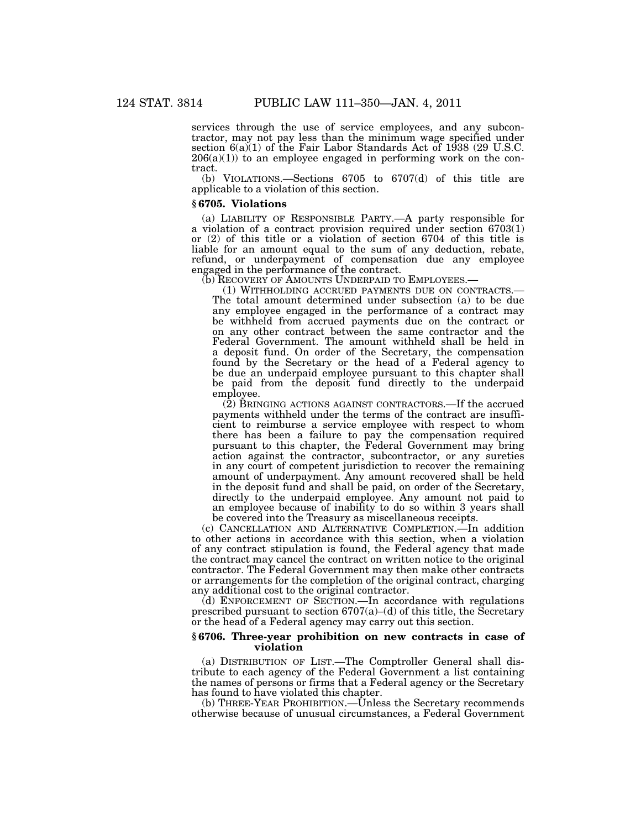services through the use of service employees, and any subcontractor, may not pay less than the minimum wage specified under section 6(a)(1) of the Fair Labor Standards Act of 1938 (29 U.S.C.  $206(a)(1)$  to an employee engaged in performing work on the contract.

(b) VIOLATIONS.—Sections 6705 to 6707(d) of this title are applicable to a violation of this section.

## **§ 6705. Violations**

(a) LIABILITY OF RESPONSIBLE PARTY.—A party responsible for a violation of a contract provision required under section 6703(1) or (2) of this title or a violation of section 6704 of this title is liable for an amount equal to the sum of any deduction, rebate, refund, or underpayment of compensation due any employee engaged in the performance of the contract.

(b) RECOVERY OF AMOUNTS UNDERPAID TO EMPLOYEES.— (1) WITHHOLDING ACCRUED PAYMENTS DUE ON CONTRACTS.— The total amount determined under subsection (a) to be due any employee engaged in the performance of a contract may be withheld from accrued payments due on the contract or on any other contract between the same contractor and the Federal Government. The amount withheld shall be held in a deposit fund. On order of the Secretary, the compensation found by the Secretary or the head of a Federal agency to be due an underpaid employee pursuant to this chapter shall be paid from the deposit fund directly to the underpaid employee.

(2) BRINGING ACTIONS AGAINST CONTRACTORS.—If the accrued payments withheld under the terms of the contract are insufficient to reimburse a service employee with respect to whom there has been a failure to pay the compensation required pursuant to this chapter, the Federal Government may bring action against the contractor, subcontractor, or any sureties in any court of competent jurisdiction to recover the remaining amount of underpayment. Any amount recovered shall be held in the deposit fund and shall be paid, on order of the Secretary, directly to the underpaid employee. Any amount not paid to an employee because of inability to do so within 3 years shall be covered into the Treasury as miscellaneous receipts.

(c) CANCELLATION AND ALTERNATIVE COMPLETION.—In addition to other actions in accordance with this section, when a violation of any contract stipulation is found, the Federal agency that made the contract may cancel the contract on written notice to the original contractor. The Federal Government may then make other contracts or arrangements for the completion of the original contract, charging any additional cost to the original contractor.

(d) ENFORCEMENT OF SECTION.—In accordance with regulations prescribed pursuant to section  $6707(a)$ –(d) of this title, the Secretary or the head of a Federal agency may carry out this section.

#### **§ 6706. Three-year prohibition on new contracts in case of violation**

(a) DISTRIBUTION OF LIST.—The Comptroller General shall distribute to each agency of the Federal Government a list containing the names of persons or firms that a Federal agency or the Secretary has found to have violated this chapter.

(b) THREE-YEAR PROHIBITION.—Unless the Secretary recommends otherwise because of unusual circumstances, a Federal Government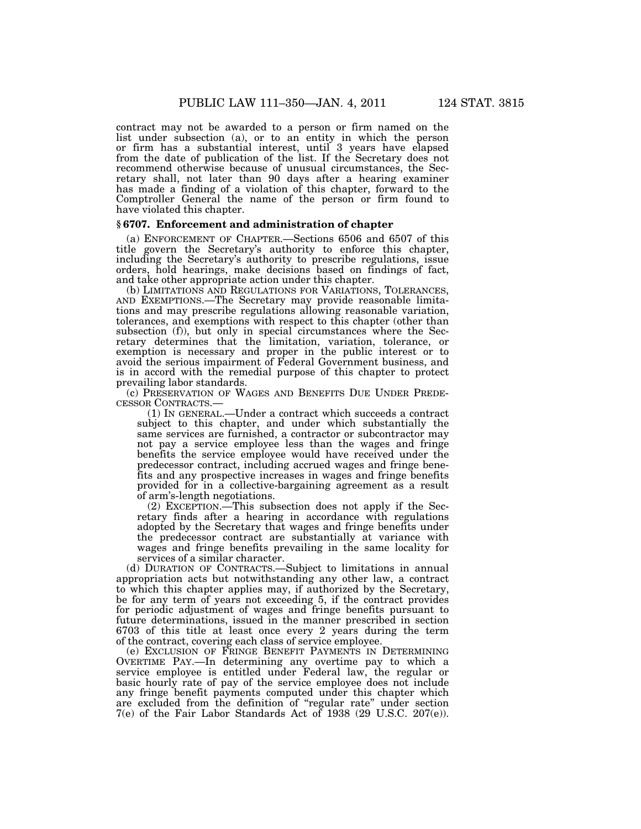contract may not be awarded to a person or firm named on the list under subsection (a), or to an entity in which the person or firm has a substantial interest, until 3 years have elapsed from the date of publication of the list. If the Secretary does not recommend otherwise because of unusual circumstances, the Secretary shall, not later than 90 days after a hearing examiner has made a finding of a violation of this chapter, forward to the Comptroller General the name of the person or firm found to have violated this chapter.

#### **§ 6707. Enforcement and administration of chapter**

(a) ENFORCEMENT OF CHAPTER.—Sections 6506 and 6507 of this title govern the Secretary's authority to enforce this chapter, including the Secretary's authority to prescribe regulations, issue orders, hold hearings, make decisions based on findings of fact, and take other appropriate action under this chapter.

(b) LIMITATIONS AND REGULATIONS FOR VARIATIONS, TOLERANCES, AND EXEMPTIONS.—The Secretary may provide reasonable limitations and may prescribe regulations allowing reasonable variation, tolerances, and exemptions with respect to this chapter (other than subsection (f)), but only in special circumstances where the Secretary determines that the limitation, variation, tolerance, or exemption is necessary and proper in the public interest or to avoid the serious impairment of Federal Government business, and is in accord with the remedial purpose of this chapter to protect prevailing labor standards.

(c) PRESERVATION OF WAGES AND BENEFITS DUE UNDER PREDE-

CESSOR CONTRACTS.— (1) IN GENERAL.—Under a contract which succeeds a contract subject to this chapter, and under which substantially the same services are furnished, a contractor or subcontractor may not pay a service employee less than the wages and fringe benefits the service employee would have received under the predecessor contract, including accrued wages and fringe benefits and any prospective increases in wages and fringe benefits provided for in a collective-bargaining agreement as a result of arm's-length negotiations.

(2) EXCEPTION.—This subsection does not apply if the Secretary finds after a hearing in accordance with regulations adopted by the Secretary that wages and fringe benefits under the predecessor contract are substantially at variance with wages and fringe benefits prevailing in the same locality for services of a similar character.

(d) DURATION OF CONTRACTS.—Subject to limitations in annual appropriation acts but notwithstanding any other law, a contract to which this chapter applies may, if authorized by the Secretary, be for any term of years not exceeding 5, if the contract provides for periodic adjustment of wages and fringe benefits pursuant to future determinations, issued in the manner prescribed in section 6703 of this title at least once every 2 years during the term of the contract, covering each class of service employee.

(e) EXCLUSION OF FRINGE BENEFIT PAYMENTS IN DETERMINING OVERTIME PAY.—In determining any overtime pay to which a service employee is entitled under Federal law, the regular or basic hourly rate of pay of the service employee does not include any fringe benefit payments computed under this chapter which are excluded from the definition of ''regular rate'' under section 7(e) of the Fair Labor Standards Act of 1938 (29 U.S.C. 207(e)).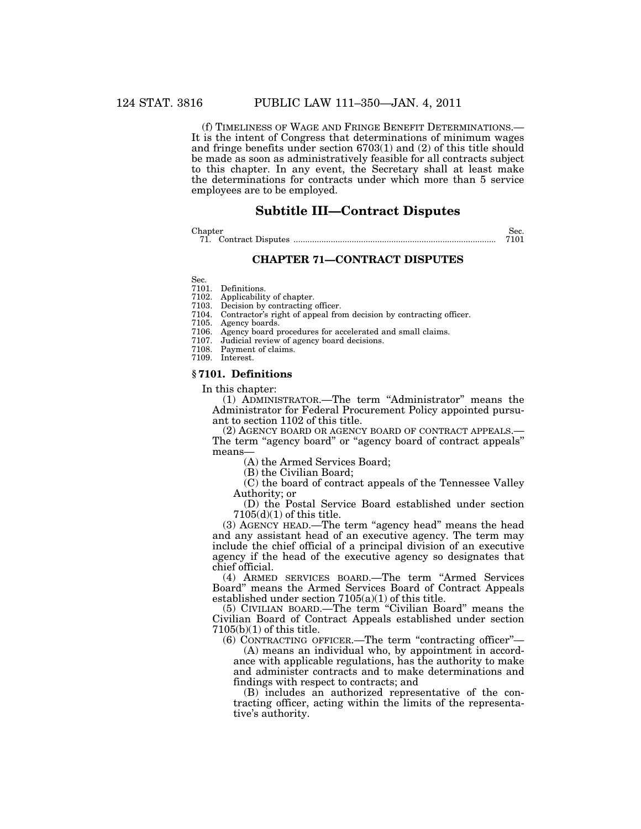(f) TIMELINESS OF WAGE AND FRINGE BENEFIT DETERMINATIONS.— It is the intent of Congress that determinations of minimum wages and fringe benefits under section 6703(1) and (2) of this title should be made as soon as administratively feasible for all contracts subject to this chapter. In any event, the Secretary shall at least make the determinations for contracts under which more than 5 service employees are to be employed.

# **Subtitle III—Contract Disputes**

Chapter Sec.

71. Contract Disputes ....................................................................................... 7101

# **CHAPTER 71—CONTRACT DISPUTES**

Sec.

7101. Definitions.

7102. Applicability of chapter.

7103. Decision by contracting officer.

7104. Contractor's right of appeal from decision by contracting officer.

7105. Agency boards.

7106. Agency board procedures for accelerated and small claims.

7107. Judicial review of agency board decisions.

7108. Payment of claims.

7109. Interest.

# **§ 7101. Definitions**

In this chapter:

(1) ADMINISTRATOR.—The term ''Administrator'' means the Administrator for Federal Procurement Policy appointed pursuant to section 1102 of this title.

(2) AGENCY BOARD OR AGENCY BOARD OF CONTRACT APPEALS.— The term "agency board" or "agency board of contract appeals" means—

(A) the Armed Services Board;

(B) the Civilian Board;

(C) the board of contract appeals of the Tennessee Valley Authority; or

(D) the Postal Service Board established under section  $7105(d)(1)$  of this title.

(3) AGENCY HEAD.—The term ''agency head'' means the head and any assistant head of an executive agency. The term may include the chief official of a principal division of an executive agency if the head of the executive agency so designates that chief official.

(4) ARMED SERVICES BOARD.—The term ''Armed Services Board'' means the Armed Services Board of Contract Appeals established under section 7105(a)(1) of this title.

(5) CIVILIAN BOARD.—The term ''Civilian Board'' means the Civilian Board of Contract Appeals established under section 7105(b)(1) of this title.

 $(6)$  CONTRACTING OFFICER.—The term "contracting officer"—  $(A)$  means an individual who, by appointment in accordance with applicable regulations, has the authority to make and administer contracts and to make determinations and findings with respect to contracts; and

(B) includes an authorized representative of the contracting officer, acting within the limits of the representative's authority.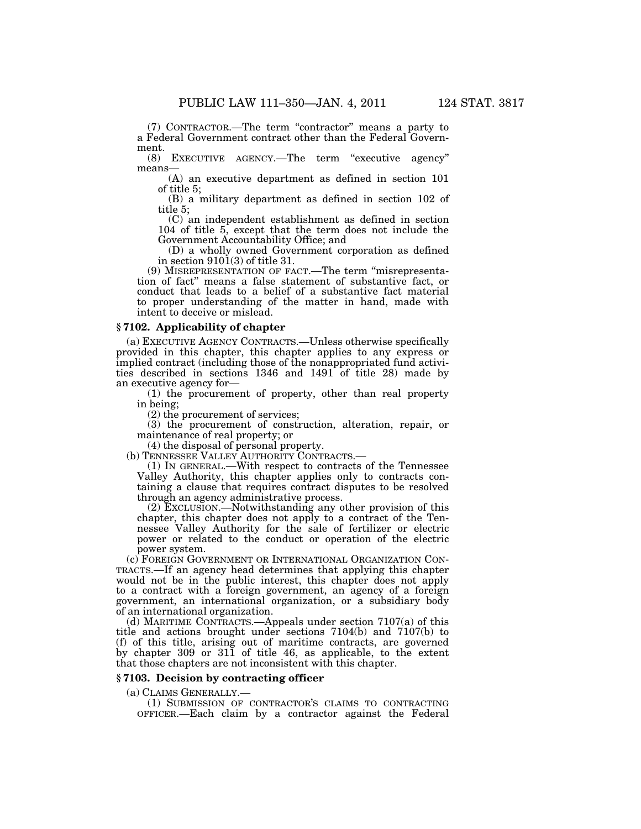(7) CONTRACTOR.—The term ''contractor'' means a party to a Federal Government contract other than the Federal Government.

(8) EXECUTIVE AGENCY.—The term ''executive agency'' means—

(A) an executive department as defined in section 101 of title 5;

(B) a military department as defined in section 102 of title 5;

(C) an independent establishment as defined in section 104 of title 5, except that the term does not include the Government Accountability Office; and

(D) a wholly owned Government corporation as defined in section 9101(3) of title 31.

(9) MISREPRESENTATION OF FACT.—The term ''misrepresentation of fact'' means a false statement of substantive fact, or conduct that leads to a belief of a substantive fact material to proper understanding of the matter in hand, made with intent to deceive or mislead.

# **§ 7102. Applicability of chapter**

(a) EXECUTIVE AGENCY CONTRACTS.—Unless otherwise specifically provided in this chapter, this chapter applies to any express or implied contract (including those of the nonappropriated fund activities described in sections 1346 and 1491 of title 28) made by an executive agency for—

(1) the procurement of property, other than real property in being;

(2) the procurement of services;

(3) the procurement of construction, alteration, repair, or maintenance of real property; or

(4) the disposal of personal property.<br>(b) TENNESSEE VALLEY AUTHORITY CONTRACTS.—

(1) IN GENERAL.—With respect to contracts of the Tennessee Valley Authority, this chapter applies only to contracts containing a clause that requires contract disputes to be resolved through an agency administrative process.

(2) EXCLUSION.—Notwithstanding any other provision of this chapter, this chapter does not apply to a contract of the Tennessee Valley Authority for the sale of fertilizer or electric power or related to the conduct or operation of the electric power system.<br>(c) FOREIGN GOVERNMENT OR INTERNATIONAL ORGANIZATION CON-

TRACTS.—If an agency head determines that applying this chapter would not be in the public interest, this chapter does not apply to a contract with a foreign government, an agency of a foreign government, an international organization, or a subsidiary body of an international organization.

(d) MARITIME CONTRACTS.—Appeals under section 7107(a) of this title and actions brought under sections 7104(b) and 7107(b) to (f) of this title, arising out of maritime contracts, are governed by chapter 309 or 311 of title 46, as applicable, to the extent that those chapters are not inconsistent with this chapter.

## **§ 7103. Decision by contracting officer**

(a) CLAIMS GENERALLY.— (1) SUBMISSION OF CONTRACTOR'S CLAIMS TO CONTRACTING OFFICER.—Each claim by a contractor against the Federal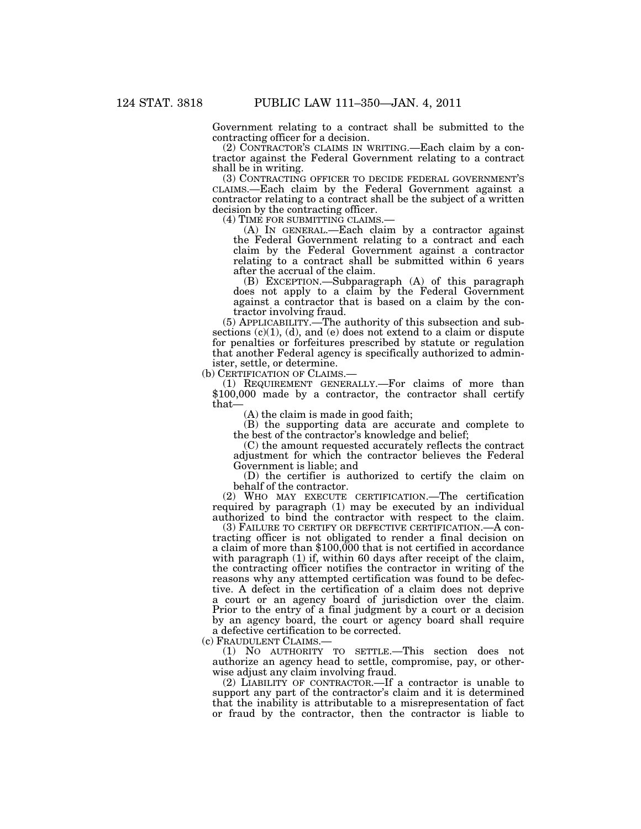Government relating to a contract shall be submitted to the contracting officer for a decision.

(2) CONTRACTOR'S CLAIMS IN WRITING.—Each claim by a contractor against the Federal Government relating to a contract shall be in writing.

(3) CONTRACTING OFFICER TO DECIDE FEDERAL GOVERNMENT'S CLAIMS.—Each claim by the Federal Government against a contractor relating to a contract shall be the subject of a written decision by the contracting officer.<br>(4) TIME FOR SUBMITTING CLAIMS.

 $(A)$  IN GENERAL.—Each claim by a contractor against the Federal Government relating to a contract and each claim by the Federal Government against a contractor relating to a contract shall be submitted within 6 years after the accrual of the claim.

(B) EXCEPTION.—Subparagraph (A) of this paragraph does not apply to a claim by the Federal Government against a contractor that is based on a claim by the contractor involving fraud.

(5) APPLICABILITY.—The authority of this subsection and subsections  $(c)(1)$ ,  $(d)$ , and  $(e)$  does not extend to a claim or dispute for penalties or forfeitures prescribed by statute or regulation that another Federal agency is specifically authorized to admin-

ister, settle, or determine.<br>(b) CERTIFICATION OF CLAIMS.

 $(1)$  REQUIREMENT GENERALLY.—For claims of more than \$100,000 made by a contractor, the contractor shall certify that—

(A) the claim is made in good faith;

(B) the supporting data are accurate and complete to the best of the contractor's knowledge and belief;

(C) the amount requested accurately reflects the contract adjustment for which the contractor believes the Federal Government is liable; and

(D) the certifier is authorized to certify the claim on behalf of the contractor.

(2) WHO MAY EXECUTE CERTIFICATION.—The certification required by paragraph (1) may be executed by an individual authorized to bind the contractor with respect to the claim.

(3) FAILURE TO CERTIFY OR DEFECTIVE CERTIFICATION.—A contracting officer is not obligated to render a final decision on a claim of more than \$100,000 that is not certified in accordance with paragraph (1) if, within 60 days after receipt of the claim, the contracting officer notifies the contractor in writing of the reasons why any attempted certification was found to be defective. A defect in the certification of a claim does not deprive a court or an agency board of jurisdiction over the claim. Prior to the entry of a final judgment by a court or a decision by an agency board, the court or agency board shall require a defective certification to be corrected.<br>(c) FRAUDULENT CLAIMS.—

(1) NO AUTHORITY TO SETTLE.—This section does not authorize an agency head to settle, compromise, pay, or otherwise adjust any claim involving fraud.

(2) LIABILITY OF CONTRACTOR.—If a contractor is unable to support any part of the contractor's claim and it is determined that the inability is attributable to a misrepresentation of fact or fraud by the contractor, then the contractor is liable to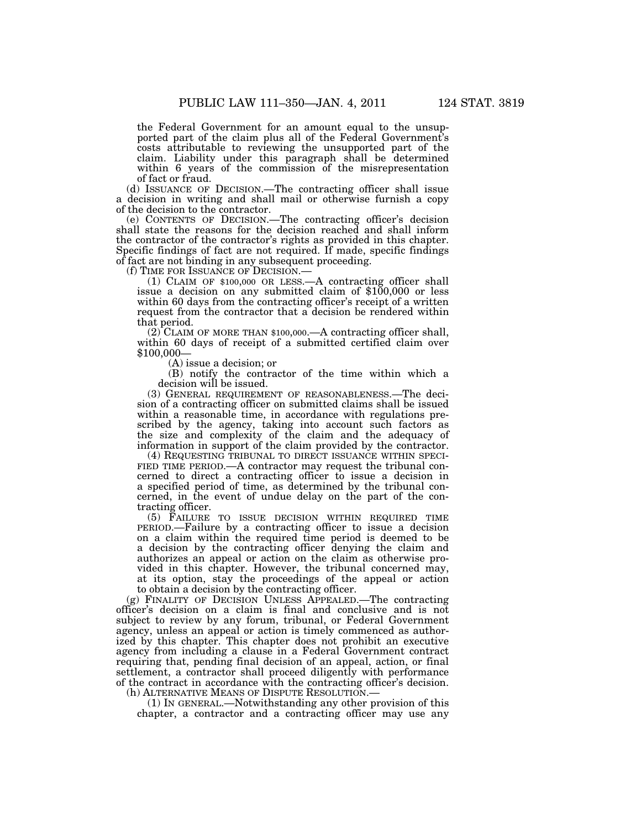the Federal Government for an amount equal to the unsupported part of the claim plus all of the Federal Government's costs attributable to reviewing the unsupported part of the claim. Liability under this paragraph shall be determined within 6 years of the commission of the misrepresentation

of fact or fraud.

(d) ISSUANCE OF DECISION.—The contracting officer shall issue a decision in writing and shall mail or otherwise furnish a copy of the decision to the contractor.

(e) CONTENTS OF DECISION.—The contracting officer's decision shall state the reasons for the decision reached and shall inform the contractor of the contractor's rights as provided in this chapter. Specific findings of fact are not required. If made, specific findings of fact are not binding in any subsequent proceeding.<br>
(f) TIME FOR ISSUANCE OF DECISION.—

(1) CLAIM OF  $$100,000$  OR LESS.—A contracting officer shall issue a decision on any submitted claim of  $$100,000$  or less within 60 days from the contracting officer's receipt of a written request from the contractor that a decision be rendered within that period.

 $(2)$  CLAIM OF MORE THAN \$100,000.—A contracting officer shall, within 60 days of receipt of a submitted certified claim over \$100,000—

(A) issue a decision; or

(B) notify the contractor of the time within which a decision will be issued.

(3) GENERAL REQUIREMENT OF REASONABLENESS.—The decision of a contracting officer on submitted claims shall be issued within a reasonable time, in accordance with regulations prescribed by the agency, taking into account such factors as the size and complexity of the claim and the adequacy of information in support of the claim provided by the contractor.

(4) REQUESTING TRIBUNAL TO DIRECT ISSUANCE WITHIN SPECI- FIED TIME PERIOD.—A contractor may request the tribunal concerned to direct a contracting officer to issue a decision in a specified period of time, as determined by the tribunal concerned, in the event of undue delay on the part of the contracting officer.

(5) FAILURE TO ISSUE DECISION WITHIN REQUIRED TIME PERIOD.—Failure by a contracting officer to issue a decision on a claim within the required time period is deemed to be a decision by the contracting officer denying the claim and authorizes an appeal or action on the claim as otherwise provided in this chapter. However, the tribunal concerned may, at its option, stay the proceedings of the appeal or action to obtain a decision by the contracting officer.

(g) FINALITY OF DECISION UNLESS APPEALED.—The contracting officer's decision on a claim is final and conclusive and is not subject to review by any forum, tribunal, or Federal Government agency, unless an appeal or action is timely commenced as authorized by this chapter. This chapter does not prohibit an executive agency from including a clause in a Federal Government contract requiring that, pending final decision of an appeal, action, or final settlement, a contractor shall proceed diligently with performance of the contract in accordance with the contracting officer's decision.

(h) ALTERNATIVE MEANS OF DISPUTE RESOLUTION.— (1) IN GENERAL.—Notwithstanding any other provision of this chapter, a contractor and a contracting officer may use any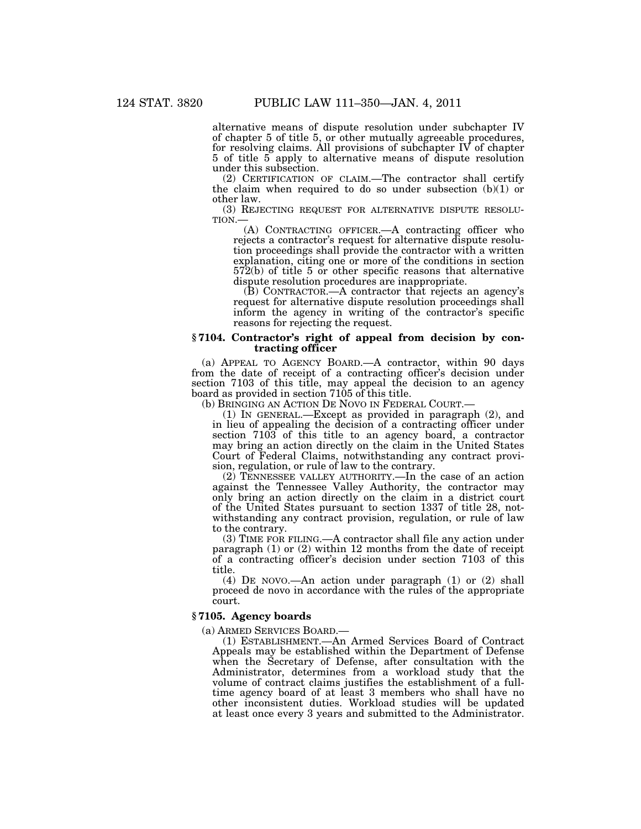alternative means of dispute resolution under subchapter IV of chapter 5 of title 5, or other mutually agreeable procedures, for resolving claims. All provisions of subchapter IV of chapter 5 of title 5 apply to alternative means of dispute resolution under this subsection.

(2) CERTIFICATION OF CLAIM.—The contractor shall certify the claim when required to do so under subsection  $(b)(1)$  or other law.

(3) REJECTING REQUEST FOR ALTERNATIVE DISPUTE RESOLU- TION.—

(A) CONTRACTING OFFICER.—A contracting officer who rejects a contractor's request for alternative dispute resolution proceedings shall provide the contractor with a written explanation, citing one or more of the conditions in section  $572(b)$  of title 5 or other specific reasons that alternative dispute resolution procedures are inappropriate.

(B) CONTRACTOR.—A contractor that rejects an agency's request for alternative dispute resolution proceedings shall inform the agency in writing of the contractor's specific reasons for rejecting the request.

## **§ 7104. Contractor's right of appeal from decision by contracting officer**

(a) APPEAL TO AGENCY BOARD.—A contractor, within 90 days from the date of receipt of a contracting officer's decision under section 7103 of this title, may appeal the decision to an agency board as provided in section 7105 of this title.<br>(b) BRINGING AN ACTION DE NOVO IN FEDERAL COURT.—

(1) IN GENERAL.—Except as provided in paragraph  $(2)$ , and in lieu of appealing the decision of a contracting officer under section 7103 of this title to an agency board, a contractor may bring an action directly on the claim in the United States Court of Federal Claims, notwithstanding any contract provision, regulation, or rule of law to the contrary.

(2) TENNESSEE VALLEY AUTHORITY.—In the case of an action against the Tennessee Valley Authority, the contractor may only bring an action directly on the claim in a district court of the United States pursuant to section 1337 of title 28, notwithstanding any contract provision, regulation, or rule of law to the contrary.

(3) TIME FOR FILING.—A contractor shall file any action under paragraph (1) or (2) within 12 months from the date of receipt of a contracting officer's decision under section 7103 of this title.

(4) DE NOVO.—An action under paragraph (1) or (2) shall proceed de novo in accordance with the rules of the appropriate court.

## **§ 7105. Agency boards**

(a) ARMED SERVICES BOARD.— (1) ESTABLISHMENT.—An Armed Services Board of Contract Appeals may be established within the Department of Defense when the Secretary of Defense, after consultation with the Administrator, determines from a workload study that the volume of contract claims justifies the establishment of a fulltime agency board of at least 3 members who shall have no other inconsistent duties. Workload studies will be updated at least once every 3 years and submitted to the Administrator.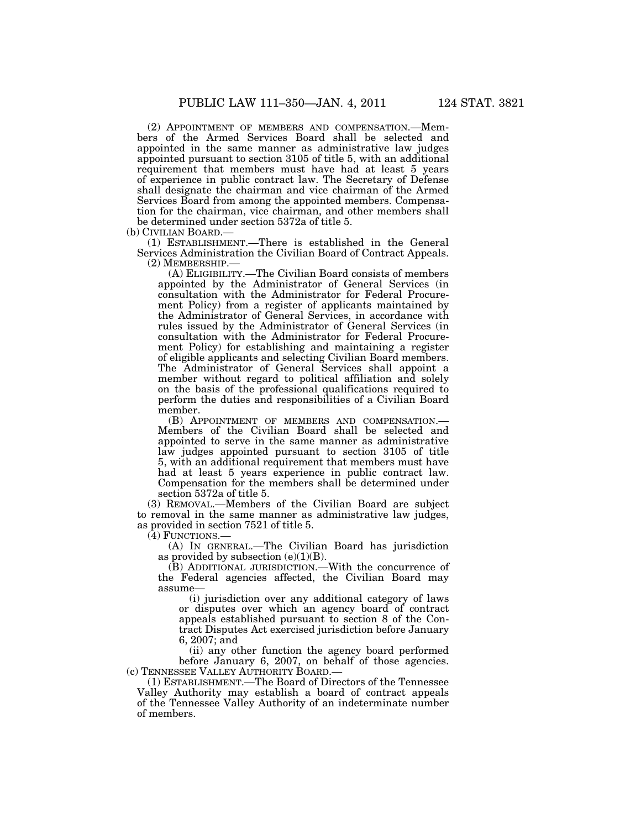(2) APPOINTMENT OF MEMBERS AND COMPENSATION.—Members of the Armed Services Board shall be selected and appointed in the same manner as administrative law judges appointed pursuant to section 3105 of title 5, with an additional requirement that members must have had at least 5 years of experience in public contract law. The Secretary of Defense shall designate the chairman and vice chairman of the Armed Services Board from among the appointed members. Compensation for the chairman, vice chairman, and other members shall be determined under section 5372a of title 5.<br>(b) CIVILIAN BOARD.—

(1) ESTABLISHMENT.—There is established in the General Services Administration the Civilian Board of Contract Appeals.<br>(2) MEMBERSHIP.—

 $(A)$  ELIGIBILITY.—The Civilian Board consists of members appointed by the Administrator of General Services (in consultation with the Administrator for Federal Procurement Policy) from a register of applicants maintained by the Administrator of General Services, in accordance with rules issued by the Administrator of General Services (in consultation with the Administrator for Federal Procurement Policy) for establishing and maintaining a register of eligible applicants and selecting Civilian Board members. The Administrator of General Services shall appoint a member without regard to political affiliation and solely on the basis of the professional qualifications required to perform the duties and responsibilities of a Civilian Board member.

(B) APPOINTMENT OF MEMBERS AND COMPENSATION.— Members of the Civilian Board shall be selected and appointed to serve in the same manner as administrative law judges appointed pursuant to section 3105 of title 5, with an additional requirement that members must have had at least 5 years experience in public contract law. Compensation for the members shall be determined under section 5372a of title 5.

(3) REMOVAL.—Members of the Civilian Board are subject to removal in the same manner as administrative law judges, as provided in section 7521 of title 5.

(4) FUNCTIONS.—

(A) IN GENERAL.—The Civilian Board has jurisdiction as provided by subsection  $(e)(1)(B)$ .

(B) ADDITIONAL JURISDICTION.—With the concurrence of the Federal agencies affected, the Civilian Board may assume—

(i) jurisdiction over any additional category of laws or disputes over which an agency board of contract appeals established pursuant to section 8 of the Contract Disputes Act exercised jurisdiction before January 6, 2007; and

(ii) any other function the agency board performed before January 6, 2007, on behalf of those agencies. (c) TENNESSEE VALLEY AUTHORITY BOARD.—

(1) ESTABLISHMENT.—The Board of Directors of the Tennessee Valley Authority may establish a board of contract appeals of the Tennessee Valley Authority of an indeterminate number of members.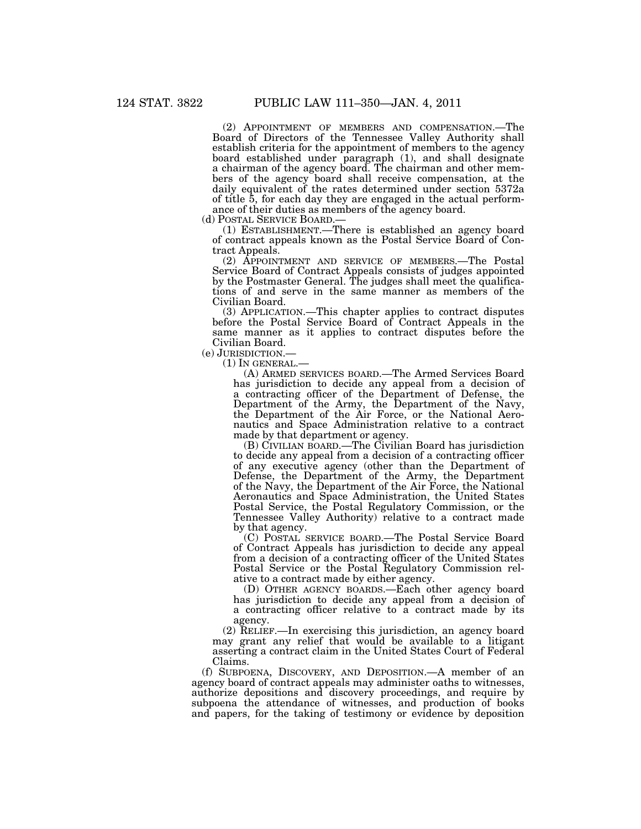(2) APPOINTMENT OF MEMBERS AND COMPENSATION.—The Board of Directors of the Tennessee Valley Authority shall establish criteria for the appointment of members to the agency board established under paragraph (1), and shall designate a chairman of the agency board. The chairman and other members of the agency board shall receive compensation, at the daily equivalent of the rates determined under section 5372a of title 5, for each day they are engaged in the actual performance of their duties as members of the agency board.<br>(d) POSTAL SERVICE BOARD.—

 $(1)$  ESTABLISHMENT.—There is established an agency board of contract appeals known as the Postal Service Board of Contract Appeals.

(2) APPOINTMENT AND SERVICE OF MEMBERS.—The Postal Service Board of Contract Appeals consists of judges appointed by the Postmaster General. The judges shall meet the qualifications of and serve in the same manner as members of the Civilian Board.

(3) APPLICATION.—This chapter applies to contract disputes before the Postal Service Board of Contract Appeals in the same manner as it applies to contract disputes before the Civilian Board.

(e) JURISDICTION.— (1) IN GENERAL.— (A) ARMED SERVICES BOARD.—The Armed Services Board has jurisdiction to decide any appeal from a decision of a contracting officer of the Department of Defense, the Department of the Army, the Department of the Navy, the Department of the Air Force, or the National Aeronautics and Space Administration relative to a contract made by that department or agency.

(B) CIVILIAN BOARD.—The Civilian Board has jurisdiction to decide any appeal from a decision of a contracting officer of any executive agency (other than the Department of Defense, the Department of the Army, the Department of the Navy, the Department of the Air Force, the National Aeronautics and Space Administration, the United States Postal Service, the Postal Regulatory Commission, or the Tennessee Valley Authority) relative to a contract made by that agency.

(C) POSTAL SERVICE BOARD.—The Postal Service Board of Contract Appeals has jurisdiction to decide any appeal from a decision of a contracting officer of the United States Postal Service or the Postal Regulatory Commission relative to a contract made by either agency.

(D) OTHER AGENCY BOARDS.—Each other agency board has jurisdiction to decide any appeal from a decision of a contracting officer relative to a contract made by its agency.

(2) RELIEF.—In exercising this jurisdiction, an agency board may grant any relief that would be available to a litigant asserting a contract claim in the United States Court of Federal Claims.

(f) SUBPOENA, DISCOVERY, AND DEPOSITION.—A member of an agency board of contract appeals may administer oaths to witnesses, authorize depositions and discovery proceedings, and require by subpoena the attendance of witnesses, and production of books and papers, for the taking of testimony or evidence by deposition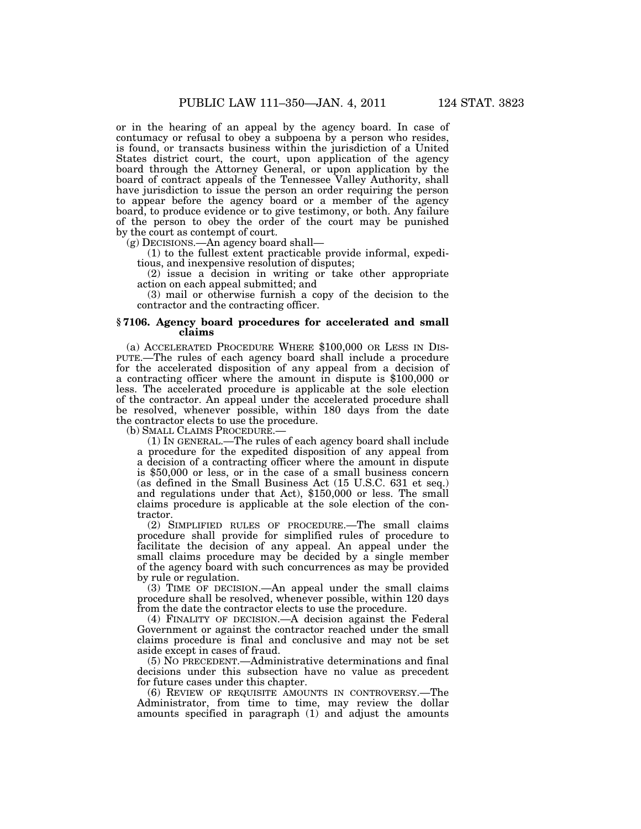or in the hearing of an appeal by the agency board. In case of contumacy or refusal to obey a subpoena by a person who resides, is found, or transacts business within the jurisdiction of a United States district court, the court, upon application of the agency board through the Attorney General, or upon application by the board of contract appeals of the Tennessee Valley Authority, shall have jurisdiction to issue the person an order requiring the person to appear before the agency board or a member of the agency board, to produce evidence or to give testimony, or both. Any failure of the person to obey the order of the court may be punished by the court as contempt of court.

(g) DECISIONS.—An agency board shall—

(1) to the fullest extent practicable provide informal, expeditious, and inexpensive resolution of disputes;

(2) issue a decision in writing or take other appropriate action on each appeal submitted; and

(3) mail or otherwise furnish a copy of the decision to the contractor and the contracting officer.

#### **§ 7106. Agency board procedures for accelerated and small claims**

(a) ACCELERATED PROCEDURE WHERE \$100,000 OR LESS IN DIS-PUTE.—The rules of each agency board shall include a procedure for the accelerated disposition of any appeal from a decision of a contracting officer where the amount in dispute is \$100,000 or less. The accelerated procedure is applicable at the sole election of the contractor. An appeal under the accelerated procedure shall be resolved, whenever possible, within 180 days from the date the contractor elects to use the procedure.

(b) SMALL CLAIMS PROCEDURE.—

(1) IN GENERAL.—The rules of each agency board shall include a procedure for the expedited disposition of any appeal from a decision of a contracting officer where the amount in dispute is \$50,000 or less, or in the case of a small business concern (as defined in the Small Business Act (15 U.S.C. 631 et seq.) and regulations under that Act), \$150,000 or less. The small claims procedure is applicable at the sole election of the contractor.

(2) SIMPLIFIED RULES OF PROCEDURE.—The small claims procedure shall provide for simplified rules of procedure to facilitate the decision of any appeal. An appeal under the small claims procedure may be decided by a single member of the agency board with such concurrences as may be provided by rule or regulation.

(3) TIME OF DECISION.—An appeal under the small claims procedure shall be resolved, whenever possible, within 120 days from the date the contractor elects to use the procedure.

(4) FINALITY OF DECISION.—A decision against the Federal Government or against the contractor reached under the small claims procedure is final and conclusive and may not be set aside except in cases of fraud.

(5) NO PRECEDENT.—Administrative determinations and final decisions under this subsection have no value as precedent for future cases under this chapter.

(6) REVIEW OF REQUISITE AMOUNTS IN CONTROVERSY.—The Administrator, from time to time, may review the dollar amounts specified in paragraph (1) and adjust the amounts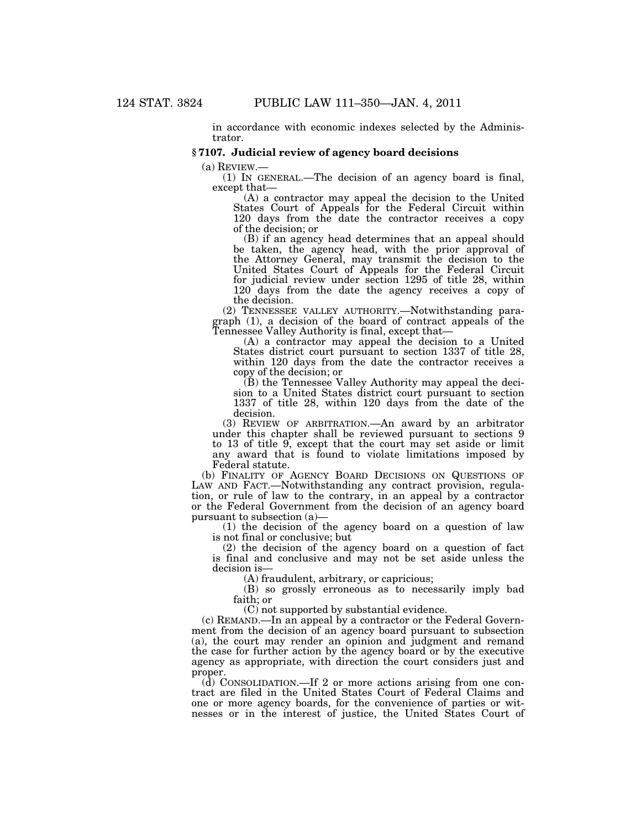in accordance with economic indexes selected by the Administrator.

### **§ 7107. Judicial review of agency board decisions**

(a)  $REVIEW. —$ <br>(1) In GENERAL.—The decision of an agency board is final, except that—

(A) a contractor may appeal the decision to the United States Court of Appeals for the Federal Circuit within 120 days from the date the contractor receives a copy of the decision; or

(B) if an agency head determines that an appeal should be taken, the agency head, with the prior approval of the Attorney General, may transmit the decision to the United States Court of Appeals for the Federal Circuit for judicial review under section 1295 of title 28, within 120 days from the date the agency receives a copy of the decision.

(2) TENNESSEE VALLEY AUTHORITY.—Notwithstanding paragraph (1), a decision of the board of contract appeals of the Tennessee Valley Authority is final, except that—

(A) a contractor may appeal the decision to a United States district court pursuant to section 1337 of title 28, within 120 days from the date the contractor receives a copy of the decision; or

(B) the Tennessee Valley Authority may appeal the decision to a United States district court pursuant to section 1337 of title 28, within 120 days from the date of the decision.

(3) REVIEW OF ARBITRATION.—An award by an arbitrator under this chapter shall be reviewed pursuant to sections 9 to 13 of title 9, except that the court may set aside or limit any award that is found to violate limitations imposed by Federal statute.

(b) FINALITY OF AGENCY BOARD DECISIONS ON QUESTIONS OF LAW AND FACT.—Notwithstanding any contract provision, regulation, or rule of law to the contrary, in an appeal by a contractor or the Federal Government from the decision of an agency board pursuant to subsection (a)—

(1) the decision of the agency board on a question of law is not final or conclusive; but

(2) the decision of the agency board on a question of fact is final and conclusive and may not be set aside unless the decision is—

(A) fraudulent, arbitrary, or capricious;

(B) so grossly erroneous as to necessarily imply bad faith; or

(C) not supported by substantial evidence.

(c) REMAND.—In an appeal by a contractor or the Federal Government from the decision of an agency board pursuant to subsection (a), the court may render an opinion and judgment and remand the case for further action by the agency board or by the executive agency as appropriate, with direction the court considers just and proper.

(d) CONSOLIDATION.—If 2 or more actions arising from one contract are filed in the United States Court of Federal Claims and one or more agency boards, for the convenience of parties or witnesses or in the interest of justice, the United States Court of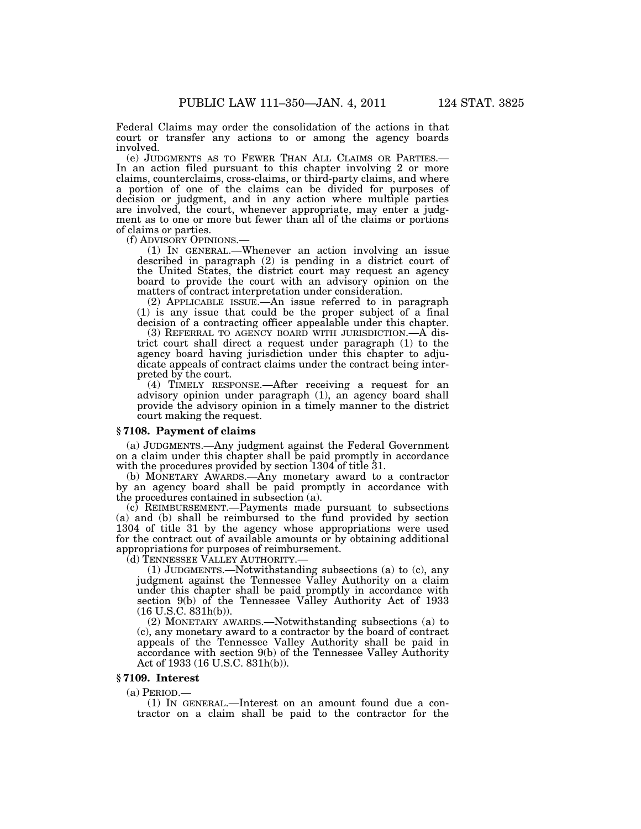Federal Claims may order the consolidation of the actions in that court or transfer any actions to or among the agency boards involved.

(e) JUDGMENTS AS TO FEWER THAN ALL CLAIMS OR PARTIES.— In an action filed pursuant to this chapter involving 2 or more claims, counterclaims, cross-claims, or third-party claims, and where a portion of one of the claims can be divided for purposes of decision or judgment, and in any action where multiple parties are involved, the court, whenever appropriate, may enter a judgment as to one or more but fewer than all of the claims or portions of claims or parties.<br>(f) ADVISORY OPINIONS.—

 $(1)$  In GENERAL.—Whenever an action involving an issue described in paragraph (2) is pending in a district court of the United States, the district court may request an agency board to provide the court with an advisory opinion on the matters of contract interpretation under consideration.

(2) APPLICABLE ISSUE.—An issue referred to in paragraph (1) is any issue that could be the proper subject of a final decision of a contracting officer appealable under this chapter.

(3) REFERRAL TO AGENCY BOARD WITH JURISDICTION.—A district court shall direct a request under paragraph (1) to the agency board having jurisdiction under this chapter to adjudicate appeals of contract claims under the contract being interpreted by the court.

(4) TIMELY RESPONSE.—After receiving a request for an advisory opinion under paragraph (1), an agency board shall provide the advisory opinion in a timely manner to the district court making the request.

#### **§ 7108. Payment of claims**

(a) JUDGMENTS.—Any judgment against the Federal Government on a claim under this chapter shall be paid promptly in accordance with the procedures provided by section 1304 of title 31.

(b) MONETARY AWARDS.—Any monetary award to a contractor by an agency board shall be paid promptly in accordance with the procedures contained in subsection (a).

(c) REIMBURSEMENT.—Payments made pursuant to subsections (a) and (b) shall be reimbursed to the fund provided by section 1304 of title 31 by the agency whose appropriations were used for the contract out of available amounts or by obtaining additional appropriations for purposes of reimbursement.<br>(d) TENNESSEE VALLEY AUTHORITY.—

 $(1)$  JUDGMENTS.—Notwithstanding subsections (a) to  $(c)$ , any judgment against the Tennessee Valley Authority on a claim under this chapter shall be paid promptly in accordance with section 9(b) of the Tennessee Valley Authority Act of 1933 (16 U.S.C. 831h(b)).

(2) MONETARY AWARDS.—Notwithstanding subsections (a) to (c), any monetary award to a contractor by the board of contract appeals of the Tennessee Valley Authority shall be paid in accordance with section 9(b) of the Tennessee Valley Authority Act of 1933 (16 U.S.C. 831h(b)).

#### **§ 7109. Interest**

(a) PERIOD.— (1) IN GENERAL.—Interest on an amount found due a contractor on a claim shall be paid to the contractor for the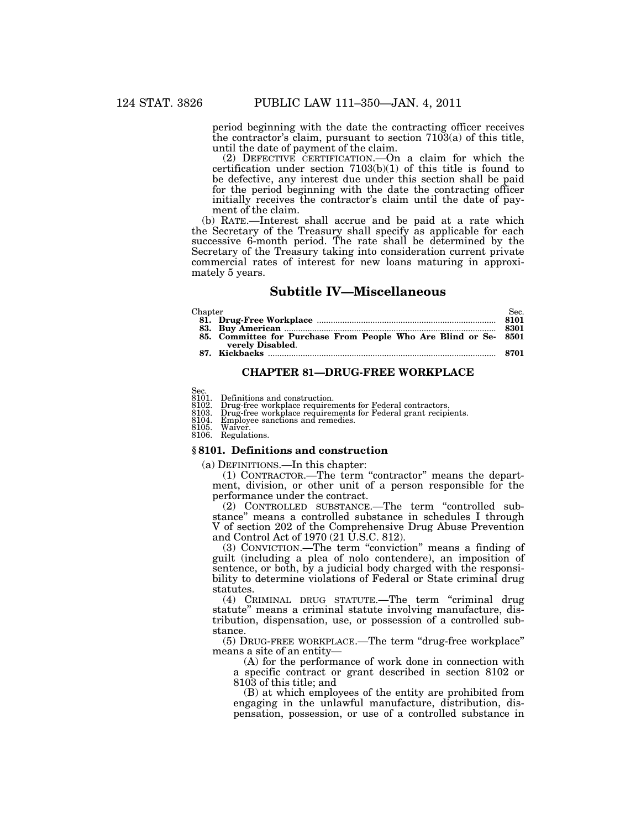period beginning with the date the contracting officer receives the contractor's claim, pursuant to section 7103(a) of this title, until the date of payment of the claim.

(2) DEFECTIVE CERTIFICATION.—On a claim for which the certification under section 7103(b)(1) of this title is found to be defective, any interest due under this section shall be paid for the period beginning with the date the contracting officer initially receives the contractor's claim until the date of payment of the claim.

(b) RATE.—Interest shall accrue and be paid at a rate which the Secretary of the Treasury shall specify as applicable for each successive 6-month period. The rate shall be determined by the Secretary of the Treasury taking into consideration current private commercial rates of interest for new loans maturing in approximately 5 years.

# **Subtitle IV—Miscellaneous**

| Chapter |                                                                 |        |  |  |
|---------|-----------------------------------------------------------------|--------|--|--|
|         |                                                                 | -8101  |  |  |
|         |                                                                 | 8301   |  |  |
|         | 85. Committee for Purchase From People Who Are Blind or Se-8501 |        |  |  |
|         | verely Disabled.                                                |        |  |  |
|         |                                                                 | - 8701 |  |  |

#### **CHAPTER 81—DRUG-FREE WORKPLACE**

Definitions and construction.

Sec.<br>8101.<br>8102.<br>8103.

8102. Drug-free workplace requirements for Federal contractors. 8103. Drug-free workplace requirements for Federal grant recipients. 8104. Employee sanctions and remedies. 8105. Waiver.

8105. Waiver.<br>8106. Regulations.

#### **§ 8101. Definitions and construction**

(a) DEFINITIONS.—In this chapter:

(1) CONTRACTOR.—The term ''contractor'' means the department, division, or other unit of a person responsible for the performance under the contract.

(2) CONTROLLED SUBSTANCE.—The term ''controlled substance'' means a controlled substance in schedules I through V of section 202 of the Comprehensive Drug Abuse Prevention and Control Act of 1970 (21 U.S.C. 812).

(3) CONVICTION.—The term ''conviction'' means a finding of guilt (including a plea of nolo contendere), an imposition of sentence, or both, by a judicial body charged with the responsibility to determine violations of Federal or State criminal drug statutes.

(4) CRIMINAL DRUG STATUTE.—The term ''criminal drug statute'' means a criminal statute involving manufacture, distribution, dispensation, use, or possession of a controlled substance.

(5) DRUG-FREE WORKPLACE.—The term ''drug-free workplace'' means a site of an entity—

(A) for the performance of work done in connection with a specific contract or grant described in section 8102 or 8103 of this title; and

(B) at which employees of the entity are prohibited from engaging in the unlawful manufacture, distribution, dispensation, possession, or use of a controlled substance in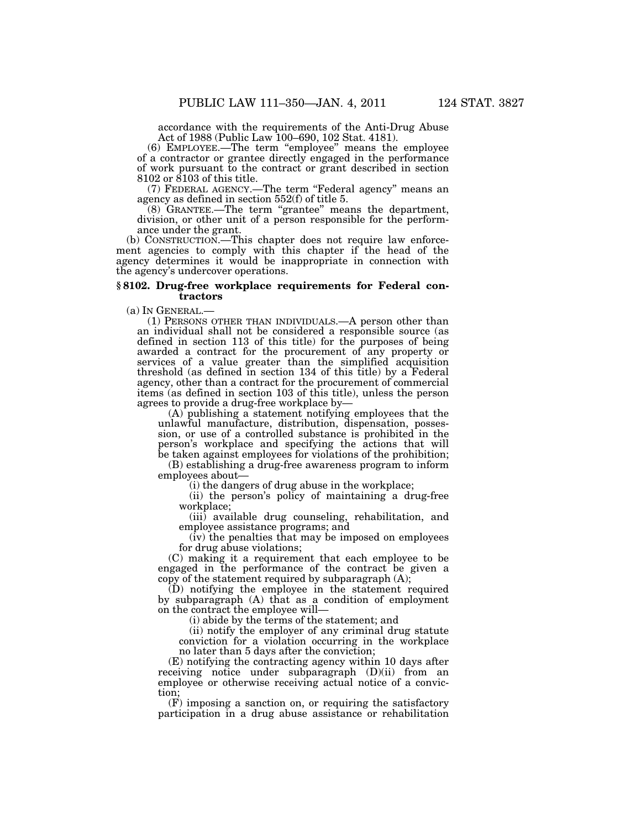accordance with the requirements of the Anti-Drug Abuse Act of 1988 (Public Law 100–690, 102 Stat. 4181).

(6) EMPLOYEE.—The term ''employee'' means the employee of a contractor or grantee directly engaged in the performance of work pursuant to the contract or grant described in section 8102 or 8103 of this title.

(7) FEDERAL AGENCY.—The term ''Federal agency'' means an agency as defined in section 552(f) of title 5.

(8) GRANTEE.—The term ''grantee'' means the department, division, or other unit of a person responsible for the performance under the grant.

(b) CONSTRUCTION.—This chapter does not require law enforcement agencies to comply with this chapter if the head of the agency determines it would be inappropriate in connection with the agency's undercover operations.

#### **§ 8102. Drug-free workplace requirements for Federal contractors**

(a) IN GENERAL.— (1) PERSONS OTHER THAN INDIVIDUALS.—A person other than an individual shall not be considered a responsible source (as defined in section 113 of this title) for the purposes of being awarded a contract for the procurement of any property or services of a value greater than the simplified acquisition threshold (as defined in section 134 of this title) by a Federal agency, other than a contract for the procurement of commercial items (as defined in section 103 of this title), unless the person agrees to provide a drug-free workplace by—

(A) publishing a statement notifying employees that the unlawful manufacture, distribution, dispensation, possession, or use of a controlled substance is prohibited in the person's workplace and specifying the actions that will be taken against employees for violations of the prohibition;

(B) establishing a drug-free awareness program to inform employees about—

(i) the dangers of drug abuse in the workplace;

(ii) the person's policy of maintaining a drug-free workplace;

(iii) available drug counseling, rehabilitation, and employee assistance programs; and

(iv) the penalties that may be imposed on employees for drug abuse violations;

(C) making it a requirement that each employee to be engaged in the performance of the contract be given a copy of the statement required by subparagraph (A);

(D) notifying the employee in the statement required by subparagraph (A) that as a condition of employment on the contract the employee will—

(i) abide by the terms of the statement; and

(ii) notify the employer of any criminal drug statute conviction for a violation occurring in the workplace no later than 5 days after the conviction;

(E) notifying the contracting agency within 10 days after receiving notice under subparagraph (D)(ii) from an employee or otherwise receiving actual notice of a conviction;

(F) imposing a sanction on, or requiring the satisfactory participation in a drug abuse assistance or rehabilitation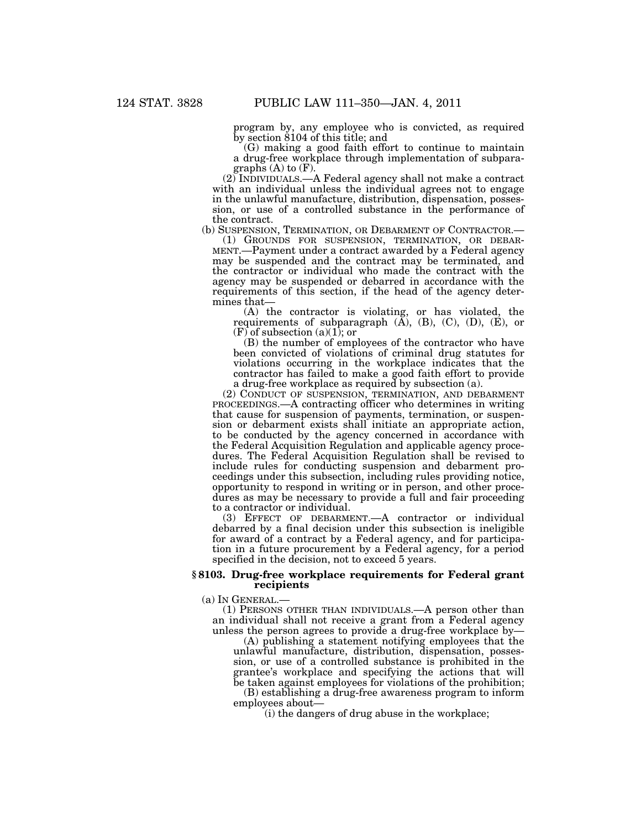program by, any employee who is convicted, as required by section 8104 of this title; and

(G) making a good faith effort to continue to maintain a drug-free workplace through implementation of subparagraphs  $(A)$  to  $(F)$ .

(2) INDIVIDUALS.—A Federal agency shall not make a contract with an individual unless the individual agrees not to engage in the unlawful manufacture, distribution, dispensation, possession, or use of a controlled substance in the performance of the contract.<br>(b) SUSPENSION, TERMINATION, OR DEBARMENT OF CONTRACTOR.—

 $(1)$  GROUNDS FOR SUSPENSION, TERMINATION, OR DEBARMENT.—Payment under a contract awarded by a Federal agency may be suspended and the contract may be terminated, and the contractor or individual who made the contract with the agency may be suspended or debarred in accordance with the requirements of this section, if the head of the agency determines that—

(A) the contractor is violating, or has violated, the requirements of subparagraph  $(A)$ ,  $(B)$ ,  $(C)$ ,  $(D)$ ,  $(E)$ , or  $(F)$  of subsection (a)(1); or

(B) the number of employees of the contractor who have been convicted of violations of criminal drug statutes for violations occurring in the workplace indicates that the contractor has failed to make a good faith effort to provide a drug-free workplace as required by subsection (a).

(2) CONDUCT OF SUSPENSION, TERMINATION, AND DEBARMENT PROCEEDINGS.—A contracting officer who determines in writing that cause for suspension of payments, termination, or suspension or debarment exists shall initiate an appropriate action, to be conducted by the agency concerned in accordance with the Federal Acquisition Regulation and applicable agency procedures. The Federal Acquisition Regulation shall be revised to include rules for conducting suspension and debarment proceedings under this subsection, including rules providing notice, opportunity to respond in writing or in person, and other procedures as may be necessary to provide a full and fair proceeding to a contractor or individual.

(3) EFFECT OF DEBARMENT.—A contractor or individual debarred by a final decision under this subsection is ineligible for award of a contract by a Federal agency, and for participation in a future procurement by a Federal agency, for a period specified in the decision, not to exceed 5 years.

#### **§ 8103. Drug-free workplace requirements for Federal grant recipients**

(a) IN GENERAL.— (1) PERSONS OTHER THAN INDIVIDUALS.—A person other than an individual shall not receive a grant from a Federal agency unless the person agrees to provide a drug-free workplace by—

(A) publishing a statement notifying employees that the unlawful manufacture, distribution, dispensation, possession, or use of a controlled substance is prohibited in the grantee's workplace and specifying the actions that will be taken against employees for violations of the prohibition; (B) establishing a drug-free awareness program to inform employees about—

(i) the dangers of drug abuse in the workplace;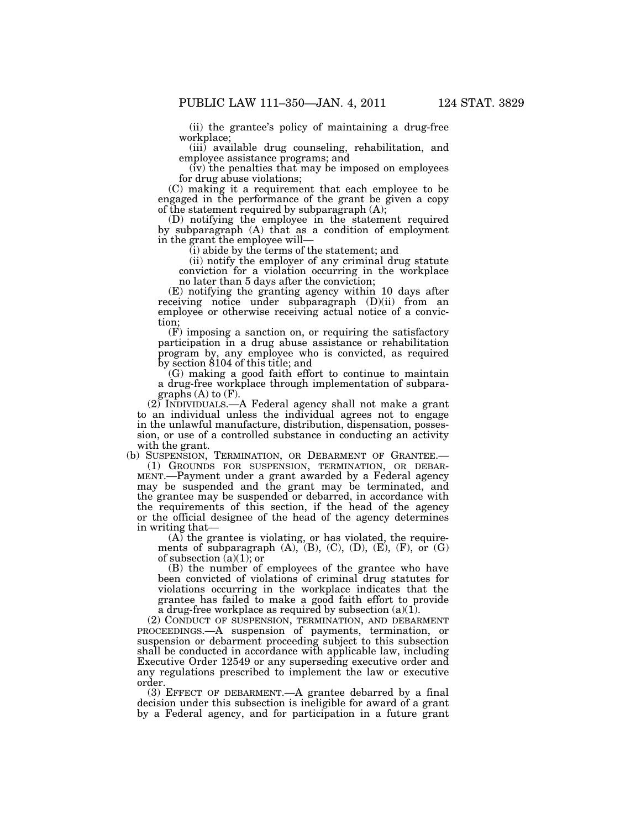(ii) the grantee's policy of maintaining a drug-free workplace;

(iii) available drug counseling, rehabilitation, and employee assistance programs; and

(iv) the penalties that may be imposed on employees for drug abuse violations;

(C) making it a requirement that each employee to be engaged in the performance of the grant be given a copy of the statement required by subparagraph (A);

(D) notifying the employee in the statement required by subparagraph (A) that as a condition of employment in the grant the employee will—

(i) abide by the terms of the statement; and

(ii) notify the employer of any criminal drug statute conviction for a violation occurring in the workplace no later than 5 days after the conviction;

(E) notifying the granting agency within 10 days after receiving notice under subparagraph (D)(ii) from an employee or otherwise receiving actual notice of a conviction;

(F) imposing a sanction on, or requiring the satisfactory participation in a drug abuse assistance or rehabilitation program by, any employee who is convicted, as required by section 8104 of this title; and

(G) making a good faith effort to continue to maintain a drug-free workplace through implementation of subparagraphs  $(A)$  to  $(F)$ .

 $(2)$  INDIVIDUALS.—A Federal agency shall not make a grant to an individual unless the individual agrees not to engage in the unlawful manufacture, distribution, dispensation, possession, or use of a controlled substance in conducting an activity with the grant.<br>(b) SUSPENSION, TERMINATION, OR DEBARMENT OF GRANTEE.—

(1) GROUNDS FOR SUSPENSION, TERMINATION, OR DEBAR-MENT.— Payment under a grant awarded by a Federal agency may be suspended and the grant may be terminated, and the grantee may be suspended or debarred, in accordance with the requirements of this section, if the head of the agency or the official designee of the head of the agency determines in writing that—

(A) the grantee is violating, or has violated, the requirements of subparagraph  $(A)$ ,  $(B)$ ,  $(C)$ ,  $(D)$ ,  $(E)$ ,  $(F)$ ,  $\overline{or}$   $(G)$ of subsection  $(a)(1)$ ; or

(B) the number of employees of the grantee who have been convicted of violations of criminal drug statutes for violations occurring in the workplace indicates that the grantee has failed to make a good faith effort to provide a drug-free workplace as required by subsection  $(a)(1)$ .

(2) CONDUCT OF SUSPENSION, TERMINATION, AND DEBARMENT PROCEEDINGS.—A suspension of payments, termination, or suspension or debarment proceeding subject to this subsection shall be conducted in accordance with applicable law, including Executive Order 12549 or any superseding executive order and any regulations prescribed to implement the law or executive order.

(3) EFFECT OF DEBARMENT.—A grantee debarred by a final decision under this subsection is ineligible for award of a grant by a Federal agency, and for participation in a future grant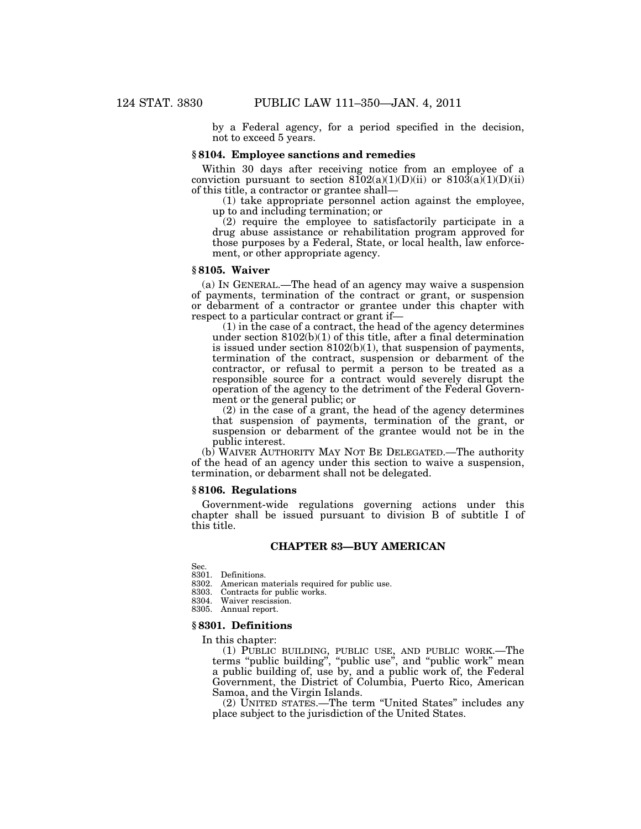by a Federal agency, for a period specified in the decision, not to exceed 5 years.

#### **§ 8104. Employee sanctions and remedies**

Within 30 days after receiving notice from an employee of a conviction pursuant to section  $8102(a)(1)(D)(ii)$  or  $8103(a)(1)(D)(ii)$ of this title, a contractor or grantee shall—

(1) take appropriate personnel action against the employee, up to and including termination; or

(2) require the employee to satisfactorily participate in a drug abuse assistance or rehabilitation program approved for those purposes by a Federal, State, or local health, law enforcement, or other appropriate agency.

#### **§ 8105. Waiver**

(a) IN GENERAL.—The head of an agency may waive a suspension of payments, termination of the contract or grant, or suspension or debarment of a contractor or grantee under this chapter with respect to a particular contract or grant if—

(1) in the case of a contract, the head of the agency determines under section 8102(b)(1) of this title, after a final determination is issued under section  $8102(b)(1)$ , that suspension of payments, termination of the contract, suspension or debarment of the contractor, or refusal to permit a person to be treated as a responsible source for a contract would severely disrupt the operation of the agency to the detriment of the Federal Government or the general public; or

(2) in the case of a grant, the head of the agency determines that suspension of payments, termination of the grant, or suspension or debarment of the grantee would not be in the public interest.

(b) WAIVER AUTHORITY MAY NOT BE DELEGATED.—The authority of the head of an agency under this section to waive a suspension, termination, or debarment shall not be delegated.

#### **§ 8106. Regulations**

Government-wide regulations governing actions under this chapter shall be issued pursuant to division B of subtitle I of this title.

#### **CHAPTER 83—BUY AMERICAN**

Sec.

8301. Definitions.

8302. American materials required for public use.

8303. Contracts for public works.<br>8304. Waiver rescission.

Waiver rescission.

8305. Annual report.

#### **§ 8301. Definitions**

In this chapter:

(1) PUBLIC BUILDING, PUBLIC USE, AND PUBLIC WORK.—The terms ''public building'', ''public use'', and ''public work'' mean a public building of, use by, and a public work of, the Federal Government, the District of Columbia, Puerto Rico, American Samoa, and the Virgin Islands.

(2) UNITED STATES.—The term ''United States'' includes any place subject to the jurisdiction of the United States.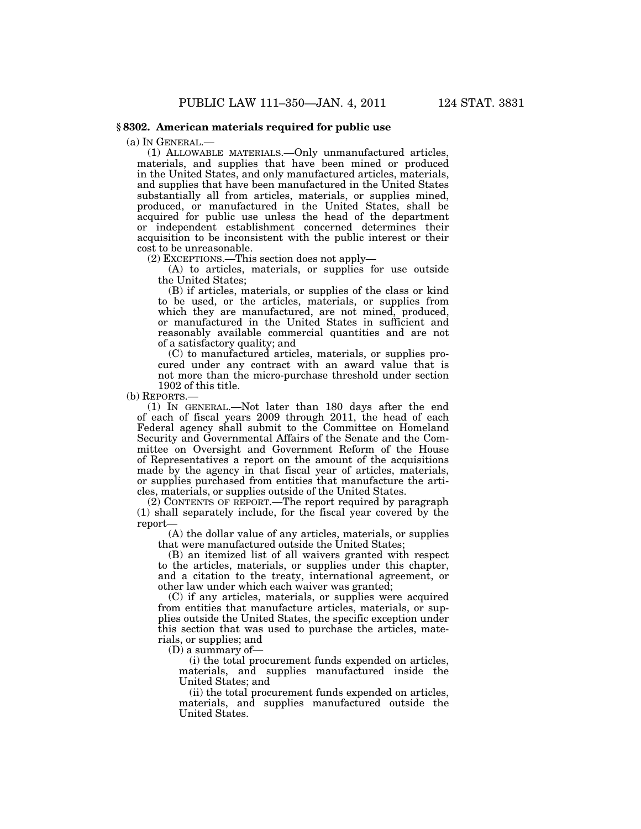#### **§ 8302. American materials required for public use**

(a) IN GENERAL.—

(1) ALLOWABLE MATERIALS.—Only unmanufactured articles, materials, and supplies that have been mined or produced in the United States, and only manufactured articles, materials, and supplies that have been manufactured in the United States substantially all from articles, materials, or supplies mined, produced, or manufactured in the United States, shall be acquired for public use unless the head of the department or independent establishment concerned determines their acquisition to be inconsistent with the public interest or their cost to be unreasonable.

(2) EXCEPTIONS.—This section does not apply—

(A) to articles, materials, or supplies for use outside the United States;

(B) if articles, materials, or supplies of the class or kind to be used, or the articles, materials, or supplies from which they are manufactured, are not mined, produced, or manufactured in the United States in sufficient and reasonably available commercial quantities and are not of a satisfactory quality; and

(C) to manufactured articles, materials, or supplies procured under any contract with an award value that is not more than the micro-purchase threshold under section 1902 of this title.

(b) REPORTS.—

(1) IN GENERAL.—Not later than 180 days after the end of each of fiscal years 2009 through 2011, the head of each Federal agency shall submit to the Committee on Homeland Security and Governmental Affairs of the Senate and the Committee on Oversight and Government Reform of the House of Representatives a report on the amount of the acquisitions made by the agency in that fiscal year of articles, materials, or supplies purchased from entities that manufacture the articles, materials, or supplies outside of the United States.

(2) CONTENTS OF REPORT.—The report required by paragraph (1) shall separately include, for the fiscal year covered by the report—

(A) the dollar value of any articles, materials, or supplies that were manufactured outside the United States;

(B) an itemized list of all waivers granted with respect to the articles, materials, or supplies under this chapter, and a citation to the treaty, international agreement, or other law under which each waiver was granted;

(C) if any articles, materials, or supplies were acquired from entities that manufacture articles, materials, or supplies outside the United States, the specific exception under this section that was used to purchase the articles, materials, or supplies; and

(D) a summary of—

(i) the total procurement funds expended on articles, materials, and supplies manufactured inside the United States; and

(ii) the total procurement funds expended on articles, materials, and supplies manufactured outside the United States.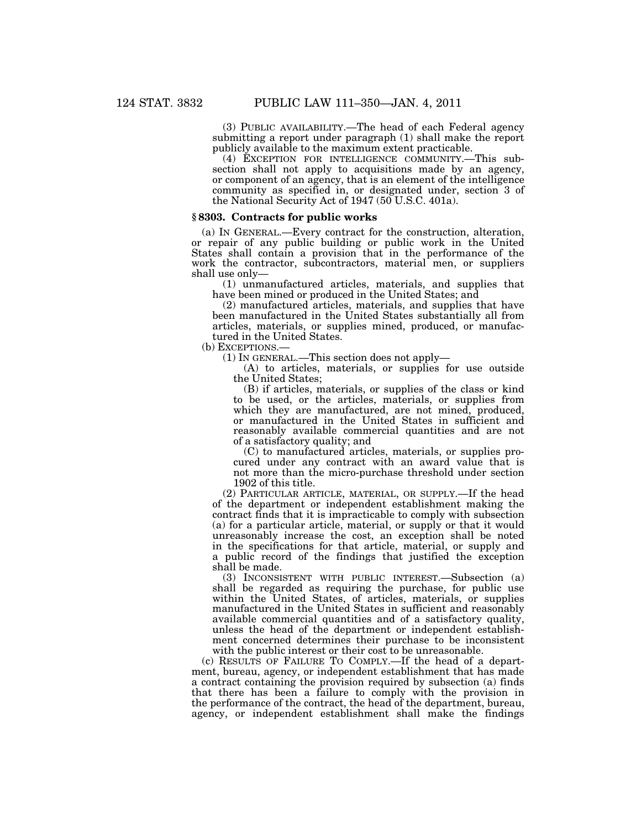(3) PUBLIC AVAILABILITY.—The head of each Federal agency submitting a report under paragraph (1) shall make the report publicly available to the maximum extent practicable.

(4) EXCEPTION FOR INTELLIGENCE COMMUNITY.—This subsection shall not apply to acquisitions made by an agency, or component of an agency, that is an element of the intelligence community as specified in, or designated under, section 3 of the National Security Act of 1947 (50 U.S.C. 401a).

#### **§ 8303. Contracts for public works**

(a) IN GENERAL.—Every contract for the construction, alteration, or repair of any public building or public work in the United States shall contain a provision that in the performance of the work the contractor, subcontractors, material men, or suppliers shall use only—

(1) unmanufactured articles, materials, and supplies that have been mined or produced in the United States; and

(2) manufactured articles, materials, and supplies that have been manufactured in the United States substantially all from articles, materials, or supplies mined, produced, or manufactured in the United States.

(b) EXCEPTIONS.—

(1) IN GENERAL.—This section does not apply—

(A) to articles, materials, or supplies for use outside the United States;

(B) if articles, materials, or supplies of the class or kind to be used, or the articles, materials, or supplies from which they are manufactured, are not mined, produced, or manufactured in the United States in sufficient and reasonably available commercial quantities and are not of a satisfactory quality; and

(C) to manufactured articles, materials, or supplies procured under any contract with an award value that is not more than the micro-purchase threshold under section 1902 of this title.

(2) PARTICULAR ARTICLE, MATERIAL, OR SUPPLY.—If the head of the department or independent establishment making the contract finds that it is impracticable to comply with subsection (a) for a particular article, material, or supply or that it would unreasonably increase the cost, an exception shall be noted in the specifications for that article, material, or supply and a public record of the findings that justified the exception shall be made.

(3) INCONSISTENT WITH PUBLIC INTEREST.—Subsection (a) shall be regarded as requiring the purchase, for public use within the United States, of articles, materials, or supplies manufactured in the United States in sufficient and reasonably available commercial quantities and of a satisfactory quality, unless the head of the department or independent establishment concerned determines their purchase to be inconsistent with the public interest or their cost to be unreasonable.

(c) RESULTS OF FAILURE TO COMPLY.—If the head of a department, bureau, agency, or independent establishment that has made a contract containing the provision required by subsection (a) finds that there has been a failure to comply with the provision in the performance of the contract, the head of the department, bureau, agency, or independent establishment shall make the findings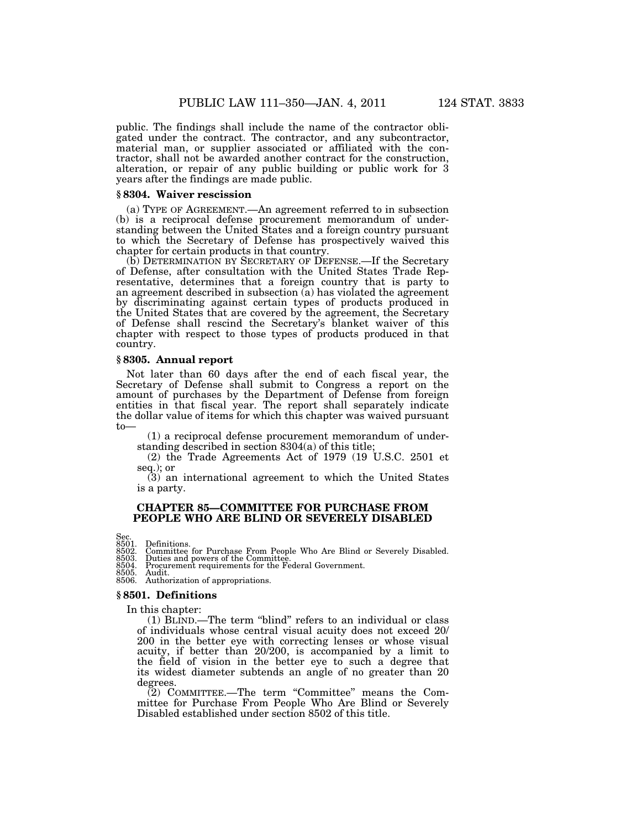public. The findings shall include the name of the contractor obligated under the contract. The contractor, and any subcontractor, material man, or supplier associated or affiliated with the contractor, shall not be awarded another contract for the construction, alteration, or repair of any public building or public work for 3 years after the findings are made public.

#### **§ 8304. Waiver rescission**

(a) TYPE OF AGREEMENT.—An agreement referred to in subsection (b) is a reciprocal defense procurement memorandum of understanding between the United States and a foreign country pursuant to which the Secretary of Defense has prospectively waived this chapter for certain products in that country.

(b) DETERMINATION BY SECRETARY OF DEFENSE.—If the Secretary of Defense, after consultation with the United States Trade Representative, determines that a foreign country that is party to an agreement described in subsection (a) has violated the agreement by discriminating against certain types of products produced in the United States that are covered by the agreement, the Secretary of Defense shall rescind the Secretary's blanket waiver of this chapter with respect to those types of products produced in that country.

#### **§ 8305. Annual report**

Not later than 60 days after the end of each fiscal year, the Secretary of Defense shall submit to Congress a report on the amount of purchases by the Department of Defense from foreign entities in that fiscal year. The report shall separately indicate the dollar value of items for which this chapter was waived pursuant to—

(1) a reciprocal defense procurement memorandum of understanding described in section 8304(a) of this title;

(2) the Trade Agreements Act of 1979 (19 U.S.C. 2501 et seq.); or

(3) an international agreement to which the United States is a party.

#### **CHAPTER 85—COMMITTEE FOR PURCHASE FROM PEOPLE WHO ARE BLIND OR SEVERELY DISABLED**

Sec. 8501. Definitions.

8502. Committee for Purchase From People Who Are Blind or Severely Disabled. 8503. Duties and powers of the Committee. 8504. Procurement requirements for the Federal Government.

- 
- 8504. Procui<br>8505. Audit.

8506. Authorization of appropriations.

#### **§ 8501. Definitions**

In this chapter:

(1) BLIND.—The term ''blind'' refers to an individual or class of individuals whose central visual acuity does not exceed 20/ 200 in the better eye with correcting lenses or whose visual acuity, if better than 20/200, is accompanied by a limit to the field of vision in the better eye to such a degree that its widest diameter subtends an angle of no greater than 20 degrees.

(2) COMMITTEE.—The term ''Committee'' means the Committee for Purchase From People Who Are Blind or Severely Disabled established under section 8502 of this title.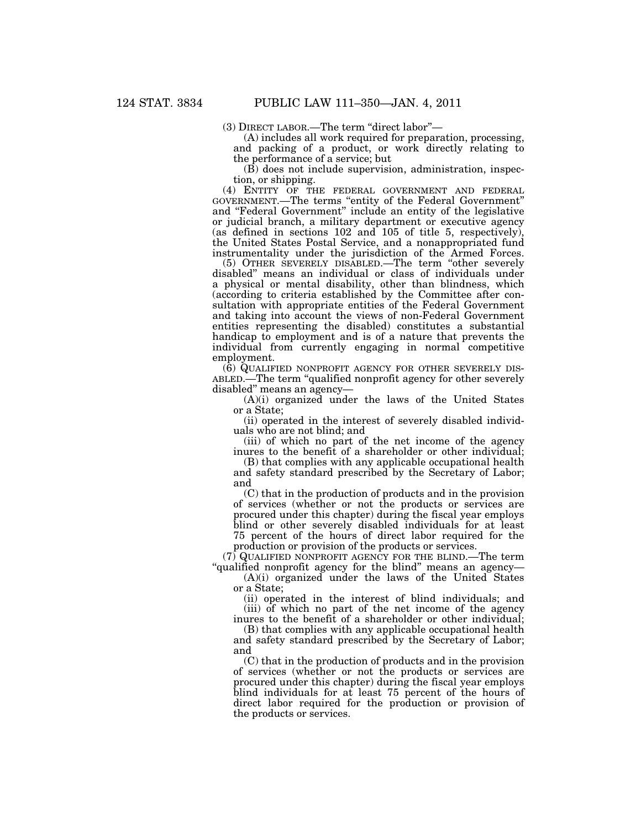(3) DIRECT LABOR.—The term ''direct labor''—

(A) includes all work required for preparation, processing, and packing of a product, or work directly relating to

the performance of a service; but

(B) does not include supervision, administration, inspection, or shipping.

(4) ENTITY OF THE FEDERAL GOVERNMENT AND FEDERAL GOVERNMENT.—The terms "entity of the Federal Government" and ''Federal Government'' include an entity of the legislative or judicial branch, a military department or executive agency (as defined in sections 102 and 105 of title 5, respectively), the United States Postal Service, and a nonappropriated fund instrumentality under the jurisdiction of the Armed Forces.

(5) OTHER SEVERELY DISABLED.—The term ''other severely disabled'' means an individual or class of individuals under a physical or mental disability, other than blindness, which (according to criteria established by the Committee after consultation with appropriate entities of the Federal Government and taking into account the views of non-Federal Government entities representing the disabled) constitutes a substantial handicap to employment and is of a nature that prevents the individual from currently engaging in normal competitive employment.

(6) QUALIFIED NONPROFIT AGENCY FOR OTHER SEVERELY DIS-ABLED.—The term "qualified nonprofit agency for other severely disabled'' means an agency—

(A)(i) organized under the laws of the United States or a State;

(ii) operated in the interest of severely disabled individuals who are not blind; and

(iii) of which no part of the net income of the agency inures to the benefit of a shareholder or other individual;

(B) that complies with any applicable occupational health and safety standard prescribed by the Secretary of Labor; and

(C) that in the production of products and in the provision of services (whether or not the products or services are procured under this chapter) during the fiscal year employs blind or other severely disabled individuals for at least 75 percent of the hours of direct labor required for the production or provision of the products or services.

(7) QUALIFIED NONPROFIT AGENCY FOR THE BLIND.—The term "qualified nonprofit agency for the blind" means an agency-

(A)(i) organized under the laws of the United States or a State;

(ii) operated in the interest of blind individuals; and (iii) of which no part of the net income of the agency

inures to the benefit of a shareholder or other individual; (B) that complies with any applicable occupational health

and safety standard prescribed by the Secretary of Labor; and

(C) that in the production of products and in the provision of services (whether or not the products or services are procured under this chapter) during the fiscal year employs blind individuals for at least 75 percent of the hours of direct labor required for the production or provision of the products or services.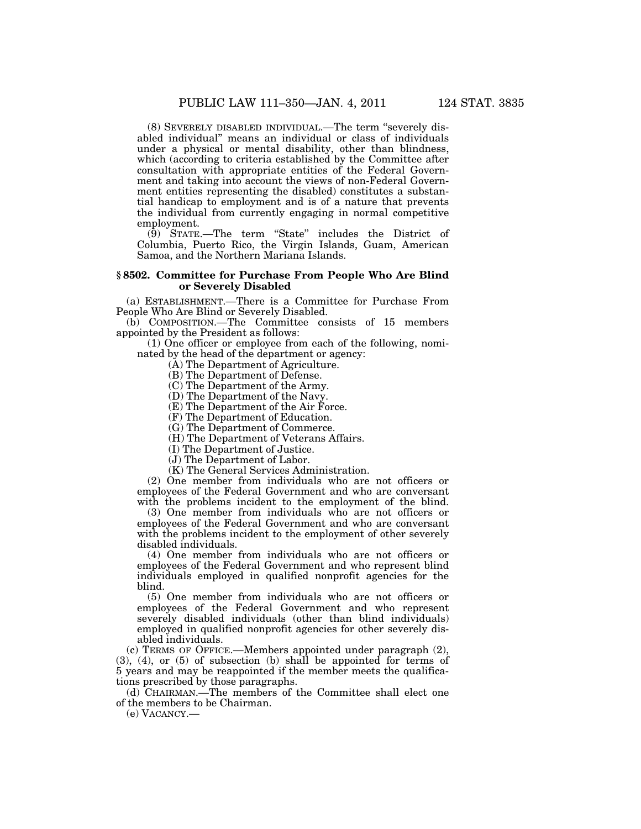(8) SEVERELY DISABLED INDIVIDUAL.—The term ''severely disabled individual'' means an individual or class of individuals under a physical or mental disability, other than blindness, which (according to criteria established by the Committee after consultation with appropriate entities of the Federal Government and taking into account the views of non-Federal Government entities representing the disabled) constitutes a substantial handicap to employment and is of a nature that prevents the individual from currently engaging in normal competitive employment.

(9) STATE.—The term ''State'' includes the District of Columbia, Puerto Rico, the Virgin Islands, Guam, American Samoa, and the Northern Mariana Islands.

#### **§ 8502. Committee for Purchase From People Who Are Blind or Severely Disabled**

(a) ESTABLISHMENT.—There is a Committee for Purchase From People Who Are Blind or Severely Disabled.

(b) COMPOSITION.—The Committee consists of 15 members appointed by the President as follows:

(1) One officer or employee from each of the following, nominated by the head of the department or agency:

(A) The Department of Agriculture.

(B) The Department of Defense.

(C) The Department of the Army.

(D) The Department of the Navy.

(E) The Department of the Air Force.

(F) The Department of Education.

(G) The Department of Commerce.

(H) The Department of Veterans Affairs.

(I) The Department of Justice.

(J) The Department of Labor.

(K) The General Services Administration.

(2) One member from individuals who are not officers or employees of the Federal Government and who are conversant with the problems incident to the employment of the blind.

(3) One member from individuals who are not officers or employees of the Federal Government and who are conversant with the problems incident to the employment of other severely disabled individuals.

(4) One member from individuals who are not officers or employees of the Federal Government and who represent blind individuals employed in qualified nonprofit agencies for the blind.

(5) One member from individuals who are not officers or employees of the Federal Government and who represent severely disabled individuals (other than blind individuals) employed in qualified nonprofit agencies for other severely disabled individuals.

(c) TERMS OF OFFICE.—Members appointed under paragraph (2), (3), (4), or (5) of subsection (b) shall be appointed for terms of 5 years and may be reappointed if the member meets the qualifications prescribed by those paragraphs.

(d) CHAIRMAN.—The members of the Committee shall elect one of the members to be Chairman.

(e) VACANCY.—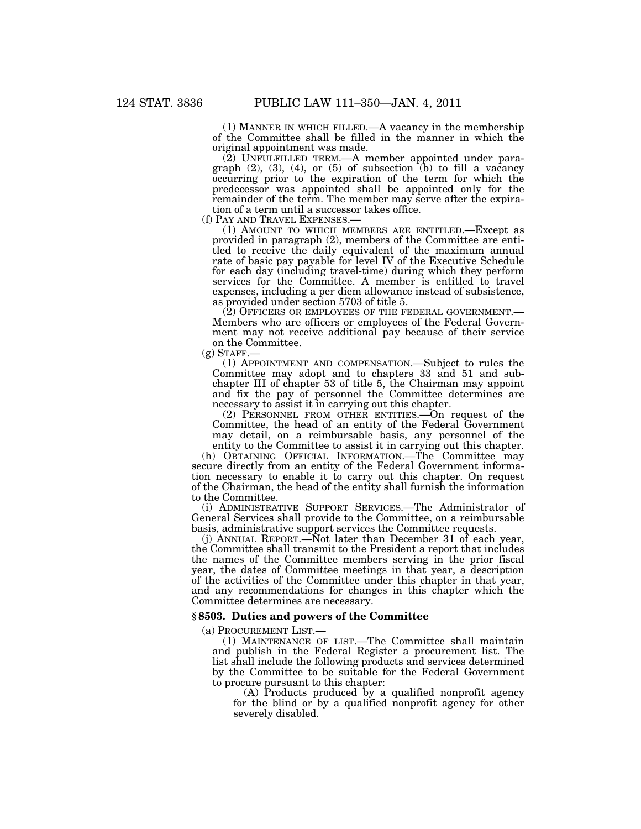(1) MANNER IN WHICH FILLED.—A vacancy in the membership of the Committee shall be filled in the manner in which the original appointment was made.

(2) UNFULFILLED TERM.—A member appointed under paragraph  $(2)$ ,  $(3)$ ,  $(4)$ , or  $(5)$  of subsection  $(b)$  to fill a vacancy occurring prior to the expiration of the term for which the predecessor was appointed shall be appointed only for the remainder of the term. The member may serve after the expiration of a term until a successor takes office.<br>(f) PAY AND TRAVEL EXPENSES.—

 $(1)$  AMOUNT TO WHICH MEMBERS ARE ENTITLED.—Except as provided in paragraph (2), members of the Committee are entitled to receive the daily equivalent of the maximum annual rate of basic pay payable for level IV of the Executive Schedule for each day (including travel-time) during which they perform services for the Committee. A member is entitled to travel expenses, including a per diem allowance instead of subsistence, as provided under section 5703 of title 5.<br>(2) OFFICERS OR EMPLOYEES OF THE FEDERAL GOVERNMENT.—

Members who are officers or employees of the Federal Government may not receive additional pay because of their service on the Committee.

(g) STAFF.— (1) APPOINTMENT AND COMPENSATION.—Subject to rules the Committee may adopt and to chapters 33 and 51 and subchapter III of chapter 53 of title 5, the Chairman may appoint and fix the pay of personnel the Committee determines are necessary to assist it in carrying out this chapter.

(2) PERSONNEL FROM OTHER ENTITIES.—On request of the Committee, the head of an entity of the Federal Government may detail, on a reimbursable basis, any personnel of the entity to the Committee to assist it in carrying out this chapter.

(h) OBTAINING OFFICIAL INFORMATION.—The Committee may secure directly from an entity of the Federal Government information necessary to enable it to carry out this chapter. On request of the Chairman, the head of the entity shall furnish the information to the Committee.

(i) ADMINISTRATIVE SUPPORT SERVICES.—The Administrator of General Services shall provide to the Committee, on a reimbursable basis, administrative support services the Committee requests.

 $(i)$  ANNUAL REPORT.—Not later than December 31 of each year, the Committee shall transmit to the President a report that includes the names of the Committee members serving in the prior fiscal year, the dates of Committee meetings in that year, a description of the activities of the Committee under this chapter in that year, and any recommendations for changes in this chapter which the Committee determines are necessary.

#### **§ 8503. Duties and powers of the Committee**

(a) PROCUREMENT LIST.— (1) MAINTENANCE OF LIST.—The Committee shall maintain and publish in the Federal Register a procurement list. The list shall include the following products and services determined by the Committee to be suitable for the Federal Government to procure pursuant to this chapter:

(A) Products produced by a qualified nonprofit agency for the blind or by a qualified nonprofit agency for other severely disabled.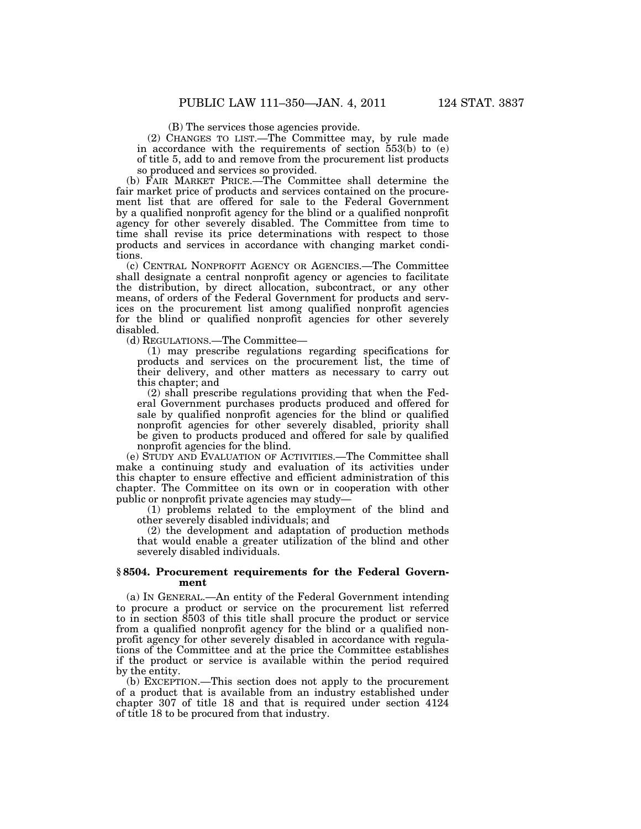(B) The services those agencies provide.

(2) CHANGES TO LIST.—The Committee may, by rule made in accordance with the requirements of section 553(b) to (e) of title 5, add to and remove from the procurement list products so produced and services so provided.

(b) FAIR MARKET PRICE.—The Committee shall determine the fair market price of products and services contained on the procurement list that are offered for sale to the Federal Government by a qualified nonprofit agency for the blind or a qualified nonprofit agency for other severely disabled. The Committee from time to time shall revise its price determinations with respect to those products and services in accordance with changing market conditions.

(c) CENTRAL NONPROFIT AGENCY OR AGENCIES.—The Committee shall designate a central nonprofit agency or agencies to facilitate the distribution, by direct allocation, subcontract, or any other means, of orders of the Federal Government for products and services on the procurement list among qualified nonprofit agencies for the blind or qualified nonprofit agencies for other severely disabled.

(d) REGULATIONS.—The Committee—

(1) may prescribe regulations regarding specifications for products and services on the procurement list, the time of their delivery, and other matters as necessary to carry out this chapter; and

(2) shall prescribe regulations providing that when the Federal Government purchases products produced and offered for sale by qualified nonprofit agencies for the blind or qualified nonprofit agencies for other severely disabled, priority shall be given to products produced and offered for sale by qualified nonprofit agencies for the blind.

(e) STUDY AND EVALUATION OF ACTIVITIES.—The Committee shall make a continuing study and evaluation of its activities under this chapter to ensure effective and efficient administration of this chapter. The Committee on its own or in cooperation with other public or nonprofit private agencies may study—

(1) problems related to the employment of the blind and other severely disabled individuals; and

(2) the development and adaptation of production methods that would enable a greater utilization of the blind and other severely disabled individuals.

#### **§ 8504. Procurement requirements for the Federal Government**

(a) IN GENERAL.—An entity of the Federal Government intending to procure a product or service on the procurement list referred to in section 8503 of this title shall procure the product or service from a qualified nonprofit agency for the blind or a qualified nonprofit agency for other severely disabled in accordance with regulations of the Committee and at the price the Committee establishes if the product or service is available within the period required by the entity.

(b) EXCEPTION.—This section does not apply to the procurement of a product that is available from an industry established under chapter 307 of title 18 and that is required under section 4124 of title 18 to be procured from that industry.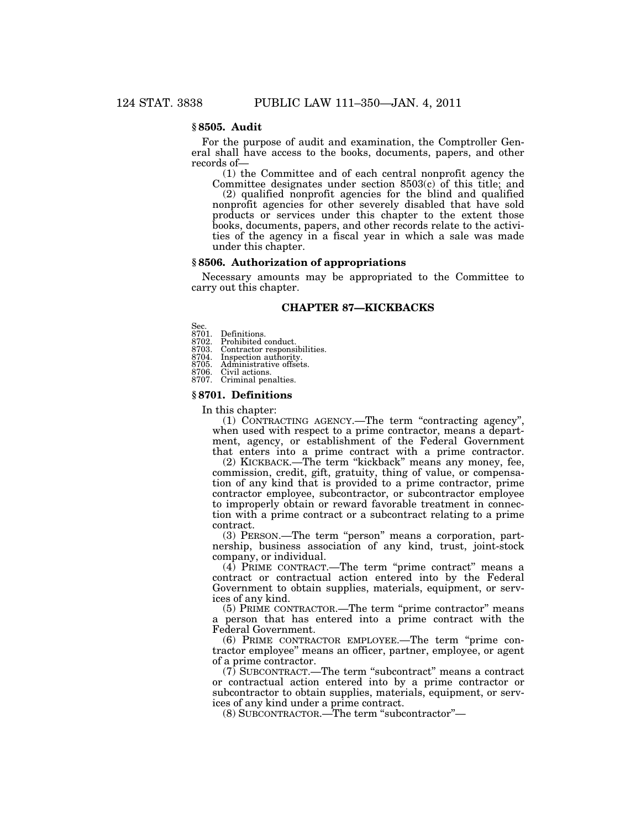#### **§ 8505. Audit**

For the purpose of audit and examination, the Comptroller General shall have access to the books, documents, papers, and other records of—

(1) the Committee and of each central nonprofit agency the Committee designates under section 8503(c) of this title; and

(2) qualified nonprofit agencies for the blind and qualified nonprofit agencies for other severely disabled that have sold products or services under this chapter to the extent those books, documents, papers, and other records relate to the activities of the agency in a fiscal year in which a sale was made under this chapter.

## **§ 8506. Authorization of appropriations**

Necessary amounts may be appropriated to the Committee to carry out this chapter.

### **CHAPTER 87—KICKBACKS**

Sec.

8701. Definitions. 8702. Prohibited conduct.

- 
- 8703. Contractor responsibilities. 8704. Inspection authority. 8703. Contractor responsibili<br>8704. Inspection authority.<br>8705. Administrative offsets.

8706. Civil actions. 8707. Criminal penalties.

#### **§ 8701. Definitions**

In this chapter:

(1) CONTRACTING AGENCY.—The term ''contracting agency'', when used with respect to a prime contractor, means a department, agency, or establishment of the Federal Government that enters into a prime contract with a prime contractor.

(2) KICKBACK.—The term ''kickback'' means any money, fee, commission, credit, gift, gratuity, thing of value, or compensation of any kind that is provided to a prime contractor, prime contractor employee, subcontractor, or subcontractor employee to improperly obtain or reward favorable treatment in connection with a prime contract or a subcontract relating to a prime contract.

(3) PERSON.—The term ''person'' means a corporation, partnership, business association of any kind, trust, joint-stock company, or individual.

(4) PRIME CONTRACT.—The term ''prime contract'' means a contract or contractual action entered into by the Federal Government to obtain supplies, materials, equipment, or services of any kind.

(5) PRIME CONTRACTOR.—The term ''prime contractor'' means a person that has entered into a prime contract with the Federal Government.

(6) PRIME CONTRACTOR EMPLOYEE.—The term ''prime contractor employee'' means an officer, partner, employee, or agent of a prime contractor.

(7) SUBCONTRACT.—The term "subcontract" means a contract or contractual action entered into by a prime contractor or subcontractor to obtain supplies, materials, equipment, or services of any kind under a prime contract.

(8) SUBCONTRACTOR.—The term ''subcontractor''—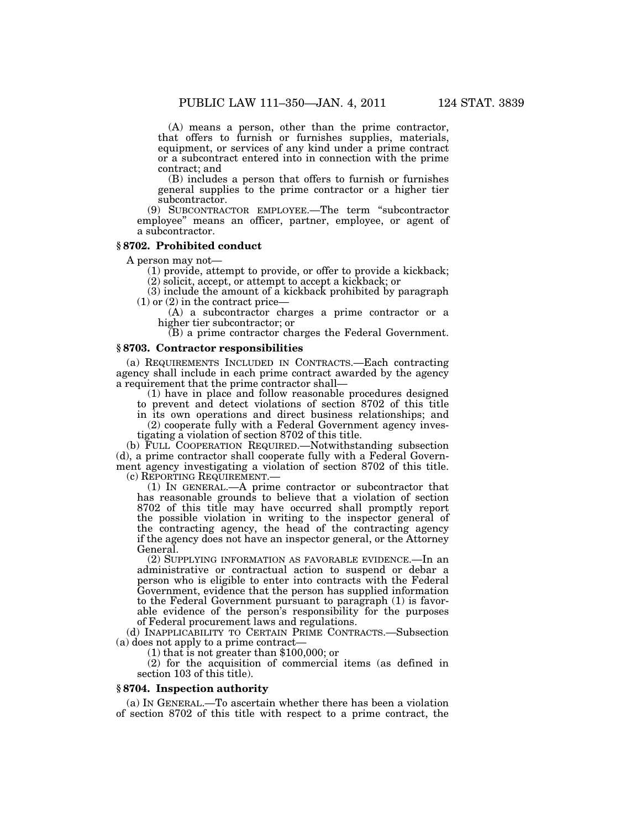(A) means a person, other than the prime contractor, that offers to furnish or furnishes supplies, materials, equipment, or services of any kind under a prime contract or a subcontract entered into in connection with the prime contract; and

(B) includes a person that offers to furnish or furnishes general supplies to the prime contractor or a higher tier subcontractor.

(9) SUBCONTRACTOR EMPLOYEE.—The term ''subcontractor employee'' means an officer, partner, employee, or agent of a subcontractor.

#### **§ 8702. Prohibited conduct**

A person may not—

(1) provide, attempt to provide, or offer to provide a kickback; (2) solicit, accept, or attempt to accept a kickback; or

(3) include the amount of a kickback prohibited by paragraph

 $(1)$  or  $(2)$  in the contract price—

(A) a subcontractor charges a prime contractor or a higher tier subcontractor; or

(B) a prime contractor charges the Federal Government.

#### **§ 8703. Contractor responsibilities**

(a) REQUIREMENTS INCLUDED IN CONTRACTS.—Each contracting agency shall include in each prime contract awarded by the agency a requirement that the prime contractor shall—

(1) have in place and follow reasonable procedures designed to prevent and detect violations of section 8702 of this title

in its own operations and direct business relationships; and

(2) cooperate fully with a Federal Government agency investigating a violation of section 8702 of this title.

(b) FULL COOPERATION REQUIRED.—Notwithstanding subsection (d), a prime contractor shall cooperate fully with a Federal Government agency investigating a violation of section 8702 of this title.<br>(c) REPORTING REQUIREMENT.—

 $(1)$  In GENERAL.—A prime contractor or subcontractor that has reasonable grounds to believe that a violation of section 8702 of this title may have occurred shall promptly report the possible violation in writing to the inspector general of the contracting agency, the head of the contracting agency if the agency does not have an inspector general, or the Attorney General.

(2) SUPPLYING INFORMATION AS FAVORABLE EVIDENCE.—In an administrative or contractual action to suspend or debar a person who is eligible to enter into contracts with the Federal Government, evidence that the person has supplied information to the Federal Government pursuant to paragraph (1) is favorable evidence of the person's responsibility for the purposes of Federal procurement laws and regulations.

(d) INAPPLICABILITY TO CERTAIN PRIME CONTRACTS.—Subsection (a) does not apply to a prime contract—<br>(1) that is not greater than \$100,000; or

(2) for the acquisition of commercial items (as defined in section 103 of this title).

#### **§ 8704. Inspection authority**

(a) IN GENERAL.—To ascertain whether there has been a violation of section 8702 of this title with respect to a prime contract, the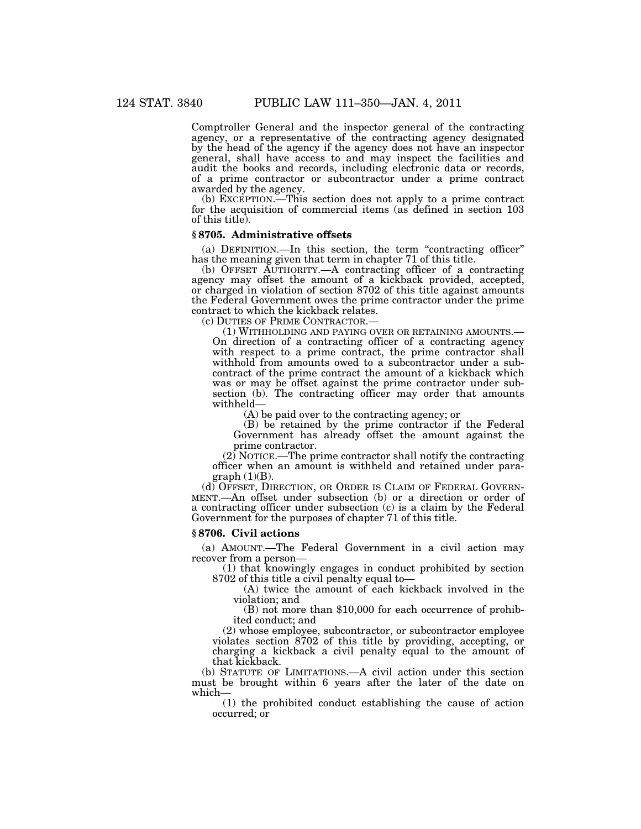Comptroller General and the inspector general of the contracting agency, or a representative of the contracting agency designated by the head of the agency if the agency does not have an inspector general, shall have access to and may inspect the facilities and audit the books and records, including electronic data or records, of a prime contractor or subcontractor under a prime contract awarded by the agency.

(b) EXCEPTION.—This section does not apply to a prime contract for the acquisition of commercial items (as defined in section 103 of this title).

#### **§ 8705. Administrative offsets**

(a) DEFINITION.—In this section, the term ''contracting officer'' has the meaning given that term in chapter 71 of this title.

(b) OFFSET AUTHORITY.—A contracting officer of a contracting agency may offset the amount of a kickback provided, accepted, or charged in violation of section 8702 of this title against amounts the Federal Government owes the prime contractor under the prime contract to which the kickback relates.<br>(c) DUTIES OF PRIME CONTRACTOR.—

(1) WITHHOLDING AND PAYING OVER OR RETAINING AMOUNTS.— On direction of a contracting officer of a contracting agency with respect to a prime contract, the prime contractor shall withhold from amounts owed to a subcontractor under a subcontract of the prime contract the amount of a kickback which was or may be offset against the prime contractor under subsection (b). The contracting officer may order that amounts withheld—

(A) be paid over to the contracting agency; or

(B) be retained by the prime contractor if the Federal Government has already offset the amount against the prime contractor.

 $(2)$  NOTICE.—The prime contractor shall notify the contracting officer when an amount is withheld and retained under para-

graph  $(1)(B)$ .<br>(d) OFFSET, DIRECTION, OR ORDER IS CLAIM OF FEDERAL GOVERN-MENT.—An offset under subsection (b) or a direction or order of a contracting officer under subsection (c) is a claim by the Federal Government for the purposes of chapter 71 of this title.

#### **§ 8706. Civil actions**

(a) AMOUNT.—The Federal Government in a civil action may recover from a person—

(1) that knowingly engages in conduct prohibited by section 8702 of this title a civil penalty equal to—

(A) twice the amount of each kickback involved in the

violation; and<br>(B) not more than \$10,000 for each occurrence of prohibited conduct; and

(2) whose employee, subcontractor, or subcontractor employee violates section 8702 of this title by providing, accepting, or charging a kickback a civil penalty equal to the amount of that kickback.

(b) STATUTE OF LIMITATIONS.—A civil action under this section must be brought within 6 years after the later of the date on which—

(1) the prohibited conduct establishing the cause of action occurred; or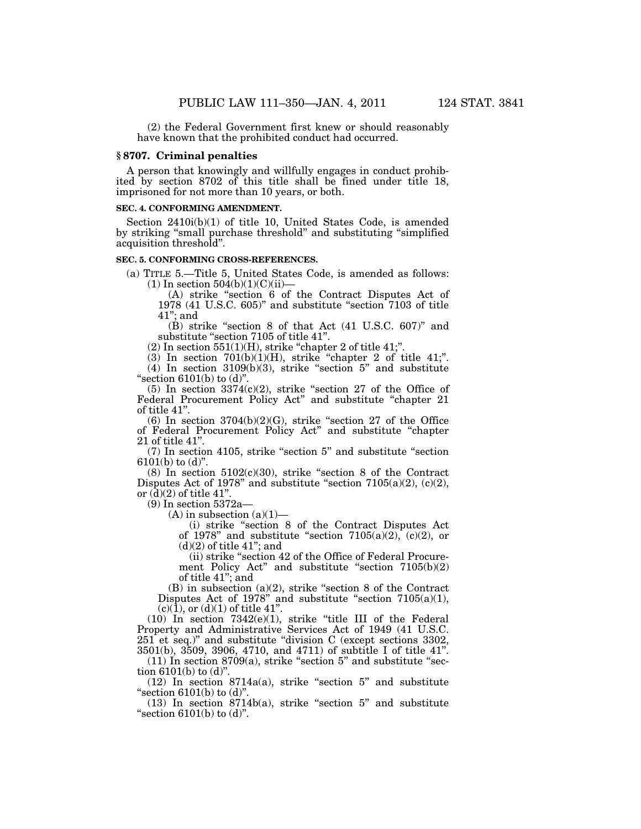(2) the Federal Government first knew or should reasonably have known that the prohibited conduct had occurred.

#### **§ 8707. Criminal penalties**

A person that knowingly and willfully engages in conduct prohibited by section 8702 of this title shall be fined under title 18, imprisoned for not more than 10 years, or both.

#### **SEC. 4. CONFORMING AMENDMENT.**

Section 2410i(b)(1) of title 10, United States Code, is amended by striking ''small purchase threshold'' and substituting ''simplified acquisition threshold''.

#### **SEC. 5. CONFORMING CROSS-REFERENCES.**

(a) TITLE 5.—Title 5, United States Code, is amended as follows:  $(1)$  In section 504(b)(1)(C)(ii)-

(A) strike ''section 6 of the Contract Disputes Act of 1978 (41 U.S.C. 605)'' and substitute ''section 7103 of title 41''; and

(B) strike ''section 8 of that Act (41 U.S.C. 607)'' and substitute "section 7105 of title 41".

 $(2)$  In section 551(1)(H), strike "chapter 2 of title 41;"

(3) In section  $701(b)(1)(H)$ , strike "chapter 2 of title 41;". (4) In section  $3109(b)(3)$ , strike "section 5" and substitute "section  $6101(b)$  to  $(d)$ ".

 $(5)$  In section 3374 $(c)(2)$ , strike "section 27 of the Office of Federal Procurement Policy Act" and substitute "chapter 21 of title 41''.

 $(6)$  In section 3704 $(b)(2)(G)$ , strike "section 27 of the Office" of Federal Procurement Policy Act'' and substitute ''chapter 21 of title 41''.

(7) In section 4105, strike ''section 5'' and substitute ''section 6101(b) to (d)''.

 $(8)$  In section 5102 $(c)(30)$ , strike "section 8 of the Contract Disputes Act of 1978" and substitute "section 7105(a)(2),  $(c)(2)$ , or  $(d)(2)$  of title 41".

(9) In section 5372a—

 $(A)$  in subsection  $(a)(1)$ —

(i) strike ''section 8 of the Contract Disputes Act of 1978" and substitute "section  $7105(a)(2)$ ,  $(c)(2)$ , or  $(d)(2)$  of title  $41"$ ; and

(ii) strike ''section 42 of the Office of Federal Procurement Policy Act" and substitute "section 7105(b)(2) of title 41''; and

(B) in subsection (a)(2), strike ''section 8 of the Contract Disputes Act of 1978" and substitute "section  $7105(a)(1)$ ,  $(c)(1)$ , or  $(d)(1)$  of title 41".

 $(10)$  In section  $7342(e)(1)$ , strike "title III of the Federal Property and Administrative Services Act of 1949 (41 U.S.C. 251 et seq.)'' and substitute ''division C (except sections 3302, 3501(b), 3509, 3906, 4710, and 4711) of subtitle I of title 41''.

 $(11)$  In section 8709 $(a)$ , strike "section 5" and substitute "section  $6101(b)$  to  $(d)$ ".

 $(12)$  In section 8714a(a), strike "section 5" and substitute "section 6101(b) to (d)".

(13) In section  $8714b(a)$ , strike "section 5" and substitute "section  $6101(b)$  to  $(d)$ ".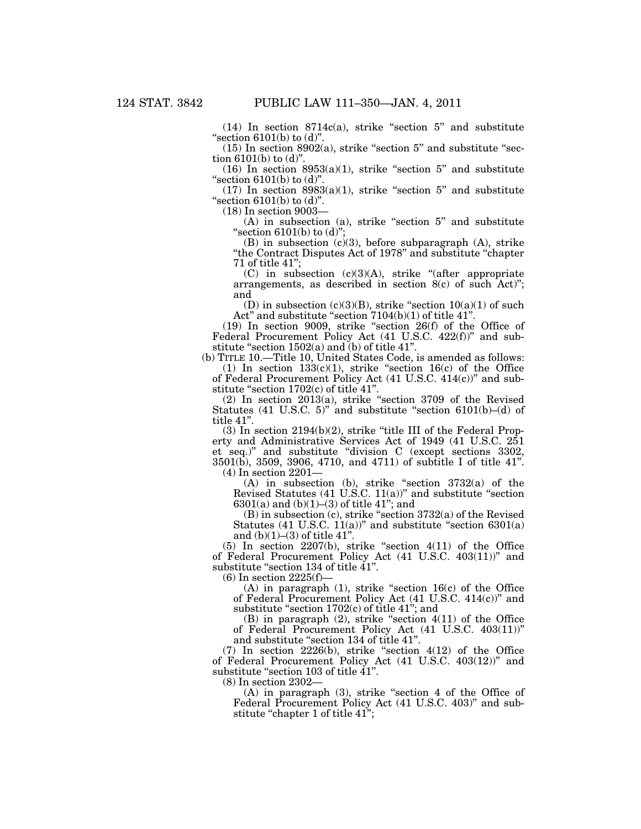$(14)$  In section 8714c(a), strike "section 5" and substitute "section  $6101(b)$  to  $(d)$ ".

 $(15)$  In section 8902(a), strike "section 5" and substitute "section  $6101(b)$  to  $(d)$ "

(16) In section 8953(a)(1), strike "section 5" and substitute "section 6101(b) to (d)".

 $(17)$  In section 8983 $(a)(1)$ , strike "section 5" and substitute "section  $6101(b)$  to  $(d)$ ".

(18) In section 9003—

(A) in subsection (a), strike ''section 5'' and substitute "section  $6101(b)$  to  $(d)$ "

(B) in subsection  $(c)(3)$ , before subparagraph  $(A)$ , strike ''the Contract Disputes Act of 1978'' and substitute ''chapter 71 of title 41'';

 $(C)$  in subsection  $(c)(3)(A)$ , strike "(after appropriate arrangements, as described in section 8(c) of such Act)''; and

(D) in subsection (c)(3)(B), strike "section  $10(a)(1)$  of such Act'' and substitute ''section 7104(b)(1) of title 41''.

(19) In section 9009, strike ''section 26(f) of the Office of Federal Procurement Policy Act (41 U.S.C. 422(f))" and substitute "section  $1502(a)$  and (b) of title 41".

(b) TITLE 10.—Title 10, United States Code, is amended as follows: (1) In section  $133(c)(1)$ , strike "section 16(c) of the Office of Federal Procurement Policy Act (41 U.S.C. 414(c))" and substitute "section  $1702(c)$  of title  $41"$ .

(2) In section 2013(a), strike ''section 3709 of the Revised Statutes (41 U.S.C. 5)" and substitute "section  $6101(b)$ –(d) of title 41''.

 $(3)$  In section 2194 $(b)(2)$ , strike "title III of the Federal Property and Administrative Services Act of 1949 (41 U.S.C. 251 et seq.)'' and substitute ''division C (except sections 3302, 3501(b), 3509, 3906, 4710, and 4711) of subtitle I of title 41''.

(4) In section 2201—

(A) in subsection (b), strike ''section 3732(a) of the Revised Statutes  $(41 \text{ U.S.C. } 11(a))$ " and substitute "section 6301(a) and (b)(1)–(3) of title 41"; and

(B) in subsection (c), strike ''section 3732(a) of the Revised Statutes (41 U.S.C. 11(a))" and substitute "section 6301(a) and  $(b)(1)–(3)$  of title 41".

 $(5)$  In section 2207 $(b)$ , strike "section 4 $(11)$  of the Office of Federal Procurement Policy Act (41 U.S.C. 403(11))" and substitute "section 134 of title  $41$ ".

 $(6)$  In section 2225(f)-

 $(A)$  in paragraph  $(1)$ , strike "section  $16(c)$  of the Office of Federal Procurement Policy Act (41 U.S.C. 414(c))" and substitute "section  $1702(c)$  of title 41"; and

(B) in paragraph (2), strike ''section 4(11) of the Office of Federal Procurement Policy Act (41 U.S.C. 403(11))'' and substitute ''section 134 of title 41''.

(7) In section 2226(b), strike ''section 4(12) of the Office of Federal Procurement Policy Act (41 U.S.C. 403(12))'' and substitute "section 103 of title  $41$ ".

(8) In section 2302—

(A) in paragraph (3), strike ''section 4 of the Office of Federal Procurement Policy Act (41 U.S.C. 403)" and substitute "chapter 1 of title  $41$ ";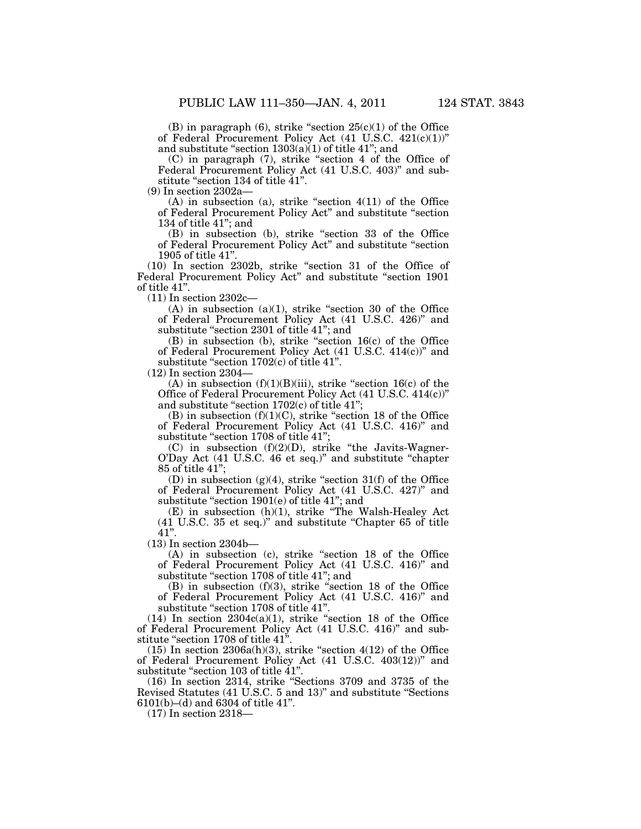$(B)$  in paragraph  $(6)$ , strike "section  $25(c)(1)$  of the Office of Federal Procurement Policy Act (41 U.S.C. 421(c)(1))'' and substitute "section  $1303(a)(1)$  of title 41"; and

(C) in paragraph (7), strike ''section 4 of the Office of Federal Procurement Policy Act (41 U.S.C. 403)" and substitute "section 134 of title 41".

(9) In section 2302a—

 $(A)$  in subsection  $(a)$ , strike "section  $4(11)$  of the Office of Federal Procurement Policy Act'' and substitute ''section 134 of title 41''; and

(B) in subsection (b), strike ''section 33 of the Office of Federal Procurement Policy Act'' and substitute ''section 1905 of title 41''.

(10) In section 2302b, strike ''section 31 of the Office of Federal Procurement Policy Act'' and substitute ''section 1901 of title 41''.

(11) In section 2302c—

 $(A)$  in subsection  $(a)(1)$ , strike "section 30 of the Office" of Federal Procurement Policy Act (41 U.S.C. 426)'' and substitute "section 2301 of title 41"; and

(B) in subsection (b), strike ''section 16(c) of the Office of Federal Procurement Policy Act (41 U.S.C. 414(c))'' and substitute "section  $1702(c)$  of title 41".

(12) In section 2304—

(A) in subsection  $(f)(1)(B)(iii)$ , strike "section 16(c) of the Office of Federal Procurement Policy Act (41 U.S.C. 414(c))'' and substitute "section  $1702(c)$  of title  $41$ ";

 $(B)$  in subsection  $(f)(1)(C)$ , strike "section 18 of the Office of Federal Procurement Policy Act (41 U.S.C. 416)'' and substitute "section 1708 of title 41";

(C) in subsection (f)(2)(D), strike ''the Javits-Wagner-O'Day Act (41 U.S.C. 46 et seq.)'' and substitute ''chapter 85 of title 41'';

(D) in subsection  $(g)(4)$ , strike "section 31(f) of the Office of Federal Procurement Policy Act (41 U.S.C. 427)'' and substitute "section 1901(e) of title 41"; and

 $(E)$  in subsection  $(h)(1)$ , strike "The Walsh-Healey Act (41 U.S.C. 35 et seq.)'' and substitute ''Chapter 65 of title 41''.

(13) In section 2304b—

(A) in subsection (c), strike ''section 18 of the Office of Federal Procurement Policy Act (41 U.S.C. 416)'' and substitute ''section 1708 of title 41''; and

(B) in subsection (f)(3), strike ''section 18 of the Office of Federal Procurement Policy Act (41 U.S.C. 416)'' and substitute "section 1708 of title 41".

(14) In section  $2304c(a)(1)$ , strike "section 18 of the Office of Federal Procurement Policy Act (41 U.S.C. 416)'' and substitute "section 1708 of title 41"

 $(15)$  In section  $2306a(h)(3)$ , strike "section  $4(12)$  of the Office of Federal Procurement Policy Act (41 U.S.C. 403(12))" and substitute "section 103 of title  $41"$ .

(16) In section 2314, strike ''Sections 3709 and 3735 of the Revised Statutes (41 U.S.C. 5 and 13)'' and substitute ''Sections 6101(b)–(d) and 6304 of title 41''.

(17) In section 2318—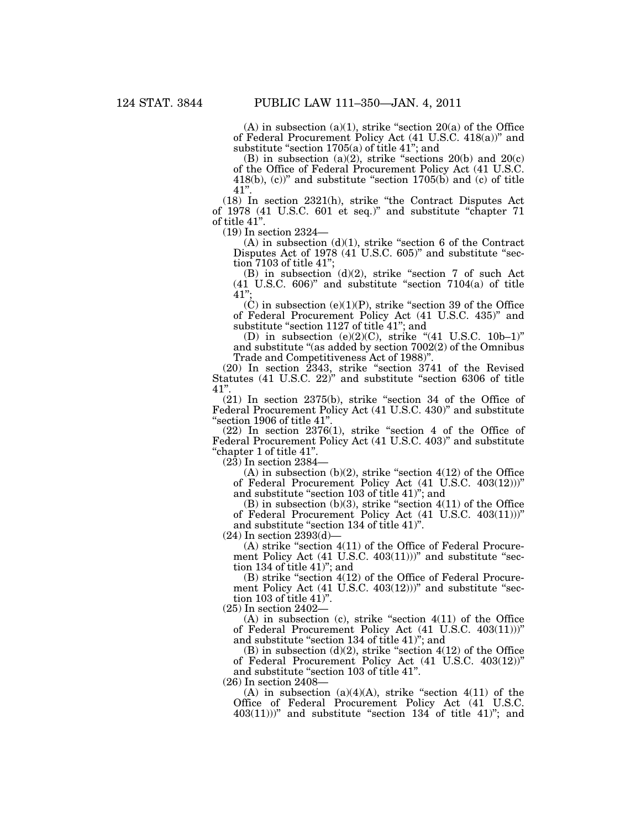(A) in subsection (a)(1), strike "section 20(a) of the Office of Federal Procurement Policy Act (41 U.S.C. 418(a))'' and substitute "section  $1705(a)$  of title  $41$ "; and

(B) in subsection (a)(2), strike ''sections 20(b) and 20(c) of the Office of Federal Procurement Policy Act (41 U.S.C. 418(b), (c))" and substitute "section  $1705(b)$  and (c) of title 41''.

(18) In section 2321(h), strike ''the Contract Disputes Act of 1978 (41 U.S.C. 601 et seq.)'' and substitute ''chapter 71 of title 41''.

(19) In section 2324—

(A) in subsection  $(d)(1)$ , strike "section 6 of the Contract Disputes Act of 1978 (41 U.S.C. 605)" and substitute "section 7103 of title 41'';

(B) in subsection  $(d)(2)$ , strike "section 7 of such Act  $(41 \text{ U.S.C. } 606)$ " and substitute "section  $7104(a)$  of title  $41"$ 

 $(C)$  in subsection (e)(1)(P), strike "section 39 of the Office of Federal Procurement Policy Act (41 U.S.C. 435)'' and substitute "section 1127 of title 41"; and

(D) in subsection (e)(2)(C), strike ''(41 U.S.C. 10b–1)'' and substitute ''(as added by section 7002(2) of the Omnibus Trade and Competitiveness Act of 1988)''.

(20) In section 2343, strike ''section 3741 of the Revised Statutes (41 U.S.C. 22)" and substitute "section 6306 of title  $41"$ 

(21) In section 2375(b), strike ''section 34 of the Office of Federal Procurement Policy Act (41 U.S.C. 430)" and substitute 'section 1906 of title 41".

(22) In section 2376(1), strike ''section 4 of the Office of Federal Procurement Policy Act (41 U.S.C. 403)'' and substitute ''chapter 1 of title 41''.

(23) In section 2384—

(A) in subsection (b)(2), strike "section  $4(12)$  of the Office of Federal Procurement Policy Act (41 U.S.C. 403(12)))'' and substitute ''section 103 of title 41)''; and

 $(B)$  in subsection  $(b)(3)$ , strike "section  $4(11)$  of the Office of Federal Procurement Policy Act (41 U.S.C. 403(11)))'' and substitute ''section 134 of title 41)''.

(24) In section 2393(d)—

 $(A)$  strike "section  $4(11)$  of the Office of Federal Procurement Policy Act  $(41 \text{ U.S.C. } 403(11)))$ " and substitute "section 134 of title 41)''; and

 $(B)$  strike "section  $4(12)$  of the Office of Federal Procurement Policy Act  $(41 \text{ U.S.C. } 403(12)))$ " and substitute "section 103 of title 41)''.

(25) In section 2402—

 $(A)$  in subsection  $(c)$ , strike "section  $4(11)$  of the Office of Federal Procurement Policy Act (41 U.S.C. 403(11)))'' and substitute ''section 134 of title 41)''; and

(B) in subsection (d)(2), strike "section 4(12) of the Office of Federal Procurement Policy Act (41 U.S.C. 403(12))'' and substitute ''section 103 of title 41''.

(26) In section 2408—

(A) in subsection (a)(4)(A), strike "section 4(11) of the Office of Federal Procurement Policy Act (41 U.S.C.  $403(11)$ )" and substitute "section 134 of title 41)"; and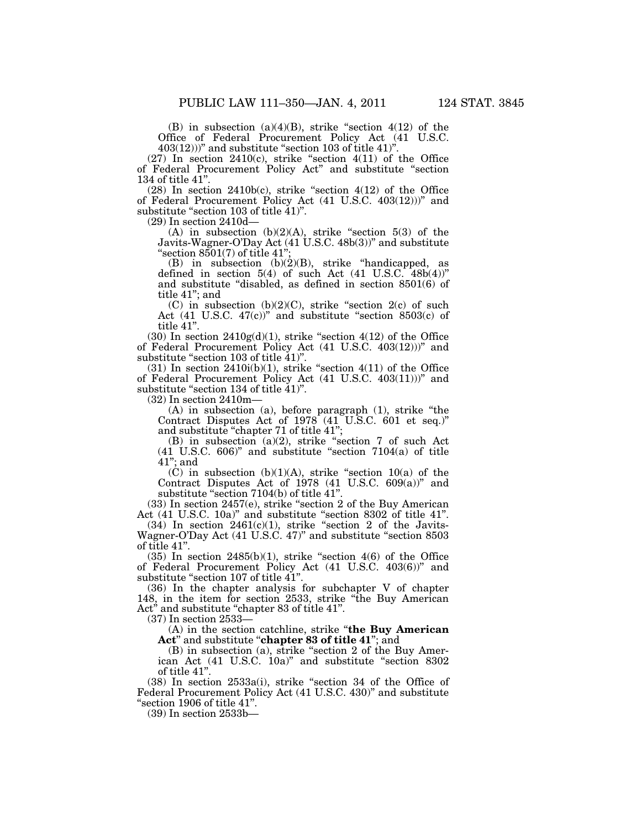(B) in subsection  $(a)(4)(B)$ , strike "section  $4(12)$  of the Office of Federal Procurement Policy Act (41 U.S.C.  $(403(12))$ " and substitute "section 103 of title 41".

 $(27)$  In section  $2410(c)$ , strike "section  $4(11)$  of the Office of Federal Procurement Policy Act'' and substitute ''section 134 of title 41''.

 $(28)$  In section  $2410b(c)$ , strike "section  $4(12)$  of the Office of Federal Procurement Policy Act (41 U.S.C. 403(12)))" and substitute "section 103 of title 41)".

(29) In section 2410d—

 $(A)$  in subsection  $(b)(2)(A)$ , strike "section 5(3) of the Javits-Wagner-O'Day Act (41 U.S.C. 48b(3))'' and substitute "section  $8501(7)$  of title  $41"$ ;

(B) in subsection  $(b)(2)(B)$ , strike "handicapped, as defined in section  $5(4)$  of such Act  $(41 \text{ U.S.C. } 48b(4))^n$ and substitute ''disabled, as defined in section 8501(6) of title 41''; and

(C) in subsection  $(b)(2)(C)$ , strike "section  $2(c)$  of such Act  $(41 \text{ U.S.C. } 47(c))$ " and substitute "section 8503 $(c)$  of title 41''.

(30) In section  $2410g(d)(1)$ , strike "section  $4(12)$  of the Office of Federal Procurement Policy Act (41 U.S.C. 403(12)))'' and substitute "section 103 of title  $41$ ".

(31) In section 2410i(b)(1), strike "section 4(11) of the Office of Federal Procurement Policy Act (41 U.S.C. 403(11)))" and substitute "section 134 of title 41)".

(32) In section 2410m—

(A) in subsection (a), before paragraph (1), strike ''the Contract Disputes Act of 1978 (41 U.S.C. 601 et seq.)'' and substitute "chapter 71 of title 41";

(B) in subsection (a)(2), strike ''section 7 of such Act  $(41 \text{ U.S.C. } 606)$ " and substitute "section  $7104(a)$  of title 41''; and

 $(C)$  in subsection  $(b)(1)(A)$ , strike "section  $10(a)$  of the Contract Disputes Act of 1978 (41 U.S.C. 609(a))'' and substitute "section 7104(b) of title 41".

(33) In section 2457(e), strike ''section 2 of the Buy American Act (41 U.S.C. 10a)'' and substitute ''section 8302 of title 41''.

 $(34)$  In section  $2461(c)(1)$ , strike "section 2 of the Javits-Wagner-O'Day Act (41 U.S.C. 47)'' and substitute ''section 8503 of title 41''.

 $(35)$  In section  $2485(b)(1)$ , strike "section  $4(6)$  of the Office of Federal Procurement Policy Act (41 U.S.C. 403(6))'' and substitute "section 107 of title 41".

(36) In the chapter analysis for subchapter V of chapter 148, in the item for section 2533, strike "the Buy American Act" and substitute "chapter 83 of title 41".

(37) In section 2533—

(A) in the section catchline, strike ''**the Buy American Act**'' and substitute ''**chapter 83 of title 41**''; and

(B) in subsection (a), strike ''section 2 of the Buy American Act (41 U.S.C. 10a)'' and substitute ''section 8302 of title 41''.

(38) In section 2533a(i), strike ''section 34 of the Office of Federal Procurement Policy Act (41 U.S.C. 430)'' and substitute ' $\sec$  1906 of title 41".

(39) In section 2533b—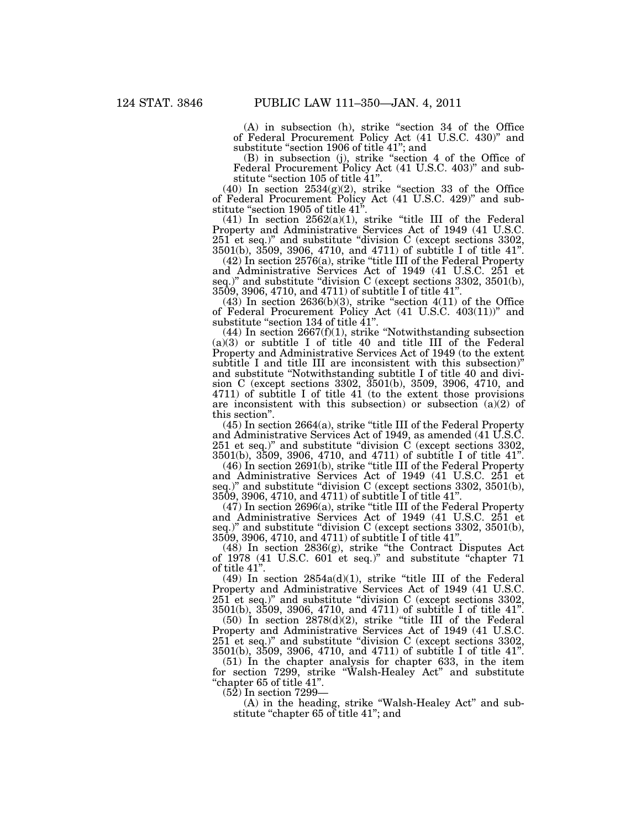(A) in subsection (h), strike ''section 34 of the Office of Federal Procurement Policy Act (41 U.S.C. 430)'' and substitute "section 1906 of title 41"; and

(B) in subsection (j), strike ''section 4 of the Office of Federal Procurement Policy Act (41 U.S.C. 403)" and substitute "section 105 of title  $41"$ 

(40) In section  $2534(g)(2)$ , strike "section 33 of the Office of Federal Procurement Policy Act (41 U.S.C. 429)'' and substitute ''section 1905 of title 41''.

(41) In section  $2562(a)(1)$ , strike "title III of the Federal Property and Administrative Services Act of 1949 (41 U.S.C. 251 et seq.)" and substitute "division C (except sections 3302, 3501(b), 3509, 3906, 4710, and 4711) of subtitle I of title 41''.

 $(42)$  In section 2576(a), strike "title III of the Federal Property and Administrative Services Act of 1949 (41 U.S.C. 251 et seq.)" and substitute "division C (except sections 3302, 3501(b), 3509, 3906, 4710, and 4711) of subtitle I of title 41''.

 $(43)$  In section  $2636(b)(3)$ , strike "section  $4(11)$  of the Office of Federal Procurement Policy Act (41 U.S.C. 403(11))" and substitute "section 134 of title  $41"$ .

 $(44)$  In section 2667(f)(1), strike "Notwithstanding subsection (a)(3) or subtitle I of title 40 and title III of the Federal Property and Administrative Services Act of 1949 (to the extent subtitle I and title III are inconsistent with this subsection)" and substitute ''Notwithstanding subtitle I of title 40 and division C (except sections 3302, 3501(b), 3509, 3906, 4710, and 4711) of subtitle I of title 41 (to the extent those provisions are inconsistent with this subsection) or subsection  $(a)(2)$  of this section''.

 $(45)$  In section 2664 $(a)$ , strike "title III of the Federal Property" and Administrative Services Act of 1949, as amended (41 U.S.C.  $251$  et seq.)" and substitute "division  $\acute{C}$  (except sections 3302, 3501(b), 3509, 3906, 4710, and 4711) of subtitle I of title 41''.

(46) In section 2691(b), strike ''title III of the Federal Property and Administrative Services Act of 1949 (41 U.S.C. 251 et seq.)" and substitute "division C (except sections 3302, 3501(b), 3509, 3906, 4710, and 4711) of subtitle I of title 41''.

(47) In section 2696(a), strike ''title III of the Federal Property and Administrative Services Act of 1949 (41 U.S.C. 251 et seq.)" and substitute "division C (except sections 3302, 3501(b), 3509, 3906, 4710, and 4711) of subtitle I of title 41''.

(48) In section 2836(g), strike ''the Contract Disputes Act of 1978 (41 U.S.C. 601 et seq.)'' and substitute ''chapter 71 of title 41''.

(49) In section  $2854a(d)(1)$ , strike "title III of the Federal Property and Administrative Services Act of 1949 (41 U.S.C. 251 et seq.)'' and substitute ''division C (except sections 3302, 3501(b), 3509, 3906, 4710, and 4711) of subtitle I of title 41''.

 $(50)$  In section  $2878(d)(2)$ , strike "title III of the Federal Property and Administrative Services Act of 1949 (41 U.S.C. 251 et seq.)'' and substitute ''division C (except sections 3302, 3501(b), 3509, 3906, 4710, and 4711) of subtitle I of title 41''.

(51) In the chapter analysis for chapter 633, in the item for section 7299, strike ''Walsh-Healey Act'' and substitute ''chapter 65 of title 41''.

(52) In section 7299—

(A) in the heading, strike "Walsh-Healey Act" and substitute "chapter 65 of title 41"; and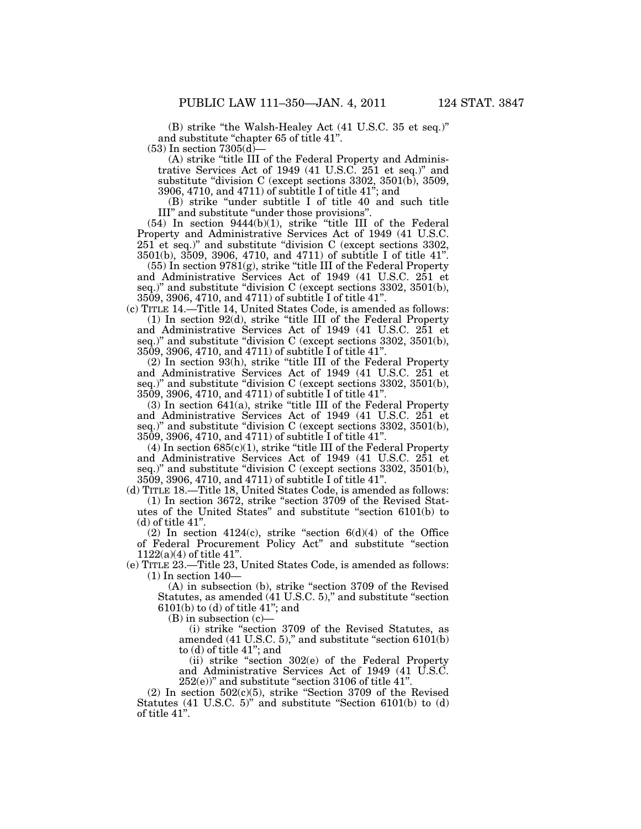(B) strike ''the Walsh-Healey Act (41 U.S.C. 35 et seq.)'' and substitute "chapter 65 of title 41".

 $(53)$  In section 7305 $(d)$ 

(A) strike "title III of the Federal Property and Administrative Services Act of 1949 (41 U.S.C. 251 et seq.)'' and substitute "division C (except sections 3302, 3501(b), 3509, 3906, 4710, and 4711) of subtitle I of title 41''; and

(B) strike ''under subtitle I of title 40 and such title III'' and substitute ''under those provisions''.

 $(54)$  In section  $9444(b)(1)$ , strike "title III of the Federal Property and Administrative Services Act of 1949 (41 U.S.C. 251 et seq.)'' and substitute ''division C (except sections 3302, 3501(b), 3509, 3906, 4710, and 4711) of subtitle I of title 41''.

 $(55)$  In section 9781(g), strike "title III of the Federal Property and Administrative Services Act of 1949 (41 U.S.C. 251 et seq.)" and substitute "division C (except sections 3302, 3501(b), 3509, 3906, 4710, and 4711) of subtitle I of title 41''.

(c) TITLE 14.—Title 14, United States Code, is amended as follows:

(1) In section  $92(d)$ , strike "title III of the Federal Property and Administrative Services Act of 1949 (41 U.S.C. 251 et seq.)" and substitute "division C (except sections 3302, 3501(b), 3509, 3906, 4710, and 4711) of subtitle I of title 41''.

(2) In section 93(h), strike ''title III of the Federal Property and Administrative Services Act of 1949 (41 U.S.C. 251 et seq.)" and substitute "division C (except sections  $3302$ ,  $3501(b)$ , 3509, 3906, 4710, and 4711) of subtitle I of title 41''.

(3) In section 641(a), strike ''title III of the Federal Property and Administrative Services Act of 1949 (41 U.S.C. 251 et seq.)" and substitute "division C (except sections 3302, 3501(b), 3509, 3906, 4710, and 4711) of subtitle I of title 41''.

 $(4)$  In section  $685(c)(1)$ , strike "title III of the Federal Property and Administrative Services Act of 1949 (41 U.S.C. 251 et seq.)" and substitute "division C (except sections 3302, 3501(b), 3509, 3906, 4710, and 4711) of subtitle I of title 41''.

(d) TITLE 18.—Title 18, United States Code, is amended as follows: (1) In section 3672, strike ''section 3709 of the Revised Statutes of the United States'' and substitute ''section 6101(b) to  $(d)$  of title 41".

(2) In section 4124(c), strike "section  $6(d)(4)$  of the Office of Federal Procurement Policy Act'' and substitute ''section  $1122(a)(4)$  of title 41".

(e) TITLE 23.—Title 23, United States Code, is amended as follows: (1) In section 140—

(A) in subsection (b), strike ''section 3709 of the Revised Statutes, as amended (41 U.S.C. 5)," and substitute "section  $6101(b)$  to (d) of title  $41$ "; and

(B) in subsection (c)—

(i) strike ''section 3709 of the Revised Statutes, as amended (41 U.S.C. 5)," and substitute "section  $6101(b)$ to (d) of title 41''; and

(ii) strike ''section 302(e) of the Federal Property and Administrative Services Act of 1949 (41 U.S.C.  $252(e)$ " and substitute "section 3106 of title 41".

(2) In section  $502(c)(5)$ , strike "Section 3709 of the Revised Statutes (41 U.S.C. 5)" and substitute "Section 6101(b) to (d) of title 41''.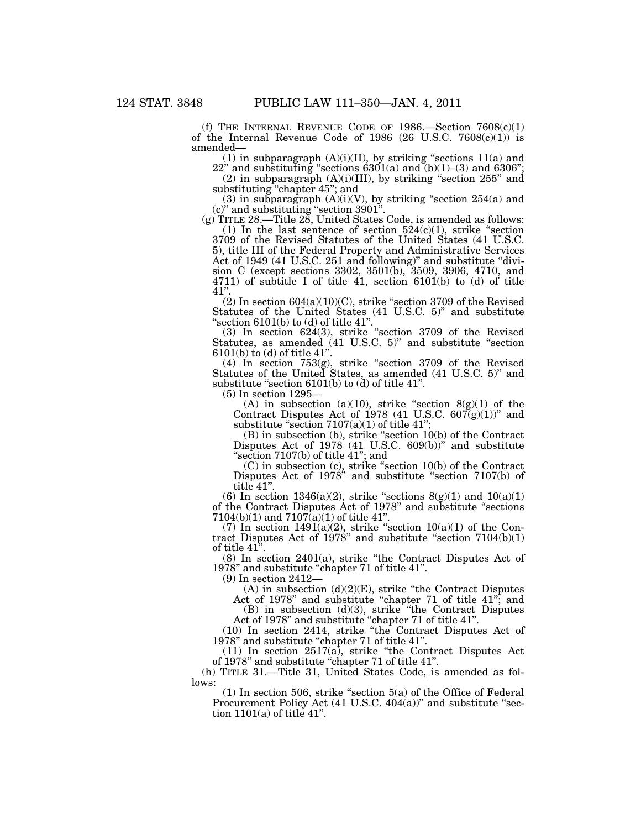(f) THE INTERNAL REVENUE CODE OF  $1986$ —Section  $7608(c)(1)$ of the Internal Revenue Code of 1986 (26 U.S.C.  $7608(c)(1)$ ) is amended—

(1) in subparagraph  $(A)(i)(II)$ , by striking "sections  $11(a)$  and

 $22$ " and substituting "sections  $6301(a)$  and  $(b)(1)-(3)$  and  $6306$ ";  $(2)$  in subparagraph  $(A)(i)(III)$ , by striking "section 255" and substituting ''chapter 45''; and

(3) in subparagraph  $(A)(i)(V)$ , by striking "section 254(a) and (c)'' and substituting ''section 3901''.

(g) TITLE 28.—Title 28, United States Code, is amended as follows: (1) In the last sentence of section  $524(c)(1)$ , strike "section 3709 of the Revised Statutes of the United States (41 U.S.C. 5), title III of the Federal Property and Administrative Services Act of 1949 (41 U.S.C. 251 and following)'' and substitute ''division C (except sections 3302, 3501(b), 3509, 3906, 4710, and 4711) of subtitle I of title 41, section 6101(b) to (d) of title 41''.

 $(2)$  In section 604 $(a)(10)(C)$ , strike "section 3709 of the Revised Statutes of the United States (41 U.S.C. 5)" and substitute "section  $6101(b)$  to  $(d)$  of title  $41"$ .

(3) In section 624(3), strike ''section 3709 of the Revised Statutes, as amended (41 U.S.C. 5)'' and substitute ''section 6101(b) to (d) of title  $41$ ".

(4) In section 753(g), strike ''section 3709 of the Revised Statutes of the United States, as amended (41 U.S.C. 5)'' and substitute "section  $6101(b)$  to (d) of title 41".

(5) In section 1295—

(A) in subsection (a)(10), strike "section  $8(g)(1)$  of the Contract Disputes Act of 1978 (41 U.S.C.  $607(g)(1)$ )" and substitute "section  $7107(a)(1)$  of title  $41'$ 

(B) in subsection (b), strike ''section 10(b) of the Contract Disputes Act of  $1978$  (41 U.S.C.  $609(b)$ )" and substitute "section 7107(b) of title 41"; and

(C) in subsection (c), strike ''section 10(b) of the Contract Disputes Act of 1978" and substitute "section 7107(b) of title 41''.

(6) In section 1346(a)(2), strike "sections  $8(g)(1)$  and  $10(a)(1)$ of the Contract Disputes Act of 1978'' and substitute ''sections 7104(b)(1) and 7107(a)(1) of title 41".

(7) In section  $1491(a)(2)$ , strike "section  $10(a)(1)$  of the Contract Disputes Act of  $1978$ " and substitute "section  $7104(b)(1)$ of title 41''.

(8) In section 2401(a), strike ''the Contract Disputes Act of 1978" and substitute "chapter 71 of title 41".

(9) In section 2412—

 $(A)$  in subsection  $(d)(2)(E)$ , strike "the Contract Disputes" Act of 1978" and substitute "chapter 71 of title 41"; and

 $(B)$  in subsection  $(d)(3)$ , strike "the Contract Disputes" Act of 1978" and substitute "chapter 71 of title 41".

(10) In section 2414, strike ''the Contract Disputes Act of 1978'' and substitute ''chapter 71 of title 41''.

(11) In section 2517(a), strike ''the Contract Disputes Act of 1978" and substitute "chapter 71 of title 41".

(h) TITLE 31.—Title 31, United States Code, is amended as follows:

(1) In section 506, strike ''section 5(a) of the Office of Federal Procurement Policy Act (41 U.S.C. 404(a))" and substitute "section  $1101(a)$  of title 41".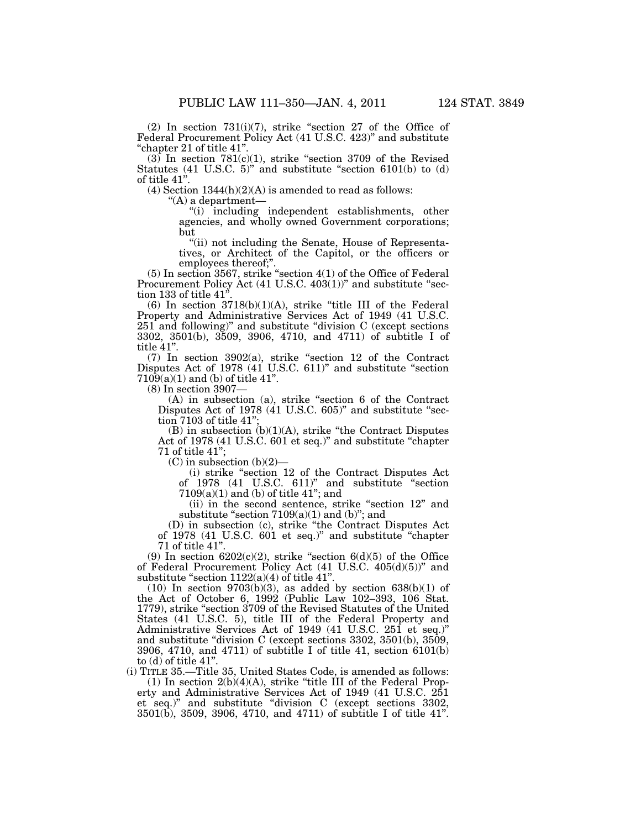$(2)$  In section 731 $(i)(7)$ , strike "section 27 of the Office of Federal Procurement Policy Act (41 U.S.C. 423)'' and substitute "chapter 21 of title 41".

 $(3)$  In section 781 $(c)(1)$ , strike "section 3709 of the Revised Statutes (41 U.S.C. 5)" and substitute "section 6101(b) to (d) of title 41''.

 $(4)$  Section 1344 $(h)(2)(A)$  is amended to read as follows:

''(A) a department—

''(i) including independent establishments, other agencies, and wholly owned Government corporations; but

"(ii) not including the Senate, House of Representatives, or Architect of the Capitol, or the officers or employees thereof;"

(5) In section 3567, strike "section  $4(1)$  of the Office of Federal Procurement Policy Act (41 U.S.C. 403(1))" and substitute "section 133 of title 41'

(6) In section  $3718(b)(1)(A)$ , strike "title III of the Federal Property and Administrative Services Act of 1949 (41 U.S.C. 251 and following)'' and substitute ''division C (except sections 3302, 3501(b), 3509, 3906, 4710, and 4711) of subtitle I of title 41''.

(7) In section 3902(a), strike ''section 12 of the Contract Disputes Act of 1978 (41 U.S.C. 611)" and substitute "section  $7109(a)(1)$  and (b) of title 41".

(8) In section 3907—

(A) in subsection (a), strike ''section 6 of the Contract Disputes Act of  $1978$  (41 U.S.C. 605)" and substitute "section  $7103$  of title  $41"$ 

 $(B)$  in subsection  $(b)(1)(A)$ , strike "the Contract Disputes" Act of 1978 (41 U.S.C. 601 et seq.)'' and substitute ''chapter 71 of title 41'';

 $(C)$  in subsection  $(b)(2)$ —

(i) strike ''section 12 of the Contract Disputes Act of 1978 (41 U.S.C. 611)'' and substitute ''section  $7109(a)(1)$  and (b) of title 41"; and

(ii) in the second sentence, strike ''section 12'' and substitute "section  $7109(a)(1)$  and (b)"; and

(D) in subsection (c), strike ''the Contract Disputes Act of 1978 (41 U.S.C. 601 et seq.)'' and substitute ''chapter 71 of title 41''.

(9) In section  $6202(c)(2)$ , strike "section  $6(d)(5)$  of the Office of Federal Procurement Policy Act (41 U.S.C. 405(d)(5))" and substitute "section  $1122(a)(4)$  of title 41".

 $(10)$  In section 9703(b)(3), as added by section 638(b)(1) of the Act of October 6, 1992 (Public Law 102–393, 106 Stat. 1779), strike ''section 3709 of the Revised Statutes of the United States (41 U.S.C. 5), title III of the Federal Property and Administrative Services Act of 1949 (41 U.S.C. 251 et seq.)'' and substitute "division C (except sections 3302, 3501(b), 3509, 3906, 4710, and 4711) of subtitle I of title 41, section 6101(b) to (d) of title 41''.

(i) TITLE 35.—Title 35, United States Code, is amended as follows: (1) In section  $2(b)(4)(A)$ , strike "title III of the Federal Property and Administrative Services Act of 1949 (41 U.S.C. 251 et seq.)'' and substitute ''division C (except sections 3302, 3501(b), 3509, 3906, 4710, and 4711) of subtitle I of title 41''.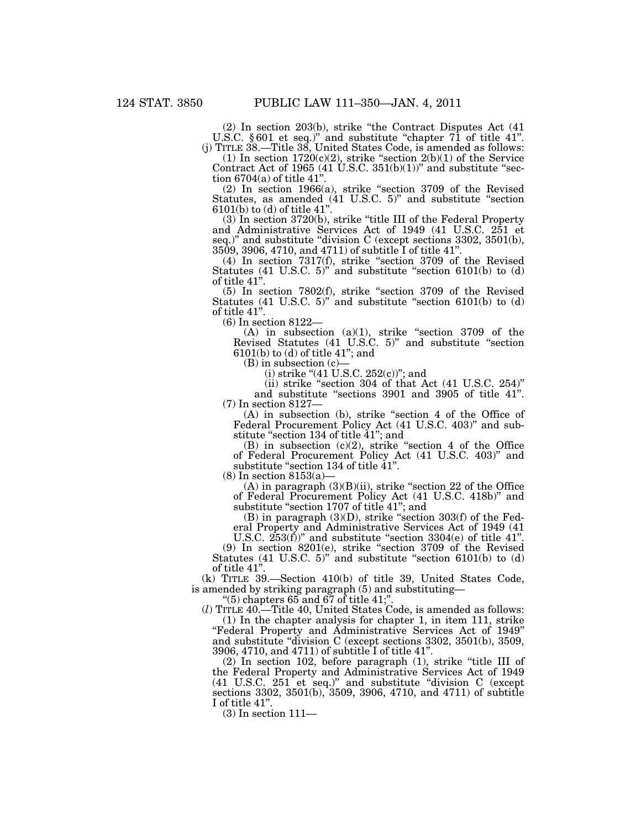(2) In section 203(b), strike ''the Contract Disputes Act (41 U.S.C. §601 et seq.)" and substitute "chapter 71 of title 41". (j) TITLE 38.—Title 38, United States Code, is amended as follows:

(1) In section  $1720(c)(2)$ , strike "section  $2(b)(1)$  of the Service Contract Act of 1965 (41 U.S.C.  $351(b)(1)$ )" and substitute "section  $6704(a)$  of title  $41"$ 

(2) In section 1966(a), strike ''section 3709 of the Revised Statutes, as amended (41 U.S.C. 5)" and substitute "section 6101(b) to (d) of title 41''.

(3) In section 3720(b), strike ''title III of the Federal Property and Administrative Services Act of 1949 (41 U.S.C. 251 et seq.)" and substitute "division C (except sections 3302, 3501(b), 3509, 3906, 4710, and 4711) of subtitle I of title 41''.

(4) In section 7317(f), strike ''section 3709 of the Revised Statutes (41 U.S.C. 5)" and substitute "section 6101(b) to (d) of title 41''.

(5) In section 7802(f), strike ''section 3709 of the Revised Statutes (41 U.S.C. 5)" and substitute "section 6101(b) to (d) of title 41''.

(6) In section 8122—

 $(A)$  in subsection  $(a)(1)$ , strike "section 3709 of the Revised Statutes (41 U.S.C. 5)'' and substitute ''section 6101(b) to (d) of title 41''; and

 $(B)$  in subsection  $(c)$ 

(i) strike " $(41 \text{ U.S.C. } 252(c))$ "; and

(ii) strike "section 304 of that Act  $(41 \text{ U.S.C. } 254)$ " and substitute ''sections 3901 and 3905 of title 41''. (7) In section 8127—

(A) in subsection (b), strike ''section 4 of the Office of Federal Procurement Policy Act (41 U.S.C. 403)" and substitute "section 134 of title 41"; and

 $(B)$  in subsection  $(c)(2)$ , strike "section 4 of the Office of Federal Procurement Policy Act (41 U.S.C. 403)'' and substitute "section 134 of title  $41$ ".

(8) In section 8153(a)—

 $(A)$  in paragraph  $(3)(B)(ii)$ , strike "section 22 of the Office" of Federal Procurement Policy Act (41 U.S.C. 418b)'' and substitute ''section 1707 of title 41''; and

(B) in paragraph (3)(D), strike ''section 303(f) of the Federal Property and Administrative Services Act of 1949 (41

U.S.C.  $253(f)$ " and substitute "section  $3304(e)$  of title 41". (9) In section 8201(e), strike ''section 3709 of the Revised Statutes  $(41 \text{ U.S.C. } 5)$ " and substitute "section  $6101(b)$  to  $(d)$ of title 41

(k) TITLE 39.—Section 410(b) of title 39, United States Code, is amended by striking paragraph (5) and substituting—

"(5) chapters  $65$  and  $67$  of title  $41$ ;"

(*l*) TITLE 40.—Title 40, United States Code, is amended as follows: (1) In the chapter analysis for chapter 1, in item 111, strike ''Federal Property and Administrative Services Act of 1949'' and substitute ''division C (except sections 3302, 3501(b), 3509, 3906, 4710, and 4711) of subtitle I of title 41''.

 $(2)$  In section 102, before paragraph  $(1)$ , strike "title III of the Federal Property and Administrative Services Act of 1949 (41 U.S.C. 251 et seq.)'' and substitute ''division C (except sections 3302, 3501(b), 3509, 3906, 4710, and 4711) of subtitle I of title 41''.

(3) In section 111—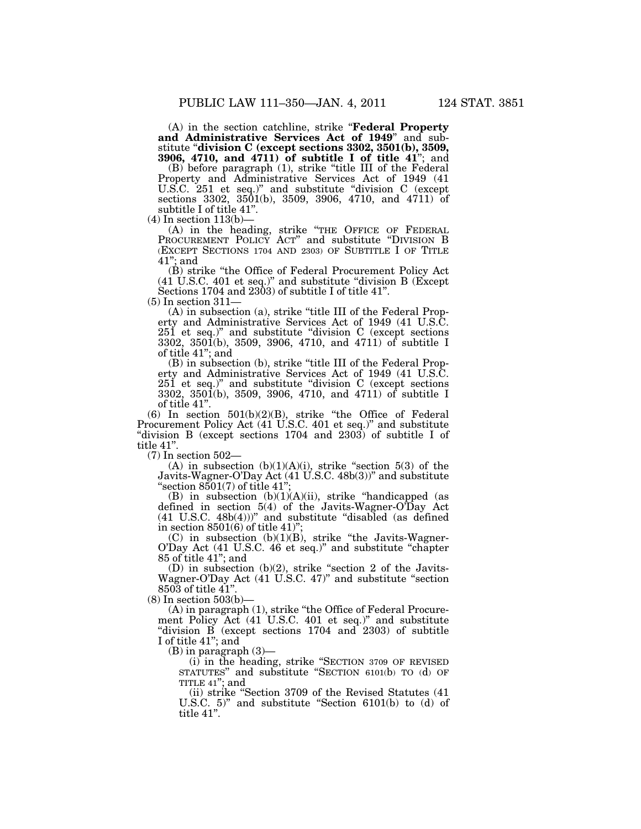(A) in the section catchline, strike ''**Federal Property and Administrative Services Act of 1949**'' and substitute ''**division C (except sections 3302, 3501(b), 3509, 3906, 4710, and 4711) of subtitle I of title 41**''; and

(B) before paragraph (1), strike ''title III of the Federal Property and Administrative Services Act of 1949 (41 U.S.C. 251 et seq.)'' and substitute ''division C (except sections 3302, 3501(b), 3509, 3906, 4710, and 4711) of subtitle I of title 41''.

 $(4)$  In section 113(b)-

(A) in the heading, strike ''THE OFFICE OF FEDERAL PROCUREMENT POLICY ACT" and substitute "DIVISION B (EXCEPT SECTIONS 1704 AND 2303) OF SUBTITLE I OF TITLE 41''; and

(B) strike ''the Office of Federal Procurement Policy Act (41 U.S.C. 401 et seq.)'' and substitute ''division B (Except Sections 1704 and 2303) of subtitle I of title 41''.

(5) In section 311—

(A) in subsection (a), strike "title III of the Federal Property and Administrative Services Act of 1949 (41 U.S.C.  $251$  et seq.)" and substitute "division C (except sections 3302, 3501(b), 3509, 3906, 4710, and 4711) of subtitle I of title 41''; and

(B) in subsection (b), strike "title III of the Federal Property and Administrative Services Act of 1949 (41 U.S.C. 251 et seq.)'' and substitute ''division C (except sections 3302, 3501(b), 3509, 3906, 4710, and 4711) of subtitle I of title 41''.

 $(6)$  In section  $501(b)(2)(B)$ , strike "the Office of Federal Procurement Policy Act (41 U.S.C. 401 et seq.)" and substitute ''division B (except sections 1704 and 2303) of subtitle I of title 41''.

(7) In section 502—

(A) in subsection  $(b)(1)(A)(i)$ , strike "section 5(3) of the Javits-Wagner-O'Day Act (41 U.S.C. 48b(3))'' and substitute "section  $8501(7)$  of title  $41$ ";

(B) in subsection (b)(1)(A)(ii), strike ''handicapped (as defined in section 5(4) of the Javits-Wagner-O'Day Act  $(41 \text{ U.S.C. } 48b(4)))$ " and substitute "disabled (as defined in section  $8501(6)$  of title 41)"

 $(C)$  in subsection  $(b)(1)(B)$ , strike "the Javits-Wagner-O'Day Act (41 U.S.C. 46 et seq.)'' and substitute ''chapter 85 of title 41''; and

(D) in subsection (b)(2), strike ''section 2 of the Javits-Wagner-O'Day Act (41 U.S.C. 47)'' and substitute ''section 8503 of title 41''.

 $(8)$  In section 503 $(b)$ 

(A) in paragraph (1), strike ''the Office of Federal Procurement Policy Act (41 U.S.C. 401 et seq.)'' and substitute ''division B (except sections 1704 and 2303) of subtitle I of title 41''; and

 $(B)$  in paragraph  $(3)$ -

(i) in the heading, strike ''SECTION 3709 OF REVISED STATUTES'' and substitute ''SECTION 6101(b) TO (d) OF TITLE 41''; and

(ii) strike ''Section 3709 of the Revised Statutes (41 U.S.C. 5)'' and substitute ''Section 6101(b) to (d) of title 41''.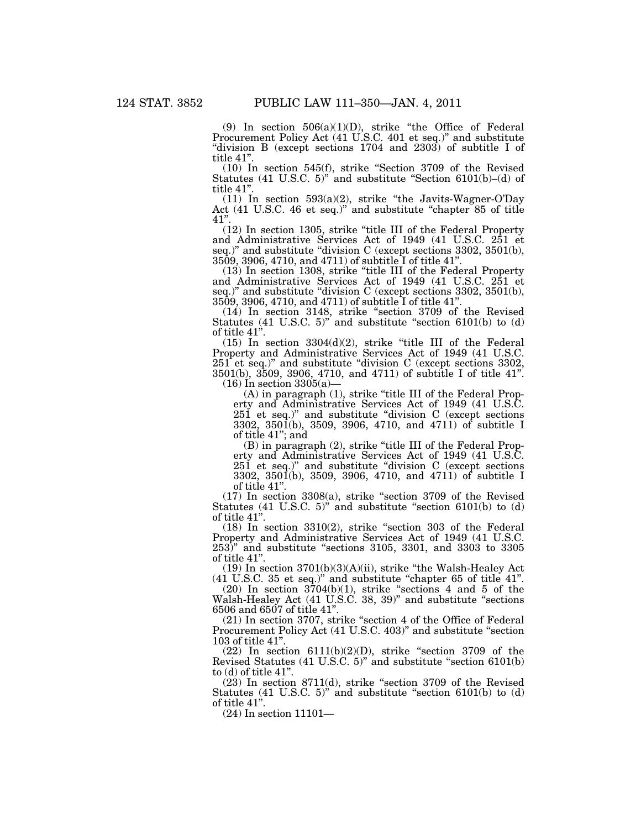(9) In section  $506(a)(1)(D)$ , strike "the Office of Federal Procurement Policy Act (41 U.S.C. 401 et seq.)" and substitute ''division B (except sections 1704 and 2303) of subtitle I of title 41''.

(10) In section 545(f), strike ''Section 3709 of the Revised Statutes  $(41 \text{ U.S.C. } 5)$ " and substitute "Section  $6101(b)$ – $(d)$  of title 41''.

(11) In section 593(a)(2), strike ''the Javits-Wagner-O'Day Act (41 U.S.C. 46 et seq.)'' and substitute ''chapter 85 of title 41''.

(12) In section 1305, strike ''title III of the Federal Property and Administrative Services Act of 1949 (41 U.S.C. 251 et seq.)" and substitute "division C (except sections 3302, 3501(b), 3509, 3906, 4710, and 4711) of subtitle I of title 41''.

(13) In section 1308, strike ''title III of the Federal Property and Administrative Services Act of 1949 (41 U.S.C. 251 et seq.)" and substitute "division C (except sections 3302, 3501(b), 3509, 3906, 4710, and 4711) of subtitle I of title 41''.

(14) In section 3148, strike ''section 3709 of the Revised Statutes  $(41 \text{ U.S.C. } 5)$ " and substitute "section  $6101(b)$  to  $(d)$ of title 41''.

 $(15)$  In section  $3304(d)(2)$ , strike "title III of the Federal Property and Administrative Services Act of 1949 (41 U.S.C. 251 et seq.)'' and substitute ''division C (except sections 3302, 3501(b), 3509, 3906, 4710, and 4711) of subtitle I of title 41''.  $(16)$  In section 3305(a)–

 $(A)$  in paragraph  $(1)$ , strike "title III of the Federal Property and Administrative Services Act of 1949 (41 U.S.C. 251 et seq.)'' and substitute ''division C (except sections 3302, 3501(b), 3509, 3906, 4710, and 4711) of subtitle I of title 41''; and

(B) in paragraph (2), strike "title III of the Federal Property and Administrative Services Act of 1949 (41 U.S.C. 251 et seq.)'' and substitute ''division C (except sections 3302, 3501(b), 3509, 3906, 4710, and 4711) of subtitle I of title 41''.

 $(17)$  In section 3308(a), strike "section 3709 of the Revised Statutes (41 U.S.C. 5)" and substitute "section 6101(b) to (d) of title 41''.

 $(18)$  In section 3310 $(2)$ , strike "section 303 of the Federal Property and Administrative Services Act of 1949 (41 U.S.C. 253)'' and substitute ''sections 3105, 3301, and 3303 to 3305 of title 41''.

 $(19)$  In section  $3701(b)(3)(A)(ii)$ , strike "the Walsh-Healey Act  $(41 \text{ U.S.C. } 35 \text{ et seq.})$ " and substitute "chapter 65 of title  $41$ ".

 $(20)$  In section 3704 $(b)(1)$ , strike "sections 4 and 5 of the Walsh-Healey Act (41 U.S.C. 38, 39)" and substitute "sections" 6506 and 6507 of title 41''.

(21) In section 3707, strike ''section 4 of the Office of Federal Procurement Policy Act (41 U.S.C. 403)'' and substitute ''section 103 of title  $41"$ 

 $(22)$  In section  $6111(b)(2)(D)$ , strike "section 3709 of the Revised Statutes (41 U.S.C. 5)'' and substitute ''section 6101(b) to (d) of title 41''.

(23) In section 8711(d), strike ''section 3709 of the Revised Statutes  $(41 \text{ U.S.C. } 5)$ " and substitute "section  $6101(b)$  to  $(d)$ " of title 41''.

(24) In section 11101—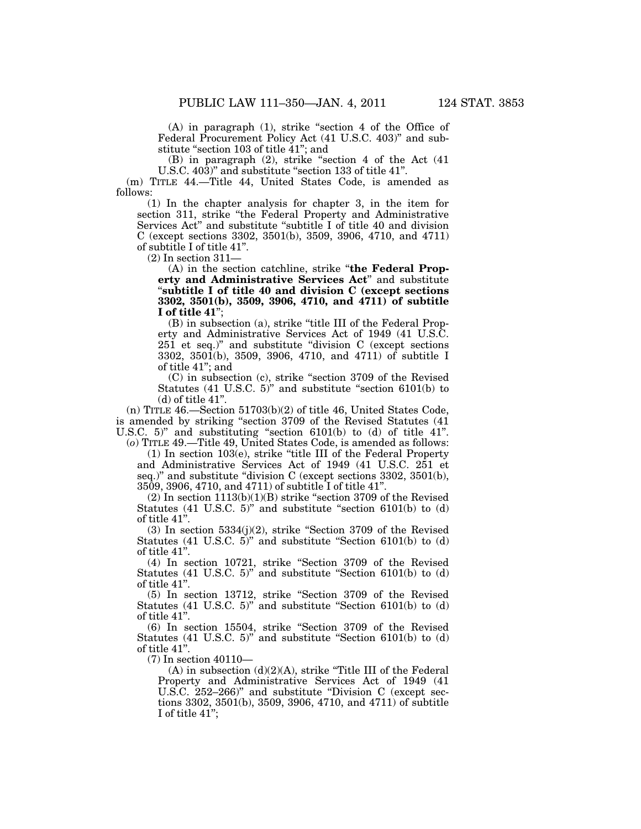(A) in paragraph (1), strike ''section 4 of the Office of Federal Procurement Policy Act (41 U.S.C. 403)" and substitute "section 103 of title 41"; and

(B) in paragraph (2), strike ''section 4 of the Act (41 U.S.C. 403)" and substitute "section 133 of title 41".

(m) TITLE 44.—Title 44, United States Code, is amended as follows:

(1) In the chapter analysis for chapter 3, in the item for section 311, strike "the Federal Property and Administrative Services Act'' and substitute ''subtitle I of title 40 and division C (except sections 3302, 3501(b), 3509, 3906, 4710, and 4711) of subtitle I of title 41''.

(2) In section 311—

(A) in the section catchline, strike ''**the Federal Property and Administrative Services Act**'' and substitute ''**subtitle I of title 40 and division C (except sections 3302, 3501(b), 3509, 3906, 4710, and 4711) of subtitle I of title 41**'';

(B) in subsection (a), strike "title III of the Federal Property and Administrative Services Act of 1949 (41 U.S.C. 251 et seq.)'' and substitute ''division C (except sections 3302, 3501(b), 3509, 3906, 4710, and 4711) of subtitle I of title 41''; and

(C) in subsection (c), strike ''section 3709 of the Revised Statutes (41 U.S.C. 5)'' and substitute ''section 6101(b) to  $(d)$  of title 41".

(n) TITLE  $46$ —Section  $51703(b)(2)$  of title 46, United States Code, is amended by striking ''section 3709 of the Revised Statutes (41 U.S.C. 5)" and substituting "section 6101(b) to (d) of title 41". (*o*) TITLE 49.—Title 49, United States Code, is amended as follows:

(1) In section 103(e), strike ''title III of the Federal Property

and Administrative Services Act of 1949 (41 U.S.C. 251 et seq.)" and substitute "division C (except sections 3302, 3501(b), 3509, 3906, 4710, and 4711) of subtitle I of title 41''.

 $(2)$  In section  $1113(b)(1)(B)$  strike "section 3709 of the Revised Statutes (41 U.S.C. 5)" and substitute "section 6101(b) to (d) of title 41''.

 $(3)$  In section 5334 $(j)(2)$ , strike "Section 3709 of the Revised Statutes (41 U.S.C. 5)" and substitute "Section 6101(b) to (d) of title 41''.

(4) In section 10721, strike ''Section 3709 of the Revised Statutes  $(41 \text{ U.S.C. } 5)$ " and substitute "Section 6101(b) to  $(d)$ of title 41''.

(5) In section 13712, strike ''Section 3709 of the Revised Statutes  $(41 \text{ U.S.C. } 5)$ " and substitute "Section 6101(b) to  $(d)$ of title 41''.

(6) In section 15504, strike ''Section 3709 of the Revised Statutes (41 U.S.C. 5)" and substitute "Section 6101(b) to (d) of title 41''.

(7) In section 40110—

 $(A)$  in subsection  $(d)(2)(A)$ , strike "Title III of the Federal Property and Administrative Services Act of 1949 (41 U.S.C. 252–266)" and substitute "Division C (except sections 3302, 3501(b), 3509, 3906, 4710, and 4711) of subtitle I of title 41'';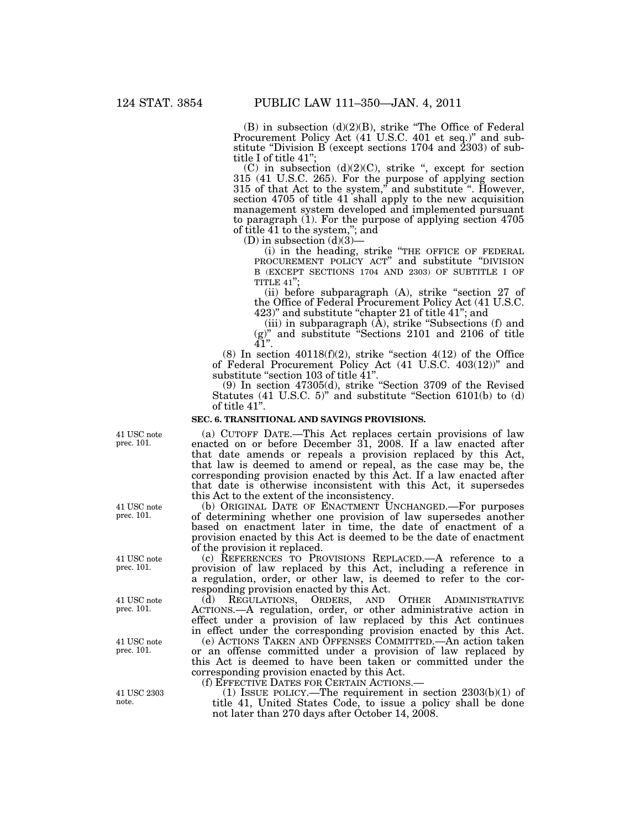$(B)$  in subsection  $(d)(2)(B)$ , strike "The Office of Federal" Procurement Policy Act (41 U.S.C. 401 et seq.)" and substitute "Division B (except sections 1704 and 2303) of subtitle I of title 41'';

 $(C)$  in subsection  $(d)(2)(C)$ , strike ", except for section 315 (41 U.S.C. 265). For the purpose of applying section 315 of that Act to the system,'' and substitute ''. However, section 4705 of title 41 shall apply to the new acquisition management system developed and implemented pursuant to paragraph (1). For the purpose of applying section 4705 of title 41 to the system,''; and

(D) in subsection  $(d)(3)$ —

(i) in the heading, strike ''THE OFFICE OF FEDERAL PROCUREMENT POLICY ACT'' and substitute ''DIVISION B (EXCEPT SECTIONS 1704 AND 2303) OF SUBTITLE I OF TITLE 41'

(ii) before subparagraph (A), strike ''section 27 of the Office of Federal Procurement Policy Act (41 U.S.C. 423)'' and substitute ''chapter 21 of title 41''; and

(iii) in subparagraph  $(\overline{A})$ , strike "Subsections  $(f)$  and  $(g)$ <sup>"</sup> and substitute "Sections 2101 and 2106 of title  $41$ ".

(8) In section  $40118(f)(2)$ , strike "section  $4(12)$  of the Office of Federal Procurement Policy Act (41 U.S.C. 403(12))'' and substitute "section 103 of title 41".

(9) In section 47305(d), strike ''Section 3709 of the Revised Statutes (41 U.S.C. 5)" and substitute "Section 6101(b) to (d) of title 41''.

#### **SEC. 6. TRANSITIONAL AND SAVINGS PROVISIONS.**

(a) CUTOFF DATE.—This Act replaces certain provisions of law enacted on or before December 31, 2008. If a law enacted after that date amends or repeals a provision replaced by this Act, that law is deemed to amend or repeal, as the case may be, the corresponding provision enacted by this Act. If a law enacted after that date is otherwise inconsistent with this Act, it supersedes this Act to the extent of the inconsistency.

(b) ORIGINAL DATE OF ENACTMENT UNCHANGED. For purposes of determining whether one provision of law supersedes another based on enactment later in time, the date of enactment of a provision enacted by this Act is deemed to be the date of enactment of the provision it replaced.

(c) REFERENCES TO PROVISIONS REPLACED.—A reference to a provision of law replaced by this Act, including a reference in a regulation, order, or other law, is deemed to refer to the corresponding provision enacted by this Act.

(d) REGULATIONS, ORDERS, AND OTHER ADMINISTRATIVE ACTIONS.—A regulation, order, or other administrative action in effect under a provision of law replaced by this Act continues in effect under the corresponding provision enacted by this Act.

(e) ACTIONS TAKEN AND OFFENSES COMMITTED.—An action taken or an offense committed under a provision of law replaced by this Act is deemed to have been taken or committed under the corresponding provision enacted by this Act.

(1) ISSUE POLICY.—The requirement in section  $2303(b)(1)$  of title 41, United States Code, to issue a policy shall be done not later than 270 days after October 14, 2008.

41 USC note prec. 101.

41 USC note prec. 101.

41 USC note prec. 101.

41 USC note prec. 101.

41 USC note prec. 101.

41 USC 2303 note.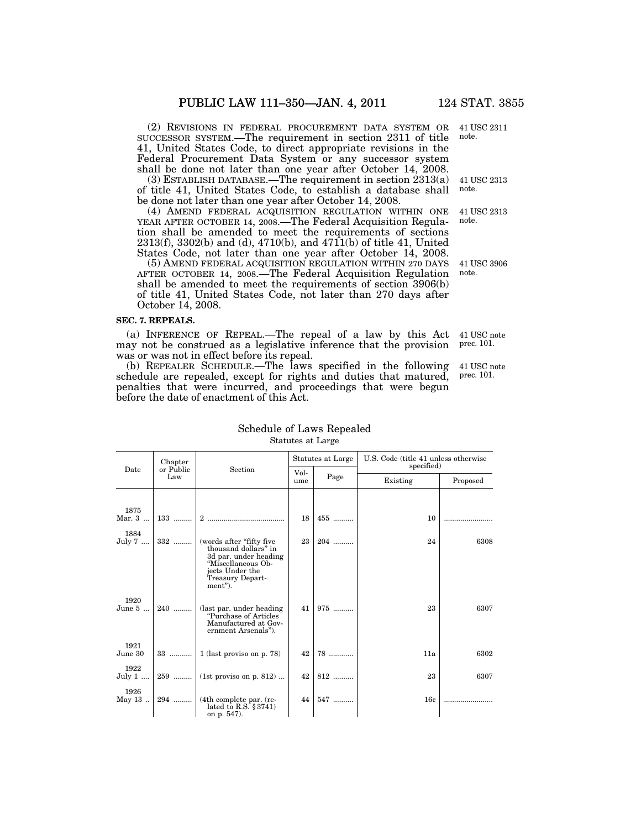(2) REVISIONS IN FEDERAL PROCUREMENT DATA SYSTEM OR SUCCESSOR SYSTEM.—The requirement in section 2311 of title 41, United States Code, to direct appropriate revisions in the Federal Procurement Data System or any successor system shall be done not later than one year after October 14, 2008.

(3) ESTABLISH DATABASE.—The requirement in section  $\hat{2}313(a)$ of title 41, United States Code, to establish a database shall be done not later than one year after October 14, 2008.

(4) AMEND FEDERAL ACQUISITION REGULATION WITHIN ONE YEAR AFTER OCTOBER 14, 2008.—The Federal Acquisition Regulation shall be amended to meet the requirements of sections  $2313(f)$ ,  $3302(b)$  and (d),  $4710(b)$ , and  $471(1(b))$  of title 41, United States Code, not later than one year after October 14, 2008.

(5) AMEND FEDERAL ACQUISITION REGULATION WITHIN 270 DAYS AFTER OCTOBER 14, 2008.—The Federal Acquisition Regulation shall be amended to meet the requirements of section 3906(b) of title 41, United States Code, not later than 270 days after October 14, 2008.

#### **SEC. 7. REPEALS.**

(a) INFERENCE OF REPEAL.—The repeal of a law by this Act 41 USC note may not be construed as a legislative inference that the provision prec. 101. was or was not in effect before its repeal.

(b) REPEALER SCHEDULE.—The laws specified in the following 41 USC note schedule are repealed, except for rights and duties that matured, penalties that were incurred, and proceedings that were begun before the date of enactment of this Act.

41 USC 2311 note.

41 USC 2313 note.

41 USC 2313 note.

41 USC 3906 note.

prec. 101.

#### Schedule of Laws Repealed Statutes at Large

|                  | Chapter<br>or Public<br>Law | Section                                                                                                                                           | Statutes at Large |       | U.S. Code (title 41 unless otherwise)<br>specified) |          |
|------------------|-----------------------------|---------------------------------------------------------------------------------------------------------------------------------------------------|-------------------|-------|-----------------------------------------------------|----------|
| Date             |                             |                                                                                                                                                   | Vol-<br>ume       | Page  | Existing                                            | Proposed |
|                  |                             |                                                                                                                                                   |                   |       |                                                     |          |
| 1875<br>Mar. 3   | $133$                       |                                                                                                                                                   | 18                | 455   | 10                                                  |          |
| 1884<br>July 7   | 332                         | (words after "fifty five<br>thousand dollars" in<br>3d par. under heading<br>"Miscellaneous Ob-<br>jects Under the<br>Treasury Depart-<br>ment"). | 23                | $204$ | 24                                                  | 6308     |
| 1920<br>June $5$ | 240                         | (last par. under heading)<br>"Purchase of Articles"<br>Manufactured at Gov-<br>ernment Arsenals").                                                | 41                | $975$ | 23                                                  | 6307     |
| 1921<br>June 30  | 33                          | 1 (last proviso on $p. 78$ )                                                                                                                      | 42                | $78$  | 11a                                                 | 6302     |
| 1922<br>July 1   |                             | 259  (1st proviso on p. 812)                                                                                                                      | 42                | $812$ | 23                                                  | 6307     |
| 1926<br>May 13   |                             | 294  (4th complete par. (re-<br>lated to R.S. $§ 3741$<br>on $p. 547$ ).                                                                          | 44                | $547$ | 16c                                                 |          |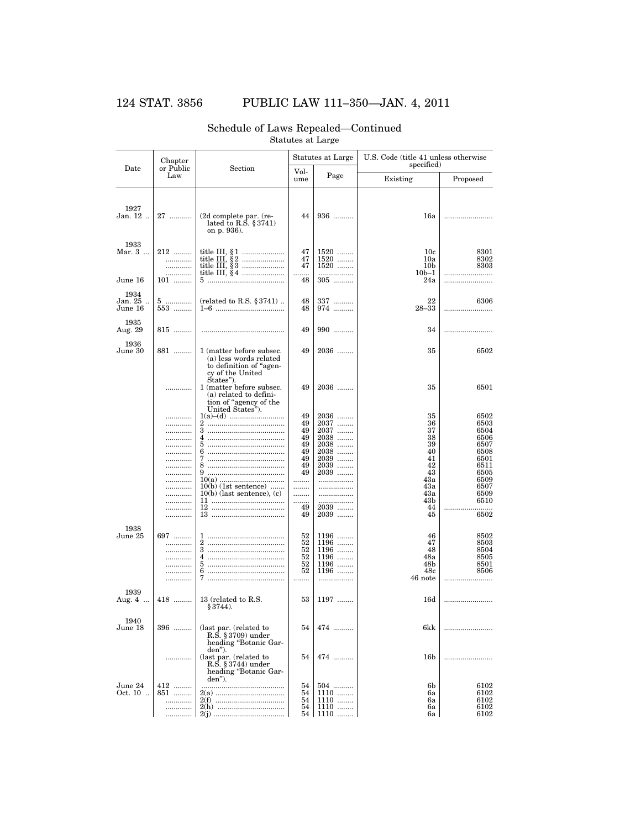# 124 STAT. 3856 PUBLIC LAW 111–350—JAN. 4, 2011

|                            | Chapter                                                             |                                                                                                    | Statutes at Large                                                          |                                                                                                       | U.S. Code (title 41 unless otherwise                                                       |                                                                                                              |
|----------------------------|---------------------------------------------------------------------|----------------------------------------------------------------------------------------------------|----------------------------------------------------------------------------|-------------------------------------------------------------------------------------------------------|--------------------------------------------------------------------------------------------|--------------------------------------------------------------------------------------------------------------|
| Date                       | or Public<br>Law                                                    | Section                                                                                            | Vol-<br>Page                                                               |                                                                                                       | specified)                                                                                 |                                                                                                              |
|                            |                                                                     |                                                                                                    | ume                                                                        |                                                                                                       | Existing                                                                                   | Proposed                                                                                                     |
| 1927<br>Jan. 12            | 27                                                                  | (2d complete par. (re-<br>lated to R.S. $§ 3741$<br>on p. 936).                                    | 44                                                                         | 936                                                                                                   | 16a                                                                                        |                                                                                                              |
| 1933<br>Mar. 3             | 212<br>.<br><br>.                                                   | title III, §2                                                                                      | 47<br>47<br>47<br>.                                                        | 1520<br>1520<br>1520<br>.                                                                             | 10 <sub>c</sub><br>10a<br>10 <sub>b</sub><br>$10b-1$                                       | 8301<br>8302<br>8303                                                                                         |
| June 16                    | 101                                                                 |                                                                                                    | 48                                                                         | 305                                                                                                   | 24a                                                                                        |                                                                                                              |
| 1934<br>Jan. 25<br>June 16 | 5<br>553                                                            | (related to R.S. $§ 3741$ )                                                                        | 48<br>48                                                                   | 337<br>974                                                                                            | 22<br>$28 - 33$                                                                            | 6306                                                                                                         |
| 1935<br>Aug. 29            | 815                                                                 |                                                                                                    | 49                                                                         | 990                                                                                                   | 34                                                                                         |                                                                                                              |
| 1936<br>June 30            | 881                                                                 | 1 (matter before subsec.<br>(a) less words related<br>to definition of "agen-<br>cy of the United  | 49                                                                         | 2036                                                                                                  | 35                                                                                         | 6502                                                                                                         |
|                            | .                                                                   | States").<br>1 (matter before subsec.<br>(a) related to defini-<br>tion of "agency of the          | 49                                                                         | 2036                                                                                                  | 35                                                                                         | 6501                                                                                                         |
|                            | .<br>.<br>.<br>.<br>.<br>.<br><br>.<br>.<br><br><br>.<br><br>.<br>. | United States").<br>4<br>6<br>8<br>$10(b)$ (1st sentence)<br>$10(b)$ (last sentence), (c)<br>13    | 49<br>49<br>49<br>49<br>49<br>49<br>49<br>49<br>49<br><br><br><br>49<br>49 | 2036<br>2037<br>2037<br>2038<br>2038<br>2038<br>2039<br>2039<br>2039<br><br><br><br>.<br>2039<br>2039 | 35<br>36<br>37<br>38<br>39<br>40<br>41<br>42<br>43<br>43a<br>43a<br>43a<br>43b<br>44<br>45 | 6502<br>6503<br>6504<br>6506<br>6507<br>6508<br>6501<br>6511<br>6505<br>6509<br>6507<br>6509<br>6510<br>6502 |
| 1938<br>June 25            | 697<br>.<br>.<br><br>.<br>.<br>.                                    | 6<br><br>7                                                                                         | 52<br>52<br>52<br>52<br>52<br>52                                           | 1196<br>1196<br>1196<br>1196<br>1196<br>1196<br>                                                      | 46<br>47<br>48<br>48a<br>48b<br>48c<br>46 note                                             | 8502<br>8503<br>8504<br>8505<br>8501<br>8506                                                                 |
| 1939<br>Aug. $4 \dots$     | 418                                                                 | 13 (related to R.S.<br>§ 3744.                                                                     | 53                                                                         | 1197                                                                                                  | 16d                                                                                        |                                                                                                              |
| 1940<br>June 18            | 396                                                                 | (last par. (related to<br>R.S. § 3709) under<br>heading "Botanic Gar-                              | 54                                                                         | 474                                                                                                   | 6kk                                                                                        |                                                                                                              |
|                            | .                                                                   | $den$ ").<br>(last par. (related to<br>R.S. $§ 3744$ ) under<br>heading "Botanic Gar-<br>$den$ "). | 54                                                                         | 474                                                                                                   | 16b                                                                                        | .                                                                                                            |
| June 24<br>Oct. $10$       | 412<br>851<br>.<br>.<br>.                                           |                                                                                                    | 54<br>54<br>54<br>54<br>54 I                                               | 504<br>1110<br>1110<br>1110<br>1110                                                                   | 6b<br>6a<br>6a<br>6a<br>6a                                                                 | 6102<br>6102<br>6102<br>6102<br>6102                                                                         |

# Schedule of Laws Repealed—Continued

Statutes at Large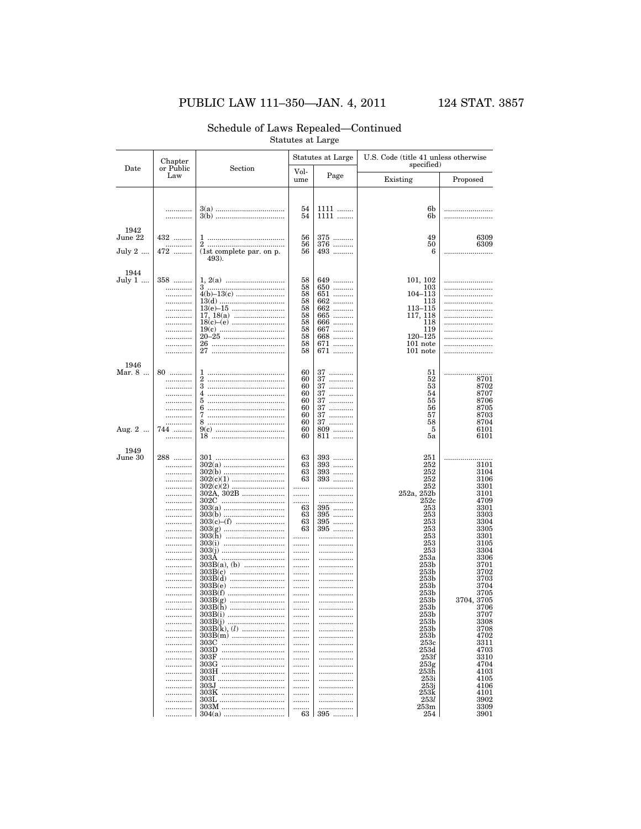# ${\bf Scheduling of Laws\ Repealed—Continued}$  <br> Statutes at Large

|                                   | Chapter                                                                                                                                                                           |                                   | Statutes at Large                                                                                                                                                                         |                                                                                                                                                                                        | U.S. Code (title 41 unless otherwise<br>specified)                                                                                                                                                                                                                                                                                                  |                                                                                                                                                                                                                                                                                                    |
|-----------------------------------|-----------------------------------------------------------------------------------------------------------------------------------------------------------------------------------|-----------------------------------|-------------------------------------------------------------------------------------------------------------------------------------------------------------------------------------------|----------------------------------------------------------------------------------------------------------------------------------------------------------------------------------------|-----------------------------------------------------------------------------------------------------------------------------------------------------------------------------------------------------------------------------------------------------------------------------------------------------------------------------------------------------|----------------------------------------------------------------------------------------------------------------------------------------------------------------------------------------------------------------------------------------------------------------------------------------------------|
| Date                              | or Public<br>Law                                                                                                                                                                  | Section                           | Vol-<br>ume                                                                                                                                                                               | Page                                                                                                                                                                                   | Existing                                                                                                                                                                                                                                                                                                                                            | Proposed                                                                                                                                                                                                                                                                                           |
|                                   | .<br>.                                                                                                                                                                            |                                   | 54<br>54                                                                                                                                                                                  | 1111<br>1111                                                                                                                                                                           | 6b<br>6b                                                                                                                                                                                                                                                                                                                                            |                                                                                                                                                                                                                                                                                                    |
| 1942<br>June 22<br>July $2 \dots$ | 432<br>.<br>472                                                                                                                                                                   | (1st complete par. on p.<br>493). | 56<br>56<br>56                                                                                                                                                                            | 375<br>376<br>493                                                                                                                                                                      | 49<br>50<br>6                                                                                                                                                                                                                                                                                                                                       | 6309<br>6309                                                                                                                                                                                                                                                                                       |
| 1944<br>July 1                    | 358<br>.<br>.<br>.<br>.<br>.<br>.<br>.<br><br>.<br>.                                                                                                                              |                                   | 58<br>58<br>58<br>58<br>58<br>58<br>58<br>58<br>58<br>58<br>58                                                                                                                            | 649<br>650<br>651<br>662<br>662<br>665<br>666<br>667<br>668<br>671<br>671                                                                                                              | 101, 102<br>103<br>104-113<br>113<br>113-115<br>117, 118<br>118<br>119<br>$120 - 125$<br>$101$ note<br>$101$ note                                                                                                                                                                                                                                   | <br><br><br><br><br><br><br><br><br>                                                                                                                                                                                                                                                               |
| 1946<br>Mar. 8<br>Aug. $2 \dots$  | 80<br><br>.<br>.<br>.<br><br><br>.<br>744<br>.                                                                                                                                    | 3<br>                             | 60<br>60<br>60<br>60<br>60<br>60<br>60<br>60<br>60<br>60                                                                                                                                  | 37<br>37<br><br>37<br><br>37<br><br>37<br><br>37<br><br>37<br><br>37<br>809<br>811                                                                                                     | 51<br>52<br>53<br>54<br>55<br>56<br>57<br>58<br>5<br>5a                                                                                                                                                                                                                                                                                             | 8701<br>8702<br>8707<br>8706<br>8705<br>8703<br>8704<br>6101<br>6101                                                                                                                                                                                                                               |
| 1949<br>June 30                   | 288<br>.<br>.<br>.<br>.<br>.<br>.<br>.<br>.<br>.<br>.<br>.<br>.<br>.<br>.<br>.<br><br>.<br>.<br>.<br><br>.<br>.<br><br>.<br><br><br>.<br>.<br>.<br>.<br>.<br><br>.<br>.<br>.<br>. | 302A, 302B<br>303M                | 63<br>63<br>63<br>63<br>.<br>.<br>.<br>63<br>63<br>63<br>63<br>.<br>.<br>.<br><br>.<br><br><br>.<br>.<br><br>.<br><br><br>.<br>.<br>.<br>.<br>.<br>.<br>.<br>.<br>.<br>.<br>.<br><br>63 I | 393<br>393<br>393<br>393<br><br><br><br>395<br>395<br>395<br>395<br><br>.<br><br><br><br><br>.<br>.<br>.<br>.<br><br><br>.<br>.<br><br>.<br><br><br><br><br>.<br><br>.<br><br>.<br>395 | 251<br>252<br>252<br>252<br>252<br>252a, 252b<br>252c<br>253<br>253<br>253<br>253<br>253<br>253<br>253<br>253a<br>253b<br>253 <sub>b</sub><br>253b<br>253 <sub>b</sub><br>253b<br>253b<br>253b<br>253b<br>$253\mathrm{b}$<br>253 <sub>b</sub><br>253b<br>253c<br>253d<br>253f<br>253g<br>253h<br>253i<br>253i<br>253k<br><b>253l</b><br>253m<br>254 | 3101<br>3104<br>3106<br>3301<br>3101<br>4709<br>3301<br>3303<br>3304<br>3305<br>3301<br>3105<br>3304<br>3306<br>3701<br>3702<br>3703<br>3704<br>3705<br>3704, 3705<br>3706<br>3707<br>3308<br>3708<br>4702<br>3311<br>4703<br>3310<br>4704<br>4103<br>4105<br>4106<br>4101<br>3902<br>3309<br>3901 |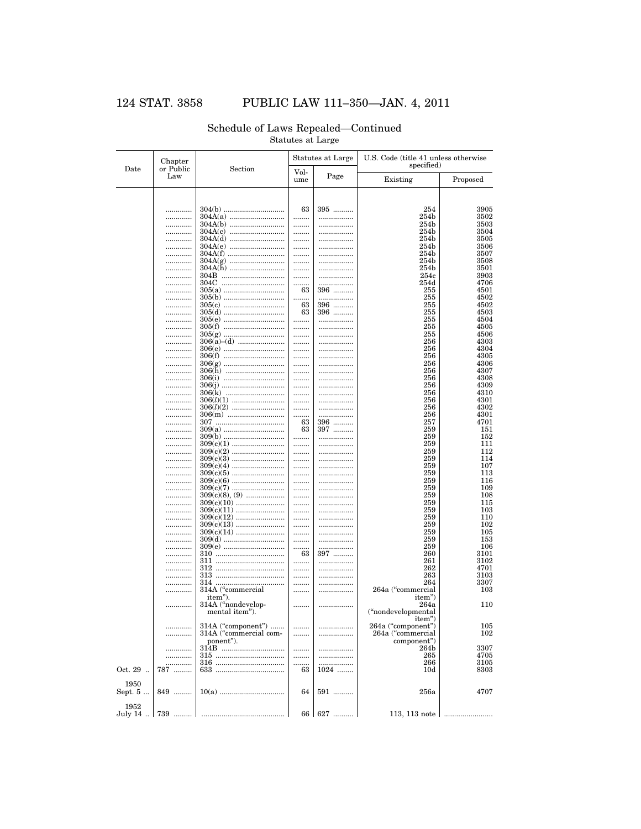# PUBLIC LAW 111-350-JAN. 4, 2011

# ${\bf Scheduling of Laws\ Repealed—Continued}$  <br> Statutes at Large

|                   | Chapter          | Section                | Statutes at Large |            | U.S. Code (title 41 unless otherwise<br>specified) |              |
|-------------------|------------------|------------------------|-------------------|------------|----------------------------------------------------|--------------|
| Date              | or Public<br>Law |                        | Vol-<br>ume       | Page       | Existing                                           | Proposed     |
|                   |                  |                        |                   |            |                                                    |              |
|                   | .                |                        | 63                | 395        | 254                                                | 3905         |
|                   | .                |                        | .                 |            | 254b                                               | 3502         |
|                   | .                |                        | .                 |            | 254b                                               | 3503         |
|                   | .                |                        |                   |            | 254b                                               | 3504         |
|                   | .                |                        |                   |            | 254b                                               | 3505         |
|                   | .                |                        | .                 |            | 254b                                               | 3506         |
|                   | .                |                        | <br>.             |            | 254b<br>254 <sub>b</sub>                           | 3507<br>3508 |
|                   | .<br>.           |                        | .                 | <br>       | 254b                                               | 3501         |
|                   | .                |                        |                   |            | 254c                                               | 3903         |
|                   | .                | 304C                   |                   |            | 254d                                               | 4706         |
|                   | .                |                        | 63                | 396        | 255                                                | 4501         |
|                   | .                |                        |                   |            | 255                                                | 4502         |
|                   | .                |                        | 63<br>63          | 396<br>396 | 255<br>255                                         | 4502<br>4503 |
|                   | .<br>.           |                        |                   | .          | 255                                                | 4504         |
|                   | .                |                        | .                 |            | 255                                                | 4505         |
|                   | .                |                        | .                 |            | 255                                                | 4506         |
|                   | .                |                        |                   |            | 256                                                | 4303         |
|                   | .                |                        | .                 |            | 256                                                | 4304         |
|                   | .                |                        | .                 |            | 256                                                | 4305         |
|                   | .<br>.           |                        | <br>.             | <br>       | 256<br>256                                         | 4306<br>4307 |
|                   | .                |                        | .                 |            | 256                                                | 4308         |
|                   | .                |                        |                   |            | 256                                                | 4309         |
|                   | .                |                        | .                 |            | 256                                                | 4310         |
|                   | .                |                        | .                 |            | 256                                                | 4301         |
|                   | .                |                        |                   |            | 256                                                | 4302         |
|                   | .                |                        | <br>63            | .<br>396   | 256<br>257                                         | 4301<br>4701 |
|                   | .<br>.           |                        | 63                | 397        | 259                                                | 151          |
|                   | .                |                        | .                 |            | 259                                                | 152          |
|                   | .                |                        | .                 |            | 259                                                | 111          |
|                   | .                |                        |                   |            | 259                                                | 112          |
|                   | .                |                        |                   |            | 259                                                | 114          |
|                   | .                |                        | .                 |            | 259<br>259                                         | 107<br>113   |
|                   | .<br>.           |                        | <br>.             | <br>       | 259                                                | 116          |
|                   | .                |                        | .                 |            | 259                                                | 109          |
|                   | .                |                        |                   |            | 259                                                | 108          |
|                   | .                |                        |                   |            | 259                                                | 115          |
|                   | .                |                        | .                 |            | 259                                                | 103          |
|                   | .                |                        | .                 |            | 259                                                | 110          |
|                   | .<br>.           |                        | .<br>.            | <br>       | 259<br>259                                         | 102<br>105   |
|                   | .                |                        |                   |            | 259                                                | 153          |
|                   | .                |                        |                   | .          | 259                                                | 106          |
|                   | .                |                        | 63                | 397        | 260                                                | 3101         |
|                   | .                |                        |                   |            | 261                                                | 3102         |
|                   | .<br>.           |                        | <br>.             | <br>.      | 262<br>263                                         | 4701<br>3103 |
|                   | .                |                        | .                 |            | 264                                                | 3307         |
|                   | .                | 314A ("commercial      | .                 |            | 264a ("commercial                                  | 103          |
|                   |                  | item").                |                   |            | item")                                             |              |
|                   | .                | 314A ("nondevelop-     |                   | .          | 264a                                               | 110          |
|                   |                  | mental item").         |                   |            | ("nondevelopmental                                 |              |
|                   |                  | 314A ("component")     |                   |            | item")<br>264a ("component")                       | 105          |
|                   | .<br>.           | 314A ("commercial com- | <br>.             | .<br>      | 264a ("commercial                                  | 102          |
|                   |                  | ponent").              |                   |            | component")                                        |              |
|                   | .                | 314B                   |                   | .          | 264b                                               | 3307         |
|                   | .                |                        | .                 |            | 265                                                | 4705         |
|                   | .                |                        |                   | .          | 266                                                | 3105         |
| Oct. $29$         | 787              |                        | 63                | $1024$     | 10 <sub>d</sub>                                    | 8303         |
| 1950<br>Sept. 5   | 849              |                        | 64                | 591        | 256a                                               | 4707         |
|                   |                  |                        |                   |            |                                                    |              |
| 1952<br>July $14$ | 739              |                        | 66                | 627        | 113, 113 note $ $                                  |              |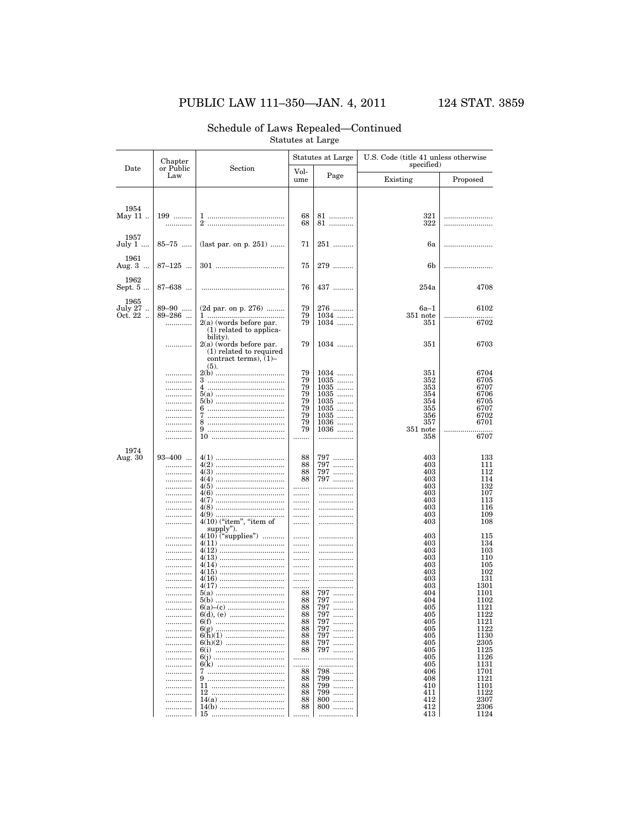# ${\bf Scheduling of Laws\ Repealed—Continued}$  <br> Statutes at Large

| Date               | Chapter<br>or Public<br>Law | Section                                | Statutes at Large |                | U.S. Code (title 41 unless otherwise)<br>specified) |              |
|--------------------|-----------------------------|----------------------------------------|-------------------|----------------|-----------------------------------------------------|--------------|
|                    |                             |                                        | Vol-<br>ume       | Page           | Existing                                            | Proposed     |
|                    |                             |                                        |                   |                |                                                     |              |
|                    |                             |                                        |                   |                |                                                     |              |
| 1954               |                             |                                        |                   |                |                                                     |              |
| May 11             | 199<br>                     |                                        | 68<br>68          | 81<br>81       | 321<br>322                                          |              |
|                    |                             |                                        |                   |                |                                                     |              |
| 1957               |                             |                                        |                   |                |                                                     |              |
| July 1             | $85 - 75$                   | (last par. on $p. 251$ )               | 71                | 251            | 6a                                                  |              |
| 1961               |                             |                                        |                   |                |                                                     |              |
| Aug. 3             | $87 - 125$                  |                                        | 75                | 279            | 6b                                                  |              |
| 1962               |                             |                                        |                   |                |                                                     |              |
| Sept. 5            | $87 - 638$                  |                                        | 76                | 437            | 254a                                                | 4708         |
|                    |                             |                                        |                   |                |                                                     |              |
| 1965               | $89 - 90$                   | (2d par. on p. 276)                    | 79                | 276            | 6a–1                                                | 6102         |
| July 27<br>Oct. 22 | $89 - 286$                  |                                        | 79                | 1034           | 351 note                                            |              |
|                    | .                           | $2(a)$ (words before par.              | 79                | 1034           | 351                                                 | 6702         |
|                    |                             | (1) related to applica-                |                   |                |                                                     |              |
|                    | .                           | bility).<br>$2(a)$ (words before par.  | 79                | 1034           | 351                                                 | 6703         |
|                    |                             | (1) related to required                |                   |                |                                                     |              |
|                    |                             | contract terms), $(1)$                 |                   |                |                                                     |              |
|                    | .                           | (5).                                   | 79                | 1034           | 351                                                 | 6704         |
|                    | .                           |                                        | 79                | 1035           | 352                                                 | 6705         |
|                    | .                           | 4<br>                                  | 79                | 1035           | 353                                                 | 6707         |
|                    | .                           |                                        | 79                | 1035           | 354                                                 | 6706         |
|                    | .                           |                                        | 79                | 1035           | 354                                                 | 6705         |
|                    | .<br>.                      |                                        | 79<br>79          | $1035$<br>1035 | 355<br>356                                          | 6707<br>6702 |
|                    | .                           |                                        | 79                | $1036$         | 357                                                 | 6701         |
|                    | .                           |                                        | 79                | $1036$         | 351 note                                            |              |
|                    | .                           |                                        | .                 |                | 358                                                 | 6707         |
| 1974               |                             |                                        |                   |                |                                                     |              |
| Aug. 30            | $93 - 400$                  |                                        | 88                | 797            | 403                                                 | 133          |
|                    | .                           |                                        | 88                | 797            | 403                                                 | 111          |
|                    | .                           |                                        | 88                | 797            | 403                                                 | 112          |
|                    | .                           |                                        | 88                | 797            | 403                                                 | 114          |
|                    | .<br>.                      |                                        | .<br>.            | .<br>          | 403<br>403                                          | 132<br>107   |
|                    | .                           |                                        |                   |                | 403                                                 | 113          |
|                    | .                           |                                        |                   |                | 403                                                 | 116          |
|                    | .                           |                                        |                   |                | 403<br>403                                          | 109<br>108   |
|                    | .                           | $4(10)$ ("item", "item of<br>supply"). |                   | .              |                                                     |              |
|                    | .                           | $4(10)$ ("supplies")                   | .                 | .              | 403                                                 | 115          |
|                    | .                           |                                        |                   |                | 403                                                 | 134          |
|                    | .                           |                                        | .                 |                | 403<br>403                                          | 103<br>110   |
|                    | .<br>.                      |                                        | <br>.             | <br>           | 403                                                 | 105          |
|                    | .                           |                                        |                   | .              | 403                                                 | 102          |
|                    | .                           |                                        |                   |                | 403                                                 | 131          |
|                    | .                           |                                        | <br>88            | .<br>797       | 403<br>404                                          | 1301<br>1101 |
|                    | .<br>.                      |                                        | 88                | 797            | 404                                                 | 1102         |
|                    | .                           |                                        | 88                | 797            | 405                                                 | 1121         |
|                    |                             | 6(d), (e)                              | 88                | 797.           | 405                                                 | 1122         |
|                    | .                           |                                        | 88<br>88          | 797<br>797     | 405<br>405                                          | 1121<br>1122 |
|                    | .<br>.                      |                                        | 88                | 797            | 405                                                 | 1130         |
|                    |                             |                                        | 88                | 797            | 405                                                 | 2305         |
|                    | .                           |                                        | 88                | 797            | 405                                                 | 1125         |
|                    | .                           |                                        |                   |                | 405<br>405                                          | 1126<br>1131 |
|                    | .<br>.                      |                                        | <br>88            | <br>798        | 406                                                 | 1701         |
|                    | .                           |                                        | 88                | 799            | 408                                                 | 1121         |
|                    | .                           |                                        | 88                | 799            | 410                                                 | 1101         |
|                    | .<br>.                      |                                        | 88<br>88          | 799<br>800     | 411<br>412                                          | 1122<br>2307 |
|                    | .                           |                                        | 88                | $800$          | 412                                                 | 2306         |
|                    |                             |                                        |                   |                | 413                                                 | 1124         |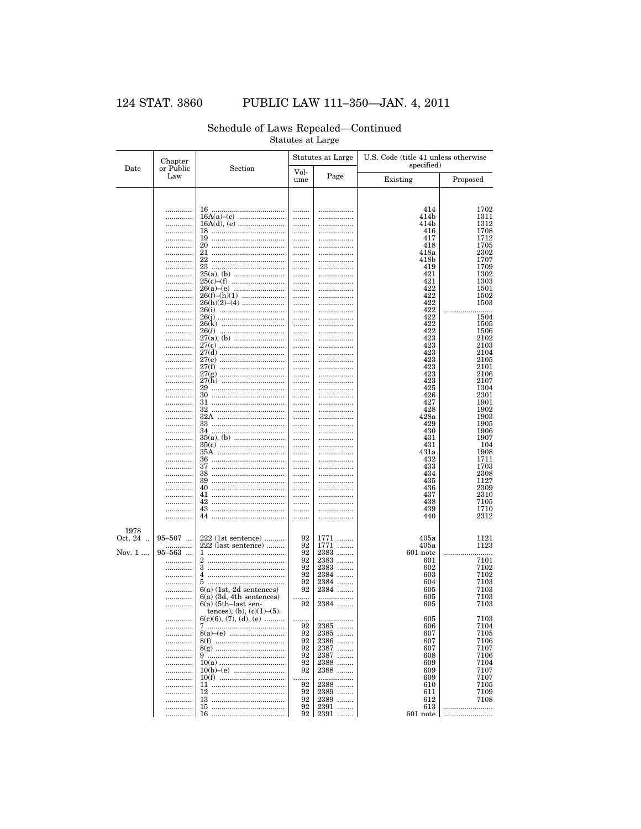## PUBLIC LAW 111-350-JAN. 4, 2011

### Statutes at Large U.S. Code (title 41 unless otherwise Chapter<br>or Public specified) Date Section Vol-Page Law ume Existing Proposed 16 414 1702 . . . . . . . ............  $16A(a)$   $-(c)$ 414<sub>b</sub> 1311 . . . . . . . . . . . . . . . . . .  $16A(d), (e)$  ........  $414b$  $1312$ . . . . . . . . . . . . . . . . . . . ................ 18 .......................  $\frac{416}{417}$ 1708 . . . . . . . . . . . . ....... ......... 19 1712 . . . . . . . . . . . . . . . . . . . . . . . . . .  $\frac{418}{418a}$ 20 1705 . . . . . . . . . . . . . . . . . . . . . . . . . . . . . . . . . . . . . . . 21 ................ 2302  $418<sub>b</sub>$ 1707 . . . . . . . . . . . . . . . . . . . . . ................ 419 1709 . . . . . . . . . . . . . . . . . . .  $421$ 1302 . . . . . .  $421$ 1303 . . . . . . . . . . . . . ........ ................. 422 1501 . . . . . . . . . . . . . . . . . . . . . . . . . . . . . . . . . .  $422$ 1502 . . . . . . . . . . . . . . . . . . . . ...............  $26(h)(2)–(4)$  ....... 422 1503 . . . . . . . . . . . . . . ............  $^{122}_{422}$ . . . . . . . . . . . . . . . . . . . . . . . . . . .  $\frac{1504}{1504}$  $\frac{26(j)}{26(k)}$ .  $\frac{422}{422}$ . . . . . . . . . . . . . . . . . . . ............... . . . . . . . . . . . . . . . . 1505 . . . . . . . . . . . . . . . . . . . . . . . . . . . . . . . . . . . . . . . . . . . . . . . . . . .  $26(l)$ 422 1506 . . . . . . . . . . . . . . . . . . . . . . . . . . . . . . . . . . . . 423 2102 . . . . . . . . . . . . . . . . . . .  $423$ 2103 . . . . . . . . . . . . . . . . . . . . . ................  $27(d)$  ................... 2104 423 . . . . . . . . . . . . . . . . . . .  $423$ 2105 . . . . . . . . . . . . . . . . . . . . . . . . . . . . . . . . . . . . . .  $27(f)$  $493$ 2101 . . . . . . . . . . . . . . . . . . . . . . . . . .  $\frac{27}{12}$  $^{+25}_{-423}$  $\frac{2101}{2106}$ . . . . . . . . . . . . . . . . . . . . . . . . . . 27(h) .................. 423 2107 . . . . . . . . . . . . . ........ .................  $29\,$  ................. . . . . . . . . . . . . . . . . . . . . . . . . . . . 425 1304  $\overline{30}$ 426 2301 . . . . . . . . . . . . ............... . . . . . . ................  $\frac{31}{32}$  $\frac{427}{428}$ 1901 ............ ....... . . . . . . . ......... 1902 . . . . . . . . . . . . . . . . . . . . . . . . . . . . . . . . . . .  $32A$  $428a$ <br> $429$ 1903 . . . . . . . . . . . . . . . . . . . . . . . . . . . . . . . . . . . . . . . . . . . 33 ........... 1905 . . . . . . . . . . . .  $\overline{34}$ 430 1906 . . . . . . . . . . . . . . . . . . . . . ................. 431 1907 . . . . . . . . . . . . . . . . . . ............... 431  $104$ . . . . . . . . . . . . . . . . . . . . . .................  $431a$ 35A ........ 1908 . . . . . . . . . . . . . . . . . . . . . . . . . .  $\overline{36}$  .....  $432$ 1711 . . . . . . . . . . . . . . . . . . . . . . . . . . .  $\overline{37}$  $\frac{433}{434}$  $\frac{1703}{2308}$ . . . . . . . . . . . . ............... . . . . . . . . . . . . . . . . .  $\frac{5}{38}$ . . . . . . . . . . . . . . . . . . . . . . . . . . . . . . . . . . . . . . . . . . . . . . .  $39$ 435 1127 . . . . . . . . . . . . . . . . . . . ................ 40 436 2309 . . . . . . . . . . . . . . . . . . ...... 437 2310 41 . . . . . . . . . . . . . . . . . . ................ 42 438 7105 . . . . . . . . . . . . ................... ....... ................ 43 ..................... . . . . . . . . . . . . . . . . . . . . . . . . . . . . 439 1710 . . . . . . .  $\overline{44}$ 440 2312 . . . . . . . . . . . . . . . . . . . ................ .................... 1978  $\begin{array}{ll} 1771 & \ldots \ldots \ldots \\ 1771 & \ldots \ldots \ldots \\ 2383 & \ldots \ldots \ldots \end{array}$ Oct. 24  $\begin{array}{c} 1121 \\ 1123 \end{array}$  $95 - 507$  ...  $222$  (1st sentence)  $....$  $\bf{92}$  $405a$  $222$  (last sentence) ........ 92  $405a$  $95 - 563$  ... Nov. 1 ....  $\overline{92}$  $601$  note  $\begin{array}{c} 2383 \dots 2383 \dots 2383 \dots 2383 \dots 2383 \dots 2383 \dots 2383 \dots 2383 \dots 2383 \dots 2383 \dots 2383 \dots 2383 \dots 2383 \dots 2383 \dots 2383 \dots 2383 \dots 2383 \dots 2383 \dots 2383 \dots 2383 \dots 2383 \dots 2383 \dots 2383 \dots 2383 \dots 2383 \dots 2383 \dots 2383 \dots 2383 \dots 2383 \dots 2383 \dots 23$  $\frac{92}{92}$ 601 7101 9 . . . . . . . . . . . . . . . . . . . . . . . . . . . 3 .......................... 602 7102  $\overline{92}$ 2384 ........  $603$ 7102 . . . . . . . . . . . . .  $\frac{92}{92}$ 2384 ........<br>2384 ........  $7103$ <br> $7103$ 604 5 . . . . . . . . . . . . 605 . . . . . . . . . . . . 605 7103 . . . . . . . . . . . . . . . . . . . 6(a) (5th-last sen-<br>tences), (b), (c)(1)-(5).<br> $6(c)(6)$ , (7), (d), (e) .........  $92$ 2384 ........ 605 7103 . . . . . . . . . . . . 605 7103 ............  $2385$  ........  $\frac{92}{92}$  $\frac{606}{607}$  $7104$ <br> $7105$ . . . . . . . . . . . . 2385<br>2385 ........<br>2386 ........ . . . . . . . . . . . .  $8(f)$ 92 607 7106 . . . . . . . . . . . . . . . . . . . . . . . . . . . . . . . . 8(g) ..................  $\frac{92}{92}$ 2387 607  $7107\atop7106$ . . . . . . . . . . . . . . . . . . .  $\frac{2387}{2388}$  $608$ . . . . . . . . . . . . . . . . . . . .  $10(a)$ 92 609 7104 . . . . . . . . . . . . . . . . . . . . .  $2388\,$  ....... 7107<br>7107 . . . . . . . . . . . 92 609 609 . . . . . . . . . . . . . . . . . .  $\overline{92}$  $2288$ 7105 610 . . . . . . . . . . . . . . . . . . .  $2389\,\,....$ 92 . . . . . . . . . . . 611 7109  $\overline{92}$ 2389  $612$ 7108 . . . . . . . . . . . .  $1.1.1.1.1$ 2391  $15$ 92 613 ................................. . . . . . . . . . . . . . . . . . . . . . . . . . . . . .  $92 \mid 2391 \dots$  $601$  note  $|$ 16 ........................... . . . . . . . . . . .

# Schedule of Laws Repealed-Continued

Statutes at Large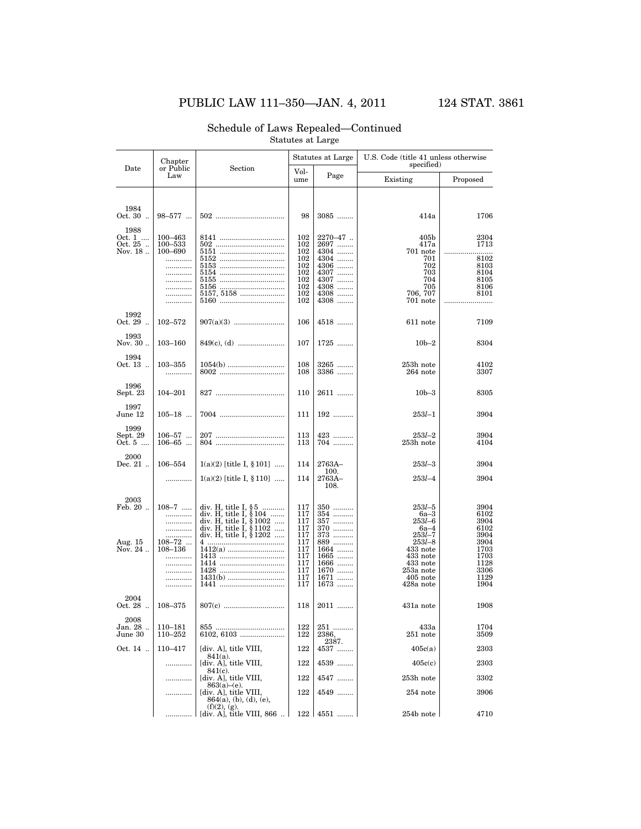### Date Chapter or Public Law Section Statutes at Large | U.S. Code (title 41 unless otherwise specified) Vol-Page Existing Proposed  $\frac{1984}{\mathrm{Oct.}}$  30  $\,$ Oct. 30 .. 98–577 ... 502 .................................. 98 3085 ........ 414a 1706  $\begin{array}{c} 1988 \\ \text{Oct. 1} \\ \text{Oct. 25} \\ \text{Nov. 18} \\ \end{array} \text{.}$ Oct. 1 .... 100–463 8141 ................................ 102 2270–47 .. 405b 2304 Oct. 25 .. 100–533 502 .................................. 102 2697 ........ 417a 1713 Nov. 18 .. 100–690 5151 ................................ 102 4304 ........ 701 note ........................ ............. 5152 ................................ 102 4304 ........ 701 8102 ............. 5153 ................................ 102 4306 ........ 702 8103 ............. 5154 ................................ 102 4307 ........ 703 8104 ............. 5155 ................................ 102 4307 ........ 704 8105 ............. 5156 ................................ 102 4308 ........ 705 8106 ............. 5157, 5158 ...................... 102 4308 ........ 706, 707 8101 ............. 5160 ................................ 102 4308 ........ 701 note ........................  $\frac{1992}{\cot 29}$ Oct. 29 .. 102–572 907(a)(3) ......................... 106 4518 ........ 611 note 7109  $\frac{1993}{\mathrm{Nov.~30}}$  . Nov. 30 .. 103–160 849(c), (d) ....................... 107 1725 ........ 10b–2 8304  $1994$ <br>Oct. 13.  $\begin{array}{|l|c|c|c|c|c|c|c|} \hline 103–355 & 1054(b) & \dots & \dots & \dots & \dots & \ 8002 & \dots & \dots & \dots & \dots & \ 8002 & \dots & \dots & \dots & \dots & \ 108 & 3386 & \dots & \dots & \ 264 & \text{note} & & & & 3307 \ \hline \end{array}$ ............. 8002 ................................ 108 3386 ........ 264 note 3307  $\begin{array}{c} \text{1996}\\ \text{Sept. 23} \end{array}$ Sept. 23 104–201 827 .................................. 110 2611 ........ 10b–3 8305  $$\rm \,1997$  June  $12$ June 12 105–18 ... 7004 ................................ 111 192 .......... 253*l*–1 3904  $38$ ept. 29<br>Oct. 5 Sept. 29 106–57 ... 207 .................................. 113 423 .......... 253*l*–2 3904  $\begin{array}{|c|c|c|c|c|c|c|c|} \hline 106–57 & ... & 207 & ... & ... & ... & 113 & 423 & ... & 253L-2 & 3904 \ 106–65 & ... & 804 & ... & ... & 113 & 704 & ... & ... & 253h \text{ note} & & & 4104 \ \hline \end{array}$  $2000$ <br>Dec. 21 106–554 |  $1(a)(2)$  [title I, § 101] ..... | 114 | 2763A–  $\frac{100}{2763A}$ 253*l*–3 3904 ............. 1(a)(2) [title I, § 110] ..... 114 2763A– 108. 253*l*–4 3904  $\begin{array}{c} 2003 \\ \text{Feb. } 20 \end{array}$  $\text{Aug. 15 }\begin{bmatrix} \text{Reb. 20 } \end{bmatrix} \begin{bmatrix} 108-7 & \dots \\ 1008-7 & \dots \\ \dots \\ 1008-7 & \dots \\ \dots \\ 1008-7 & \dots \\ \dots \\ 1008-72 & \dots \\ 1008-72 & \dots \\ 1008-72 & \dots \\ 1008-72 & \dots \\ 1008-72 & \dots \\ 1008-72 & \dots \\ 1008-72 & \dots \\ 1008-72 & \dots \\ 1008-72 & \dots \\ 1008-72 & \dots \\ 1008-72 & \dots$ Nov. 24 .. | 108–136 | 1412(a) ................................. | 117 | 1664 ........ | 433 note | 1703 ............. 1413 ................................ 117 1665 ........ 433 note 1703 ............. 1414 ................................ 117 1666 ........ 433 note 1128 ............. 1428 ................................ 117 1670 ........ 253a note 3306 ............. 1431(b) ............................ 117 1671 ........ 405 note 1129 ............. 1441 ................................ 117 1673 ........ 428a note 1904  $2004$ <br>Oct. 28 Oct. 28 .. 108–375 807(c) .............................. 118 2011 ........ 431a note 1908  $\begin{array}{c} 2008 \\ \text{Jan. } 28 \end{array}$ Jan. 28 .. 110–181 855 .................................. 122 251 .......... 433a 1704 June 30 110–252 6102, 6103 ...................... 122 2386, 2387.  $251 \text{ note}$   $3509$ Oct. 14 .. | 110–417 | [div. A], title VIII, 841(a). ............. [div. A], title VIII,  $122 \mid 4537 \dots \mid$   $405c(a) \mid$  2303 841(c). ............. [div. A], title VIII, 863(a)–(e). ............. [div. A], title VIII, 864(a), (b), (d), (e),  $122 \mid 4539 \dots \dots \mid 405c(c) \mid 2303$ 122 4547 ........ 253h note 3302 (f)(2), (g). ............. [div. A], title VIII, 866 .. 122 4551 ........ 254b note 4710  $122 \mid 4549 \mid$  254 note 3906

### Schedule of Laws Repealed—Continued Statutes at Large